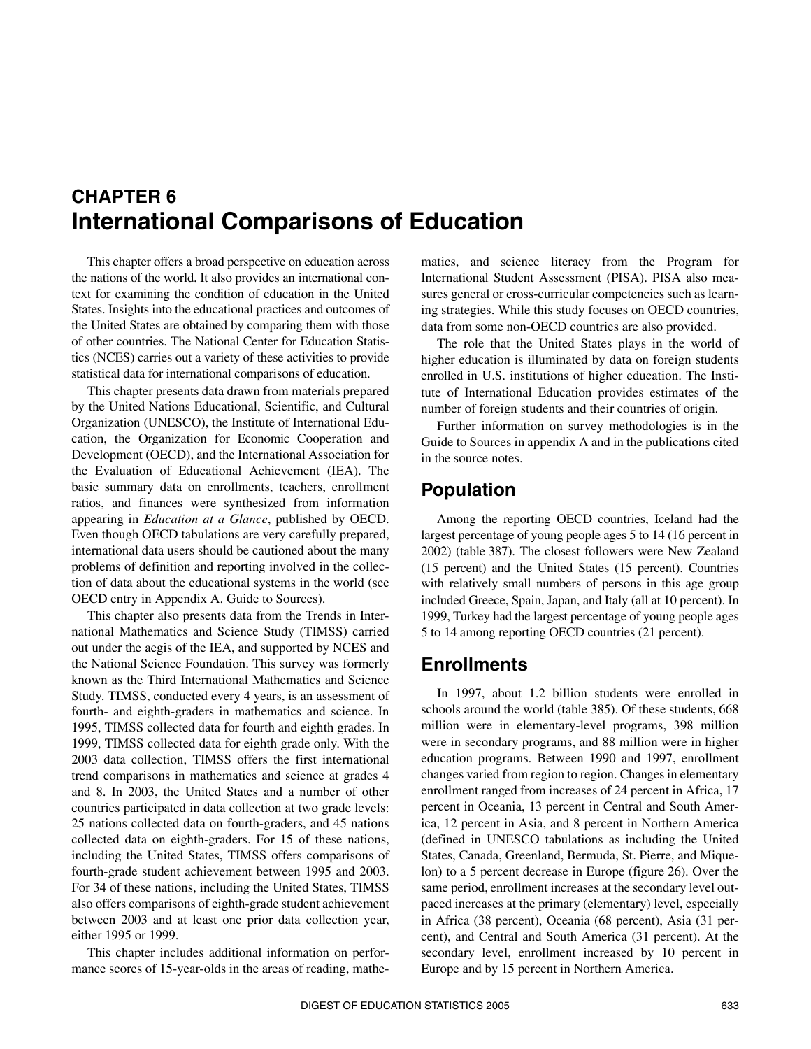# <span id="page-0-0"></span>**CHAPTER 6 International Comparisons of Education**

This chapter offers a broad perspective on education across the nations of the world. It also provides an international context for examining the condition of education in the United States. Insights into the educational practices and outcomes of the United States are obtained by comparing them with those of other countries. The National Center for Education Statistics (NCES) carries out a variety of these activities to provide statistical data for international comparisons of education.

This chapter presents data drawn from materials prepared by the United Nations Educational, Scientific, and Cultural Organization (UNESCO), the Institute of International Education, the Organization for Economic Cooperation and Development (OECD), and the International Association for the Evaluation of Educational Achievement (IEA). The basic summary data on enrollments, teachers, enrollment ratios, and finances were synthesized from information appearing in *Education at a Glance*, published by OECD. Even though OECD tabulations are very carefully prepared, international data users should be cautioned about the many problems of definition and reporting involved in the collection of data about the educational systems in the world (see OECD entry in Appendix A. Guide to Sources).

This chapter also presents data from the Trends in International Mathematics and Science Study (TIMSS) carried out under the aegis of the IEA, and supported by NCES and the National Science Foundation. This survey was formerly known as the Third International Mathematics and Science Study. TIMSS, conducted every 4 years, is an assessment of fourth- and eighth-graders in mathematics and science. In 1995, TIMSS collected data for fourth and eighth grades. In 1999, TIMSS collected data for eighth grade only. With the 2003 data collection, TIMSS offers the first international trend comparisons in mathematics and science at grades 4 and 8. In 2003, the United States and a number of other countries participated in data collection at two grade levels: 25 nations collected data on fourth-graders, and 45 nations collected data on eighth-graders. For 15 of these nations, including the United States, TIMSS offers comparisons of fourth-grade student achievement between 1995 and 2003. For 34 of these nations, including the United States, TIMSS also offers comparisons of eighth-grade student achievement between 2003 and at least one prior data collection year, either 1995 or 1999.

This chapter includes additional information on performance scores of 15-year-olds in the areas of reading, mathe<span id="page-0-1"></span>matics, and science literacy from the Program for International Student Assessment (PISA). PISA also measures general or cross-curricular competencies such as learning strategies. While this study focuses on OECD countries, data from some non-OECD countries are also provided.

The role that the United States plays in the world of higher education is illuminated by data on foreign students enrolled in U.S. institutions of higher education. The Institute of International Education provides estimates of the number of foreign students and their countries of origin.

Further information on survey methodologies is in the Guide to Sources in appendix A and in the publications cited in the source notes.

# **Population**

Among the reporting OECD countries, Iceland had the largest percentage of young people ages 5 to 14 (16 percent in 2002) (table 387). The closest followers were New Zealand (15 percent) and the United States (15 percent). Countries with relatively small numbers of persons in this age group included Greece, Spain, Japan, and Italy (all at 10 percent). In 1999, Turkey had the largest percentage of young people ages 5 to 14 among reporting OECD countries (21 percent).

# **Enrollments**

In 1997, about 1.2 billion students were enrolled in schools around the world (table 385). Of these students, 668 million were in elementary-level programs, 398 million were in secondary programs, and 88 million were in higher education programs. Between 1990 and 1997, enrollment changes varied from region to region. Changes in elementary enrollment ranged from increases of 24 percent in Africa, 17 percent in Oceania, 13 percent in Central and South America, 12 percent in Asia, and 8 percent in Northern America (defined in UNESCO tabulations as including the United States, Canada, Greenland, Bermuda, St. Pierre, and Miquelon) to a 5 percent decrease in Europe (figure 26). Over the same period, enrollment increases at the secondary level outpaced increases at the primary (elementary) level, especially in Africa (38 percent), Oceania (68 percent), Asia (31 percent), and Central and South America (31 percent). At the secondary level, enrollment increased by 10 percent in Europe and by 15 percent in Northern America.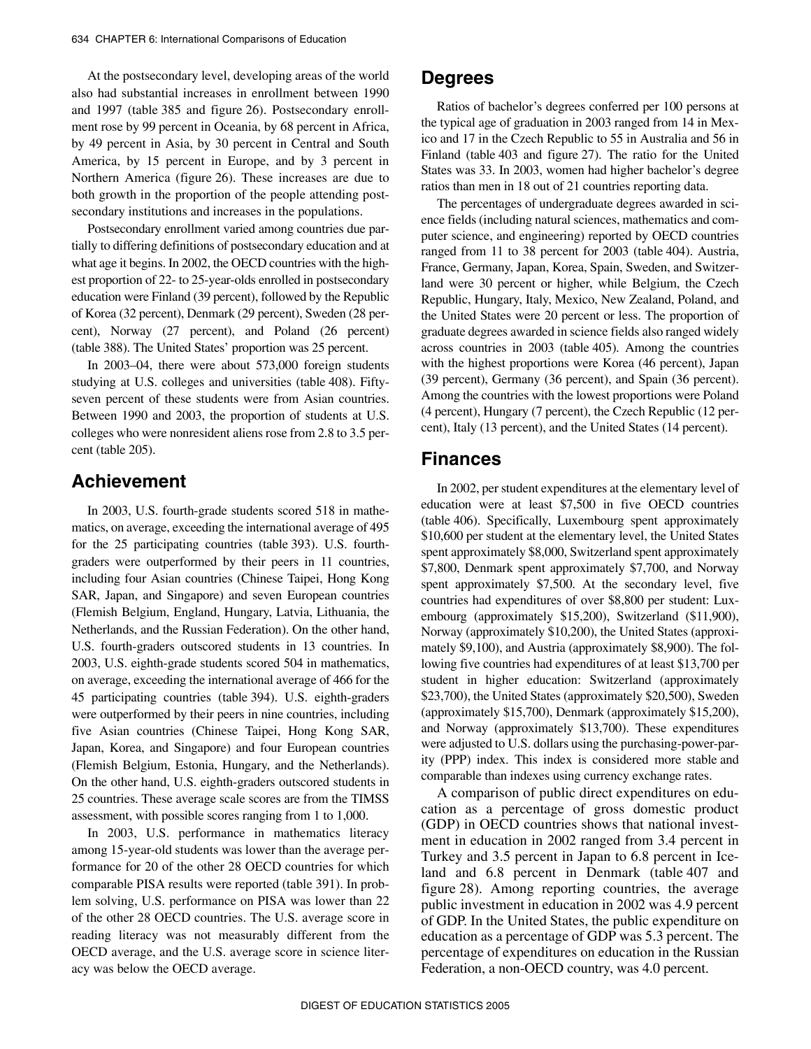At the postsecondary level, developing areas of the world also had substantial increases in enrollment between 1990 and 1997 (table 385 and figure 26). Postsecondary enrollment rose by 99 percent in Oceania, by 68 percent in Africa, by 49 percent in Asia, by 30 percent in Central and South America, by 15 percent in Europe, and by 3 percent in Northern America (figure 26). These increases are due to both growth in the proportion of the people attending postsecondary institutions and increases in the populations.

Postsecondary enrollment varied among countries due partially to differing definitions of postsecondary education and at what age it begins. In 2002, the OECD countries with the highest proportion of 22- to 25-year-olds enrolled in postsecondary education were Finland (39 percent), followed by the Republic of Korea (32 percent), Denmark (29 percent), Sweden (28 percent), Norway (27 percent), and Poland (26 percent) (table 388). The United States' proportion was 25 percent.

In 2003–04, there were about 573,000 foreign students studying at U.S. colleges and universities (table 408). Fiftyseven percent of these students were from Asian countries. Between 1990 and 2003, the proportion of students at U.S. colleges who were nonresident aliens rose from 2.8 to 3.5 percent (table 205).

# **Achievement**

In 2003, U.S. fourth-grade students scored 518 in mathematics, on average, exceeding the international average of 495 for the 25 participating countries (table 393). U.S. fourthgraders were outperformed by their peers in 11 countries, including four Asian countries (Chinese Taipei, Hong Kong SAR, Japan, and Singapore) and seven European countries (Flemish Belgium, England, Hungary, Latvia, Lithuania, the Netherlands, and the Russian Federation). On the other hand, U.S. fourth-graders outscored students in 13 countries. In 2003, U.S. eighth-grade students scored 504 in mathematics, on average, exceeding the international average of 466 for the 45 participating countries (table 394). U.S. eighth-graders were outperformed by their peers in nine countries, including five Asian countries (Chinese Taipei, Hong Kong SAR, Japan, Korea, and Singapore) and four European countries (Flemish Belgium, Estonia, Hungary, and the Netherlands). On the other hand, U.S. eighth-graders outscored students in 25 countries. These average scale scores are from the TIMSS assessment, with possible scores ranging from 1 to 1,000.

In 2003, U.S. performance in mathematics literacy among 15-year-old students was lower than the average performance for 20 of the other 28 OECD countries for which comparable PISA results were reported (table 391). In problem solving, U.S. performance on PISA was lower than 22 of the other 28 OECD countries. The U.S. average score in reading literacy was not measurably different from the OECD average, and the U.S. average score in science literacy was below the OECD average.

# **Degrees**

Ratios of bachelor's degrees conferred per 100 persons at the typical age of graduation in 2003 ranged from 14 in Mexico and 17 in the Czech Republic to 55 in Australia and 56 in Finland (table 403 and figure 27). The ratio for the United States was 33. In 2003, women had higher bachelor's degree ratios than men in 18 out of 21 countries reporting data.

The percentages of undergraduate degrees awarded in science fields (including natural sciences, mathematics and computer science, and engineering) reported by OECD countries ranged from 11 to 38 percent for 2003 (table 404). Austria, France, Germany, Japan, Korea, Spain, Sweden, and Switzerland were 30 percent or higher, while Belgium, the Czech Republic, Hungary, Italy, Mexico, New Zealand, Poland, and the United States were 20 percent or less. The proportion of graduate degrees awarded in science fields also ranged widely across countries in 2003 (table 405). Among the countries with the highest proportions were Korea (46 percent), Japan (39 percent), Germany (36 percent), and Spain (36 percent). Among the countries with the lowest proportions were Poland (4 percent), Hungary (7 percent), the Czech Republic (12 percent), Italy (13 percent), and the United States (14 percent).

# **Finances**

In 2002, per student expenditures at the elementary level of education were at least \$7,500 in five OECD countries (table 406). Specifically, Luxembourg spent approximately \$10,600 per student at the elementary level, the United States spent approximately \$8,000, Switzerland spent approximately \$7,800, Denmark spent approximately \$7,700, and Norway spent approximately \$7,500. At the secondary level, five countries had expenditures of over \$8,800 per student: Luxembourg (approximately \$15,200), Switzerland (\$11,900), Norway (approximately \$10,200), the United States (approximately \$9,100), and Austria (approximately \$8,900). The following five countries had expenditures of at least \$13,700 per student in higher education: Switzerland (approximately \$23,700), the United States (approximately \$20,500), Sweden (approximately \$15,700), Denmark (approximately \$15,200), and Norway (approximately \$13,700). These expenditures were adjusted to U.S. dollars using the purchasing-power-parity (PPP) index. This index is considered more stable and comparable than indexes using currency exchange rates.

A comparison of public direct expenditures on education as a percentage of gross domestic product (GDP) in OECD countries shows that national investment in education in 2002 ranged from 3.4 percent in Turkey and 3.5 percent in Japan to 6.8 percent in Iceland and 6.8 percent in Denmark (table 407 and figure 28). Among reporting countries, the average public investment in education in 2002 was 4.9 percent of GDP. In the United States, the public expenditure on education as a percentage of GDP was 5.3 percent. The percentage of expenditures on education in the Russian Federation, a non-OECD country, was 4.0 percent.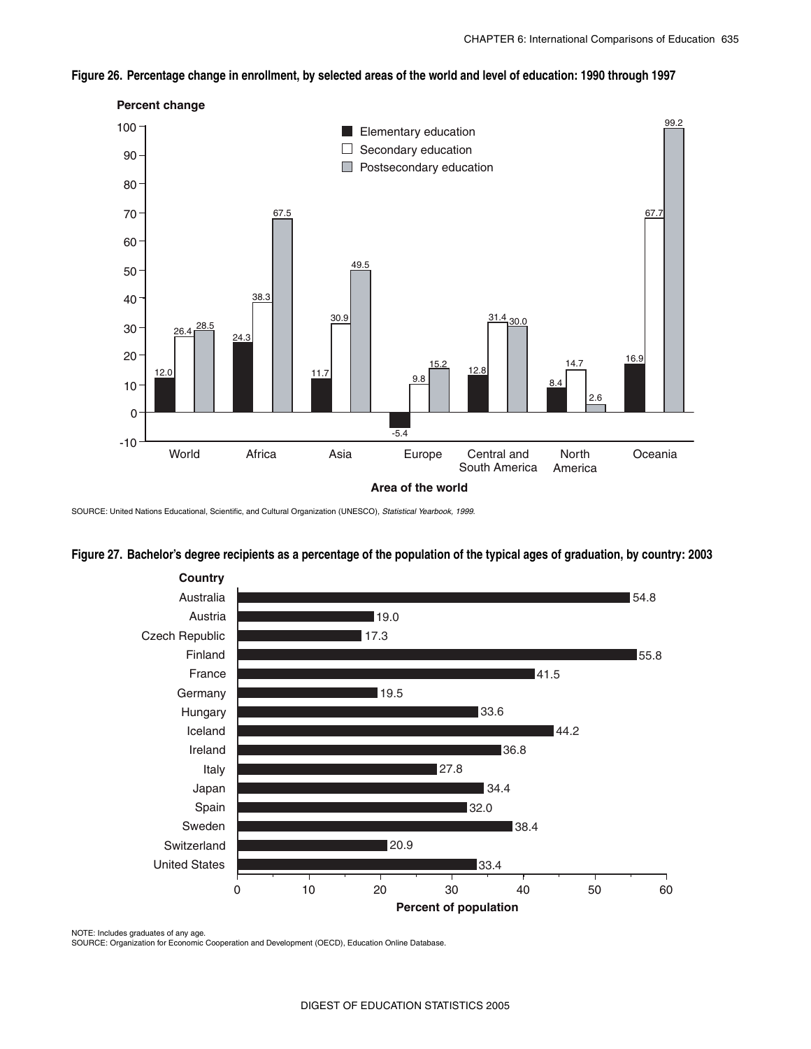## **Figure 26. Percentage change in enrollment, by selected areas of the world and level of education: 1990 through 1997**



SOURCE: United Nations Educational, Scientific, and Cultural Organization (UNESCO), *Statistical Yearbook, 1999*.

## **Figure 27. Bachelor's degree recipients as a percentage of the population of the typical ages of graduation, by country: 2003**



NOTE: Includes graduates of any age. SOURCE: Organization for Economic Cooperation and Development (OECD), Education Online Database.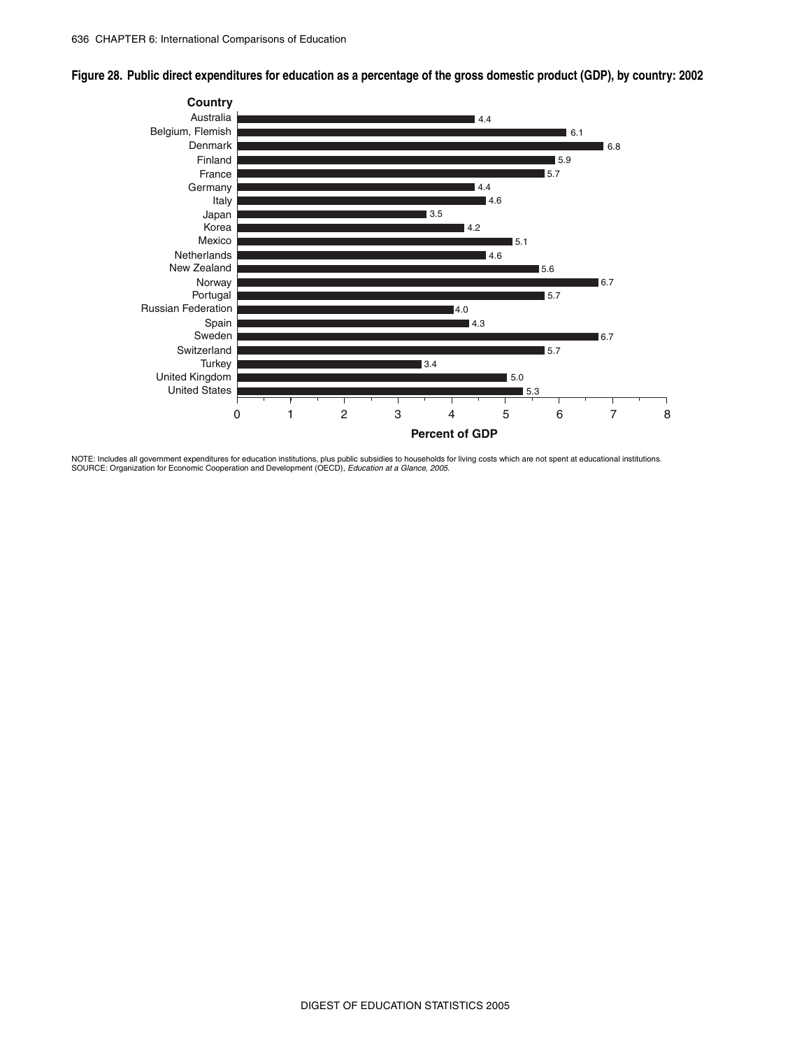**Figure 28. Public direct expenditures for education as a percentage of the gross domestic product (GDP), by country: 2002**



NOTE: Includes all government expenditures for education institutions, plus public subsidies to households for living costs which are not spent at educational institutions.<br>SOURCE: Organization for Economic Cooperation and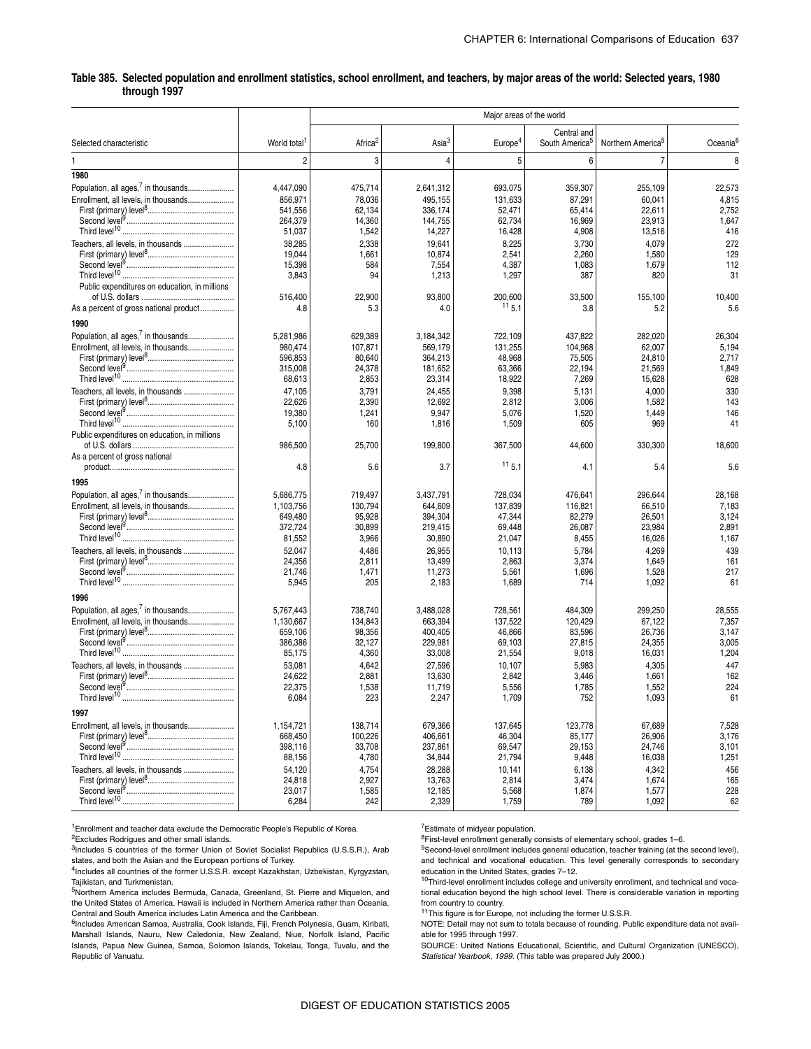### \_ **Table 385. Selected population and enrollment statistics, school enrollment, and teachers, by major areas of the world: Selected years, 1980 through 1997**

|                                                                                                                                                                    |                                                                                               |                                                                                   |                                                                                             | Major areas of the world                                                              |                                                                                   |                                                                                     |                                                                       |
|--------------------------------------------------------------------------------------------------------------------------------------------------------------------|-----------------------------------------------------------------------------------------------|-----------------------------------------------------------------------------------|---------------------------------------------------------------------------------------------|---------------------------------------------------------------------------------------|-----------------------------------------------------------------------------------|-------------------------------------------------------------------------------------|-----------------------------------------------------------------------|
| Selected characteristic                                                                                                                                            | World total <sup>1</sup>                                                                      | Africa <sup>2</sup>                                                               | Asia <sup>3</sup>                                                                           | Europe <sup>4</sup>                                                                   | Central and<br>South America <sup>5</sup>                                         | Northern America <sup>5</sup>                                                       | Oceania <sup>6</sup>                                                  |
|                                                                                                                                                                    | $\overline{2}$                                                                                | 3                                                                                 | $\overline{4}$                                                                              | 5                                                                                     | 6                                                                                 | $\overline{7}$                                                                      | 8                                                                     |
| 1980                                                                                                                                                               |                                                                                               |                                                                                   |                                                                                             |                                                                                       |                                                                                   |                                                                                     |                                                                       |
| Population, all ages, <sup>7</sup> in thousands<br>Enrollment, all levels, in thousands                                                                            | 4,447,090<br>856,971<br>541,556<br>264,379<br>51,037                                          | 475,714<br>78,036<br>62,134<br>14,360<br>1,542                                    | 2,641,312<br>495,155<br>336,174<br>144,755<br>14,227                                        | 693,075<br>131,633<br>52,471<br>62,734<br>16,428                                      | 359,307<br>87,291<br>65,414<br>16,969<br>4,908                                    | 255,109<br>60,041<br>22,611<br>23,913<br>13,516                                     | 22,573<br>4,815<br>2,752<br>1,647<br>416                              |
| Teachers, all levels, in thousands<br>Public expenditures on education, in millions                                                                                | 38,285<br>19,044<br>15,398<br>3,843<br>516,400                                                | 2,338<br>1,661<br>584<br>94<br>22,900                                             | 19,641<br>10,874<br>7,554<br>1,213<br>93,800                                                | 8,225<br>2,541<br>4,387<br>1,297<br>200,600                                           | 3,730<br>2,260<br>1,083<br>387<br>33,500                                          | 4,079<br>1,580<br>1,679<br>820<br>155,100                                           | 272<br>129<br>112<br>31<br>10,400                                     |
| As a percent of gross national product                                                                                                                             | 4.8                                                                                           | 5.3                                                                               | 4.0                                                                                         | $11\,5.1$                                                                             | 3.8                                                                               | 5.2                                                                                 | 5.6                                                                   |
| 1990<br>Population, all ages, <sup>7</sup> in thousands<br>Enrollment, all levels, in thousands                                                                    | 5,281,986<br>980,474<br>596,853<br>315,008                                                    | 629,389<br>107,871<br>80,640<br>24,378                                            | 3,184,342<br>569,179<br>364,213<br>181,652                                                  | 722,109<br>131,255<br>48,968<br>63,366                                                | 437,822<br>104,968<br>75,505<br>22,194                                            | 282,020<br>62,007<br>24,810<br>21,569                                               | 26,304<br>5,194<br>2,717<br>1,849                                     |
| Teachers, all levels, in thousands                                                                                                                                 | 68,613<br>47,105<br>22,626<br>19,380<br>5,100                                                 | 2,853<br>3,791<br>2,390<br>1,241<br>160                                           | 23,314<br>24,455<br>12,692<br>9,947<br>1,816                                                | 18,922<br>9,398<br>2,812<br>5,076<br>1,509                                            | 7,269<br>5,131<br>3,006<br>1,520<br>605                                           | 15,628<br>4,000<br>1,582<br>1,449<br>969                                            | 628<br>330<br>143<br>146<br>41                                        |
| Public expenditures on education, in millions<br>As a percent of gross national                                                                                    | 986,500                                                                                       | 25,700                                                                            | 199,800                                                                                     | 367,500                                                                               | 44,600                                                                            | 330,300                                                                             | 18,600                                                                |
|                                                                                                                                                                    | 4.8                                                                                           | 5.6                                                                               | 3.7                                                                                         | 11, 5.1                                                                               | 4.1                                                                               | 5.4                                                                                 | 5.6                                                                   |
| 1995                                                                                                                                                               |                                                                                               |                                                                                   |                                                                                             |                                                                                       |                                                                                   |                                                                                     |                                                                       |
| Population, all ages, <sup>7</sup> in thousands<br>Enrollment, all levels, in thousands<br>Teachers, all levels, in thousands                                      | 5,686,775<br>1,103,756<br>649,480<br>372,724<br>81,552<br>52,047<br>24,356<br>21,746<br>5,945 | 719,497<br>130,794<br>95,928<br>30,899<br>3,966<br>4,486<br>2,811<br>1,471<br>205 | 3,437,791<br>644,609<br>394,304<br>219,415<br>30,890<br>26,955<br>13,499<br>11,273<br>2,183 | 728,034<br>137,839<br>47,344<br>69,448<br>21,047<br>10,113<br>2,863<br>5,561<br>1,689 | 476,641<br>116,821<br>82,279<br>26,087<br>8,455<br>5,784<br>3,374<br>1,696<br>714 | 296,644<br>66,510<br>26,501<br>23,984<br>16,026<br>4,269<br>1,649<br>1,528<br>1,092 | 28,168<br>7,183<br>3,124<br>2,891<br>1,167<br>439<br>161<br>217<br>61 |
|                                                                                                                                                                    |                                                                                               |                                                                                   |                                                                                             |                                                                                       |                                                                                   |                                                                                     |                                                                       |
| 1996<br>Population, all ages, <sup>7</sup> in thousands<br>Enrollment, all levels, in thousands<br>Teachers, all levels, in thousands<br>Third level <sup>10</sup> | 5,767,443<br>1,130,667<br>659,106<br>386,386<br>85,175<br>53,081<br>24,622<br>22,375<br>6,084 | 738,740<br>134,843<br>98,356<br>32,127<br>4,360<br>4,642<br>2,881<br>1,538<br>223 | 3,488,028<br>663,394<br>400,405<br>229,981<br>33,008<br>27,596<br>13,630<br>11,719<br>2,247 | 728,561<br>137,522<br>46,866<br>69,103<br>21,554<br>10,107<br>2,842<br>5,556<br>1,709 | 484,309<br>120,429<br>83,596<br>27,815<br>9,018<br>5,983<br>3,446<br>1,785<br>752 | 299,250<br>67,122<br>26,736<br>24,355<br>16,031<br>4,305<br>1,661<br>1,552<br>1,093 | 28,555<br>7,357<br>3,147<br>3,005<br>1,204<br>447<br>162<br>224<br>61 |
| 1997                                                                                                                                                               |                                                                                               |                                                                                   |                                                                                             |                                                                                       |                                                                                   |                                                                                     |                                                                       |
| Enrollment, all levels, in thousands<br>Teachers, all levels, in thousands                                                                                         | 1,154,721<br>668,450<br>398,116<br>88,156<br>54,120<br>24,818<br>23,017<br>6,284              | 138,714<br>100,226<br>33,708<br>4,780<br>4,754<br>2,927<br>1,585<br>242           | 679,366<br>406,661<br>237,861<br>34,844<br>28,288<br>13,763<br>12,185<br>2,339              | 137,645<br>46,304<br>69,547<br>21,794<br>10,141<br>2,814<br>5,568<br>1,759            | 123,778<br>85,177<br>29,153<br>9,448<br>6,138<br>3,474<br>1,874<br>789            | 67,689<br>26,906<br>24,746<br>16,038<br>4,342<br>1,674<br>1,577<br>1,092            | 7,528<br>3,176<br>3,101<br>1,251<br>456<br>165<br>228<br>62           |

<sup>1</sup>Enrollment and teacher data exclude the Democratic People's Republic of Korea.

<sup>3</sup>Includes 5 countries of the former Union of Soviet Socialist Republics (U.S.S.R.), Arab states, and both the Asian and the European portions of Turkey.

4Includes all countries of the former U.S.S.R. except Kazakhstan, Uzbekistan, Kyrgyzstan, Tajikistan, and Turkmenistan.

5Northern America includes Bermuda, Canada, Greenland, St. Pierre and Miquelon, and the United States of America. Hawaii is included in Northern America rather than Oceania. Central and South America includes Latin America and the Caribbean.

6Includes American Samoa, Australia, Cook Islands, Fiji, French Polynesia, Guam, Kiribati, Marshall Islands, Nauru, New Caledonia, New Zealand, Niue, Norfolk Island, Pacific Islands, Papua New Guinea, Samoa, Solomon Islands, Tokelau, Tonga, Tuvalu, and the Republic of Vanuatu.

7Estimate of midyear population.

8First-level enrollment generally consists of elementary school, grades 1–6.

<sup>9</sup>Second-level enrollment includes general education, teacher training (at the second level), and technical and vocational education. This level generally corresponds to secondary education in the United States, grades 7–12.

10Third-level enrollment includes college and university enrollment, and technical and vocational education beyond the high school level. There is considerable variation in reporting from country to country.

11This figure is for Europe, not including the former U.S.S.R.

NOTE: Detail may not sum to totals because of rounding. Public expenditure data not available for 1995 through 1997.

SOURCE: United Nations Educational, Scientific, and Cultural Organization (UNESCO), *Statistical Yearbook, 1999*. (This table was prepared July 2000.)

<sup>2</sup>Excludes Rodrigues and other small islands.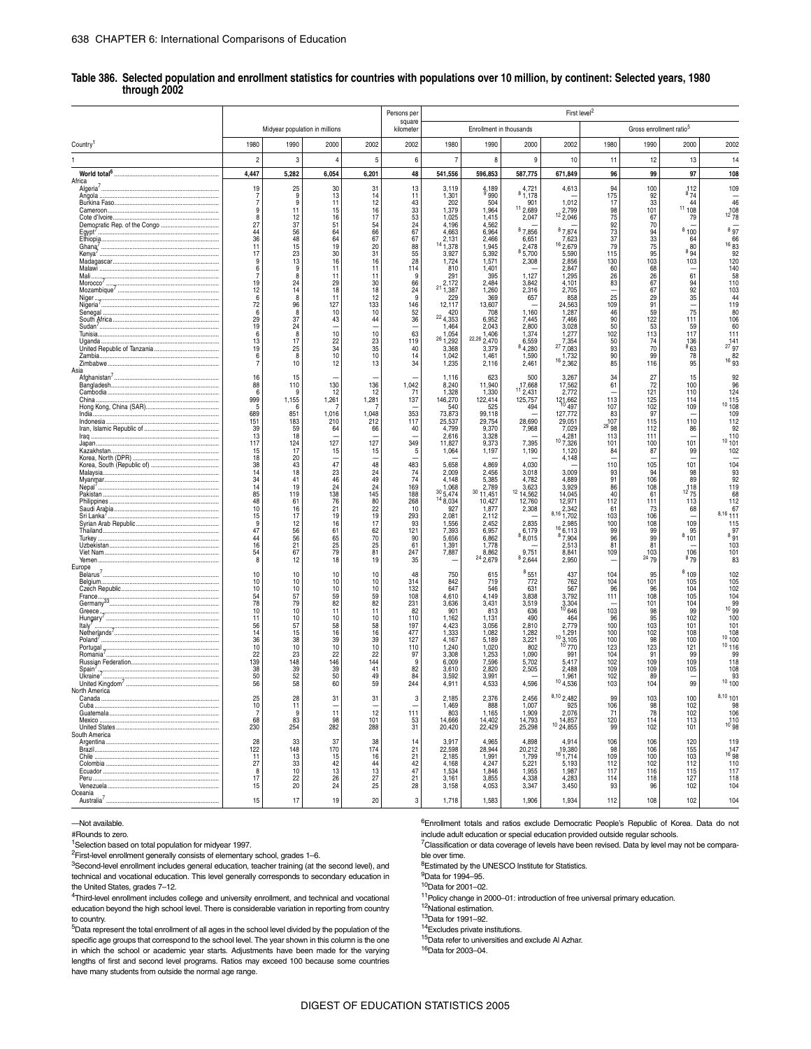#### \_ **Table 386. Selected population and enrollment statistics for countries with populations over 10 million, by continent: Selected years, 1980 through 2002**

|                         |                       |                                |                       |                       | Persons per           |                                  |                           |                               | First level <sup>2</sup>     |                       |                             |                                     |                              |
|-------------------------|-----------------------|--------------------------------|-----------------------|-----------------------|-----------------------|----------------------------------|---------------------------|-------------------------------|------------------------------|-----------------------|-----------------------------|-------------------------------------|------------------------------|
|                         |                       | Midyear population in millions |                       |                       | square<br>kilometer   |                                  | Enrollment in thousands   |                               |                              |                       |                             | Gross enrollment ratio <sup>5</sup> |                              |
| Country <sup>1</sup>    | 1980                  | 1990                           | 2000                  | 2002                  | 2002                  | 1980                             | 1990                      | 2000                          | 2002                         | 1980                  | 1990                        | 2000                                | 2002                         |
|                         | $\overline{c}$        | 3                              | $\overline{4}$        | 5                     | 6                     | $\overline{7}$                   | 8                         | 9                             | 10                           | 11                    | 12                          | 13                                  | 14                           |
|                         | 4,447                 | 5,282                          | 6,054                 | 6,201                 | 48                    | 541,556                          | 596,853                   | 587,775                       | 671,849                      | 96                    | 99                          | 97                                  | 108                          |
| Africa<br>Algeria'      | 19                    | 25<br>9                        | 30                    | 31<br>14              | 13<br>11              | 3,119                            | $\frac{4,189}{9,990}$     | 4,721<br>8,1,178              | 4,613                        | 94                    | 100                         | $\frac{112}{874}$                   | 109                          |
|                         | 7<br>7                | 9                              | 13<br>11              | 12                    | 43                    | 1,301<br>202                     | 504                       | 901                           | 1,012                        | 175<br>17             | 92<br>33                    | 44                                  | 46                           |
|                         | 9<br>8                | 11<br>$\frac{12}{37}$          | 15<br>16              | 16<br>17              | 33<br>$\frac{53}{24}$ | 1,379<br>1,025                   | 1,964<br>1,415            | 112,689<br>2,047              | 12 2,799                     | 98<br>75              | 101<br>67                   | 111108<br>79                        | $12\frac{108}{78}$           |
|                         | 27<br>44              | 56                             | 51<br>64              | 54<br>66              | 67                    | 4,196<br>4,663                   | 4,562<br>6,964            | 87,856                        | 87,874                       | 92<br>73              | 70<br>94                    | 8100                                | 897                          |
|                         | 36<br>11              | 48<br>15                       | 64<br>19              | 67<br>20              | 67<br>88              | 2,131<br>$14\overline{1,378}$    | 2,466<br>1,945            | 6,651<br>2,478                | 7,623<br>$16\frac{1}{2,679}$ | 37<br>79              | 33<br>75                    | 64<br>80                            | 16 66<br>16 83<br>92         |
| Kenya'                  | 17<br>9               | 23<br>13                       | 30<br>16              | 31<br>16              | $\frac{55}{28}$       | 3,927<br>1,724                   | 5,392<br>1,571            | 8,5,700<br>2,308              | 5,590<br>2,856               | 115<br>130            | $\frac{95}{103}$            | 894<br>103                          | 120                          |
|                         | 6<br>7                | 9<br>8                         | 11<br>11              | 11<br>11              | 114<br>9              | 810<br>291                       | 1,401<br>395              | 1,127                         | 2,847<br>1,295               | 60<br>26              | 68<br>26                    | 61                                  | 140<br>58                    |
|                         | 19                    | 24                             | 29                    | 30                    | 66                    | 2,172                            | 2,484                     | 3,842                         | 4,101                        | 83                    | 67                          | 94                                  | 110                          |
|                         | 12<br>6               | 14<br>8                        | 18<br>11              | 18<br>12              | 24<br>9               | $^{21}$ 1,387<br>229             | 1,260<br>369              | 2,316<br>657                  | 2,705<br>858                 | -<br>25               | 67<br>29                    | 92<br>35                            | 103<br>44                    |
| Nigeria'                | 72<br>6               | 96<br>8                        | 127<br>10             | 133<br>10             | 146<br>52             | 12,117<br>420                    | 13,607<br>708             | 1,160                         | 24,563<br>1,287              | 109<br>46             | 91<br>59                    | -<br>75                             | 119<br>80                    |
|                         | 29<br>19              | 37<br>24                       | 43                    | 44                    | 36<br>-               | 224,353<br>1,464                 | 6,952<br>2,043            | 7,445<br>2,800                | 7,466<br>3,028               | 90<br>50              | 122<br>53                   | 111<br>59                           | 106<br>60                    |
|                         | 6<br>13               | 8<br>17                        | 10                    | 10                    | 63<br>119             | 1,054<br>$26\frac{1,882}{1,292}$ | 1,406<br>$^{22,26}$ 2,470 | 1,374<br>6,559                | 1,277                        | 102<br>50             | 113                         | 117                                 | 111                          |
|                         | 19<br>6               | 25<br>8                        | $\frac{22}{34}$<br>10 | $\frac{23}{35}$<br>10 | 40<br>14              | 3,368<br>1,042                   | 3,379<br>1,461            | 84,280<br>1,590               | 27,354<br>1,732              | 93<br>90              | 74<br>70<br>99              | $368$<br>$63$<br>78                 | $27^{141}_{97}$<br>82        |
|                         | 7                     | 10                             | 12                    | 13                    | 34                    | 1,235                            | 2,116                     | 2,461                         | $16\frac{1}{2,362}$          | 85                    | 116                         | 95                                  | $16\,93$                     |
| Asia                    | 16                    | 15                             |                       |                       |                       | 1,116                            | 623                       | 500                           | 3,267                        | 34                    | 27                          | 15                                  | 92                           |
|                         | 88<br>6               | 110<br>9                       | 130<br>12             | 136<br>12             | 1,042<br>71           | 8,240<br>1,328                   | 11,940<br>1,330           | 17,668<br>11 <sub>2,431</sub> | 17,562<br>2,772              | 61                    | 72<br>121                   | 100<br>110                          | 96<br>124                    |
| China.                  | 999<br>5              | 1,155<br>6                     | 1,261                 | 1,281                 | 137                   | 146,270<br>540                   | 122,414<br>525            | 125,757<br>494                | 121,662                      | 113<br>107            | 125<br>102                  | 114<br>109                          | 115<br>10108                 |
| India.                  | 689<br>151            | 851<br>183                     | 1,016<br>210          | 1,048<br>212          | 353<br>117            | 73,873<br>25,537                 | 99,118<br>29,754          | 28,690                        | 127,772<br>29,051            | 83<br>107             | 97<br>115                   | 110                                 | 109<br>112                   |
| Irag                    | 39<br>13              | 59<br>18                       | 64                    | 66                    | 40                    | 4,799                            | 9,370                     | 7,968                         | 7,029<br>4.281               | $^{\rm 29}$ 98<br>113 | 112<br>111                  | 86                                  | 92<br>110                    |
| Japan.                  | 117                   | 124                            | 127                   | 127                   | 349                   | 2,616<br>11,827                  | 3,328<br>9,373            | 7,395                         | 107,326                      | 101                   | 100                         | -<br>101                            | 10101                        |
|                         | 15<br>18              | 17<br>20                       | 15                    | 15                    | 5                     | 1,064                            | 1,197                     | 1,190                         | 1,120<br>4,148               | 84                    | 87                          | 99                                  | 102                          |
|                         | 38<br>$\frac{14}{34}$ | 43<br>18                       | 47<br>23              | 48<br>24              | 483                   | 5,658<br>2,009                   | 4,869<br>2,456            | 4,030<br>3,018                | 3,009                        | 110<br>93             | 105<br>94                   | 101<br>98                           | 104<br>93                    |
|                         | 14                    | 41<br>19                       | 46<br>24              | 49<br>24              | $^{74}_{74}$<br>169   | 4,148<br>1,068                   | 5,385<br>2,789            | 4,782<br>3,623                | 4.889<br>3,929               | 91<br>86              | 106<br>108                  | 89                                  | 92<br>119                    |
|                         | 85<br>48              | 119<br>61                      | 138<br>76             | 145<br>80             | 188<br>268            | 30,5,474<br>$14\frac{8}{6,034}$  | $30$ 11,451<br>10,427     | 12 14,562<br>12,760           | 14,045<br>12,971             | 40<br>112             | 61<br>111                   | $12\frac{118}{75}$<br>113           | 68<br>112                    |
|                         | 10                    | 16                             | 21                    | 22                    | 10                    | 927                              | 1,877                     | 2,308                         | 2,342<br>$8,16$ 1,702        | 61                    | 73                          | 68                                  | 67<br>$8,16$ 111             |
|                         | 15<br>9               | 17<br>12                       | 19<br>16              | 19<br>17              | 293<br>93             | 2,081<br>1,556                   | 2,112<br>2.452            | 2,835                         | 2.985                        | 103<br>100            | 106<br>108                  | 109                                 | 115                          |
|                         | 47<br>44              | 56<br>56                       | 61<br>65              | $\frac{62}{70}$       | 121<br>90             | 7,393<br>5,656                   | 6,957<br>6,862            | 6,179<br>$8\,\,8,015$         | 166,113<br>87,904            | 99<br>96              | 99<br>99                    | 95<br>8101                          | 97<br>891                    |
|                         | 16<br>54              | 21<br>67                       | 25<br>79              | 25<br>81              | 61<br>247             | 1,391<br>7,887                   | 1,778<br>8,862            | 9,751                         | 2,513<br>8,841               | 81<br>109             | 81                          | 106                                 | 103<br>101                   |
| Europe                  | 8                     | 12                             | 18                    | 19                    | 35                    |                                  | $24\frac{2}{2,679}$       | 82,644                        | 2,950                        |                       | $103$<br>$24\frac{103}{79}$ | 879                                 | 83                           |
|                         | 10<br>10              | 10<br>10                       | 10<br>10              | 10<br>10              | 48<br>314             | 750<br>842                       | 615<br>719                | $^{8}551$<br>772              | 437<br>762                   | 104<br>104            | 95<br>101                   | 8109<br>105                         | 102<br>105                   |
|                         | 10                    | 10                             | 10                    | 10                    | 132                   | 647                              | 546                       | 631                           | 567                          | 96                    | 96                          | 104                                 | 102                          |
|                         | 54<br>78              | 57<br>79                       | 59<br>82              | 59<br>82              | 108<br>231            | 4,610<br>3,636                   | 4,149<br>3,431            | 3,838<br>3,519                | 3,792<br>$3,304$<br>$646$    | 111                   | 108<br>101                  | 105<br>104                          | 104<br>$10\frac{99}{99}$     |
|                         | 10<br>11              | 10<br>10                       | 11<br>10              | 11<br>10              | 82<br>110             | 901<br>1,162                     | 813<br>1,131              | 636<br>490                    | 464                          | 103<br>96             | 98<br>95                    | 99<br>102                           | 100                          |
| ltaly'                  | 56<br>14              | 57<br>15                       | 58<br>16              | 58                    | 197<br>477            | 4,423<br>1,333                   | 3,056<br>1,082            | 2,810<br>1,282                | 2,779<br>1,291               | 100<br>100            | 103<br>102                  | 101<br>108                          | 101                          |
|                         | 36<br>10              | 38<br>10                       | 39<br>$10$            | 16<br>39<br>10        | 127<br>110            | 4,167<br>1,240                   | 5,189<br>1,020            | 3,221<br>802                  | $\frac{10}{10}$ 3, 105       | 100<br>123            | 98<br>123                   | 100<br>121                          | $\frac{10}{10}$ 108<br>10116 |
|                         | 22<br>139             | 23<br>148                      | 22<br>146             | 22<br>144             | 97<br>9               | 3,308<br>6,009                   | 1,253<br>7,596            | 1,090<br>5,702                | 991<br>5,417                 | 104<br>102            | 91<br>109                   | 99<br>109                           | 99<br>118                    |
| Spain <sup>®</sup>      | 38<br>50              | 39                             | 39                    | 41<br>49              | 82<br>84              | 3,610                            | 2,820                     | 2,505                         | 2,488                        | 109                   | 109<br>89                   | 105                                 | 108                          |
| Ukraine'                | 56                    | 52<br>58                       | 50<br>60              | 59                    | 244                   | 3,592<br>4,911                   | 3,991<br>4,533            | 4,596                         | 1,961<br>104,536             | 102<br>103            | 104                         | 99                                  | 93<br>10100                  |
| North America<br>Canada | 25                    | 28                             | 31                    | 31                    | 3                     | 2,185                            | 2.376                     | 2.456                         | $8,10$ 2,482                 | 99                    | 103                         | 100                                 | $8,10$ 101                   |
|                         | 10<br>-7              | 11<br><b>g</b>                 | 11                    | 12                    | 111                   | 1,469<br>803                     | 888<br>1,165              | 1,007<br>1,909                | 925<br>2,076                 | 106<br>71             | 98<br>78                    | 102<br>102                          | 98<br>106                    |
|                         | 68<br>230             | 83<br>254                      | 98<br>282             | 101<br>288            | 53<br>31              | 14,666<br>20,420                 | 14,402<br>22,429          | 14,793<br>25,298              | 14,857<br>$10\,24,855$       | 120<br>99             | 114<br>102                  | 113<br>101                          | 110<br>$10^{10}98$           |
| South America           | 28                    | 33                             | 37                    | 38                    | 14                    | 3.917                            | 4.965                     | 4,898                         | 4.914                        | 106                   | 106                         | 120                                 | 119                          |
|                         | 122<br>11             | 148                            | 170                   | 174                   | 21                    | 22,598                           | 28,944                    | 20,212                        | 19,380                       | 98                    | 106                         | 155                                 | 147<br><sup>16</sup> 98      |
|                         | 27                    | 13<br>33                       | 15<br>42              | 16<br>44              | 21<br>42              | 2,185<br>4,168                   | 1,991<br>4,247            | 1,799<br>5,221                | 161,714<br>5,193             | 109<br>112            | 100<br>102                  | 103<br>112                          | 110                          |
|                         | 8<br>17               | 10<br>22                       | 13<br>26              | 13<br>$\frac{27}{25}$ | 47<br>21              | 1,534<br>3,161                   | 1,846<br>3,855            | 1,955<br>4,338                | 1,987<br>4,283               | 117<br>114            | 116<br>118                  | 115<br>127                          | 117<br>118                   |
| Oceania                 | 15                    | 20                             | 24                    |                       | 28                    | 3,158                            | 4,053                     | 3,347                         | 3,450                        | 93                    | 96                          | 102                                 | 104                          |
| Australia <sup>7</sup>  | 15                    | 17                             | 19                    | 20                    | 3                     | 1,718                            | 1,583                     | 1,906                         | 1,934                        | 112                   | 108                         | 102                                 | 104                          |

—Not available.

#Rounds to zero.

<sup>1</sup>Selection based on total population for midyear 1997.

2First-level enrollment generally consists of elementary school, grades 1–6.

<sup>3</sup>Second-level enrollment includes general education, teacher training (at the second level), and technical and vocational education. This level generally corresponds to secondary education in the United States, grades 7–12.

4Third-level enrollment includes college and university enrollment, and technical and vocational education beyond the high school level. There is considerable variation in reporting from country to country.

5Data represent the total enrollment of all ages in the school level divided by the population of the specific age groups that correspond to the school level. The year shown in this column is the one in which the school or academic year starts. Adjustments have been made for the varying lengths of first and second level programs. Ratios may exceed 100 because some countries have many students from outside the normal age range.

6Enrollment totals and ratios exclude Democratic People's Republic of Korea. Data do not

include adult education or special education provided outside regular schools. 7Classification or data coverage of levels have been revised. Data by level may not be comparable over time.

<sup>8</sup>Estimated by the UNESCO Institute for Statistics.

9Data for 1994–95.

10Data for 2001–02.

 $11$ Policy change in 2000–01: introduction of free universal primary education.

12National estimation.

13Data for 1991–92.

14Excludes private institutions.

15Data refer to universities and exclude Al Azhar.

16Data for 2003–04.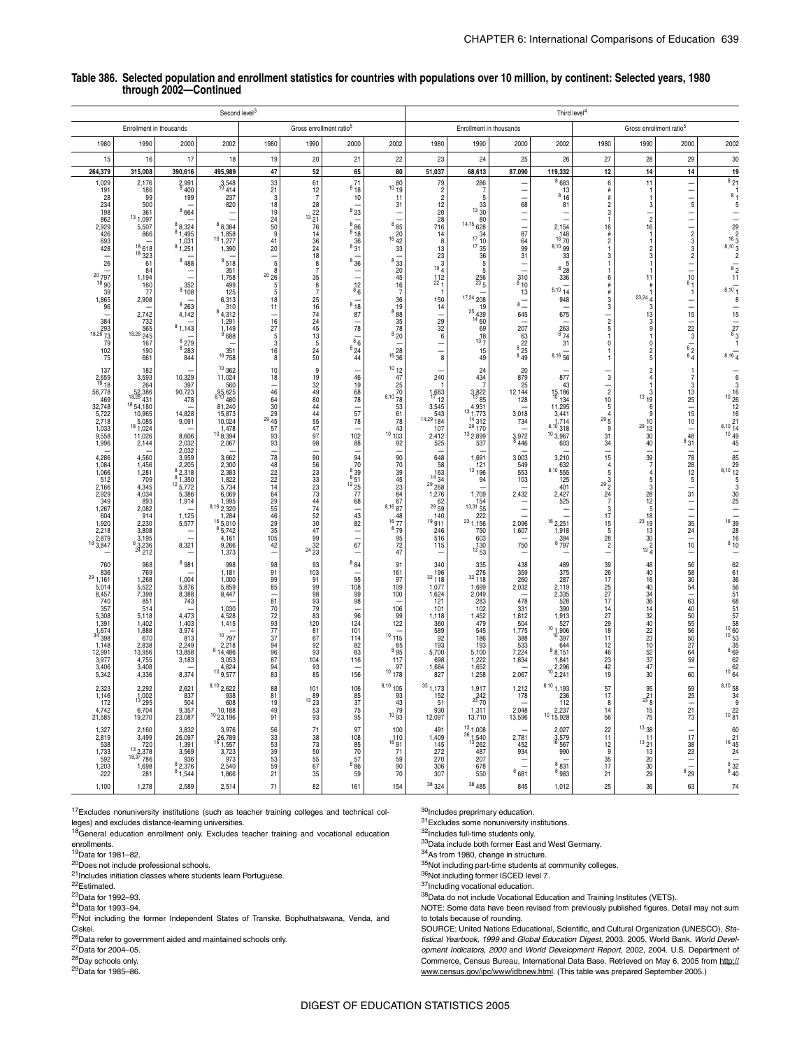|                                                                                                                                                                                                                                                                                                                                                   |                                                                                                                                                                                                                                                                                                                                                           |                                                                                                                                                                                                                                                                                                                                                              | Second level <sup>3</sup>                                                                                                                                                                                                                                                                                                                                                        |                                                                                                                                                                                                                                                                   |                                                                                                                                                                                                                                                                                                                                                     |                                                                                                                                                                                                                                                                                                                                |                                                                                                                                                                                                                                                                                                           |                                                                                                                                                                                                                                                                                                                                        |                                                                                                                                                                                                                                                                                                                                                                                                                                                                        |                                                                                                                                                                                                                                                                                                                    | Third level <sup>4</sup>                                                                                                                                                                                                                                                                                                               |                                                                                                                                                                                                                                                                                                                                                                                                                                                              |                                                                                                                                                                                                                                                                                                                  |                                                                                                                                                                                                                                                                                                                                                                                                                                                                                       |                                                                                                                                                                                                                                                                                                                                                                                                                             |
|---------------------------------------------------------------------------------------------------------------------------------------------------------------------------------------------------------------------------------------------------------------------------------------------------------------------------------------------------|-----------------------------------------------------------------------------------------------------------------------------------------------------------------------------------------------------------------------------------------------------------------------------------------------------------------------------------------------------------|--------------------------------------------------------------------------------------------------------------------------------------------------------------------------------------------------------------------------------------------------------------------------------------------------------------------------------------------------------------|----------------------------------------------------------------------------------------------------------------------------------------------------------------------------------------------------------------------------------------------------------------------------------------------------------------------------------------------------------------------------------|-------------------------------------------------------------------------------------------------------------------------------------------------------------------------------------------------------------------------------------------------------------------|-----------------------------------------------------------------------------------------------------------------------------------------------------------------------------------------------------------------------------------------------------------------------------------------------------------------------------------------------------|--------------------------------------------------------------------------------------------------------------------------------------------------------------------------------------------------------------------------------------------------------------------------------------------------------------------------------|-----------------------------------------------------------------------------------------------------------------------------------------------------------------------------------------------------------------------------------------------------------------------------------------------------------|----------------------------------------------------------------------------------------------------------------------------------------------------------------------------------------------------------------------------------------------------------------------------------------------------------------------------------------|------------------------------------------------------------------------------------------------------------------------------------------------------------------------------------------------------------------------------------------------------------------------------------------------------------------------------------------------------------------------------------------------------------------------------------------------------------------------|--------------------------------------------------------------------------------------------------------------------------------------------------------------------------------------------------------------------------------------------------------------------------------------------------------------------|----------------------------------------------------------------------------------------------------------------------------------------------------------------------------------------------------------------------------------------------------------------------------------------------------------------------------------------|--------------------------------------------------------------------------------------------------------------------------------------------------------------------------------------------------------------------------------------------------------------------------------------------------------------------------------------------------------------------------------------------------------------------------------------------------------------|------------------------------------------------------------------------------------------------------------------------------------------------------------------------------------------------------------------------------------------------------------------------------------------------------------------|---------------------------------------------------------------------------------------------------------------------------------------------------------------------------------------------------------------------------------------------------------------------------------------------------------------------------------------------------------------------------------------------------------------------------------------------------------------------------------------|-----------------------------------------------------------------------------------------------------------------------------------------------------------------------------------------------------------------------------------------------------------------------------------------------------------------------------------------------------------------------------------------------------------------------------|
|                                                                                                                                                                                                                                                                                                                                                   | Enrollment in thousands                                                                                                                                                                                                                                                                                                                                   |                                                                                                                                                                                                                                                                                                                                                              |                                                                                                                                                                                                                                                                                                                                                                                  |                                                                                                                                                                                                                                                                   | Gross enrollment ratio <sup>5</sup>                                                                                                                                                                                                                                                                                                                 |                                                                                                                                                                                                                                                                                                                                |                                                                                                                                                                                                                                                                                                           |                                                                                                                                                                                                                                                                                                                                        | Enrollment in thousands                                                                                                                                                                                                                                                                                                                                                                                                                                                |                                                                                                                                                                                                                                                                                                                    |                                                                                                                                                                                                                                                                                                                                        |                                                                                                                                                                                                                                                                                                                                                                                                                                                              |                                                                                                                                                                                                                                                                                                                  | Gross enrollment ratio <sup>5</sup>                                                                                                                                                                                                                                                                                                                                                                                                                                                   |                                                                                                                                                                                                                                                                                                                                                                                                                             |
| 1980                                                                                                                                                                                                                                                                                                                                              | 1990                                                                                                                                                                                                                                                                                                                                                      | 2000                                                                                                                                                                                                                                                                                                                                                         | 2002                                                                                                                                                                                                                                                                                                                                                                             | 1980                                                                                                                                                                                                                                                              | 1990                                                                                                                                                                                                                                                                                                                                                | 2000                                                                                                                                                                                                                                                                                                                           | 2002                                                                                                                                                                                                                                                                                                      | 1980                                                                                                                                                                                                                                                                                                                                   | 1990                                                                                                                                                                                                                                                                                                                                                                                                                                                                   | 2000                                                                                                                                                                                                                                                                                                               | 2002                                                                                                                                                                                                                                                                                                                                   | 1980                                                                                                                                                                                                                                                                                                                                                                                                                                                         | 1990                                                                                                                                                                                                                                                                                                             | 2000                                                                                                                                                                                                                                                                                                                                                                                                                                                                                  | 2002                                                                                                                                                                                                                                                                                                                                                                                                                        |
| 15                                                                                                                                                                                                                                                                                                                                                | 16                                                                                                                                                                                                                                                                                                                                                        | 17                                                                                                                                                                                                                                                                                                                                                           | 18                                                                                                                                                                                                                                                                                                                                                                               | 19                                                                                                                                                                                                                                                                | 20                                                                                                                                                                                                                                                                                                                                                  | 21                                                                                                                                                                                                                                                                                                                             | 22                                                                                                                                                                                                                                                                                                        | 23                                                                                                                                                                                                                                                                                                                                     | 24                                                                                                                                                                                                                                                                                                                                                                                                                                                                     | 25                                                                                                                                                                                                                                                                                                                 | 26                                                                                                                                                                                                                                                                                                                                     | 27                                                                                                                                                                                                                                                                                                                                                                                                                                                           | 28                                                                                                                                                                                                                                                                                                               | 29                                                                                                                                                                                                                                                                                                                                                                                                                                                                                    | 30                                                                                                                                                                                                                                                                                                                                                                                                                          |
| 264,379<br>1,029<br>191<br>28<br>234<br>198<br>862<br>2,929<br>426<br>693<br>428<br>26<br>$\frac{20}{18}$ $\frac{1}{90}$<br>39<br>1,865<br>96<br>384<br>$793$<br>$73$<br>$79$<br>102<br>75<br>137<br>$\substack{2,659\\18}$ 18<br>56,778<br>469<br>32,748<br>5,722<br>2,718<br>1,033<br>9,558<br>1,996<br>4,286<br>1,084<br>1,066<br>512<br>2,166 | 315,008<br>2,176<br>186<br>99<br>500<br>361<br>131,097<br>5,507<br>866<br>18618<br>$18\overline{3}23$<br>61<br>84<br>1,194<br>160<br>77<br>2,908<br>2,742<br>732<br>565<br>$18,26$ $245$<br>167<br>190<br>661<br>182<br>3,593<br>264<br>52,386<br>1854,180<br>10,965<br>$5,085$<br>$18,024$<br>11,026<br>2,144<br>4,560<br>1,456<br>1,281<br>709<br>4,345 | 390,616<br>2,991<br>8'400<br>199<br>8664<br>${}^{8}$ 8,324<br>81,495<br>1,031<br>81,251<br>8488<br>352<br>$8\overline{108}$<br>8263<br>4,142<br>81,143<br>8 2 7 9<br>$8_{283}$<br>844<br>10,329<br>397<br>90,723<br>478<br>14,828<br>9,091<br>8,606<br>2,032<br>2,032<br>3,959<br>2,205<br>$8\overline{2,318}$<br>$8\overline{1,350}$<br>$12\frac{17}{2}772$ | 495,989<br>$3,548$<br>$10,414$<br>237<br>820<br>88,384<br>1,858<br>$16\frac{1}{277}$<br>1,390<br>8518<br>351<br>1,758<br>499<br>125<br>6,313<br>310<br>84,312<br>1,291<br>$\frac{1,149}{8,688}$<br><sup>351</sup> <sub>758</sub><br>10362<br>11,024<br>560<br>95,625<br>8,10 480<br>81,240<br>15,873<br>10,024<br>10 8,394<br>2,067<br>3,662<br>2,300<br>2,383<br>1,822<br>5,734 | 47<br>33<br>$\substack{21 \\ 3}$<br>18<br>19<br>24<br>50<br>9<br>41<br>20<br>5<br>8<br>$^{20}$ $26$<br>5<br>5<br>18<br>11<br>16<br>27<br>$\frac{5}{3}$<br>16<br>8<br>10<br>18<br>46<br>64<br>30<br>29<br>$29\,45$<br>57<br>93<br>93<br>78<br>48<br>22<br>22<br>14 | 52<br>61<br>$\begin{array}{c} 12 \\ 7 \end{array}$<br>28<br>22<br>$13\frac{1}{21}$<br>76<br>14<br>36<br>$^{24}_{18}$<br>8<br>$\overline{7}$<br>35<br>$\overline{\mathbf{8}}$<br>$\overline{7}$<br>25<br>16<br>74<br>24<br>45<br>13<br>-5<br>24<br>50<br>9<br>19<br>32<br>49<br>80<br>44<br>44<br>55<br>47<br>97<br>98<br>90<br>56<br>23<br>33<br>23 | 65<br>$8\frac{71}{18}$<br>10<br>823<br>$^{8}$ 86<br>$8_{18}$<br>36<br>$8\frac{8}{31}$<br>836<br>$3^{12}_{8}$<br>$^{8}$ 18<br>87<br>78<br>$8^{8}$ 24<br>44<br>46<br>19<br>68<br>78<br>57<br>78<br>102<br>88<br>94<br>70<br>$\frac{8}{6} \frac{39}{51}$<br>$\begin{array}{r} 12\overline{)1} \\ 25 \\ \overline{77} \end{array}$ | 80<br>80<br>$10\overline{19}$<br>11<br>-31<br>۰<br>$^8$ 85<br>20<br>$16\frac{1}{42}$<br>33<br>8 33<br>20<br>45<br>16<br>-7<br>36<br>19<br>88<br>35<br>78<br>$8_{20}$<br>28<br>$16\frac{16}{36}$<br>1012<br>47<br>25<br>70<br>8,10,78<br>53<br>61<br>78<br>43<br>10103<br>92<br>90<br>70<br>39<br>45<br>23 | 51,037<br>79<br>$\frac{2}{2}$<br>$\frac{12}{20}$<br>28<br>716<br>14<br>8<br>$\frac{13}{23}$<br>$19\frac{3}{4}$<br>$\frac{112}{221}$<br>$\overline{1}$<br>150<br>14<br>29<br>32<br>6<br>$\equiv$<br>8<br>240<br>1,663<br>12<br>3,545<br>543<br>$14,29$ $184$<br>107<br>2,412<br>525<br>648<br>58<br>$14\frac{163}{34}$<br>$^{29}$ $268$ | 68,613<br>286<br>-7<br>5<br>$13\frac{33}{30}$<br>80<br>$14,15$ 628<br>$\frac{17}{10}$ $\frac{34}{10}$<br>$17 \frac{1}{35}$<br>36<br>5<br>5<br>$256$<br>$5$<br>17,24 208<br>19<br>$\begin{array}{r} 25 \\ 439 \\ 14 \\ 60 \end{array}$<br>69<br>$13\frac{18}{7}$<br>15<br>49<br>24<br>434<br>$\overline{7}$<br>$3,822$<br>$1385$<br>4,951<br>$\begin{array}{r}\n 4,951 \\  13,773 \\  14,312 \\  29,170\n \end{array}$<br>132,899<br>537<br>1,691<br>121<br>13196<br>94 | 87,090<br>۰<br>$\overline{\phantom{0}}$<br>68<br>$\overline{\phantom{a}}$<br>87<br>64<br>99<br>31<br>Ē<br>$_{\rm 840}^{310}$<br>13<br>$8\overline{)}$<br>645<br>207<br>63<br>22<br>$^8$ 25 $\,$<br>$8\,49$<br>20<br>879<br>25<br>12,144<br>128<br>3,018<br>734<br>$3,972$<br>$8,446$<br>3,003<br>549<br>553<br>103 | 119,332<br>8 683<br>$8\frac{13}{16}$<br>81<br>2,154<br>$16\frac{148}{70}$<br>8,10,99<br>33<br>5<br>$8\frac{8}{28}$<br>336<br>$8,10$ $14$<br>948<br>675<br>$^{263}_{874}$<br>31<br>$8,16$ 56<br>877<br>43<br>$15,186$<br>$10,184$<br>134<br>11,295<br>3,441<br>3,10,714<br>103,967<br>603<br>3,210<br>632<br>$8,10$ $555$<br>125<br>401 | 12<br>6<br>$\#$<br>$\#$<br>$\frac{2}{3}$<br>$\overline{1}$<br>16<br>$\#$<br>$\overline{c}$<br>$\overline{1}$<br>3<br>$\overline{1}$<br>$\overline{1}$<br>6<br>$\#$<br>$\stackrel{\scriptscriptstyle\#}{\scriptscriptstyle\#}$<br>3<br>$\overline{c}$<br>5<br>$\overline{1}$<br>$\pmb{0}$<br>$\overline{1}$<br>$\overline{1}$<br>$\mathbf{3}$<br>$\frac{1}{2}$<br>10<br>5<br>$29\frac{4}{5}$<br>9<br>31<br>34<br>15<br>$\overline{4}$<br>5<br>$29\frac{3}{2}$ | 14<br>11<br>-1<br>1<br>3<br>$\overline{2}$<br>16<br>1<br>-1<br>$\overline{2}$<br>3<br>1<br>11<br>Ħ<br>23,244<br>3<br>13<br>3<br>9<br>$\mathbf{1}$<br>$\Omega$<br>2<br>5<br>$\overline{2}$<br>4<br>3<br>1319<br>6<br>9<br>10<br>$29 \frac{1}{12}$<br>30<br>40<br>39<br>$\overline{7}$<br>$\overline{4}$<br>5<br>3 | 14<br>$\overline{a}$<br>$\overline{\phantom{0}}$<br>$\frac{1}{5}$<br>$\frac{1}{2}$<br>Naao<br>$\equiv$<br>$\begin{array}{c} 10 \\ 8 \end{array}$<br>$\overline{1}$<br>$\overline{\phantom{0}}$<br>15<br>22<br>$\mathbf 3$<br>$\begin{array}{c}\n\phantom{0}8\overline{2} \\ \phantom{0}8\overline{4}\n\end{array}$<br>1<br>7<br>3<br>13<br>25<br>15<br>$10$<br>$\begin{array}{c}\n\phantom{0}48 \\ \phantom{0}831\n\end{array}$<br>78<br>28<br>$\begin{array}{c} 12 \\ 5 \end{array}$ | 19<br>821<br>$\begin{smallmatrix}8\\8\\1\end{smallmatrix}$<br>5<br>$\overline{\phantom{a}}$<br>29<br>$16\frac{2}{3}$<br>$8,10\frac{6}{3}$<br>$\overline{\mathbf{c}}$<br>$\overline{\overline{\phantom{0}8}}_2$<br>11<br>$8,10^{11}$<br>8<br>15<br>$^{27}_{83}$<br>$\overline{1}$<br>$8,16$ $4$<br>6<br>3<br>16<br>$10\frac{1}{26}$<br>12<br>16<br>21<br>8,10,74<br>$10\frac{19}{49}$<br>45<br>85<br>29<br>8,10,72<br>5<br>3 |
| 2,929<br>349<br>1,267<br>604<br>1,920<br>2,218<br>2,879<br>$18\overline{3,847}$                                                                                                                                                                                                                                                                   | 4,034<br>893<br>2,082<br>914<br>2,230<br>3,808<br>$3,195$<br>$6,3,236$<br>$24,212$                                                                                                                                                                                                                                                                        | 5,386<br>1,914<br>1,125<br>5,577<br>8,321                                                                                                                                                                                                                                                                                                                    | 6,069<br>1,995<br>$8,16$ 2,320<br>$\begin{array}{r} 1,284 \\ 16\ 5,010 \\ 8\ 5,742 \end{array}$<br>4,161<br>9,266<br>1,373                                                                                                                                                                                                                                                       | 64<br>29<br>55<br>46<br>29<br>35<br>105<br>42<br>$\overline{\phantom{a}}$                                                                                                                                                                                         | 73<br>44<br>74<br>52<br>30<br>47<br>99<br>$24\frac{32}{23}$                                                                                                                                                                                                                                                                                         | 68<br>43<br>82<br>67<br>$\overline{\phantom{0}}$                                                                                                                                                                                                                                                                               | 84<br>67<br>$8,16\overline{8}7$<br>$16\frac{48}{77}$<br>$8\frac{1}{79}$<br>95<br>72<br>47                                                                                                                                                                                                                 | 1,276<br>$29\frac{62}{59}$<br>140<br>19911<br>246<br>516<br>115                                                                                                                                                                                                                                                                        | 1,709<br>$13,31\frac{154}{55}$<br>222<br>$^{23}$ 1, $\frac{1}{156}$<br>750<br>603<br>$130$<br>$136$                                                                                                                                                                                                                                                                                                                                                                    | 2,432<br>$\overline{\phantom{a}}$<br>$\overline{\phantom{a}}$<br>2,096<br>1,607<br>750                                                                                                                                                                                                                             | 2,427<br>525<br>162,251<br>1,918<br>394<br>$8\frac{6}{797}$                                                                                                                                                                                                                                                                            | 24<br>$\overline{7}$<br>3<br>17<br>15<br>5<br>28<br>$\overline{2}$<br>-                                                                                                                                                                                                                                                                                                                                                                                      | 28<br>12<br>5<br>18<br>$^{23}$ $\dot{19}$<br>13<br>30<br>2<br>$13\frac{L}{4}$                                                                                                                                                                                                                                    | 31<br>$\equiv$<br>L.<br>35<br>24<br>10<br>-                                                                                                                                                                                                                                                                                                                                                                                                                                           | 30<br>25<br>$\overline{\phantom{a}}$<br>1639<br>28<br>16<br>$8^{10}$                                                                                                                                                                                                                                                                                                                                                        |
| 760<br>836<br>$^{29}$ 1,161<br>5.014<br>8,457<br>740<br>357<br>5,308<br>1,391<br>$\frac{1,674}{34,398}$<br>1,148<br>12,991<br>3,977<br>3,406<br>5,342                                                                                                                                                                                             | 968<br>769<br>1,268<br>5,522<br>7.398<br>851<br>514<br>5,118<br>1,402<br>1,888<br>670<br>2,838<br>13,956<br>4,755<br>3,408<br>4,336                                                                                                                                                                                                                       | 8981<br>1,004<br>5,876<br>8,388<br>743<br>4,473<br>1,403<br>3,974<br>$813$<br>2,249<br>13,858<br>3,183<br>8,374                                                                                                                                                                                                                                              | 998<br>1,181<br>1,000<br>5,859<br>8,447<br>1,030<br>4,528<br>1,415<br>10 797<br>2,218<br>$8\overline{14,486}$<br>3,053<br>10 4,824                                                                                                                                                                                                                                               | 98<br>91<br>99<br>85<br>81<br>70<br>72<br>93<br>77<br>37<br>94<br>96<br>87<br>94<br>83                                                                                                                                                                            | 93<br>103<br>91<br>99<br>98<br>93<br>79<br>83<br>120<br>81<br>67<br>92<br>93<br>104<br>93<br>85                                                                                                                                                                                                                                                     | 884<br>95<br>108<br>99<br>98<br>96<br>124<br>101<br>114<br>82<br>83<br>116<br>156                                                                                                                                                                                                                                              | 91<br>161<br>97<br>109<br>100<br>106<br>99<br>122<br>10115<br>85<br>$8\bar{9}5$<br>117<br>97<br>$10^{10}$ 178                                                                                                                                                                                             | 340<br>$32\frac{196}{118}$<br>1.077<br>1,624<br>121<br>101<br>1,118<br>360<br>589<br>92<br>193<br>5,700<br>698<br>1,684<br>827                                                                                                                                                                                                         | 335<br>$\frac{276}{118}$<br>1.699<br>2,049<br>283<br>102<br>1,452<br>479<br>545<br>186<br>193<br>5,100<br>1,222<br>1,652<br>1,258                                                                                                                                                                                                                                                                                                                                      | 438<br>359<br>260<br>2,032<br>478<br>331<br>1,812<br>504<br>1,775<br>388<br>533<br>7,224<br>1,834<br>2,067                                                                                                                                                                                                         | 489<br>375<br>287<br>2.119<br>2,335<br>528<br>390<br>1,913<br>527<br>$\begin{array}{r} 10 \\ 10 \\ 10 \\ 397 \end{array}$<br>644<br>88,151<br>1,841<br>10 2,296                                                                                                                                                                        | 39<br>26<br>17<br>25<br>$\frac{27}{17}$<br>14<br>27<br>29<br>18<br>$\frac{11}{12}$<br>46<br>23<br>42<br>19                                                                                                                                                                                                                                                                                                                                                   | 48<br>40<br>16<br>40<br>$\frac{34}{36}$<br>14<br>32<br>$\frac{40}{22}$<br>$^{23}_{10}$<br>52<br>37<br>47<br>30                                                                                                                                                                                                   | 56<br>58<br>30<br>54<br>$\frac{1}{63}$<br>50<br>55<br>56<br>$\frac{50}{27}$<br>64<br>59<br>60                                                                                                                                                                                                                                                                                                                                                                                         | 62<br>61<br>36<br>56<br>$\frac{51}{68}$<br>51<br>57<br>$\begin{array}{r} 10\,68 \\ 10\,60 \\ 10\,53 \\ 35 \end{array}$<br>869<br>62<br>62<br>$10\,64$                                                                                                                                                                                                                                                                       |
| 2,323<br>1,146<br>172<br>4,742<br>21,585                                                                                                                                                                                                                                                                                                          | 2,292<br>$1,002$<br>$13,295$<br>6,704<br>19,270                                                                                                                                                                                                                                                                                                           | 2,621<br>837<br>504<br>9,357<br>23,087                                                                                                                                                                                                                                                                                                                       | 8,10 2,622<br>938<br>608<br>10,188<br>$10\overline{23,196}$                                                                                                                                                                                                                                                                                                                      | 88<br>81<br>19<br>49<br>91                                                                                                                                                                                                                                        | 101<br>89<br>$13\frac{23}{23}$<br>53<br>93                                                                                                                                                                                                                                                                                                          | 106<br>85<br>37<br>75<br>95                                                                                                                                                                                                                                                                                                    | $8,10$ 105<br>93<br>43<br>79<br>$10\overset{.}{9}3$                                                                                                                                                                                                                                                       | 3511,173<br>152<br>51<br>930<br>12,097                                                                                                                                                                                                                                                                                                 | 1,917<br>$\frac{242}{23}$<br>1,311<br>13,710                                                                                                                                                                                                                                                                                                                                                                                                                           | 1,212<br>178<br>2,048<br>13,596                                                                                                                                                                                                                                                                                    | $8,10$ 1, 193<br>236<br>112<br>2,237<br>10,15,928                                                                                                                                                                                                                                                                                      | 57<br>17<br>8<br>14<br>56                                                                                                                                                                                                                                                                                                                                                                                                                                    | 95<br>$2^{\scriptstyle 21}_{\scriptstyle 23}$ 8<br>15<br>75                                                                                                                                                                                                                                                      | 59<br>25<br>21<br>73                                                                                                                                                                                                                                                                                                                                                                                                                                                                  | 8,10,58<br>34<br>-9<br>22<br>$10\overline{81}$                                                                                                                                                                                                                                                                                                                                                                              |
| 1,327<br>2,819<br>538<br>1,733<br>592<br>1,203<br>222                                                                                                                                                                                                                                                                                             | 2.160<br>3,499<br>720<br>$\begin{array}{c}\n 13 & 2.378 \\  18,37 & 786\n \end{array}$<br>1,698<br>281                                                                                                                                                                                                                                                    | 3.832<br>26,097<br>1,391<br>3,569<br>936<br>$^{8}$ 2,376<br>87,544                                                                                                                                                                                                                                                                                           | 3.976<br>26,789<br>1,557<br>3,723<br>973<br>2.540<br>1,866                                                                                                                                                                                                                                                                                                                       | 56<br>33<br>53<br>39<br>53<br>59<br>$\overline{21}$                                                                                                                                                                                                               | 71<br>38<br>73<br>50<br>55<br>67<br>35                                                                                                                                                                                                                                                                                                              | 97<br>108<br>85<br>70<br>57<br>8000<br>59                                                                                                                                                                                                                                                                                      | 100<br>110<br>$16\overset{.}{9}1$<br>71<br>59<br>90<br>$\overline{70}$                                                                                                                                                                                                                                    | 491<br>1,409<br>145<br>272<br>270<br>306<br>307<br>38324                                                                                                                                                                                                                                                                               | $\frac{13}{36}$ 1,008<br>$\frac{1540}{13}$<br>$\frac{262}{262}$<br>487<br>207<br>678<br>550<br>38485                                                                                                                                                                                                                                                                                                                                                                   | 2,781<br>452<br>934<br>۰<br>8681                                                                                                                                                                                                                                                                                   | 2.027<br>$3,579$<br>$16,567$<br>990<br>${}^{8}831$<br>8 983                                                                                                                                                                                                                                                                            | 22<br>11<br>12<br>9<br>35<br>17<br>21                                                                                                                                                                                                                                                                                                                                                                                                                        | 1338<br>11<br>$13\frac{1}{21}$<br>13<br>20<br>$\frac{30}{29}$                                                                                                                                                                                                                                                    | 17<br>38<br>23<br>$\overline{\phantom{0}}$<br>829                                                                                                                                                                                                                                                                                                                                                                                                                                     | 60<br>$rac{21}{1645}$<br>24<br>832<br>$8\,40$                                                                                                                                                                                                                                                                                                                                                                               |
| 1,100                                                                                                                                                                                                                                                                                                                                             | 1,278                                                                                                                                                                                                                                                                                                                                                     | 2,589                                                                                                                                                                                                                                                                                                                                                        | 2,514                                                                                                                                                                                                                                                                                                                                                                            | 71                                                                                                                                                                                                                                                                | 82                                                                                                                                                                                                                                                                                                                                                  | 161                                                                                                                                                                                                                                                                                                                            | 154                                                                                                                                                                                                                                                                                                       |                                                                                                                                                                                                                                                                                                                                        |                                                                                                                                                                                                                                                                                                                                                                                                                                                                        | 845                                                                                                                                                                                                                                                                                                                | 1,012                                                                                                                                                                                                                                                                                                                                  | 25                                                                                                                                                                                                                                                                                                                                                                                                                                                           | 36                                                                                                                                                                                                                                                                                                               | 63                                                                                                                                                                                                                                                                                                                                                                                                                                                                                    | 74                                                                                                                                                                                                                                                                                                                                                                                                                          |

#### **Table 386. Selected population and enrollment statistics for countries with populations over 10 million, by continent: Selected years, 1980 through 2002—Continued**

17Excludes nonuniversity institutions (such as teacher training colleges and technical colleges) and excludes distance-learning universities.

18General education enrollment only. Excludes teacher training and vocational education enrollments.

19Data for 1981–82.

20Does not include professional schools.

21Includes initiation classes where students learn Portuguese.

<sup>22</sup>Estimated.

<sup>23</sup>Data for 1992-93.

24Data for 1993–94.

25Not including the former Independent States of Transke, Bophuthatswana, Venda, and Ciskei.

26Data refer to government aided and maintained schools only.

27Data for 2004–05.

28Day schools only.

29Data for 1985–86.

30Includes preprimary education.

31Excludes some nonuniversity institutions.

32Includes full-time students only.

33Data include both former East and West Germany.

<sup>34</sup>As from 1980, change in structure.

35Not including part-time students at community colleges.

36Not including former ISCED level 7.

37Including vocational education.

38Data do not include Vocational Education and Training Institutes (VETS).

NOTE: Some data have been revised from previously published figures. Detail may not sum to totals because of rounding.

SOURCE: United Nations Educational, Scientific, and Cultural Organization (UNESCO), *Statistical Yearbook, 1999* and *Global Education Digest*, 2003, 2005. World Bank, *World Development Indicators, 2000* and *World Development Report*, 2002, 2004. U.S. Department of Commerce, Census Bureau, International Data Base. Retrieved on May 6, 2005 from http:// www.census.gov/ipc/www/idbnew.html. (This table was prepared September 2005.)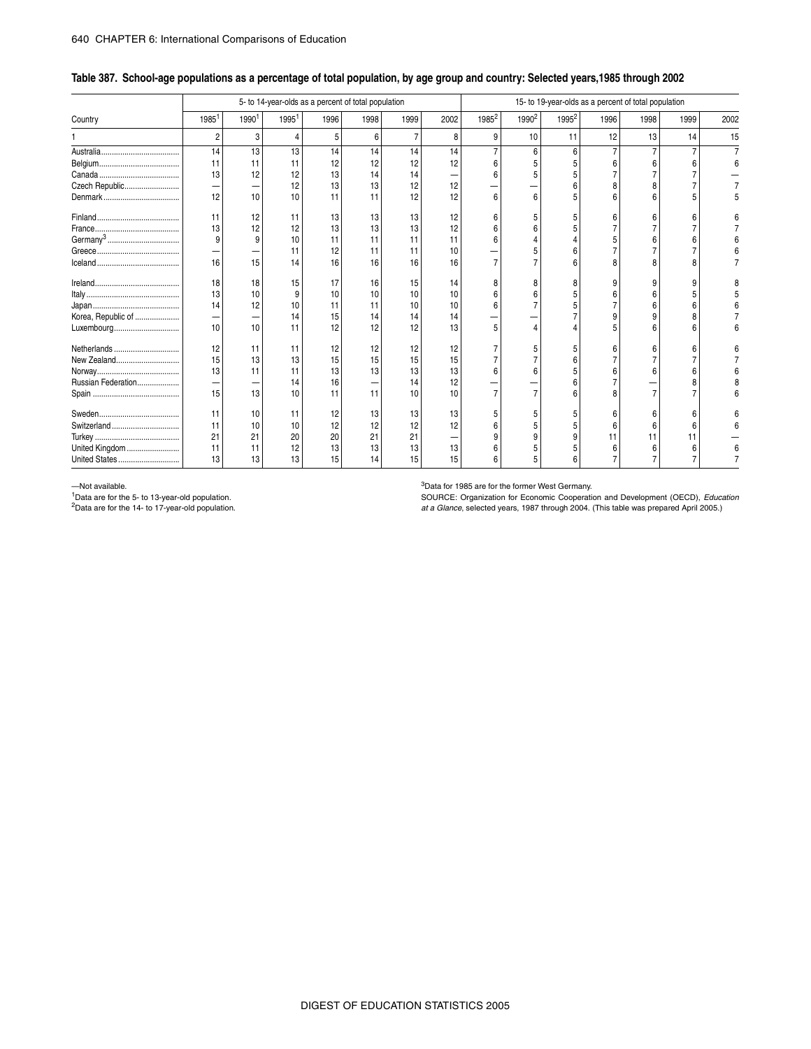#### \_ **Table 387. School-age populations as a percentage of total population, by age group and country: Selected years,1985 through 2002**

|                    |                |      | 5- to 14-year-olds as a percent of total population |      |      |                |      |                   |                   | 15- to 19-year-olds as a percent of total population |      |      |      |      |
|--------------------|----------------|------|-----------------------------------------------------|------|------|----------------|------|-------------------|-------------------|------------------------------------------------------|------|------|------|------|
| Country            | 1985           | 1990 | 1995 <sup>1</sup>                                   | 1996 | 1998 | 1999           | 2002 | 1985 <sup>2</sup> | 1990 <sup>2</sup> | 1995 <sup>2</sup>                                    | 1996 | 1998 | 1999 | 2002 |
|                    | $\overline{c}$ | 3    | 4                                                   | 5    | 6    | $\overline{7}$ | 8    | 9                 | 10                | 11                                                   | 12   | 13   | 14   | 15   |
|                    | 14             | 13   | 13                                                  | 14   | 14   | 14             | 14   |                   |                   | 6                                                    |      |      |      |      |
|                    | 11             | 11   | 11                                                  | 12   | 12   | 12             | 12   |                   |                   |                                                      |      |      |      |      |
|                    | 13             | 12   | 12                                                  | 13   | 14   | 14             |      |                   |                   |                                                      |      |      |      |      |
| Czech Republic     | -              |      | 12                                                  | 13   | 13   | 12             | 12   |                   |                   |                                                      |      |      |      |      |
|                    | 12             | 10   | 10                                                  | 11   | 11   | 12             | 12   |                   |                   |                                                      |      |      |      |      |
|                    | 11             | 12   | 11                                                  | 13   | 13   | 13             | 12   |                   |                   |                                                      |      |      |      |      |
|                    | 13             | 12   | 12                                                  | 13   | 13   | 13             | 12   |                   |                   |                                                      |      |      |      |      |
|                    | 9              | 9    | 10                                                  | 11   | 11   | 11             | 11   |                   |                   |                                                      |      |      |      |      |
|                    |                |      | 11                                                  | 12   | 11   | 11             | 10   |                   |                   |                                                      |      |      |      |      |
|                    | 16             | 15   | 14                                                  | 16   | 16   | 16             | 16   |                   |                   |                                                      |      |      |      |      |
|                    | 18             | 18   | 15                                                  | 17   | 16   | 15             | 14   |                   |                   |                                                      |      | 9    |      |      |
|                    | 13             | 10   | <sub>9</sub>                                        | 10   | 10   | 10             | 10   |                   |                   |                                                      |      |      |      |      |
|                    | 14             | 12   | 10                                                  | 11   | 11   | 10             | 10   |                   |                   |                                                      |      |      |      |      |
| Korea, Republic of | -              |      | 14                                                  | 15   | 14   | 14             | 14   |                   |                   |                                                      |      |      |      |      |
| Luxembourg         | 10             | 10   | 11                                                  | 12   | 12   | 12             | 13   |                   |                   |                                                      |      |      |      |      |
| Netherlands        | 12             | 11   | 11                                                  | 12   | 12   | 12             | 12   |                   |                   |                                                      |      |      |      |      |
| New Zealand        | 15             | 13   | 13                                                  | 15   | 15   | 15             | 15   |                   |                   |                                                      |      |      |      |      |
|                    | 13             | 11   | 11                                                  | 13   | 13   | 13             | 13   |                   |                   |                                                      |      |      |      |      |
| Russian Federation | -              |      | 14                                                  | 16   |      | 14             | 12   |                   |                   |                                                      |      |      |      |      |
|                    | 15             | 13   | 10                                                  | 11   | 11   | 10             | 10   |                   |                   |                                                      |      |      |      |      |
|                    | 11             | 10   | 11                                                  | 12   | 13   | 13             | 13   |                   |                   |                                                      |      |      |      |      |
| Switzerland        | 11             | 10   | 10                                                  | 12   | 12   | 12             | 12   |                   |                   |                                                      |      |      |      |      |
|                    | 21             | 21   | 20                                                  | 20   | 21   | 21             |      |                   |                   |                                                      | 11   |      |      |      |
| United Kingdom     | 11             |      | 12                                                  | 13   | 13   | 13             | 13   |                   |                   |                                                      |      | 6    | 6    |      |
| United States      | 13             | 13   | 13                                                  | 15   | 14   | 15             | 15   |                   |                   |                                                      |      |      |      |      |

—Not available.

1Data are for the 5- to 13-year-old population.

2Data are for the 14- to 17-year-old population.

<sup>3</sup>Data for 1985 are for the former West Germany.

SOURCE: Organization for Economic Cooperation and Development (OECD), *Education at a Glance*, selected years, 1987 through 2004. (This table was prepared April 2005.)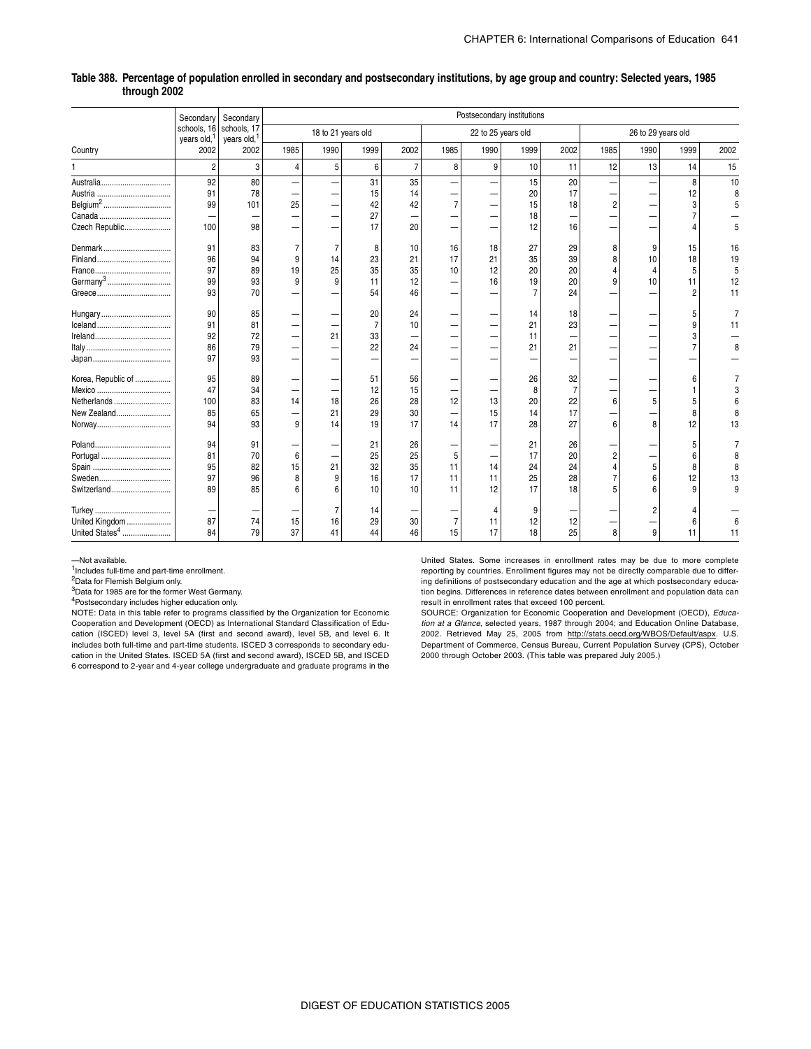|                            | Secondary                              | Secondary                              |      |                    |                |                |                |                    | Postsecondary institutions |                |                |                    |      |      |
|----------------------------|----------------------------------------|----------------------------------------|------|--------------------|----------------|----------------|----------------|--------------------|----------------------------|----------------|----------------|--------------------|------|------|
|                            | schools, 16<br>years old, <sup>1</sup> | schools, 17<br>years old, <sup>1</sup> |      | 18 to 21 years old |                |                |                | 22 to 25 years old |                            |                |                | 26 to 29 years old |      |      |
| Country                    | 2002                                   | 2002                                   | 1985 | 1990               | 1999           | 2002           | 1985           | 1990               | 1999                       | 2002           | 1985           | 1990               | 1999 | 2002 |
|                            | $\overline{2}$                         | 3                                      | 4    | 5                  | 6              | $\overline{7}$ | 8              | 9                  | 10                         | 11             | 12             | 13                 | 14   | 15   |
|                            | 92                                     | 80                                     |      |                    | 31             | 35             |                |                    | 15                         | 20             |                |                    | 8    | 10   |
| Austria                    | 91                                     | 78                                     |      |                    | 15             | 14             |                |                    | 20                         | 17             |                |                    | 12   | 8    |
| Belgium <sup>2</sup>       | 99                                     | 101                                    | 25   |                    | 42             | 42             | $\overline{7}$ |                    | 15                         | 18             | $\overline{2}$ |                    |      |      |
|                            |                                        |                                        |      |                    | 27             |                |                |                    | 18                         |                |                |                    |      |      |
| Czech Republic             | 100                                    | 98                                     |      |                    | 17             | 20             |                |                    | 12                         | 16             |                |                    |      |      |
| Denmark                    | 91                                     | 83                                     |      |                    | 8              | 10             | 16             | 18                 | 27                         | 29             | 8              | 9                  | 15   | 16   |
|                            | 96                                     | 94                                     | 9    | 14                 | 23             | 21             | 17             | 21                 | 35                         | 39             | 8              | 10                 | 18   | 19   |
|                            | 97                                     | 89                                     | 19   | 25                 | 35             | 35             | 10             | 12                 | 20                         | 20             |                |                    | 5    |      |
|                            | 99                                     | 93                                     | 9    | 9                  | 11             | 12             |                | 16                 | 19                         | 20             |                | 10                 | 11   | 12   |
|                            | 93                                     | 70                                     |      |                    | 54             | 46             |                |                    |                            | 24             |                |                    |      | 11   |
| Hungary                    | 90                                     | 85                                     |      |                    | 20             | 24             |                |                    | 14                         | 18             |                |                    |      |      |
|                            | 91                                     | 81                                     |      |                    | $\overline{7}$ | 10             |                |                    | 21                         | 23             |                |                    | 9    | 11   |
|                            | 92                                     | 72                                     |      | 21                 | 33             | -              |                |                    | 11                         | -              |                |                    |      |      |
|                            | 86                                     | 79                                     |      |                    | 22             | 24             |                |                    | 21                         | 21             |                |                    |      | 8    |
|                            | 97                                     | 93                                     |      |                    |                |                |                |                    |                            |                |                |                    |      |      |
| Korea, Republic of         | 95                                     | 89                                     |      |                    | 51             | 56             |                |                    | 26                         | 32             |                |                    | 6    |      |
| Mexico                     | 47                                     | 34                                     |      |                    | 12             | 15             |                |                    | 8                          | $\overline{7}$ |                |                    |      |      |
| Netherlands                | 100                                    | 83                                     | 14   | 18                 | 26             | 28             | 12             | 13                 | 20                         | 22             | 6              | 5                  |      |      |
| New Zealand                | 85                                     | 65                                     |      | 21                 | 29             | 30             |                | 15                 | 14                         | 17             |                |                    |      |      |
|                            | 94                                     | 93                                     | 9    | 14                 | 19             | 17             | 14             | 17                 | 28                         | 27             |                | 8                  | 12   | 13   |
|                            | 94                                     | 91                                     |      |                    | 21             | 26             |                |                    | 21                         | 26             |                |                    |      |      |
| Portugal                   | 81                                     | 70                                     | 6    |                    | 25             | 25             | 5              |                    | 17                         | 20             |                |                    | 6    |      |
|                            | 95                                     | 82                                     | 15   | 21                 | 32             | 35             | 11             | 14                 | 24                         | 24             |                | 5                  | 8    |      |
|                            | 97                                     | 96                                     |      | 9                  | 16             | 17             | 11             | 11                 | 25                         | 28             |                |                    | 12   | 13   |
| Switzerland                | 89                                     | 85                                     |      |                    | 10             | 10             | 11             | 12                 | 17                         | 18             |                |                    |      | 9    |
|                            |                                        |                                        |      |                    | 14             |                |                |                    | 9                          |                |                |                    |      |      |
| United Kingdom             | 87                                     | 74                                     | 15   | 16                 | 29             | 30             | $\overline{7}$ | 11                 | 12                         | 12             |                |                    | 6    |      |
| United States <sup>4</sup> | 84                                     | 79                                     | 37   | 41                 | 44             | 46             | 15             | 17                 | 18                         | 25             | 8              | 9                  | 11   | 11   |

#### **Table 388. Percentage of population enrolled in secondary and postsecondary institutions, by age group and country: Selected years, 1985 through 2002**

—Not available.

1Includes full-time and part-time enrollment.

2Data for Flemish Belgium only.

3Data for 1985 are for the former West Germany.

4Postsecondary includes higher education only.

NOTE: Data in this table refer to programs classified by the Organization for Economic Cooperation and Development (OECD) as International Standard Classification of Education (ISCED) level 3, level 5A (first and second award), level 5B, and level 6. It includes both full-time and part-time students. ISCED 3 corresponds to secondary education in the United States. ISCED 5A (first and second award), ISCED 5B, and ISCED 6 correspond to 2-year and 4-year college undergraduate and graduate programs in the

United States. Some increases in enrollment rates may be due to more complete reporting by countries. Enrollment figures may not be directly comparable due to differing definitions of postsecondary education and the age at which postsecondary education begins. Differences in reference dates between enrollment and population data can result in enrollment rates that exceed 100 percent.

SOURCE: Organization for Economic Cooperation and Development (OECD), *Education at a Glance*, selected years, 1987 through 2004; and Education Online Database, 2002. Retrieved May 25, 2005 from http://stats.oecd.org/WBOS/Default/aspx. U.S. Department of Commerce, Census Bureau, Current Population Survey (CPS), October 2000 through October 2003. (This table was prepared July 2005.)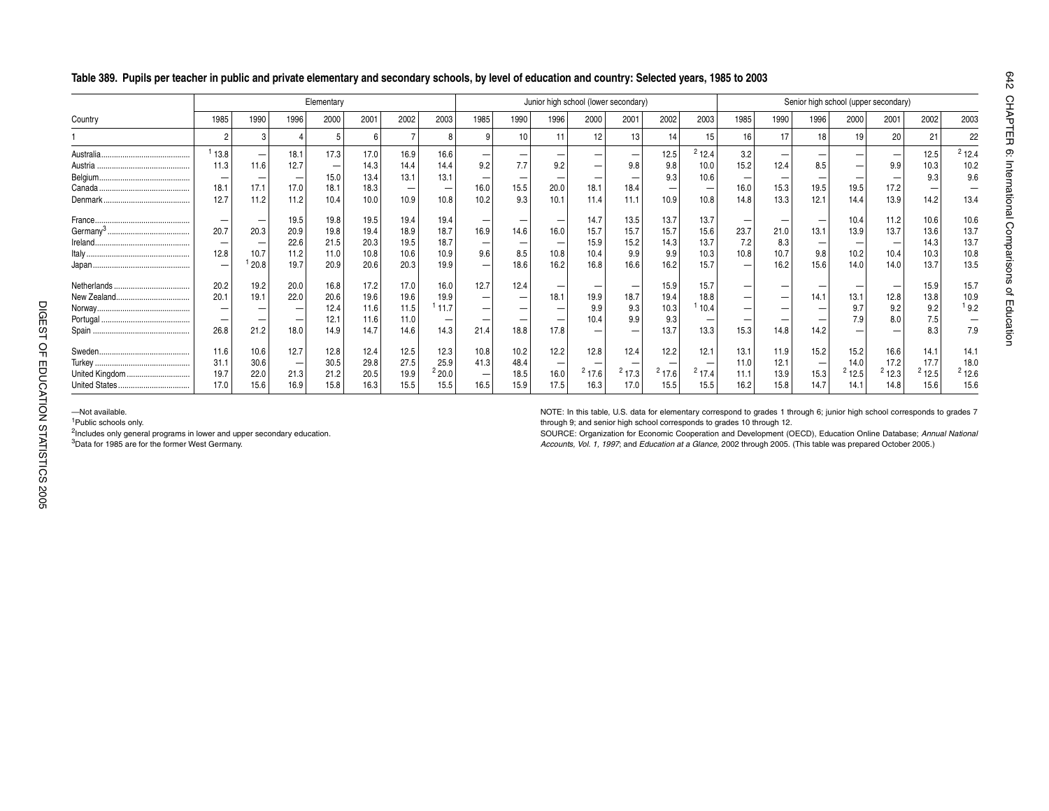|                      |                          |       |                          | Elementary |      |      |       |                          |                          |      |                          | Junior high school (lower secondary) |                   |       |                   |      |                          | Senior high school (upper secondary) |       |       |                          |
|----------------------|--------------------------|-------|--------------------------|------------|------|------|-------|--------------------------|--------------------------|------|--------------------------|--------------------------------------|-------------------|-------|-------------------|------|--------------------------|--------------------------------------|-------|-------|--------------------------|
| Country              | 1985                     | 1990  | 1996                     | 2000       | 2001 | 2002 | 2003  | 1985                     | 1990                     | 1996 | 2000                     | 2001                                 | 2002              | 2003  | 1985              | 1990 | 1996                     | 2000                                 | 2001  | 2002  | 2003                     |
|                      |                          |       |                          | 5          | 6    |      | -8    | 9                        | $10$                     | 11   | 12                       | 13                                   | 14                | 15    | 16                | 17   | 18                       | 19                                   | 20    | 21    | 22                       |
|                      | 113.8                    |       | 18.1                     | 17.3       | 17.0 | 16.9 | 16.6  | -                        |                          |      |                          |                                      | 12.5              | 212.4 | 3.2               |      |                          |                                      |       | 12.5  | 212.4                    |
|                      | 11.3                     | 11.6  | 12.7                     |            | 14.3 | 14.4 | 14.4  | 9.2                      | 7.7                      | 9.2  | $\overline{\phantom{m}}$ | 9.8                                  | 9.8               | 10.0  | 15.2              | 12.4 | 8.5                      |                                      | 9.9   | 10.3  | 10.2                     |
|                      |                          |       |                          | 15.0       | 13.4 | 13.1 | 13.1  |                          |                          |      | -                        |                                      | 9.3               | 10.6  |                   |      |                          |                                      |       | 9.3   | 9.6                      |
|                      | 18.1                     | 17.1  | 17.0                     | 18.1       | 18.3 |      |       | 16.0                     | 15.5                     | 20.0 | 18.1                     | 18.4                                 | $\qquad \qquad -$ |       | 16.0              | 15.3 | 19.5                     | 19.5                                 | 17.2  |       | $\overline{\phantom{0}}$ |
|                      | 12.7                     | 11.2  | 11.2                     | 10.4       | 10.0 | 10.9 | 10.8  | 10.2                     | 9.3                      | 10.1 | 11.4                     | 11.1                                 | 10.9              | 10.8  | 14.8              | 13.3 | 12.1                     | 14.4                                 | 13.9  | 14.2  | 13.4                     |
|                      | $\overline{\phantom{0}}$ | -     | 19.5                     | 19.8       | 19.5 | 19.4 | 19.4  |                          |                          |      | 14.7                     | 13.5                                 | 13.7              | 13.7  |                   |      | $\overline{\phantom{m}}$ | 10.4                                 | 11.2  | 10.6  | 10.6                     |
| Germany <sup>3</sup> | 20.7                     | 20.3  | 20.9                     | 19.8       | 19.4 | 18.9 | 18.7  | 16.9                     | 14.6                     | 16.0 | 15.7                     | 15.7                                 | 15.7              | 15.6  | 23.7              | 21.0 | 13.1                     | 13.9                                 | 13.7  | 13.6  | 13.7                     |
|                      |                          |       | 22.6                     | 21.5       | 20.3 | 19.5 | 18.7  |                          |                          |      | 15.9                     | 15.2                                 | 14.3              | 13.7  | 7.2               | 8.3  |                          |                                      |       | 14.3  | 13.7                     |
|                      | 12.8                     | 10.7  | 11.2                     | 11.0       | 10.8 | 10.6 | 10.9  | 9.6                      | 8.5                      | 10.8 | 10.4                     | 9.9                                  | 9.9               | 10.3  | 10.8              | 10.7 | 9.8                      | 10.2                                 | 10.4  | 10.3  | 10.8                     |
|                      |                          | 120.8 | 19.7                     | 20.9       | 20.6 | 20.3 | 19.9  | -                        | 18.6                     | 16.2 | 16.8                     | 16.6                                 | 16.2              | 15.7  | $\qquad \qquad -$ | 16.2 | 15.6                     | 14.0                                 | 14.0  | 13.7  | 13.5                     |
|                      | 20.2                     | 19.2  | 20.0                     | 16.8       | 17.2 | 17.0 | 16.0  | 12.7                     | 12.4                     |      | $\overline{\phantom{m}}$ |                                      | 15.9              | 15.7  |                   |      |                          |                                      |       | 15.9  | 15.7                     |
|                      | 20.1                     | 19.1  | 22.0                     | 20.6       | 19.6 | 19.6 | 19.9  |                          | $\overline{\phantom{m}}$ | 18.1 | 19.9                     | 18.7                                 | 19.4              | 18.8  |                   |      | 14.1                     | 13.1                                 | 12.8  | 13.8  | 10.9                     |
|                      | $\overline{\phantom{0}}$ |       | $\overline{\phantom{0}}$ | 12.4       | 11.6 | 11.5 | 111.7 | -                        | $\overline{\phantom{0}}$ |      | 9.9                      | 9.3                                  | 10.3              | 10.4  |                   |      |                          | 9.7                                  | 9.2   | 9.2   | 19.2                     |
|                      |                          |       | $\overline{\phantom{0}}$ | 12.1       | 11.6 | 11.0 |       |                          |                          |      | 10.4                     | 9.9                                  | 9.3               |       |                   |      |                          | 7.9                                  | 8.0   | 7.5   | $\overline{\phantom{0}}$ |
|                      | 26.8                     | 21.2  | 18.0                     | 14.9       | 14.7 | 14.6 | 14.3  | 21.4                     | 18.8                     | 17.8 |                          |                                      | 13.7              | 13.3  | 15.3              | 14.8 | 14.2                     |                                      |       | 8.3   | 7.9                      |
|                      | 11.6                     | 10.6  | 12.7                     | 12.8       | 12.4 | 12.5 | 12.3  | 10.8                     | 10.2                     | 12.2 | 12.8                     | 12.4                                 | 12.2              | 12.1  | 13.1              | 11.9 | 15.2                     | 15.2                                 | 16.6  | 14.1  | 14.1                     |
|                      | 31.1                     | 30.6  |                          | 30.5       | 29.8 | 27.5 | 25.9  | 41.3                     | 48.4                     |      |                          |                                      |                   |       | 11.0              | 12.1 |                          | 14.0                                 | 17.2  | 17.7  | 18.0                     |
| United Kingdom       | 19.7                     | 22.0  | 21.3                     | 21.2       | 20.5 | 19.9 | 220.0 | $\overline{\phantom{a}}$ | 18.5                     | 16.0 | 217.6                    | 217.3                                | 217.6             | 217.4 | 11.1              | 13.9 | 15.3                     | 212.5                                | 212.3 | 212.5 | $2$ 12.6                 |
|                      | 17.0                     | 15.6  | 16.9                     | 15.8       | 16.3 | 15.5 | 15.5  | 16.5                     | 15.9                     | 17.5 | 16.3                     | 17.0                                 | 15.5              | 15.5  | 16.2              | 15.8 | 14.7                     | 14.1                                 | 14.8  | 15.6  | 15.6                     |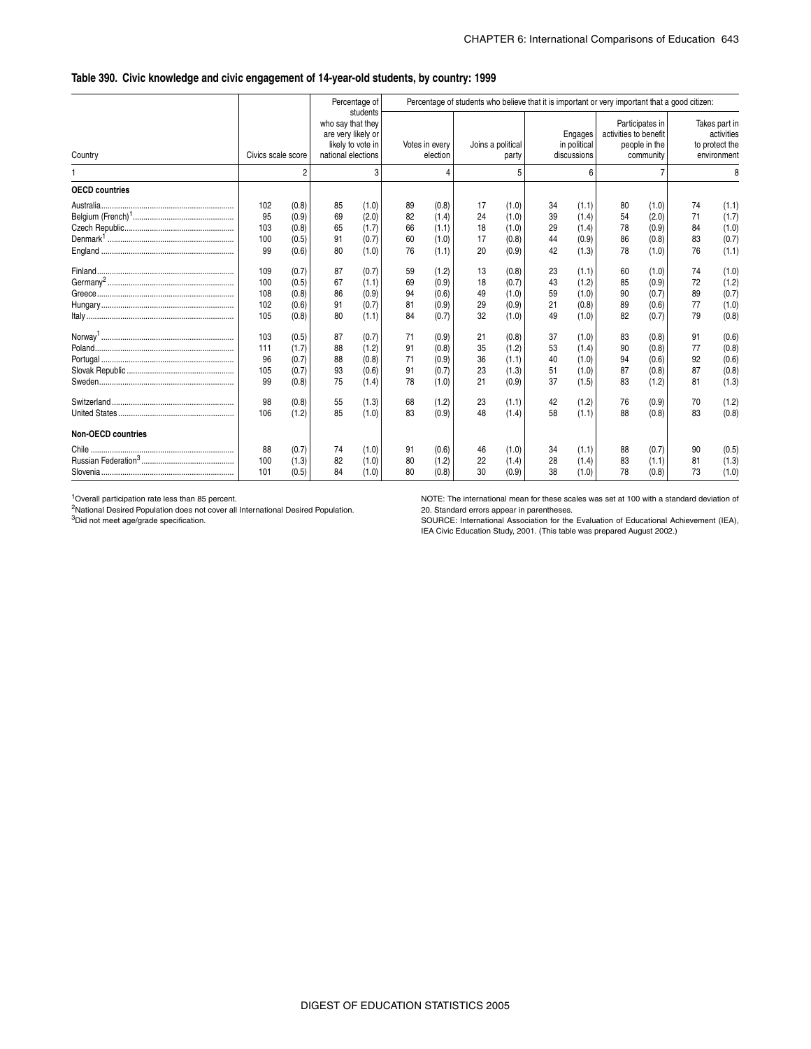#### \_ **Table 390. Civic knowledge and civic engagement of 14-year-old students, by country: 1999**

|                           |                                     |                                           |                                                               | Percentage of                             |                            |                                           |                            |                                           |                            |                                           | Percentage of students who believe that it is important or very important that a good citizen: |                                               |                            |                                                              |
|---------------------------|-------------------------------------|-------------------------------------------|---------------------------------------------------------------|-------------------------------------------|----------------------------|-------------------------------------------|----------------------------|-------------------------------------------|----------------------------|-------------------------------------------|------------------------------------------------------------------------------------------------|-----------------------------------------------|----------------------------|--------------------------------------------------------------|
| Country                   | Civics scale score                  |                                           | who say that they<br>are very likely or<br>national elections | students<br>likely to vote in             |                            | Votes in every<br>election                |                            | Joins a political<br>party                |                            | Engages<br>in political<br>discussions    | activities to benefit                                                                          | Participates in<br>people in the<br>community |                            | Takes part in<br>activities<br>to protect the<br>environment |
|                           |                                     | 2                                         |                                                               | 3                                         |                            | 4                                         |                            |                                           |                            | 6                                         |                                                                                                |                                               |                            | 8                                                            |
| <b>OECD countries</b>     |                                     |                                           |                                                               |                                           |                            |                                           |                            |                                           |                            |                                           |                                                                                                |                                               |                            |                                                              |
|                           | 102<br>95<br>103<br>100<br>99       | (0.8)<br>(0.9)<br>(0.8)<br>(0.5)<br>(0.6) | 85<br>69<br>65<br>91<br>80                                    | (1.0)<br>(2.0)<br>(1.7)<br>(0.7)<br>(1.0) | 89<br>82<br>66<br>60<br>76 | (0.8)<br>(1.4)<br>(1.1)<br>(1.0)<br>(1.1) | 17<br>24<br>18<br>17<br>20 | (1.0)<br>(1.0)<br>(1.0)<br>(0.8)<br>(0.9) | 34<br>39<br>29<br>44<br>42 | (1.1)<br>(1.4)<br>(1.4)<br>(0.9)<br>(1.3) | 80<br>54<br>78<br>86<br>78                                                                     | (1.0)<br>(2.0)<br>(0.9)<br>(0.8)<br>(1.0)     | 74<br>71<br>84<br>83<br>76 | (1.1)<br>(1.7)<br>(1.0)<br>(0.7)<br>(1.1)                    |
|                           | 109<br>100<br>108<br>102<br>105     | (0.7)<br>(0.5)<br>(0.8)<br>(0.6)<br>(0.8) | 87<br>67<br>86<br>91<br>80                                    | (0.7)<br>(1.1)<br>(0.9)<br>(0.7)<br>(1.1) | 59<br>69<br>94<br>81<br>84 | (1.2)<br>(0.9)<br>(0.6)<br>(0.9)<br>(0.7) | 13<br>18<br>49<br>29<br>32 | (0.8)<br>(0.7)<br>(1.0)<br>(0.9)<br>(1.0) | 23<br>43<br>59<br>21<br>49 | (1.1)<br>(1.2)<br>(1.0)<br>(0.8)<br>(1.0) | 60<br>85<br>90<br>89<br>82                                                                     | (1.0)<br>(0.9)<br>(0.7)<br>(0.6)<br>(0.7)     | 74<br>72<br>89<br>77<br>79 | (1.0)<br>(1.2)<br>(0.7)<br>(1.0)<br>(0.8)                    |
|                           | 103<br>111<br>96<br>105<br>99<br>98 | (0.5)<br>(1.7)<br>(0.7)<br>(0.7)<br>(0.8) | 87<br>88<br>88<br>93<br>75                                    | (0.7)<br>(1.2)<br>(0.8)<br>(0.6)<br>(1.4) | 71<br>91<br>71<br>91<br>78 | (0.9)<br>(0.8)<br>(0.9)<br>(0.7)<br>(1.0) | 21<br>35<br>36<br>23<br>21 | (0.8)<br>(1.2)<br>(1.1)<br>(1.3)<br>(0.9) | 37<br>53<br>40<br>51<br>37 | (1.0)<br>(1.4)<br>(1.0)<br>(1.0)<br>(1.5) | 83<br>90<br>94<br>87<br>83                                                                     | (0.8)<br>(0.8)<br>(0.6)<br>(0.8)<br>(1.2)     | 91<br>77<br>92<br>87<br>81 | (0.6)<br>(0.8)<br>(0.6)<br>(0.8)<br>(1.3)                    |
| <b>Non-OECD countries</b> | 106                                 | (0.8)<br>(1.2)                            | 55<br>85                                                      | (1.3)<br>(1.0)                            | 68<br>83                   | (1.2)<br>(0.9)                            | 23<br>48                   | (1.1)<br>(1.4)                            | 42<br>58                   | (1.2)<br>(1.1)                            | 76<br>88                                                                                       | (0.9)<br>(0.8)                                | 70<br>83                   | (1.2)<br>(0.8)                                               |
|                           | 88<br>100<br>101                    | (0.7)<br>(1.3)<br>(0.5)                   | 74<br>82<br>84                                                | (1.0)<br>(1.0)<br>(1.0)                   | 91<br>80<br>80             | (0.6)<br>(1.2)<br>(0.8)                   | 46<br>22<br>30             | (1.0)<br>(1.4)<br>(0.9)                   | 34<br>28<br>38             | (1.1)<br>(1.4)<br>(1.0)                   | 88<br>83<br>78                                                                                 | (0.7)<br>(1.1)<br>(0.8)                       | 90<br>81<br>73             | (0.5)<br>(1.3)<br>(1.0)                                      |

1Overall participation rate less than 85 percent.

2National Desired Population does not cover all International Desired Population. 3Did not meet age/grade specification.

NOTE: The international mean for these scales was set at 100 with a standard deviation of 20. Standard errors appear in parentheses.

SOURCE: International Association for the Evaluation of Educational Achievement (IEA), IEA Civic Education Study, 2001. (This table was prepared August 2002.)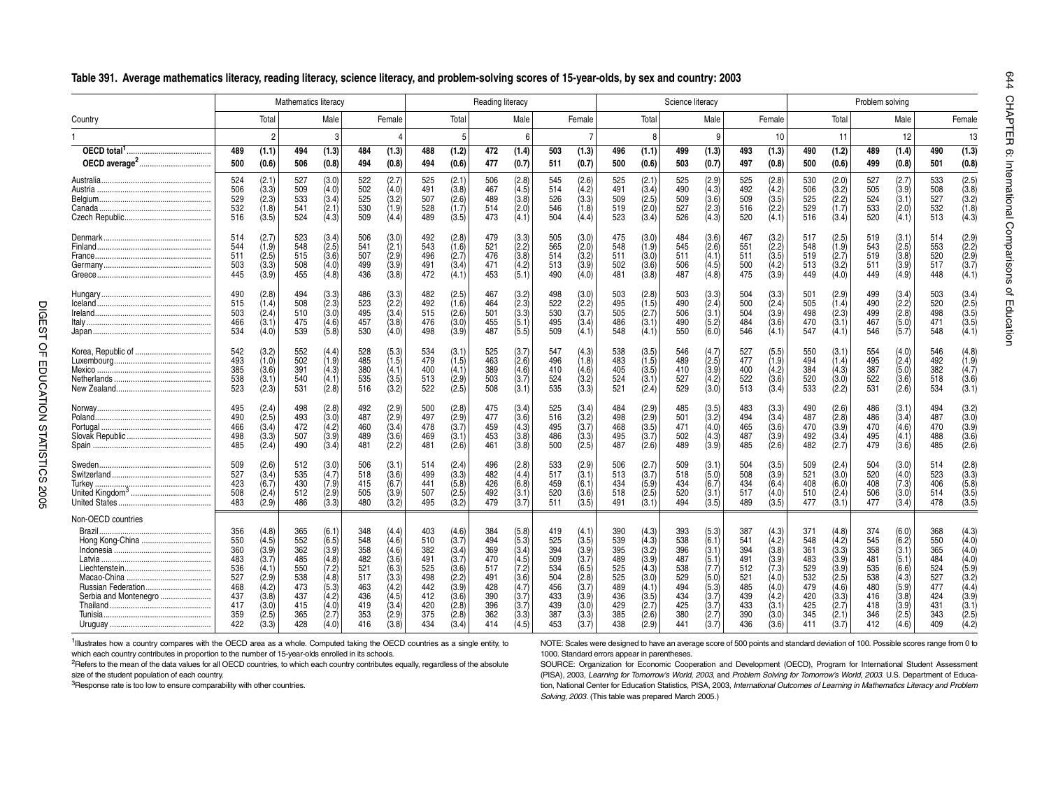|                                                                                                            |                                                                           |                                                                                                 | Mathematics literacy                                                      |                                                                                                     |                                                                           |                                                                                                 |                                                                           |                                                                                                 | Reading literacy                                                          |                                                                                                                |                                                                           |                                                                                                 |                                                                           |                                                                                                 | Science literacy                                                          |                                                                                                         |                                                                           |                                                                                                         |                                                                           |                                                                                                     | Problem solving                                                           |                                                                                                 |                                                                           |                                                                                                         |
|------------------------------------------------------------------------------------------------------------|---------------------------------------------------------------------------|-------------------------------------------------------------------------------------------------|---------------------------------------------------------------------------|-----------------------------------------------------------------------------------------------------|---------------------------------------------------------------------------|-------------------------------------------------------------------------------------------------|---------------------------------------------------------------------------|-------------------------------------------------------------------------------------------------|---------------------------------------------------------------------------|----------------------------------------------------------------------------------------------------------------|---------------------------------------------------------------------------|-------------------------------------------------------------------------------------------------|---------------------------------------------------------------------------|-------------------------------------------------------------------------------------------------|---------------------------------------------------------------------------|---------------------------------------------------------------------------------------------------------|---------------------------------------------------------------------------|---------------------------------------------------------------------------------------------------------|---------------------------------------------------------------------------|-----------------------------------------------------------------------------------------------------|---------------------------------------------------------------------------|-------------------------------------------------------------------------------------------------|---------------------------------------------------------------------------|---------------------------------------------------------------------------------------------------------|
| Country                                                                                                    |                                                                           | Total                                                                                           |                                                                           | Male                                                                                                |                                                                           | Female                                                                                          |                                                                           | Total                                                                                           |                                                                           | Male                                                                                                           |                                                                           | Female                                                                                          |                                                                           | Total                                                                                           |                                                                           | Male                                                                                                    |                                                                           | Female                                                                                                  |                                                                           | Total                                                                                               |                                                                           | Male                                                                                            |                                                                           | Female                                                                                                  |
|                                                                                                            |                                                                           | $\overline{c}$                                                                                  |                                                                           | 3                                                                                                   |                                                                           |                                                                                                 |                                                                           |                                                                                                 |                                                                           | 6                                                                                                              |                                                                           |                                                                                                 |                                                                           | $\mathsf{R}$                                                                                    |                                                                           | 9                                                                                                       |                                                                           | 10                                                                                                      |                                                                           | 11                                                                                                  |                                                                           | 12                                                                                              |                                                                           | 13                                                                                                      |
|                                                                                                            | 489<br>500                                                                | (1.1)<br>(0.6)                                                                                  | 494<br>506                                                                | (1.3)<br>(0.8)                                                                                      | 484<br>494                                                                | (1.3)<br>(0.8)                                                                                  | 488<br>494                                                                | (1.2)<br>(0.6)                                                                                  | 472<br>477                                                                | (1.4)<br>(0.7)                                                                                                 | 503<br>511                                                                | (1.3)<br>(0.7)                                                                                  | 496<br>500                                                                | (1.1)<br>(0.6)                                                                                  | 499<br>503                                                                | (1.3)<br>(0.7)                                                                                          | 493<br>497                                                                | (1.3)<br>(0.8)                                                                                          | 490<br>500                                                                | (1.2)<br>(0.6)                                                                                      | 489<br>499                                                                | (1.4)<br>(0.8)                                                                                  | 490<br>501                                                                | (1.3)<br>(0.8)                                                                                          |
|                                                                                                            | 524<br>506<br>529<br>532<br>516                                           | (2.1)<br>(3.3)<br>(2.3)<br>(1.8)<br>(3.5)                                                       | 527<br>509<br>533<br>541<br>524                                           | (3.0)<br>(4.0)<br>(3.4)<br>(2.1)<br>(4.3)                                                           | 522<br>502<br>525<br>530<br>509                                           | (2.7)<br>(4.0)<br>(3.2)<br>(1.9)<br>(4.4)                                                       | 525<br>491<br>507<br>528<br>489                                           | (2.1)<br>(3.8)<br>(2.6)<br>(1.7)<br>(3.5)                                                       | 506<br>467<br>489<br>514<br>473                                           | (2.8)<br>(4.5)<br>(3.8)<br>(2.0)<br>(4.1)                                                                      | 545<br>514<br>526<br>546<br>504                                           | (2.6)<br>(4.2)<br>(3.3)<br>(1.8)<br>(4.4)                                                       | 525<br>491<br>509<br>519<br>523                                           | (2.1)<br>(3.4)<br>(2.5)<br>(2.0)<br>(3.4)                                                       | 525<br>490<br>509<br>527<br>526                                           | (2.9)<br>$(4.3)$<br>$(3.6)$<br>(2.3)<br>(4.3)                                                           | 525<br>492<br>509<br>516<br>520                                           | (2.8)<br>$(4.2)$<br>$(3.5)$<br>(2.2)<br>(4.1)                                                           | 530<br>506<br>525<br>529<br>516                                           | (2.0)<br>$(3.2)$<br>$(2.2)$<br>(1.7)<br>(3.4)                                                       | 527<br>505<br>524<br>533<br>520                                           | (2.7)<br>(3.9)<br>(3.1)<br>(2.0)<br>(4.1)                                                       | 533<br>508<br>527<br>532<br>513                                           | (2.5)<br>(3.8)<br>(3.2)<br>(1.8)<br>(4.3)                                                               |
|                                                                                                            | 514<br>544<br>511<br>503<br>445                                           | (2.7)<br>(1.9)<br>(2.5)<br>(3.3)<br>(3.9)                                                       | 523<br>548<br>515<br>508<br>455                                           | (3.4)<br>(2.5)<br>(3.6)<br>(4.0)<br>(4.8)                                                           | 506<br>541<br>507<br>499<br>436                                           | (3.0)<br>(2.1)<br>(2.9)<br>(3.9)<br>(3.8)                                                       | 492<br>543<br>496<br>491<br>472                                           | (2.8)<br>(1.6)<br>(2.7)<br>(3.4)<br>(4.1)                                                       | 479<br>521<br>476<br>471<br>453                                           | (3.3)<br>(2.2)<br>(3.8)<br>(4.2)<br>(5.1)                                                                      | 505<br>565<br>514<br>513<br>490                                           | (3.0)<br>(2.0)<br>(3.2)<br>(3.9)<br>(4.0)                                                       | 475<br>548<br>511<br>502<br>481                                           | (3.0)<br>(1.9)<br>(3.0)<br>(3.6)<br>(3.8)                                                       | 484<br>545<br>511<br>506<br>487                                           | (3.6)<br>(2.6)<br>(4.1)<br>$(4.5)$<br>$(4.8)$                                                           | 467<br>551<br>511<br>500<br>475                                           | $(3.2)$<br>$(2.2)$<br>(3.5)<br>(4.2)<br>(3.9)                                                           | 517<br>548<br>519<br>513<br>449                                           | $(2.5)$<br>$(1.9)$<br>(2.7)<br>(3.2)<br>(4.0)                                                       | 519<br>543<br>519<br>511<br>449                                           | (3.1)<br>(2.5)<br>(3.8)<br>(3.9)<br>(4.9)                                                       | 514<br>553<br>520<br>517<br>448                                           | $(2.9)$<br>$(2.2)$<br>(2.9)<br>(3.7)<br>(4.1)                                                           |
| Ireland.                                                                                                   | 490<br>515<br>503<br>466<br>534                                           | (2.8)<br>(1.4)<br>(2.4)<br>$\sqrt{3.1}$<br>(4.0)                                                | 494<br>508<br>510<br>475<br>539                                           | (3.3)<br>(2.3)<br>(3.0)<br>(4.6)<br>(5.8)                                                           | 486<br>523<br>495<br>457<br>530                                           | (3.3)<br>(2.2)<br>(3.4)<br>(3.8)<br>(4.0)                                                       | 482<br>492<br>515<br>476<br>498                                           | (2.5)<br>(1.6)<br>(2.6)<br>$\langle 3.0 \rangle$<br>(3.9)                                       | 467<br>464<br>501<br>455<br>487                                           | (3.2)<br>(2.3)<br>(3.3)<br>(5.1)<br>(5.5)                                                                      | 498<br>522<br>530<br>495<br>509                                           | (3.0)<br>(2.2)<br>(3.7)<br>(3.4)<br>(4.1)                                                       | 503<br>495<br>505<br>486<br>548                                           | (2.8)<br>(1.5)<br>(2.7)<br>(3.1)<br>(4.1)                                                       | 503<br>490<br>506<br>490<br>550                                           | (3.3)<br>(2.4)<br>(3.1)<br>(5.2)<br>(6.0)                                                               | 504<br>500<br>504<br>484<br>546                                           | (3.3)<br>(2.4)<br>(3.9)<br>(3.6)<br>(4.1)                                                               | 501<br>505<br>498<br>470<br>547                                           | (2.9)<br>(1.4)<br>(2.3)<br>(3.1)<br>(4.1)                                                           | 499<br>490<br>499<br>467<br>546                                           | (3.4)<br>(2.2)<br>(2.8)<br>(5.0)<br>(5.7)                                                       | 503<br>520<br>498<br>471<br>548                                           | (3.4)<br>(2.5)<br>(3.5)<br>(3.5)<br>(4.1)                                                               |
|                                                                                                            | 542<br>493<br>385<br>538<br>523                                           | (3.2)<br>(1.0)<br>(3.6)<br>(3.1)<br>(2.3)                                                       | 552<br>502<br>391<br>540<br>531                                           | (4.4)<br>(1.9)<br>(4.3)<br>(4.1)<br>(2.8)                                                           | 528<br>485<br>380<br>535<br>516                                           | (5.3)<br>(1.5)<br>(4.1)<br>(3.5)<br>(3.2)                                                       | 534<br>479<br>400<br>513<br>522                                           | (3.1)<br>$(1.5)$<br>$(4.1)$<br>(2.9)<br>(2.5)                                                   | 525<br>463<br>389<br>503<br>508                                           | (3.7)<br>(2.6)<br>(4.6)<br>(3.7)<br>(3.1)                                                                      | 547<br>496<br>410<br>524<br>535                                           | (4.3)<br>(1.8)<br>(4.6)<br>(3.2)<br>(3.3)                                                       | 538<br>483<br>405<br>524<br>521                                           | (3.5)<br>(1.5)<br>(3.5)<br>(3.1)<br>(2.4)                                                       | 546<br>489<br>410<br>527<br>529                                           | (4.7)<br>$(2.5)$<br>$(3.9)$<br>(4.2)<br>(3.0)                                                           | 527<br>477<br>400<br>522<br>513                                           | (5.5)<br>(1.9)<br>(4.2)<br>(3.6)<br>(3.4)                                                               | 550<br>494<br>384<br>520<br>533                                           | (3.1)<br>(1.4)<br>(4.3)<br>(3.0)<br>(2.2)                                                           | 554<br>495<br>387<br>522<br>531                                           | (4.0)<br>(2.4)<br>(5.0)<br>(3.6)<br>(2.6)                                                       | 546<br>492<br>382<br>518<br>534                                           | (4.8)<br>$(1.9)$<br>$(4.7)$<br>(3.6)<br>(3.1)                                                           |
| Poland.                                                                                                    | 495<br>490<br>466<br>498<br>485                                           | $(2.4)$<br>$(2.5)$<br>(3.4)<br>(3.3)<br>(2.4)                                                   | 498<br>493<br>472<br>507<br>490                                           | (2.8)<br>(3.0)<br>(4.2)<br>(3.9)<br>(3.4)                                                           | 492<br>487<br>460<br>489<br>481                                           | (2.9)<br>(2.9)<br>(3.4)<br>(3.6)<br>(2.2)                                                       | 500<br>497<br>478<br>469<br>481                                           | (2.8)<br>(2.9)<br>(3.7)<br>(3.1)<br>(2.6)                                                       | 475<br>477<br>459<br>453<br>461                                           | (3.4)<br>(3.6)<br>(4.3)<br>(3.8)<br>(3.8)                                                                      | 525<br>516<br>495<br>486<br>500                                           | (3.4)<br>(3.2)<br>(3.7)<br>(3.3)<br>(2.5)                                                       | 484<br>498<br>468<br>495<br>487                                           | (2.9)<br>(2.9)<br>(3.5)<br>(3.7)<br>(2.6)                                                       | 485<br>501<br>471<br>502<br>489                                           | (3.5)<br>(3.2)<br>(4.0)<br>$(4.3)$<br>$(3.9)$                                                           | 483<br>494<br>465<br>487<br>485                                           | (3.3)<br>(3.4)<br>(3.6)<br>(3.9)<br>(2.6)                                                               | 490<br>487<br>470<br>492<br>482                                           | (2.6)<br>(2.8)<br>(3.9)<br>(3.4)<br>(2.7)                                                           | 486<br>486<br>470<br>495<br>479                                           | (3.1)<br>(3.4)<br>(4.6)<br>(4.1)<br>(3.6)                                                       | 494<br>487<br>470<br>488<br>485                                           | $(3.2)$<br>$(3.0)$<br>(3.9)<br>(3.6)<br>(2.6)                                                           |
|                                                                                                            | 509<br>527<br>423<br>508<br>483                                           | (2.6)<br>(3.4)<br>(6.7)<br>(2.4)<br>(2.9)                                                       | 512<br>535<br>430<br>512<br>486                                           | (3.0)<br>(4.7)<br>(7.9)<br>(2.9)<br>(3.3)                                                           | 506<br>518<br>415<br>505<br>480                                           | (3.1)<br>(3.6)<br>(6.7)<br>(3.9)<br>(3.2)                                                       | 514<br>499<br>441<br>507<br>495                                           | (2.4)<br>(3.3)<br>(5.8)<br>(2.5)<br>(3.2)                                                       | 496<br>482<br>426<br>492<br>479                                           | (2.8)<br>(4.4)<br>(6.8)<br>(3.1)<br>(3.7)                                                                      | 533<br>517<br>459<br>520<br>511                                           | (2.9)<br>(3.1)<br>(6.1)<br>(3.6)<br>(3.5)                                                       | 506<br>513<br>434<br>518<br>491                                           | (2.7)<br>(3.7)<br>(5.9)<br>(2.5)<br>(3.1)                                                       | 509<br>518<br>434<br>520<br>494                                           | (3.1)<br>(5.0)<br>(6.7)<br>(3.1)<br>(3.5)                                                               | 504<br>508<br>434<br>517<br>489                                           | (3.5)<br>(3.9)<br>(6.4)<br>(4.0)<br>(3.5)                                                               | 509<br>521<br>408<br>510<br>477                                           | (2.4)<br>(3.0)<br>(6.0)<br>(2.4)<br>(3.1)                                                           | 504<br>520<br>408<br>506<br>477                                           | (3.0)<br>(4.0)<br>(7.3)<br>(3.0)<br>(3.4)                                                       | 514<br>523<br>406<br>514<br>478                                           | (2.8)<br>(3.3)<br>(5.8)<br>(3.5)<br>(3.5)                                                               |
| Non-OECD countries<br>Brazil.<br>Hong Kong-China<br>Latvia.<br>Russian Federation<br>Serbia and Montenegro | 356<br>550<br>360<br>483<br>536<br>527<br>468<br>437<br>417<br>359<br>422 | (4.8)<br>(4.5)<br>(3.9)<br>(3.7)<br>(4.1)<br>(2.9)<br>(4.2)<br>(3.8)<br>(3.0)<br>(2.5)<br>(3.3) | 365<br>552<br>362<br>485<br>550<br>538<br>473<br>437<br>415<br>365<br>428 | (6.1)<br>(6.5)<br>(3.9)<br>(4.8)<br>(7.2)<br>(4.8)<br>$(5.3)$<br>$(4.2)$<br>(4.0)<br>(2.7)<br>(4.0) | 348<br>548<br>358<br>482<br>521<br>517<br>463<br>436<br>419<br>353<br>416 | (4.4)<br>(4.6)<br>(4.6)<br>(3.6)<br>(6.3)<br>(3.3)<br>(4.2)<br>(4.5)<br>(3.4)<br>(2.9)<br>(3.8) | 403<br>510<br>382<br>491<br>525<br>498<br>442<br>412<br>420<br>375<br>434 | (4.6)<br>(3.7)<br>(3.4)<br>(3.7)<br>(3.6)<br>(2.2)<br>(3.9)<br>(3.6)<br>(2.8)<br>(2.8)<br>(3.4) | 384<br>494<br>369<br>470<br>517<br>491<br>428<br>390<br>396<br>362<br>414 | (5.8)<br>(5.3)<br>(3.4)<br>$(4.5)$<br>$(7.2)$<br>3.6 <sub>1</sub><br>(4.7)<br>(3.7)<br>(3.7)<br>(3.3)<br>(4.5) | 419<br>525<br>394<br>509<br>534<br>504<br>456<br>433<br>439<br>387<br>453 | (4.1)<br>(3.5)<br>(3.9)<br>(3.7)<br>(6.5)<br>(2.8)<br>(3.7)<br>(3.9)<br>(3.0)<br>(3.3)<br>(3.7) | 390<br>539<br>395<br>489<br>525<br>525<br>489<br>436<br>429<br>385<br>438 | (4.3)<br>(4.3)<br>(3.2)<br>(3.9)<br>(4.3)<br>(3.0)<br>(4.1)<br>(3.5)<br>(2.7)<br>(2.6)<br>(2.9) | 393<br>538<br>396<br>487<br>538<br>529<br>494<br>434<br>425<br>380<br>441 | (5.3)<br>(6.1)<br>(3.1)<br>$(5.1)$<br>$(7.7)$<br>(5.0)<br>$(5.3)$<br>$(3.7)$<br>(3.7)<br>(2.7)<br>(3.7) | 387<br>541<br>394<br>491<br>512<br>521<br>485<br>439<br>433<br>390<br>436 | $(4.3)$<br>$(4.2)$<br>(3.8)<br>(3.9)<br>(7.3)<br>(4.0)<br>$(4.0)$<br>$(4.2)$<br>(3.1)<br>(3.0)<br>(3.6) | 371<br>548<br>361<br>483<br>529<br>532<br>479<br>420<br>425<br>345<br>411 | (4.8)<br>(4.2)<br>(3.3)<br>(3.9)<br>(3.9)<br>(2.5)<br>(4.6)<br>(3.3)<br>(2.7)<br>$(2.1)$<br>$(3.7)$ | 374<br>545<br>358<br>481<br>535<br>538<br>480<br>416<br>418<br>346<br>412 | (6.0)<br>(6.2)<br>(3.1)<br>(5.1)<br>(6.6)<br>(4.3)<br>(5.9)<br>(3.8)<br>(3.9)<br>(2.5)<br>(4.6) | 368<br>550<br>365<br>484<br>524<br>527<br>477<br>424<br>431<br>343<br>409 | $(4.3)$<br>$(4.0)$<br>(4.0)<br>(4.0)<br>(5.9)<br>(3.2)<br>$(4.4)$<br>$(3.9)$<br>(3.1)<br>(2.5)<br>(4.2) |

#### **Table 391. Average mathematics literacy, reading literacy, science literacy, and problem-solving scores of 15-year-olds, by sex and country: 2003**

1Illustrates how a country compares with the OECD area as a whole. Computed taking the OECD countries as a single entity, to which each country contributes in proportion to the number of 15-year-olds enrolled in its schools.

<sup>2</sup>Refers to the mean of the data values for all OECD countries, to which each country contributes equally, regardless of the absolute

size of the student population of each country.

<sup>3</sup>Response rate is too low to ensure comparability with other countries.

NOTE: Scales were designed to have an average score of 500 points and standard deviation of 100. Possible scores range from 0 to 1000. Standard errors appear in parentheses.

SOURCE: Organization for Economic Cooperation and Development (OECD), Program for International Student Assessment (PISA), 2003, *Learning for Tomorrow's World, 2003*, and *Problem Solving for Tomorrow's World, 2003*. U.S. Department of Education, National Center for Education Statistics, PISA, 2003, *International Outcomes of Learning in Mathematics Literacy and Problem Solving, 2003*. (This table was prepared March 2005.)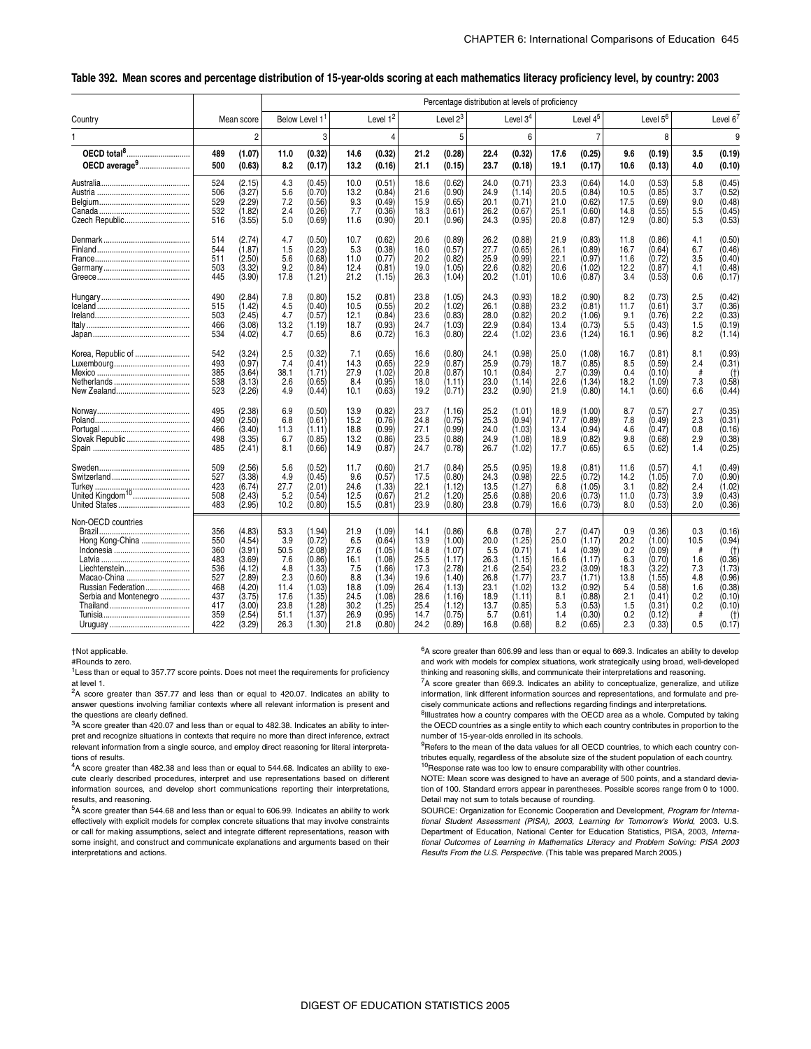#### \_ **Table 392. Mean scores and percentage distribution of 15-year-olds scoring at each mathematics literacy proficiency level, by country: 2003**

|                                                                                                                                |                                                                           |                                                                                                            |                                                                                  |                                                                                                            |                                                                                   |                                                                                                            |                                                                                      |                                                                                                            | Percentage distribution at levels of proficiency                                  |                                                                                                            |                                                                                |                                                                                                            |                                                                              |                                                                                                            |                                                                   |                                                                                                     |
|--------------------------------------------------------------------------------------------------------------------------------|---------------------------------------------------------------------------|------------------------------------------------------------------------------------------------------------|----------------------------------------------------------------------------------|------------------------------------------------------------------------------------------------------------|-----------------------------------------------------------------------------------|------------------------------------------------------------------------------------------------------------|--------------------------------------------------------------------------------------|------------------------------------------------------------------------------------------------------------|-----------------------------------------------------------------------------------|------------------------------------------------------------------------------------------------------------|--------------------------------------------------------------------------------|------------------------------------------------------------------------------------------------------------|------------------------------------------------------------------------------|------------------------------------------------------------------------------------------------------------|-------------------------------------------------------------------|-----------------------------------------------------------------------------------------------------|
| Country                                                                                                                        |                                                                           | Mean score                                                                                                 |                                                                                  | Below Level 1 <sup>1</sup>                                                                                 |                                                                                   | Level 1 <sup>2</sup>                                                                                       |                                                                                      | Level $2^3$                                                                                                |                                                                                   | Level $34$                                                                                                 |                                                                                | Level 4 <sup>5</sup>                                                                                       |                                                                              | Level 5 <sup>6</sup>                                                                                       |                                                                   | Level $6'$                                                                                          |
|                                                                                                                                |                                                                           | $\overline{c}$                                                                                             |                                                                                  | 3                                                                                                          |                                                                                   | 4                                                                                                          |                                                                                      | 5                                                                                                          |                                                                                   | 6                                                                                                          |                                                                                | 7                                                                                                          |                                                                              | 8                                                                                                          |                                                                   | 9                                                                                                   |
| OECD total <sup>8</sup> .<br>OECD average <sup>9</sup>                                                                         | 489<br>500                                                                | (1.07)<br>(0.63)                                                                                           | 11.0<br>8.2                                                                      | (0.32)<br>(0.17)                                                                                           | 14.6<br>13.2                                                                      | (0.32)<br>(0.16)                                                                                           | 21.2<br>21.1                                                                         | (0.28)<br>(0.15)                                                                                           | 22.4<br>23.7                                                                      | (0.32)<br>(0.18)                                                                                           | 17.6<br>19.1                                                                   | (0.25)<br>(0.17)                                                                                           | 9.6<br>10.6                                                                  | (0.19)<br>(0.13)                                                                                           | 3.5<br>4.0                                                        | (0.19)<br>(0.10)                                                                                    |
|                                                                                                                                | 524<br>506<br>529<br>532<br>516                                           | (2.15)<br>(3.27)<br>(2.29)<br>(1.82)<br>(3.55)                                                             | 4.3<br>5.6<br>7.2<br>2.4<br>5.0                                                  | (0.45)<br>(0.70)<br>(0.56)<br>(0.26)<br>(0.69)                                                             | 10.0<br>13.2<br>9.3<br>7.7<br>11.6                                                | (0.51)<br>(0.84)<br>(0.49)<br>(0.36)<br>(0.90)                                                             | 18.6<br>21.6<br>15.9<br>18.3<br>20.1                                                 | (0.62)<br>(0.90)<br>(0.65)<br>(0.61)<br>(0.96)                                                             | 24.0<br>24.9<br>20.1<br>26.2<br>24.3                                              | (0.71)<br>(1.14)<br>(0.71)<br>(0.67)<br>(0.95)                                                             | 23.3<br>20.5<br>21.0<br>25.1<br>20.8                                           | (0.64)<br>(0.84)<br>(0.62)<br>(0.60)<br>(0.87)                                                             | 14.0<br>10.5<br>17.5<br>14.8<br>12.9                                         | (0.53)<br>(0.85)<br>(0.69)<br>(0.55)<br>(0.80)                                                             | 5.8<br>3.7<br>9.0<br>5.5<br>5.3                                   | (0.45)<br>(0.52)<br>(0.48)<br>(0.45)<br>(0.53)                                                      |
|                                                                                                                                | 514<br>544<br>511<br>503<br>445                                           | (2.74)<br>(1.87)<br>(2.50)<br>(3.32)<br>(3.90)                                                             | 4.7<br>1.5<br>5.6<br>9.2<br>17.8                                                 | (0.50)<br>(0.23)<br>(0.68)<br>(0.84)<br>(1.21)                                                             | 10.7<br>5.3<br>11.0<br>12.4<br>21.2                                               | (0.62)<br>(0.38)<br>(0.77)<br>(0.81)<br>(1.15)                                                             | 20.6<br>16.0<br>20.2<br>19.0<br>26.3                                                 | (0.89)<br>(0.57)<br>(0.82)<br>(1.05)<br>(1.04)                                                             | 26.2<br>27.7<br>25.9<br>22.6<br>20.2                                              | (0.88)<br>(0.65)<br>(0.99)<br>(0.82)<br>(1.01)                                                             | 21.9<br>26.1<br>22.1<br>20.6<br>10.6                                           | (0.83)<br>(0.89)<br>(0.97)<br>(1.02)<br>(0.87)                                                             | 11.8<br>16.7<br>11.6<br>12.2<br>3.4                                          | (0.86)<br>(0.64)<br>(0.72)<br>(0.87)<br>(0.53)                                                             | 4.1<br>6.7<br>3.5<br>4.1<br>0.6                                   | (0.50)<br>(0.46)<br>(0.40)<br>(0.48)<br>(0.17)                                                      |
|                                                                                                                                | 490<br>515<br>503<br>466<br>534                                           | (2.84)<br>(1.42)<br>(2.45)<br>(3.08)<br>(4.02)                                                             | 7.8<br>4.5<br>4.7<br>13.2<br>4.7                                                 | (0.80)<br>(0.40)<br>(0.57)<br>(1.19)<br>(0.65)                                                             | 15.2<br>10.5<br>12.1<br>18.7<br>8.6                                               | (0.81)<br>(0.55)<br>(0.84)<br>(0.93)<br>(0.72)                                                             | 23.8<br>20.2<br>23.6<br>24.7<br>16.3                                                 | (1.05)<br>(1.02)<br>(0.83)<br>(1.03)<br>(0.80)                                                             | 24.3<br>26.1<br>28.0<br>22.9<br>22.4                                              | (0.93)<br>(0.88)<br>(0.82)<br>(0.84)<br>(1.02)                                                             | 18.2<br>23.2<br>20.2<br>13.4<br>23.6                                           | (0.90)<br>(0.81)<br>(1.06)<br>(0.73)<br>(1.24)                                                             | 8.2<br>11.7<br>9.1<br>5.5<br>16.1                                            | (0.73)<br>(0.61)<br>(0.76)<br>(0.43)<br>(0.96)                                                             | 2.5<br>3.7<br>2.2<br>1.5<br>8.2                                   | (0.42)<br>(0.36)<br>(0.33)<br>(0.19)<br>(1.14)                                                      |
| Korea, Republic of                                                                                                             | 542<br>493<br>385<br>538<br>523                                           | (3.24)<br>(0.97)<br>(3.64)<br>(3.13)<br>(2.26)                                                             | 2.5<br>7.4<br>38.1<br>2.6<br>4.9                                                 | (0.32)<br>(0.41)<br>(1.71)<br>(0.65)<br>(0.44)                                                             | 7.1<br>14.3<br>27.9<br>8.4<br>10.1                                                | (0.65)<br>(0.65)<br>(1.02)<br>(0.95)<br>(0.63)                                                             | 16.6<br>22.9<br>20.8<br>18.0<br>19.2                                                 | (0.80)<br>(0.87)<br>(0.87)<br>(1.11)<br>(0.71)                                                             | 24.1<br>25.9<br>10.1<br>23.0<br>23.2                                              | (0.98)<br>(0.79)<br>(0.84)<br>(1.14)<br>(0.90)                                                             | 25.0<br>18.7<br>2.7<br>22.6<br>21.9                                            | (1.08)<br>(0.85)<br>(0.39)<br>(1.34)<br>(0.80)                                                             | 16.7<br>8.5<br>0.4<br>18.2<br>14.1                                           | (0.81)<br>(0.59)<br>(0.10)<br>(1.09)<br>(0.60)                                                             | 8.1<br>2.4<br>#<br>7.3<br>6.6                                     | (0.93)<br>(0.31)<br>(t)<br>(0.58)<br>(0.44)                                                         |
| Slovak Republic                                                                                                                | 495<br>490<br>466<br>498<br>485                                           | (2.38)<br>(2.50)<br>(3.40)<br>(3.35)<br>(2.41)                                                             | 6.9<br>6.8<br>11.3<br>6.7<br>8.1                                                 | (0.50)<br>(0.61)<br>(1.11)<br>(0.85)<br>(0.66)                                                             | 13.9<br>15.2<br>18.8<br>13.2<br>14.9                                              | (0.82)<br>(0.76)<br>(0.99)<br>(0.86)<br>(0.87)                                                             | 23.7<br>24.8<br>27.1<br>23.5<br>24.7                                                 | (1.16)<br>(0.75)<br>(0.99)<br>(0.88)<br>(0.78)                                                             | 25.2<br>25.3<br>24.0<br>24.9<br>26.7                                              | (1.01)<br>(0.94)<br>(1.03)<br>(1.08)<br>(1.02)                                                             | 18.9<br>17.7<br>13.4<br>18.9<br>17.7                                           | (1.00)<br>(0.89)<br>(0.94)<br>(0.82)<br>(0.65)                                                             | 8.7<br>7.8<br>4.6<br>9.8<br>6.5                                              | (0.57)<br>(0.49)<br>(0.47)<br>(0.68)<br>(0.62)                                                             | 2.7<br>2.3<br>0.8<br>2.9<br>1.4                                   | (0.35)<br>(0.31)<br>(0.16)<br>(0.38)<br>(0.25)                                                      |
|                                                                                                                                | 509<br>527<br>423<br>508<br>483                                           | (2.56)<br>(3.38)<br>(6.74)<br>(2.43)<br>(2.95)                                                             | 5.6<br>4.9<br>27.7<br>5.2<br>10.2                                                | (0.52)<br>(0.45)<br>(2.01)<br>(0.54)<br>(0.80)                                                             | 11.7<br>9.6<br>24.6<br>12.5<br>15.5                                               | (0.60)<br>(0.57)<br>(1.33)<br>(0.67)<br>(0.81)                                                             | 21.7<br>17.5<br>22.1<br>21.2<br>23.9                                                 | (0.84)<br>(0.80)<br>(1.12)<br>(1.20)<br>(0.80)                                                             | 25.5<br>24.3<br>13.5<br>25.6<br>23.8                                              | (0.95)<br>(0.98)<br>(1.27)<br>(0.88)<br>(0.79)                                                             | 19.8<br>22.5<br>6.8<br>20.6<br>16.6                                            | (0.81)<br>(0.72)<br>(1.05)<br>(0.73)<br>(0.73)                                                             | 11.6<br>14.2<br>3.1<br>11.0<br>8.0                                           | (0.57)<br>(1.05)<br>(0.82)<br>(0.73)<br>(0.53)                                                             | 4.1<br>7.0<br>2.4<br>3.9<br>2.0                                   | (0.49)<br>(0.90)<br>(1.02)<br>(0.43)<br>(0.36)                                                      |
| Non-OECD countries<br>Brazil<br>Hong Kong-China<br>Liechtenstein<br>Macao-China<br>Russian Federation<br>Serbia and Montenegro | 356<br>550<br>360<br>483<br>536<br>527<br>468<br>437<br>417<br>359<br>422 | (4.83)<br>(4.54)<br>(3.91)<br>(3.69)<br>(4.12)<br>(2.89)<br>(4.20)<br>(3.75)<br>(3.00)<br>(2.54)<br>(3.29) | 53.3<br>3.9<br>50.5<br>7.6<br>4.8<br>2.3<br>11.4<br>17.6<br>23.8<br>51.1<br>26.3 | (1.94)<br>(0.72)<br>(2.08)<br>(0.86)<br>(1.33)<br>(0.60)<br>(1.03)<br>(1.35)<br>(1.28)<br>(1.37)<br>(1.30) | 21.9<br>6.5<br>27.6<br>16.1<br>7.5<br>8.8<br>18.8<br>24.5<br>30.2<br>26.9<br>21.8 | (1.09)<br>(0.64)<br>(1.05)<br>(1.08)<br>(1.66)<br>(1.34)<br>(1.09)<br>(1.08)<br>(1.25)<br>(0.95)<br>(0.80) | 14.1<br>13.9<br>14.8<br>25.5<br>17.3<br>19.6<br>26.4<br>28.6<br>25.4<br>14.7<br>24.2 | (0.86)<br>(1.00)<br>(1.07)<br>(1.17)<br>(2.78)<br>(1.40)<br>(1.13)<br>(1.16)<br>(1.12)<br>(0.75)<br>(0.89) | 6.8<br>20.0<br>5.5<br>26.3<br>21.6<br>26.8<br>23.1<br>18.9<br>13.7<br>5.7<br>16.8 | (0.78)<br>(1.25)<br>(0.71)<br>(1.15)<br>(2.54)<br>(1.77)<br>(1.02)<br>(1.11)<br>(0.85)<br>(0.61)<br>(0.68) | 2.7<br>25.0<br>1.4<br>16.6<br>23.2<br>23.7<br>13.2<br>8.1<br>5.3<br>1.4<br>8.2 | (0.47)<br>(1.17)<br>(0.39)<br>(1.17)<br>(3.09)<br>(1.71)<br>(0.92)<br>(0.88)<br>(0.53)<br>(0.30)<br>(0.65) | 0.9<br>20.2<br>0.2<br>6.3<br>18.3<br>13.8<br>5.4<br>2.1<br>1.5<br>0.2<br>2.3 | (0.36)<br>(1.00)<br>(0.09)<br>(0.70)<br>(3.22)<br>(1.55)<br>(0.58)<br>(0.41)<br>(0.31)<br>(0.12)<br>(0.33) | 0.3<br>10.5<br>1.6<br>7.3<br>4.8<br>1.6<br>0.2<br>0.2<br>#<br>0.5 | (0.16)<br>(0.94)<br>(†)<br>(0.36)<br>(1.73<br>(0.96)<br>(0.38)<br>(0.10)<br>(0.10)<br>(t)<br>(0.17) |

†Not applicable.

#Rounds to zero.

<sup>1</sup>Less than or equal to 357.77 score points. Does not meet the requirements for proficiency at level 1.

 $2A$  score greater than 357.77 and less than or equal to 420.07. Indicates an ability to answer questions involving familiar contexts where all relevant information is present and the questions are clearly defined.

<sup>3</sup>A score greater than 420.07 and less than or equal to 482.38. Indicates an ability to interpret and recognize situations in contexts that require no more than direct inference, extract relevant information from a single source, and employ direct reasoning for literal interpretations of results.

4A score greater than 482.38 and less than or equal to 544.68. Indicates an ability to execute clearly described procedures, interpret and use representations based on different information sources, and develop short communications reporting their interpretations, results, and reasoning.

5A score greater than 544.68 and less than or equal to 606.99. Indicates an ability to work effectively with explicit models for complex concrete situations that may involve constraints or call for making assumptions, select and integrate different representations, reason with some insight, and construct and communicate explanations and arguments based on their interpretations and actions.

 $6A$  score greater than 606.99 and less than or equal to 669.3. Indicates an ability to develop and work with models for complex situations, work strategically using broad, well-developed thinking and reasoning skills, and communicate their interpretations and reasoning.

 $7A$  score greater than 669.3. Indicates an ability to conceptualize, generalize, and utilize information, link different information sources and representations, and formulate and precisely communicate actions and reflections regarding findings and interpretations.

 $8$ Illustrates how a country compares with the OECD area as a whole. Computed by taking the OECD countries as a single entity to which each country contributes in proportion to the number of 15-year-olds enrolled in its schools.

<sup>9</sup>Refers to the mean of the data values for all OECD countries, to which each country contributes equally, regardless of the absolute size of the student population of each country.  $10$ Response rate was too low to ensure comparability with other countries.

NOTE: Mean score was designed to have an average of 500 points, and a standard deviation of 100. Standard errors appear in parentheses. Possible scores range from 0 to 1000. Detail may not sum to totals because of rounding.

SOURCE: Organization for Economic Cooperation and Development, *Program for International Student Assessment (PISA), 2003, Learning for Tomorrow's World*, 2003. U.S. Department of Education, National Center for Education Statistics, PISA, 2003, *International Outcomes of Learning in Mathematics Literacy and Problem Solving: PISA 2003 Results From the U.S. Perspective.* (This table was prepared March 2005.)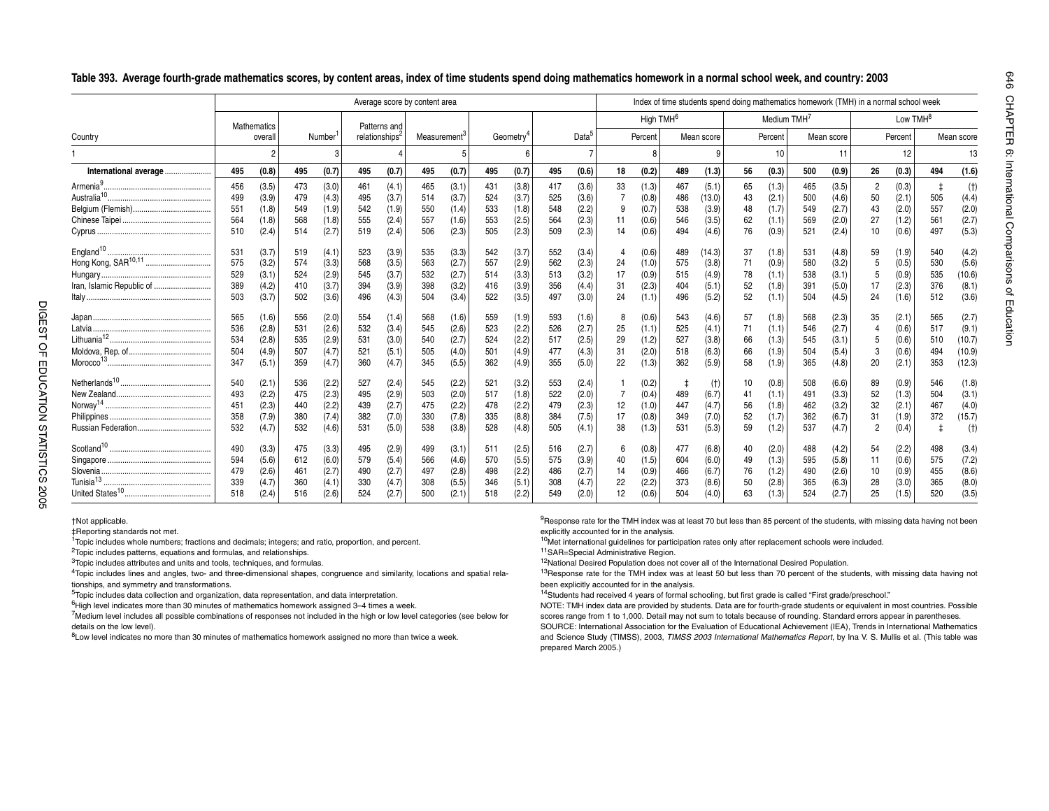|                           |                                                             |                                                                               |                                                             |                                                                               |                                                             |                                                                               | Average score by content area                               |                                                                               |                                                             |                                                                               |                                                             |                                                                               |                                   |                                                                               |                                                             |                                                                                 |                                                     |                                                                               |                                                             |                                                                               | Index of time students spend doing mathematics homework (TMH) in a normal school week |                                                                               |                                                      |                                                                              |
|---------------------------|-------------------------------------------------------------|-------------------------------------------------------------------------------|-------------------------------------------------------------|-------------------------------------------------------------------------------|-------------------------------------------------------------|-------------------------------------------------------------------------------|-------------------------------------------------------------|-------------------------------------------------------------------------------|-------------------------------------------------------------|-------------------------------------------------------------------------------|-------------------------------------------------------------|-------------------------------------------------------------------------------|-----------------------------------|-------------------------------------------------------------------------------|-------------------------------------------------------------|---------------------------------------------------------------------------------|-----------------------------------------------------|-------------------------------------------------------------------------------|-------------------------------------------------------------|-------------------------------------------------------------------------------|---------------------------------------------------------------------------------------|-------------------------------------------------------------------------------|------------------------------------------------------|------------------------------------------------------------------------------|
|                           |                                                             | <b>Mathematics</b>                                                            |                                                             |                                                                               |                                                             | Patterns and                                                                  |                                                             |                                                                               |                                                             |                                                                               |                                                             |                                                                               |                                   | High $TMH6$                                                                   |                                                             |                                                                                 |                                                     | Medium TMH <sup>7</sup>                                                       |                                                             |                                                                               |                                                                                       | Low TMH <sup>8</sup>                                                          |                                                      |                                                                              |
| Country                   |                                                             | overall                                                                       |                                                             | Number                                                                        |                                                             | relationships <sup>2</sup>                                                    | Measurement <sup>-</sup>                                    |                                                                               |                                                             | Geometry <sup>4</sup>                                                         |                                                             | Data                                                                          |                                   | Percent                                                                       |                                                             | Mean score                                                                      |                                                     | Percent                                                                       |                                                             | Mean score                                                                    |                                                                                       | Percent                                                                       |                                                      | Mean score                                                                   |
|                           |                                                             |                                                                               |                                                             |                                                                               |                                                             |                                                                               |                                                             |                                                                               |                                                             |                                                                               |                                                             |                                                                               |                                   | 8                                                                             |                                                             |                                                                                 |                                                     | 10                                                                            |                                                             | 11                                                                            |                                                                                       | 12                                                                            |                                                      | 13                                                                           |
| International average     | 495                                                         | (0.8)                                                                         | 495                                                         | (0.7)                                                                         | 495                                                         | (0.7)                                                                         | 495                                                         | (0.7)                                                                         | 495                                                         | (0.7)                                                                         | 495                                                         | (0.6)                                                                         | 18                                | (0.2)                                                                         | 489                                                         | (1.3)                                                                           | 56                                                  | (0.3)                                                                         | 500                                                         | (0.9)                                                                         | 26                                                                                    | (0.3)                                                                         | 494                                                  | (1.6)                                                                        |
| Iran, Islamic Republic of | 456<br>499<br>551<br>564<br>510<br>531<br>575<br>529<br>389 | (3.5)<br>(3.9)<br>(1.8)<br>(1.8)<br>(2.4)<br>(3.7)<br>(3.2)<br>(3.1)<br>(4.2) | 473<br>479<br>549<br>568<br>514<br>519<br>574<br>524<br>410 | (3.0)<br>(4.3)<br>(1.9)<br>(1.8)<br>(2.7)<br>(4.1)<br>(3.3)<br>(2.9)<br>(3.7) | 461<br>495<br>542<br>555<br>519<br>523<br>568<br>545<br>394 | (4.1)<br>(3.7)<br>(1.9)<br>(2.4)<br>(2.4)<br>(3.9)<br>(3.5)<br>(3.7)<br>(3.9) | 465<br>514<br>550<br>557<br>506<br>535<br>563<br>532<br>398 | (3.1)<br>(3.7)<br>(1.4)<br>(1.6)<br>(2.3)<br>(3.3)<br>(2.7)<br>(2.7)<br>(3.2) | 431<br>524<br>533<br>553<br>505<br>542<br>557<br>514<br>416 | (3.8)<br>(3.7)<br>(1.8)<br>(2.5)<br>(2.3)<br>(3.7)<br>(2.9)<br>(3.3)<br>(3.9) | 417<br>525<br>548<br>564<br>509<br>552<br>562<br>513<br>356 | (3.6)<br>(3.6)<br>(2.2)<br>(2.3)<br>(2.3)<br>(3.4)<br>(2.3)<br>(3.2)<br>(4.4) | 33<br>-11<br>14<br>24<br>17<br>31 | (1.3)<br>(0.8)<br>(0.7)<br>(0.6)<br>(0.6)<br>(0.6)<br>(1.0)<br>(0.9)<br>(2.3) | 467<br>486<br>538<br>546<br>494<br>489<br>575<br>515<br>404 | (5.1)<br>(13.0)<br>(3.9)<br>(3.5)<br>(4.6)<br>(14.3)<br>(3.8)<br>(4.9)<br>(5.1) | 65<br>43<br>48<br>62<br>76<br>-37<br>71<br>78<br>52 | (1.3)<br>(2.1)<br>(1.7)<br>(1.1)<br>(0.9)<br>(1.8)<br>(0.9)<br>(1.1)<br>(1.8) | 465<br>500<br>549<br>569<br>521<br>531<br>580<br>538<br>391 | (3.5)<br>(4.6)<br>(2.7)<br>(2.0)<br>(2.4)<br>(4.8)<br>(3.2)<br>(3.1)<br>(5.0) | 2<br>50<br>43<br>27<br>10<br>59<br>5<br>17                                            | (0.3)<br>(2.1)<br>(2.0)<br>(1.2)<br>(0.6)<br>(1.9)<br>(0.5)<br>(0.9)<br>(2.3) | 505<br>557<br>561<br>497<br>540<br>530<br>535<br>376 | (t)<br>(4.4)<br>(2.0)<br>(2.7)<br>(5.3)<br>(4.2)<br>(5.6)<br>(10.6)<br>(8.1) |
|                           | 503<br>565<br>536<br>534<br>504<br>347<br>540               | (3.7)<br>(1.6)<br>(2.8)<br>(2.8)<br>(4.9)<br>(5.1)<br>(2.1)                   | 502<br>556<br>531<br>535<br>507<br>359<br>536               | (3.6)<br>(2.0)<br>(2.6)<br>(2.9)<br>(4.7)<br>(4.7)<br>(2.2)                   | 496<br>554<br>532<br>531<br>521<br>360<br>527               | (4.3)<br>(1.4)<br>(3.4)<br>(3.0)<br>(5.1)<br>(4.7)<br>(2.4)                   | 504<br>568<br>545<br>540<br>505<br>345<br>545               | (3.4)<br>(1.6)<br>(2.6)<br>(2.7)<br>(4.0)<br>(5.5)<br>(2.2)                   | 522<br>559<br>523<br>524<br>501<br>362<br>521               | (3.5)<br>(1.9)<br>(2.2)<br>(2.2)<br>(4.9)<br>(4.9)<br>(3.2)                   | 497<br>593<br>526<br>517<br>477<br>355<br>553               | (3.0)<br>(1.6)<br>(2.7)<br>(2.5)<br>(4.3)<br>(5.0)<br>(2.4)                   | 24<br>8<br>25<br>29<br>31<br>22   | (1.1)<br>(0.6)<br>(1.1)<br>(1.2)<br>(2.0)<br>(1.3)<br>(0.2)                   | 496<br>543<br>525<br>527<br>518<br>362                      | (5.2)<br>(4.6)<br>(4.1)<br>(3.8)<br>(6.3)<br>(5.9)<br>(t)                       | 52<br>51<br>71<br>66<br>66<br>58<br>10              | (1.1)<br>(1.8)<br>(1.1)<br>(1.3)<br>(1.9)<br>(1.9)<br>(0.8)                   | 504<br>568<br>546<br>545<br>504<br>365<br>508               | (4.5)<br>(2.3)<br>(2.7)<br>(3.1)<br>(5.4)<br>(4.8)<br>(6.6)                   | 24<br>35<br>5<br>3<br>20<br>89                                                        | (1.6)<br>(2.1)<br>(0.6)<br>(0.6)<br>(0.6)<br>(2.1)<br>(0.9)                   | 512<br>565<br>517<br>510<br>494<br>353<br>546        | (3.6)<br>(2.7)<br>(9.1)<br>(10.7)<br>(10.9)<br>(12.3)<br>(1.8)               |
|                           | 493<br>451<br>358<br>532<br>490                             | (2.2)<br>(2.3)<br>(7.9)<br>(4.7)<br>(3.3)                                     | 475<br>440<br>380<br>532<br>475                             | (2.3)<br>(2.2)<br>(7.4)<br>(4.6)<br>(3.3)                                     | 495<br>439<br>382<br>531<br>495                             | (2.9)<br>(2.7)<br>(7.0)<br>(5.0)<br>(2.9)                                     | 503<br>475<br>330<br>538<br>499                             | (2.0)<br>(2.2)<br>(7.8)<br>(3.8)<br>(3.1)                                     | 517<br>478<br>335<br>528<br>511                             | (1.8)<br>(2.2)<br>(8.8)<br>(4.8)<br>(2.5)                                     | 522<br>479<br>384<br>505<br>516                             | (2.0)<br>(2.3)<br>(7.5)<br>(4.1)<br>(2.7)                                     | 12<br>17<br>38                    | (0.4)<br>(1.0)<br>(0.8)<br>(1.3)<br>(0.8)                                     | 489<br>447<br>349<br>531<br>477                             | (6.7)<br>(4.7)<br>(7.0)<br>(5.3)<br>(6.8)                                       | 41<br>56<br>52<br>59<br>40                          | (1.1)<br>(1.8)<br>(1.7)<br>(1.2)<br>(2.0)                                     | 491<br>462<br>362<br>537<br>488                             | (3.3)<br>(3.2)<br>(6.7)<br>(4.7)<br>(4.2)                                     | 52<br>32<br>31<br>2<br>54                                                             | (1.3)<br>(2.1)<br>(1.9)<br>(0.4)<br>(2.2)                                     | 504<br>467<br>372<br>498                             | (3.1)<br>(4.0)<br>(15.7)<br>(t)<br>(3.4)                                     |

Singapore ................................................. 594 (5.6) 612 (6.0) 579 (5.4) 566 (4.6) 570 (5.5) 575 (3.9) 40 (1.5) 604 (6.0) 49 (1.3) 595 (5.8) 11 (0.6) 575 (7.2) Slovenia.................................................... 479 (2.6) 461 (2.7) 490 (2.7) 497 (2.8) 498 (2.2) 486 (2.7) 14 (0.9) 466 (6.7) 76 (1.2) 490 (2.6) 10 (0.9) 455 (8.6) Tunisia<sup>13</sup> ................................................... <sup>339</sup> (4.7) <sup>360</sup> (4.1) <sup>330</sup> (4.7) <sup>308</sup> (5.5) <sup>346</sup> (5.1) <sup>308</sup> (4.7) <sup>22</sup> (2.2) <sup>373</sup> (8.6) <sup>50</sup> (2.8) <sup>365</sup> (6.3) <sup>28</sup> (3.0) <sup>365</sup> (8.0) United States10......................................... <sup>518</sup> (2.4) <sup>516</sup> (2.6) <sup>524</sup> (2.7) <sup>500</sup> (2.1) <sup>518</sup> (2.2) <sup>549</sup> (2.0) <sup>12</sup> (0.6) <sup>504</sup> (4.0) <sup>63</sup> (1.3) <sup>524</sup> (2.7) <sup>25</sup> (1.5) <sup>520</sup> (3.5)

#### **Table 393. Average fourth-grade mathematics scores, by content areas, index of time students spend doing mathematics homework in a normal school week, and country: 2003**

†Not applicable.

‡Reporting standards not met.

<sup>1</sup>Topic includes whole numbers; fractions and decimals; integers; and ratio, proportion, and percent.

<sup>2</sup>Topic includes patterns, equations and formulas, and relationships.

<sup>3</sup>Topic includes attributes and units and tools, techniques, and formulas.

4Topic includes lines and angles, two- and three-dimensional shapes, congruence and similarity, locations and spatial relationships, and symmetry and transformations.

5Topic includes data collection and organization, data representation, and data interpretation.

<sup>6</sup>High level indicates more than 30 minutes of mathematics homework assigned 3-4 times a week.

<sup>7</sup>Medium level includes all possible combinations of responses not included in the high or low level categories (see below for details on the low level).

8Low level indicates no more than 30 minutes of mathematics homework assigned no more than twice a week.

<sup>9</sup>Response rate for the TMH index was at least 70 but less than 85 percent of the students, with missing data having not been explicitly accounted for in the analysis.

<sup>10</sup>Met international guidelines for participation rates only after replacement schools were included.

11SAR=Special Administrative Region.

<sup>12</sup>National Desired Population does not cover all of the International Desired Population.

<sup>13</sup>Response rate for the TMH index was at least 50 but less than 70 percent of the students, with missing data having not been explicitly accounted for in the analysis.

14Students had received 4 years of formal schooling, but first grade is called "First grade/preschool."

NOTE: TMH index data are provided by students. Data are for fourth-grade students or equivalent in most countries. Possible scores range from 1 to 1,000. Detail may not sum to totals because of rounding. Standard errors appear in parentheses. SOURCE: International Association for the Evaluation of Educational Achievement (IEA), Trends in International Mathematics

and Science Study (TIMSS), 2003, *TIMSS 2003 International Mathematics Report*, by Ina V. S. Mullis et al. (This table was prepared March 2005.)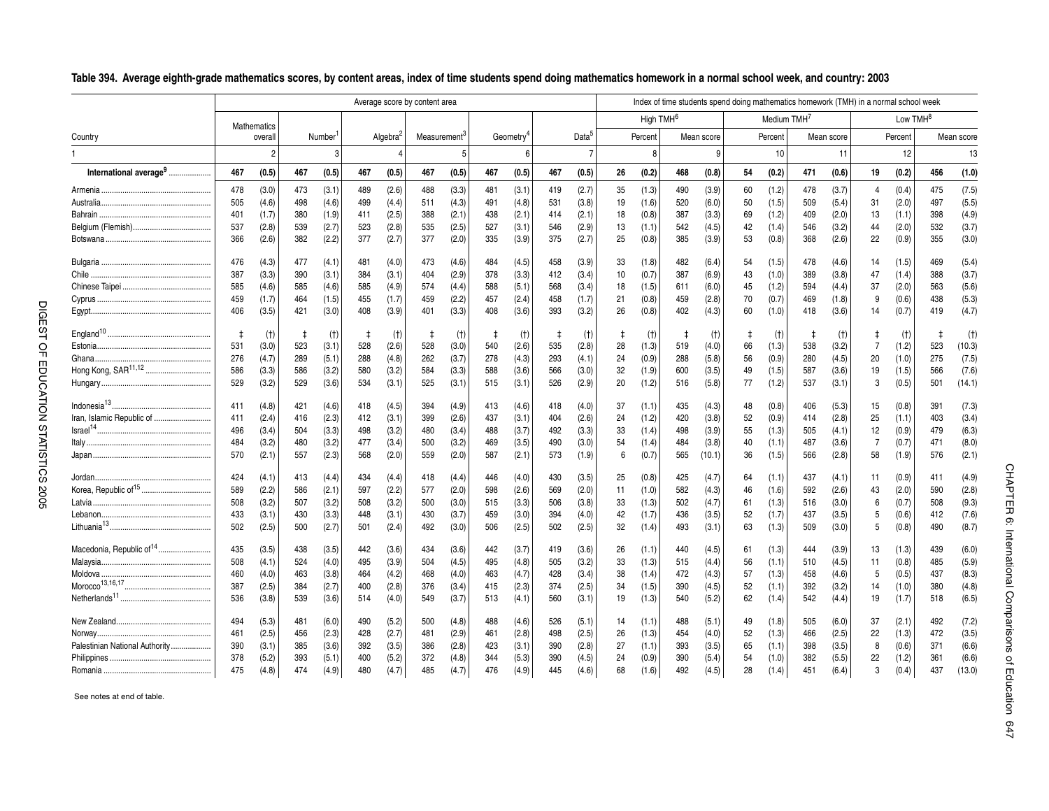Table 504. Average eighth-grade mathematics scores, by correlations and east of the students by correlations of the context of the students of the students of the context of the students of the context of the students of Lebanon.................................................... 433 (3.1) 430 (3.3) 448 (3.1) 430 (3.7) 459 (3.0) 394 (4.0) 42 (1.7) 436 (3.5) 52 (1.7) 437 (3.5) 5 (0.6) 412 (7.6) Lithuania13................................................ <sup>502</sup> (2.5) <sup>500</sup> (2.7) <sup>501</sup> (2.4) <sup>492</sup> (3.0) <sup>506</sup> (2.5) <sup>502</sup> (2.5) <sup>32</sup> (1.4) <sup>493</sup> (3.1) <sup>63</sup> (1.3) <sup>509</sup> (3.0) <sup>5</sup> (0.8) <sup>490</sup> (8.7) Macedonia, Republic of<sup>14</sup> ......................... <sup>435</sup> (3.5) <sup>438</sup> (3.5) <sup>442</sup> (3.6) <sup>434</sup> (3.6) <sup>442</sup> (3.7) <sup>419</sup> (3.6) <sup>26</sup> (1.1) <sup>440</sup> (4.5) <sup>61</sup> (1.3) <sup>444</sup> (3.9) <sup>13</sup> (1.3) <sup>439</sup> (6.0) Malaysia.................................................... 508 (4.1) 524 (4.0) 495 (3.9) 504 (4.5) 495 (4.8) 505 (3.2) 33 (1.3) 515 (4.4) 56 (1.1) 510 (4.5) 11 (0.8) 485 (5.9) Moldova .................................................... 460 (4.0) 463 (3.8) 464 (4.2) 468 (4.0) 463 (4.7) 428 (3.4) 38 (1.4) 472 (4.3) 57 (1.3) 458 (4.6) 5 (0.5) 437 (8.3) Morocco13,16,17......................................... <sup>387</sup> (2.5) <sup>384</sup> (2.7) <sup>400</sup> (2.8) <sup>376</sup> (3.4) <sup>415</sup> (2.3) <sup>374</sup> (2.5) <sup>34</sup> (1.5) <sup>390</sup> (4.5) <sup>52</sup> (1.1) <sup>392</sup> (3.2) <sup>14</sup> (1.0) <sup>380</sup> (4.8) Netherlands<sup>11</sup> ........................................... <sup>536</sup> (3.8) <sup>539</sup> (3.6) <sup>514</sup> (4.0) <sup>549</sup> (3.7) <sup>513</sup> (4.1) <sup>560</sup> (3.1) <sup>19</sup> (1.3) <sup>540</sup> (5.2) <sup>62</sup> (1.4) <sup>542</sup> (4.4) <sup>19</sup> (1.7) <sup>518</sup> (6.5) New Zealand............................................. 494 (5.3) 481 (6.0) 490 (5.2) 500 (4.8) 488 (4.6) 526 (5.1) 14 (1.1) 488 (5.1) 49 (1.8) 505 (6.0) 37 (2.1) 492 (7.2) Norway...................................................... 461 (2.5) 456 (2.3) 428 (2.7) 481 (2.9) 461 (2.8) 498 (2.5) 26 (1.3) 454 (4.0) 52 (1.3) 466 (2.5) 22 (1.3) 472 (3.5) Palestinian National Authority................... 390 (3.1) 385 (3.6) 392 (3.5) 386 (2.8) 423 (3.1) 390 (2.8) 27 (1.1) 393 (3.5) 65 (1.1) 398 (3.5) 8 (0.6) 371 (6.6) Philippines ................................................ 378 (5.2) 393 (5.1) 400 (5.2) 372 (4.8) 344 (5.3) 390 (4.5) 24 (0.9) 390 (5.4) 54 (1.0) 382 (5.5) 22 (1.2) 361 (6.6) Romania ................................................... 475 (4.8) 474 (4.9) 480 (4.7) 485 (4.7) 476 (4.9) 445 (4.6) 68 (1.6) 492 (4.5) 28 (1.4) 451 (6.4) 3 (0.4) 437 (13.0)

See notes at end of table.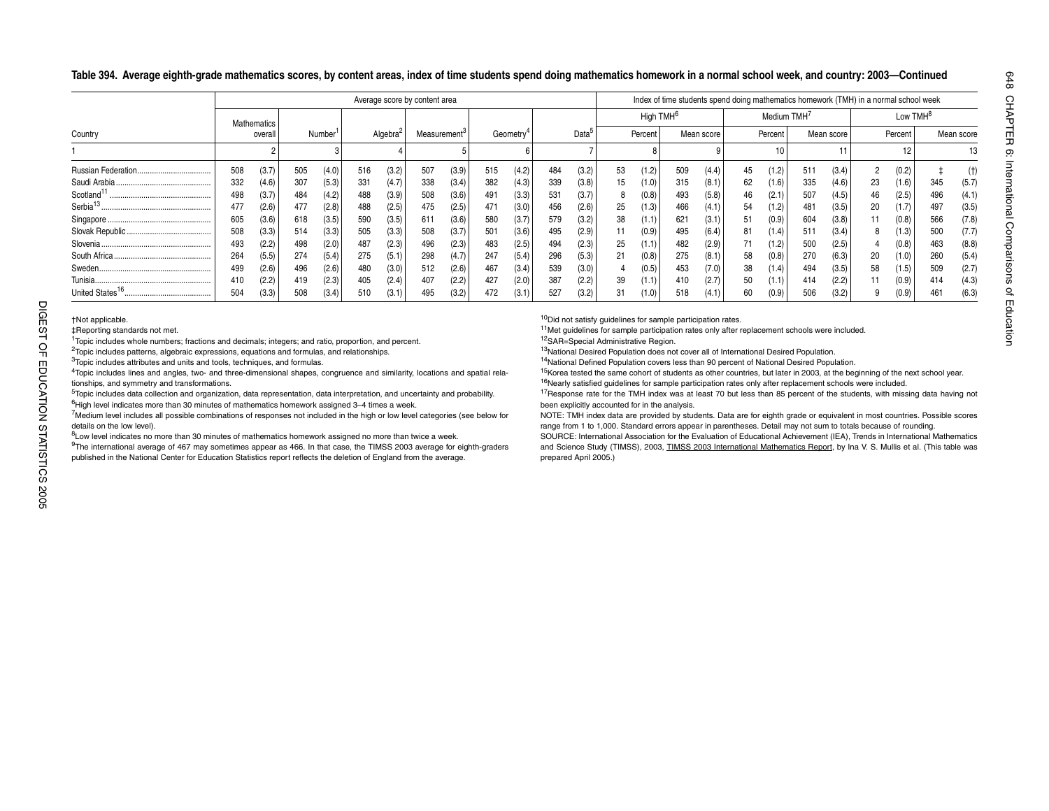**Table 394. Average eighth-grade mathematics scores, by content areas, index of time students spend doing mathematics homework in a normal school week, and country: 2003—Continued**

|                         |     |             |     |                     |     |                      | Average score by content area |                          |     |                       |     |                   |    |                       |     |            |    |                         | Index of time students spend doing mathematics homework (TMH) in a normal school week |            |    |                      |     |            |
|-------------------------|-----|-------------|-----|---------------------|-----|----------------------|-------------------------------|--------------------------|-----|-----------------------|-----|-------------------|----|-----------------------|-----|------------|----|-------------------------|---------------------------------------------------------------------------------------|------------|----|----------------------|-----|------------|
|                         |     | Mathematics |     |                     |     |                      |                               |                          |     |                       |     |                   |    | High TMH <sup>6</sup> |     |            |    | Medium TMH <sup>'</sup> |                                                                                       |            |    | Low TMH <sup>8</sup> |     |            |
| Country                 |     | overall     |     | Number <sup>1</sup> |     | Algebra <sup>2</sup> |                               | Measurement <sup>o</sup> |     | Geometry <sup>®</sup> |     | Data <sup>5</sup> |    | Percent               |     | Mean score |    | Percent                 |                                                                                       | Mean score |    | Percent              |     | Mean score |
|                         |     |             |     |                     |     |                      |                               |                          |     |                       |     |                   |    |                       |     |            |    | 10                      |                                                                                       |            |    |                      |     |            |
| Russian Federation.<br> | 508 | (3.7)       | 505 | (4.0)               | 516 | (3.2)                | 507                           | (3.9)                    | 515 | (4.2)                 | 484 | (3.2)             | 53 | (1.2)                 | 509 | (4.4)      | 45 | 1.2)                    | $51^{\circ}$                                                                          | (3.4)      |    | (0.2)                |     | (t)        |
| Saudi Arabia.           | 332 | (4.6)       | 307 | (5.3)               | 331 | (4.7)                | 338                           | (3.4)                    | 382 | (4.3)                 | 339 | (3.8)             | 15 | (1.0)                 | 315 | (8.1)      | 62 | (1.6)                   | 335                                                                                   | (4.6)      | 23 | (1.6)                | 345 | (5.7)      |
| Scotland <sup>1</sup>   | 498 | (3.7)       | 484 | (4.2)               | 488 | (3.9)                | 508                           | (3.6)                    | 491 | (3.3)                 | 531 | (3.7)             | 8  | (0.8)                 | 493 | (5.8)      | 46 | (2.1)                   | 507                                                                                   | (4.5)      | 46 | (2.5)                | 496 | (4.1)      |
| Serbia <sup>13</sup>    | 477 | (2.6)       | 477 | (2.8)               | 488 | (2.5)                | 475                           | (2.5)                    | 471 | (3.0)                 | 456 | (2.6)             | 25 | (1.3)                 | 466 | (4.1)      | 54 | (1.2)                   | 481                                                                                   | (3.5)      | 20 | (1.7)                | 497 | (3.5)      |
|                         | 605 | (3.6)       | 618 | (3.5)               | 590 | (3.5)                | 611                           | (3.6)                    | 580 | (3.7)                 | 579 | (3.2)             | 38 | (1.1)                 | 621 | (3.1)      | 51 | 0.9                     | 604                                                                                   | (3.8)      |    | (0.8)                | 566 | (7.8)      |
|                         | 508 | (3.3)       | 514 | (3.3)               | 505 | (3.3)                | 508                           | (3.7)                    | 501 | (3.6)                 | 495 | (2.9)             |    | (0.9)                 | 495 | (6.4)      | 81 | 1.4)                    | 51'                                                                                   | (3.4)      |    | (1.3)                | 500 | (7.7)      |
|                         | 493 | (2.2)       | 498 | (2.0)               | 487 | (2.3)                | 496                           | (2.3)                    | 483 | (2.5)                 | 494 | (2.3)             | 25 | (1.1)                 | 482 | (2.9)      |    | 1.2)                    | 500                                                                                   | (2.5)      |    | (0.8)                | 463 | (8.8)      |
|                         | 264 | (5.5)       | 274 | (5.4)               | 275 | (5.1)                | 298                           | (4.7)                    | 247 | (5.4)                 | 296 | (5.3)             | 21 | (0.8)                 | 275 | (8.1)      | 58 | (0.8)                   | 270                                                                                   | (6.3)      | 20 | (1.0)                | 260 | (5.4)      |
|                         | 499 | (2.6)       | 496 | (2.6)               | 480 | (3.0)                | 512                           | (2.6)                    | 467 | (3.4)                 | 539 | (3.0)             |    | (0.5)                 | 453 | (7.0)      | 38 | (1.4)                   | 494                                                                                   | (3.5)      | 58 | (1.5)                | 509 | (2.7)      |
|                         | 410 | (2.2)       | 419 | (2.3)               | 405 | (2.4)                | 407                           | (2.2)                    | 427 | (2.0)                 | 387 | (2.2)             | 39 | (1.1)                 | 410 | (2.7)      | 50 | (1.1)                   | 414                                                                                   | (2.2)      |    | (0.9)                | 414 | (4.3)      |
|                         | 504 | (3.3)       |     | (3.4)               | 510 | (3.1)                | 495                           | (3.2)                    | 472 | (3.1                  | 527 | (3.2)             | 31 | (1.0)                 | 518 | (4.1'      | 60 | (0.9)                   | 506                                                                                   | (3.2)      |    | (0.9)                | 461 | (6.3)      |

1Topic includes whole numbers; fractions and decimals; integers; and ratio, proportion, and percent.

<sup>2</sup>Topic includes patterns, algebraic expressions, equations and formulas, and relationships.

<sup>3</sup>Topic includes attributes and units and tools, techniques, and formulas.

4Topic includes lines and angles, two- and three-dimensional shapes, congruence and similarity, locations and spatial relationships, and symmetry and transformations.

<sup>5</sup>Topic includes data collection and organization, data representation, data interpretation, and uncertainty and probability. <sup>6</sup>High level indicates more than 30 minutes of mathematics homework assigned 3-4 times a week.

7Medium level includes all possible combinations of responses not included in the high or low level categories (see below for details on the low level).

8Low level indicates no more than 30 minutes of mathematics homework assigned no more than twice a week.

DIGEST That applicable.<br>
The applicable.<br>
<sup>1</sup>Topic includes whole number<br>
<sup>2</sup>Topic includes attributes and<br>
<sup>4</sup>Topic includes attributes and<br>
<sup>4</sup>Topic includes lines and angl<br>
tionships, and symmetry and the Topic includes 9The international average of 467 may sometimes appear as 466. In that case, the TIMSS 2003 average for eighth-graders published in the National Center for Education Statistics report reflects the deletion of England from the average.

<sup>10</sup>Did not satisfy guidelines for sample participation rates.

<sup>11</sup>Met guidelines for sample participation rates only after replacement schools were included.

12SAR=Special Administrative Region.

13National Desired Population does not cover all of International Desired Population.

14National Defined Population covers less than 90 percent of National Desired Population.

<sup>15</sup>Korea tested the same cohort of students as other countries, but later in 2003, at the beginning of the next school year. <sup>16</sup>Nearly satisfied guidelines for sample participation rates only after replacement schools were included.

<sup>17</sup>Response rate for the TMH index was at least 70 but less than 85 percent of the students, with missing data having not been explicitly accounted for in the analysis.

NOTE: TMH index data are provided by students. Data are for eighth grade or equivalent in most countries. Possible scores range from 1 to 1,000. Standard errors appear in parentheses. Detail may not sum to totals because of rounding.

SOURCE: International Association for the Evaluation of Educational Achievement (IEA), Trends in International Mathematics and Science Study (TIMSS), 2003, TIMSS 2003 International Mathematics Report, by Ina V. S. Mullis et al. (This table was prepared April 2005.)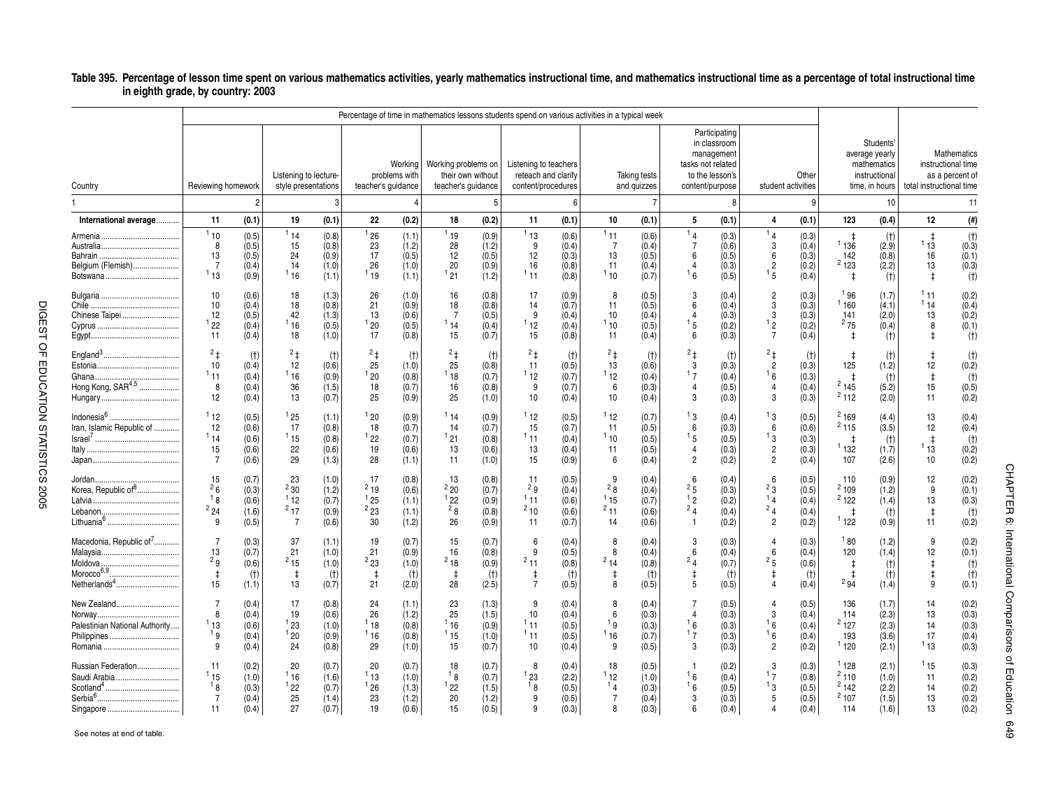#### \_**Table 395. Percentage of lesson time spent on various mathematics activities, yearly mathematics instructional time, and mathematics instructional time as a percentage of total instructional time in eighth grade, by country: 2003**

|                                                                 |                                                |                                           |                                                 |                                           |                                          |                                           | Percentage of time in mathematics lessons students spend on various activities in a typical week |                                           |                                                                    |                                           |                                        |                                           |                                                                |                                                                                                        |                                                                     |                                           |                                                   |                                                                               |                                             |                                                      |
|-----------------------------------------------------------------|------------------------------------------------|-------------------------------------------|-------------------------------------------------|-------------------------------------------|------------------------------------------|-------------------------------------------|--------------------------------------------------------------------------------------------------|-------------------------------------------|--------------------------------------------------------------------|-------------------------------------------|----------------------------------------|-------------------------------------------|----------------------------------------------------------------|--------------------------------------------------------------------------------------------------------|---------------------------------------------------------------------|-------------------------------------------|---------------------------------------------------|-------------------------------------------------------------------------------|---------------------------------------------|------------------------------------------------------|
| Country                                                         | Reviewing homework                             |                                           | Listening to lecture-<br>style presentations    |                                           | teacher's quidance                       | Working<br>problems with                  | Working problems on<br>teacher's quidance                                                        | their own without                         | Listening to teachers<br>reteach and clarify<br>content/procedures |                                           |                                        | Taking tests<br>and quizzes               |                                                                | Participating<br>in classroom<br>management<br>tasks not related<br>to the lesson's<br>content/purpose |                                                                     | Other<br>student activities               |                                                   | Students'<br>average yearly<br>mathematics<br>instructional<br>time, in hours | total instructional time                    | Mathematics<br>instructional time<br>as a percent of |
|                                                                 |                                                | $\overline{2}$                            |                                                 | 3                                         |                                          | 4                                         |                                                                                                  | 5                                         |                                                                    | 6                                         |                                        | $\overline{7}$                            |                                                                | 8                                                                                                      |                                                                     | 9                                         |                                                   | 10                                                                            |                                             | 11                                                   |
| International average                                           | 11                                             | (0.1)                                     | 19                                              | (0.1)                                     | 22                                       | (0.2)                                     | 18                                                                                               | (0.2)                                     | 11                                                                 | (0.1)                                     | 10                                     | (0.1)                                     | 5                                                              | (0.1)                                                                                                  | 4                                                                   | (0.1)                                     | 123                                               | (0.4)                                                                         | 12                                          | $(\#)$                                               |
| Belgium (Flemish)                                               | 110<br>8<br>13<br>$\overline{7}$<br>113        | (0.5)<br>(0.5)<br>(0.5)<br>(0.4)<br>(0.9) | 114<br>15<br>24<br>14<br>116                    | (0.8)<br>(0.8)<br>(0.9)<br>(1.0)<br>(1.1) | 26<br>23<br>17<br>26<br><sup>1</sup> 19  | (1.1)<br>(1.2)<br>(0.5)<br>(1.0)<br>(1.1) | 119<br>28<br>12<br>20<br>121                                                                     | (0.9)<br>(1.2)<br>(0.5)<br>(0.9)<br>(1.2) | 113<br>9<br>12<br>16<br>111                                        | (0.6)<br>(0.4)<br>(0.3)<br>(0.8)<br>(0.8) | 111<br>7<br>13<br>11<br>110            | (0.6)<br>(0.4)<br>(0.5)<br>(0.4)<br>(0.7) | $^{1}$ 4<br>$\overline{7}$<br>6<br>$\overline{4}$<br>16        | (0.3)<br>(0.6)<br>(0.5)<br>(0.3)<br>(0.5)                                                              | 14<br>3<br>6<br>$\overline{2}$<br>1 <sub>5</sub>                    | (0.3)<br>(0.4)<br>(0.3)<br>(0.2)<br>(0.4) | ŧ<br>1136<br>142<br>$2^{123}$<br>$\ddagger$       | (t)<br>(2.9)<br>(0.8)<br>(2.2)<br>(t)                                         | $\ddagger$<br>113<br>16<br>13<br>$\ddagger$ | (t)<br>(0.3)<br>(0.1)<br>(0.3)<br>(t)                |
| Chinese Taipei                                                  | 10<br>10<br>12<br>122<br>11                    | (0.6)<br>(0.4)<br>(0.5)<br>(0.4)<br>(0.4) | 18<br>18<br>42<br>116<br>18                     | (1.3)<br>(0.8)<br>(1.3)<br>(0.5)<br>(1.0) | 26<br>21<br>13<br>20<br>17               | (1.0)<br>(0.9)<br>(0.6)<br>(0.5)<br>(0.8) | 16<br>18<br>$\overline{7}$<br>114<br>15                                                          | (0.8)<br>(0.8)<br>(0.5)<br>(0.4)<br>(0.7) | 17<br>14<br>9<br>112<br>15                                         | (0.9)<br>(0.7)<br>(0.4)<br>(0.4)<br>(0.8) | 8<br>11<br>10<br>110<br>11             | (0.5)<br>(0.5)<br>(0.4)<br>(0.5)<br>(0.4) | 3<br>6<br>$\overline{4}$<br>$1\,5$<br>6                        | (0.4)<br>(0.4)<br>(0.3)<br>(0.2)<br>(0.3)                                                              | $\overline{2}$<br>3<br>3<br><sup>1</sup> 2<br>$\overline{7}$        | (0.3)<br>(0.3)<br>(0.3)<br>(0.2)<br>(0.4) | 196<br>1160<br>141<br>275<br>$\ddagger$           | (1.7)<br>(4.1)<br>(2.0)<br>(0.4)<br>(t)                                       | 111<br>114<br>13<br>8<br>ŧ                  | (0.2)<br>(0.4)<br>(0.2)<br>(0.1)<br>(t)              |
| Hong Kong, SAR <sup>4,5</sup>                                   | $^{2}$ ‡<br>10<br>111<br>8<br>12               | $(+)$<br>(0.4)<br>(0.4)<br>(0.4)<br>(0.4) | $^{2}$ ‡<br>12<br>116<br>36<br>13               | (t)<br>(0.6)<br>(0.9)<br>(1.5)<br>(0.7)   | $^{2}$ ‡<br>25<br>120<br>18<br>25        | (t)<br>(1.0)<br>(0.8)<br>(0.7)<br>(0.9)   | $^{2}$ ‡<br>25<br>$1_{18}$<br>16<br>25                                                           | (t)<br>(0.8)<br>(0.7)<br>(0.8)<br>(1.0)   | $^{2}$ ‡<br>11<br>112<br>9<br>10                                   | (t)<br>(0.5)<br>(0.7)<br>(0.7)<br>(0.4)   | $^{2}$ ‡<br>13<br>112<br>6<br>10       | (t)<br>(0.6)<br>(0.4)<br>(0.3)<br>(0.4)   | $^{2}$ ‡<br>3<br>17<br>$\overline{4}$<br>3                     | (t)<br>(0.3)<br>(0.4)<br>(0.5)<br>(0.3)                                                                | $^{2}$ ‡<br>$\overline{2}$<br><sup>1</sup> 6<br>$\overline{4}$<br>3 | (t)<br>(0.3)<br>(0.3)<br>(0.4)<br>(0.3)   | $\pm$<br>125<br>$\ddagger$<br>$2^{2}$ 145<br>2112 | (t)<br>(1.2)<br>(t)<br>(5.2)<br>(2.0)                                         | $\pm$<br>12<br>$\ddagger$<br>15<br>11       | (t)<br>(0.2)<br>$(+)$<br>(0.5)<br>(0.2)              |
| Indonesia <sup>6</sup><br>Iran, Islamic Republic of             | 112<br>12<br>114<br>15<br>7                    | (0.5)<br>(0.6)<br>(0.6)<br>(0.6)<br>(0.6) | 125<br>17<br>115<br>22<br>29                    | (1.1)<br>(0.8)<br>(0.8)<br>(0.6)<br>(1.3) | 120<br>18<br>122<br>19<br>28             | (0.9)<br>(0.7)<br>(0.7)<br>(0.6)<br>(1.1) | 114<br>14<br>121<br>13<br>11                                                                     | (0.9)<br>(0.7)<br>(0.8)<br>(0.6)<br>(1.0) | 112<br>15<br>111<br>13<br>15                                       | (0.5)<br>(0.7)<br>(0.4)<br>(0.4)<br>(0.9) | 112<br>11<br>110<br>11<br>6            | (0.7)<br>(0.5)<br>(0.5)<br>(0.5)<br>(0.4) | 1ვ<br>6<br>$^1$ 5<br>$\overline{4}$<br>$\overline{2}$          | (0.4)<br>(0.3)<br>(0.5)<br>(0.3)<br>(0.2)                                                              | 1ვ<br>6<br>1 ვ<br>$\overline{c}$<br>$\mathcal{P}$                   | (0.5)<br>(0.6)<br>(0.3)<br>(0.3)<br>(0.4) | 2169<br>2115<br>t<br>1132<br>107                  | (4.4)<br>(3.5)<br>(t)<br>(1.7)<br>(2.6)                                       | 13<br>12<br>$\pm$<br>113<br>10              | (0.4)<br>(0.4)<br>(t)<br>(0.2)<br>(0.2)              |
| Korea, Republic of <sup>8</sup><br>Lithuania <sup>6</sup>       | 15<br>26<br>18<br>$^{2}$ 24<br>9               | (0.7)<br>(0.3)<br>(0.6)<br>(1.6)<br>(0.5) | 23<br>$^{2}$ 30<br>112<br>217<br>$\overline{7}$ | (1.0)<br>(1.2)<br>(0.7)<br>(0.9)<br>(0.6) | 17<br>$^{2}19$<br>125<br>$^{2}$ 23<br>30 | (0.8)<br>(0.6)<br>(1.1)<br>(1.1)<br>(1.2) | 13<br>$2^{2}20$<br>122<br>$\frac{2}{8}$<br>26                                                    | (0.8)<br>(0.7)<br>(0.9)<br>(0.8)<br>(0.9) | 11<br>2g<br>111<br>210<br>11                                       | (0.5)<br>(0.4)<br>(0.6)<br>(0.6)<br>(0.7) | 9<br>28<br>115<br>$2_{11}$<br>14       | (0.4)<br>(0.4)<br>(0.7)<br>(0.6)<br>(0.6) | 6<br>$2\overline{5}$<br>1 <sub>2</sub><br>2 <sub>4</sub><br>-1 | (0.4)<br>(0.3)<br>(0.2)<br>(0.4)<br>(0.2)                                                              | 6<br>2 <sub>3</sub><br>1 <sub>4</sub><br>24<br>$\overline{2}$       | (0.5)<br>(0.5)<br>(0.4)<br>(0.4)<br>(0.2) | 110<br>2109<br>2122<br>1122                       | (0.9)<br>(1.2)<br>(1.4)<br>(t)<br>(0.9)                                       | 12<br>9<br>13<br>$\pm$<br>11                | (0.2)<br>(0.1)<br>(0.3)<br>(t)<br>(0.2)              |
| Macedonia, Republic of7<br>Moldova.<br>Morocco <sup>6,9</sup> . | $\overline{7}$<br>13<br>2g<br>$\ddagger$<br>15 | (0.3)<br>(0.7)<br>(0.6)<br>(t)<br>(1.1)   | 37<br>21<br>$2^{2}$ 15<br>$\ddagger$<br>13      | (1.1)<br>(1.0)<br>(1.0)<br>(t)<br>(0.7)   | 19<br>21<br>$^{2}$ 23<br>$\pm$<br>21     | (0.7)<br>(0.9)<br>(1.0)<br>(t)<br>(2.0)   | 15<br>16<br>$^{2}$ 18<br>$\ddagger$<br>28                                                        | (0.7)<br>(0.8)<br>(0.9)<br>(t)<br>(2.5)   | 6<br>9<br>$^{2}$ 11<br>$\ddagger$<br>$\overline{7}$                | (0.4)<br>(0.5)<br>(0.8)<br>(t)<br>(0.5)   | 8<br>8<br>$^{2}14$<br>$\ddagger$<br>8  | (0.4)<br>(0.4)<br>(0.8)<br>(t)<br>(0.5)   | 3<br>6<br>$^{2}$ 4<br>$\ddagger$<br>5                          | (0.3)<br>(0.4)<br>(0.7)<br>(t)<br>(0.5)                                                                | 4<br>6<br>25<br>ŧ<br>$\Delta$                                       | (0.3)<br>(0.4)<br>(0.6)<br>(t)<br>(0.4)   | 180<br>120<br>$\pm$<br>ŧ<br>$^{2}94$              | (1.2)<br>(1.4)<br>(t)<br>(t)<br>(1.4)                                         | 9<br>12<br>$\pm$<br>$\ddagger$<br>9         | (0.2)<br>(0.1)<br>(t)<br>(t)<br>(0.1)                |
| New Zealand<br>Palestinian National Authority                   | $\overline{7}$<br>8<br>113<br>19<br>9          | (0.4)<br>(0.4)<br>(0.6)<br>(0.4)<br>(0.4) | 17<br>19<br>$1_{23}$<br>120<br>24               | (0.8)<br>(0.6)<br>(1.0)<br>(0.9)<br>(0.8) | 24<br>26<br>18<br>116<br>29              | (1.1)<br>(1.2)<br>(0.8)<br>(0.8)<br>(1.0) | 23<br>25<br>116<br>115<br>15                                                                     | (1.3)<br>(1.5)<br>(0.9)<br>(1.0)<br>(0.7) | 9<br>10<br>111<br>111<br>10                                        | (0.4)<br>(0.4)<br>(0.5)<br>(0.5)<br>(0.4) | 8<br>6<br>1 <sub>9</sub><br>116<br>9   | (0.4)<br>(0.3)<br>(0.3)<br>(0.7)<br>(0.5) | $\overline{7}$<br>$\overline{4}$<br>16<br>17<br>3              | (0.5)<br>(0.3)<br>(0.3)<br>(0.3)<br>(0.3)                                                              | $\Delta$<br>3<br><sup>1</sup> 6<br>16<br>$\overline{2}$             | (0.5)<br>(0.4)<br>(0.4)<br>(0.4)<br>(0.2) | 136<br>114<br>2127<br>193<br>1120                 | (1.7)<br>(2.3)<br>(2.3)<br>(3.6)<br>(2.1)                                     | 14<br>13<br>14<br>17<br>113                 | (0.2)<br>(0.3)<br>(0.3)<br>(0.4)<br>(0.3)            |
| Russian Federation<br>Saudi Arabia                              | 11<br>115<br>18<br>$\overline{7}$<br>11        | (0.2)<br>(1.0)<br>(0.3)<br>(0.4)<br>(0.4) | 20<br>116<br>122<br>25<br>27                    | (0.7)<br>(1.6)<br>(0.7)<br>(1.4)<br>(0.7) | 20<br><sup>1</sup> 13<br>126<br>23<br>19 | (0.7)<br>(1.0)<br>(1.3)<br>(1.2)<br>(0.6) | 18<br>18<br>122<br>20<br>15                                                                      | (0.7)<br>(0.7)<br>(1.5)<br>(1.2)<br>(0.5) | 8<br>$1_{23}$<br>18<br>9<br>9                                      | (0.4)<br>(2.2)<br>(0.5)<br>(0.5)<br>(0.3) | 18<br>112<br>14<br>$\overline{7}$<br>8 | (0.5)<br>(1.0)<br>(0.3)<br>(0.4)<br>(0.3) | $\overline{1}$<br>16<br><sup>1</sup> 6<br>3<br>6               | (0.2)<br>(0.4)<br>(0.5)<br>(0.3)<br>(0.4)                                                              | 3<br>17<br>$^1$ 3<br>5<br>4                                         | (0.3)<br>(0.8)<br>(0.5)<br>(0.5)<br>(0.4) | 1128<br>2110<br>2142<br>2107<br>114               | (2.1)<br>(1.0)<br>(2.2)<br>(1.5)<br>(1.6)                                     | 115<br>11<br>14<br>13<br>13                 | (0.3)<br>(0.2)<br>(0.2)<br>(0.2)<br>(0.2)            |

See notes at end of table.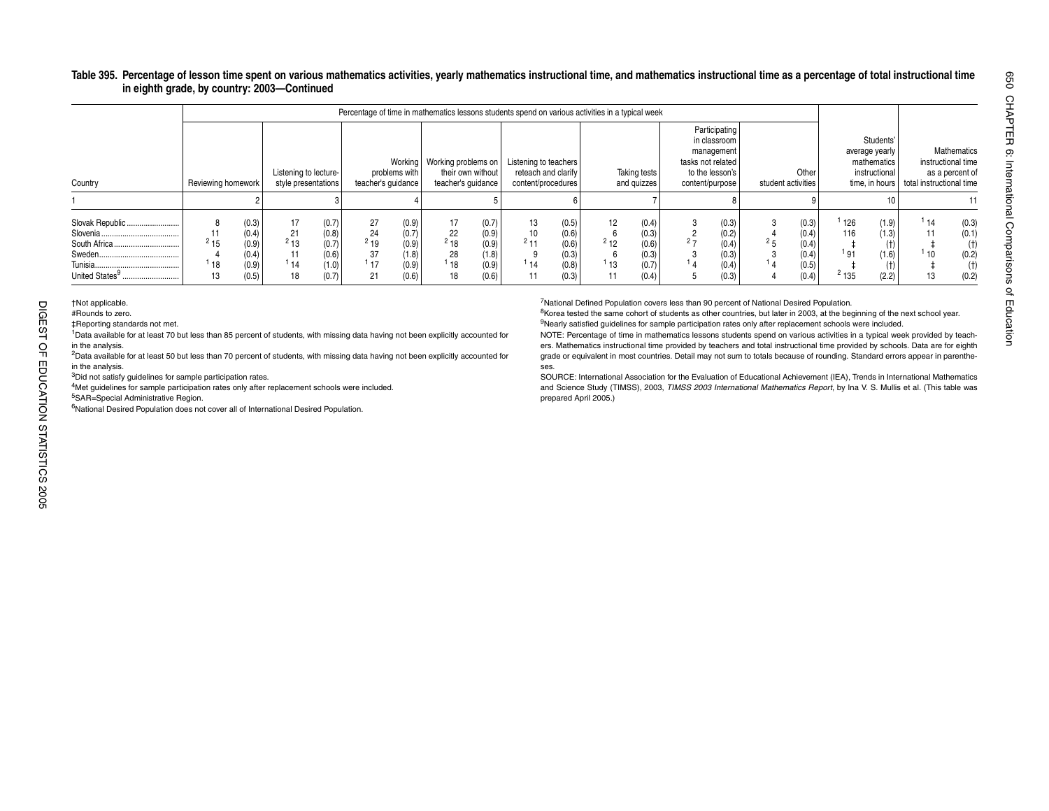#### Table 395. Percentage of lesson time spent on various mathematics activities, yearly mathematics instructional time, and mathematics instructional time as a percentage of total instructional time **in eighth grade, by country: 2003—Continued**

|                                                                   |                    |                                                    |                                              |                                                    |                                  |                                                    |                                                     |                                                    | Percentage of time in mathematics lessons students spend on various activities in a typical week |                                                    |                       |                                                    |                                                                                                        |                                                    |                                             |                                                                                 |                          |                                                      |
|-------------------------------------------------------------------|--------------------|----------------------------------------------------|----------------------------------------------|----------------------------------------------------|----------------------------------|----------------------------------------------------|-----------------------------------------------------|----------------------------------------------------|--------------------------------------------------------------------------------------------------|----------------------------------------------------|-----------------------|----------------------------------------------------|--------------------------------------------------------------------------------------------------------|----------------------------------------------------|---------------------------------------------|---------------------------------------------------------------------------------|--------------------------|------------------------------------------------------|
| Country                                                           | Reviewing homework |                                                    | Listening to lecture-<br>style presentations |                                                    | teacher's quidance               | problems with                                      | Working   Working problems on<br>teacher's quidance | their own without                                  | Listening to teachers<br>reteach and clarify<br>content/procedures                               |                                                    |                       | Taking tests<br>and quizzes                        | Participating<br>in classroom<br>management<br>tasks not related<br>to the lesson's<br>content/purpose | Other<br>student activities                        |                                             | Students'<br>average yearly<br>mathematics<br>instructional I<br>time, in hours | total instructional time | Mathematics<br>instructional time<br>as a percent of |
|                                                                   |                    |                                                    |                                              |                                                    |                                  |                                                    |                                                     |                                                    |                                                                                                  |                                                    |                       |                                                    |                                                                                                        |                                                    |                                             |                                                                                 |                          |                                                      |
| Slovak Republic<br>South Africa<br>United States <sup>9</sup><br> | $^{2}$ 15<br>18    | (0.3)<br>(0.4)<br>(0.9)<br>(0.4)<br>(0.9)<br>(0.5) | 17<br>21<br>$^{2}$ 13<br>11<br>114<br>18     | (0.7)<br>(0.8)<br>(0.7)<br>(0.6)<br>(1.0)<br>(0.7) | 27<br>24<br>$2^{19}$<br>17<br>21 | (0.9)<br>(0.7)<br>(0.9)<br>(1.8)<br>(0.9)<br>(0.6) | 17<br>22<br>$^{2}$ 18<br>28<br>18<br>18             | (0.7)<br>(0.9)<br>(0.9)<br>(1.8)<br>(0.9)<br>(0.6) | 13<br>10<br>$2 + 4$<br>14                                                                        | (0.5)<br>(0.6)<br>(0.6)<br>(0.3)<br>(0.8)<br>(0.3) | 12<br>$2^{2}12$<br>13 | (0.4)<br>(0.3)<br>(0.6)<br>(0.3)<br>(0.7)<br>(0.4) | (0.3)<br>(0.2)<br>(0.4)<br>(0.3)<br>(0.4)<br>(0.3)                                                     | (0.3)<br>(0.4)<br>(0.4)<br>(0.4)<br>(0.5)<br>(0.4) | 126<br>116<br><sup>1</sup> 91<br>$^{2}$ 135 | (1.9)<br>(1.3)<br>(t)<br>(1.6)<br>(2.2)                                         | 114<br>10                | (0.3)<br>(0.1)<br>(t)<br>(0.2)<br>$(+)$<br>(0.2)     |

1Data available for at least 70 but less than 85 percent of students, with missing data having not been explicitly accounted for in the analysis.

<sup>2</sup>Data available for at least 50 but less than 70 percent of students, with missing data having not been explicitly accounted for in the analysis.

<sup>3</sup>Did not satisfy guidelines for sample participation rates.

4Met guidelines for sample participation rates only after replacement schools were included.

5SAR=Special Administrative Region.

<sup>6</sup>National Desired Population does not cover all of International Desired Population.

7National Defined Population covers less than 90 percent of National Desired Population.

<sup>8</sup>Korea tested the same cohort of students as other countries, but later in 2003, at the beginning of the next school year. <sup>9</sup>Nearly satisfied guidelines for sample participation rates only after replacement schools were included.

NOTE: Percentage of time in mathematics lessons students spend on various activities in a typical week provided by teachers. Mathematics instructional time provided by teachers and total instructional time provided by schools. Data are for eighth grade or equivalent in most countries. Detail may not sum to totals because of rounding. Standard errors appear in parentheses.

 SOURCE: International Association for the Evaluation of Educational Achievement (IEA), Trends in International Mathematics and Science Study (TIMSS), 2003, *TIMSS 2003 International Mathematics Report*, by Ina V. S. Mullis et al. (This table was prepared April 2005.)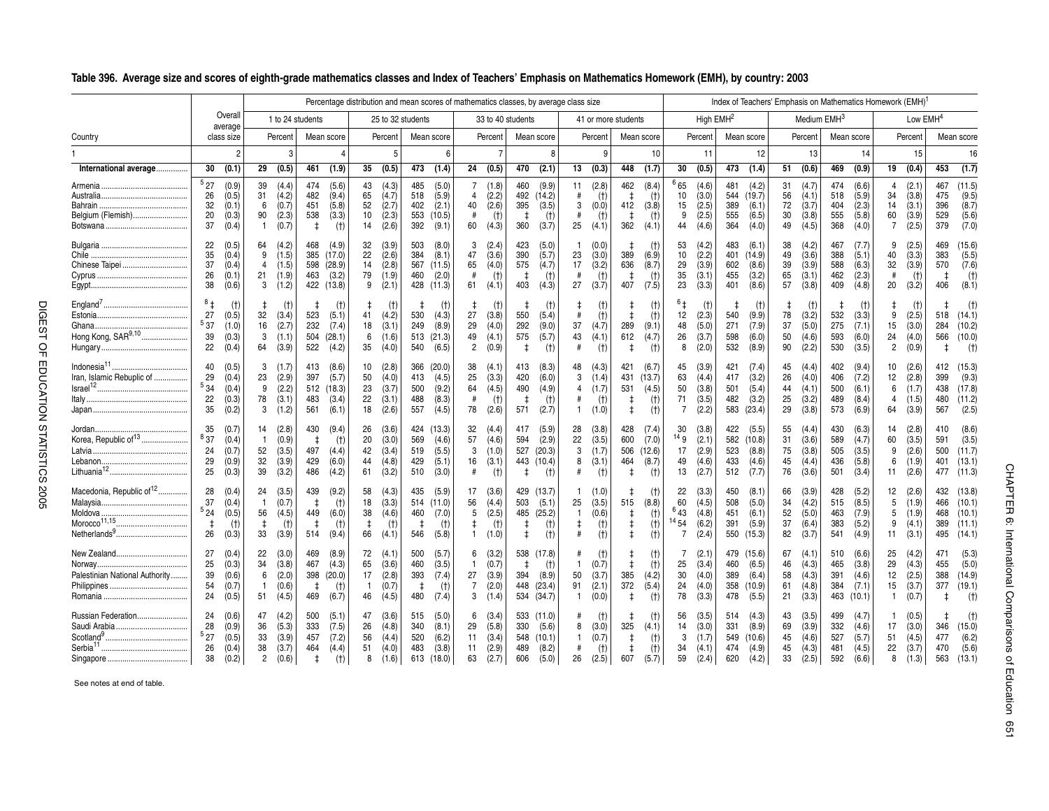|                                                                                    |                                     |                                           |                                                |                                           |                                        |                                                  |                                      |                                           |                                        |                                                |                                   |                                           | Percentage distribution and mean scores of mathematics classes, by average class size |                                           |                                                |                                         |                                                    |                                            |                                               |                                           |                                 |                                                 |                            |                                           | Index of Teachers' Emphasis on Mathematics Homework (EMH) <sup>1</sup> |                                            |                                                    |                                           |                                                      |                                                |
|------------------------------------------------------------------------------------|-------------------------------------|-------------------------------------------|------------------------------------------------|-------------------------------------------|----------------------------------------|--------------------------------------------------|--------------------------------------|-------------------------------------------|----------------------------------------|------------------------------------------------|-----------------------------------|-------------------------------------------|---------------------------------------------------------------------------------------|-------------------------------------------|------------------------------------------------|-----------------------------------------|----------------------------------------------------|--------------------------------------------|-----------------------------------------------|-------------------------------------------|---------------------------------|-------------------------------------------------|----------------------------|-------------------------------------------|------------------------------------------------------------------------|--------------------------------------------|----------------------------------------------------|-------------------------------------------|------------------------------------------------------|------------------------------------------------|
|                                                                                    |                                     | Overall<br>average                        |                                                | 1 to 24 students                          |                                        |                                                  |                                      |                                           | 25 to 32 students                      |                                                |                                   |                                           | 33 to 40 students                                                                     |                                           |                                                |                                         | 41 or more students                                |                                            |                                               | High EMH <sup>2</sup>                     |                                 |                                                 |                            | Medium EMH <sup>3</sup>                   |                                                                        |                                            |                                                    | Low EMH <sup>4</sup>                      |                                                      |                                                |
| Country                                                                            |                                     | class size                                |                                                | Percent                                   |                                        | Mean score                                       |                                      | Percent                                   |                                        | Mean score                                     |                                   | Percent                                   | Mean score                                                                            |                                           |                                                | Percent                                 |                                                    | Mean score                                 |                                               | Percent                                   |                                 | Mean score                                      |                            | Percent                                   |                                                                        | Mean score                                 |                                                    | Percent                                   |                                                      | Mean score                                     |
|                                                                                    |                                     | $\mathfrak{p}$                            |                                                | 3                                         |                                        |                                                  |                                      | .5                                        |                                        |                                                |                                   | $\overline{7}$                            |                                                                                       | 8                                         |                                                | 9                                       |                                                    | 10                                         |                                               | 11                                        |                                 | 12                                              |                            | 13                                        |                                                                        | 14                                         |                                                    | 15                                        |                                                      | 16                                             |
| International average                                                              | 30                                  | (0.1)                                     | 29                                             | (0.5)                                     | 461                                    | (1.9)                                            | 35                                   | (0.5)                                     | 473                                    | (1.4)                                          | 24                                | (0.5)                                     | 470                                                                                   | (2.1)                                     | 13                                             | (0.3)                                   | 448                                                | (1.7)                                      | 30                                            | (0.5)                                     | 473                             | (1.4)                                           | 51                         | (0.6)                                     | 469                                                                    | (0.9)                                      | 19                                                 | (0.4)                                     | 453                                                  | (1.7)                                          |
| Belgium (Flemish)                                                                  | 527<br>26<br>32<br>20<br>37         | (0.9)<br>(0.5)<br>(0.1)<br>(0.3)<br>(0.4) | 39<br>31<br>6<br>90<br>$\mathbf{1}$            | (4.4)<br>(4.2)<br>(0.7)<br>(2.3)<br>(0.7) | 474<br>482<br>451<br>538<br>$\ddagger$ | (5.6)<br>(9.4)<br>(5.8)<br>(3.3)<br>(t)          | 43<br>65<br>52<br>10<br>14           | (4.3)<br>(4.7)<br>(2.7)<br>(2.3)<br>(2.6) | 485<br>518<br>402<br>553<br>392        | (5.0)<br>(5.9)<br>(2.1)<br>(10.5)<br>(9.1)     | 7<br>4<br>40<br>#<br>60           | (1.8)<br>(2.2)<br>(2.6)<br>(t)<br>(4.3)   | 460<br>492 (14.2)<br>395<br>- 1<br>360                                                | (9.9)<br>(3.5)<br>(t)<br>(3.7)            | 11<br>#<br>3<br>#<br>25                        | (2.8)<br>(t)<br>(0.0)<br>(t)<br>(4.1)   | 462<br>$\ddagger$<br>412<br>$\overline{1}$<br>362  | (8.4)<br>(t)<br>(3.8)<br>(t)<br>(4.1)      | <sup>6</sup> 65<br>10<br>15<br>9<br>44        | (4.6)<br>(3.0)<br>(2.5)<br>(2.5)<br>(4.6) | 481<br>544<br>389<br>555<br>364 | (4.2)<br>(19.7)<br>(6.1)<br>(6.5)<br>(4.0)      | 31<br>56<br>72<br>30<br>49 | (4.7)<br>(4.1)<br>(3.7)<br>(3.8)<br>(4.5) | 474<br>518<br>404<br>555<br>368                                        | (6.6)<br>(5.9)<br>(2.3)<br>(5.8)<br>(4.0)  | $\overline{4}$<br>34<br>14<br>60<br>$\overline{7}$ | (2.1)<br>(3.8)<br>(3.1)<br>(3.9)<br>(2.5) | 467<br>475<br>396<br>529<br>379                      | (11.5)<br>(9.5)<br>(8.7)<br>(5.6)<br>(7.0)     |
| Chinese Taipei                                                                     | 22<br>35<br>37<br>26<br>38          | (0.5)<br>(0.4)<br>(0.4)<br>(0.1)<br>(0.6) | 64<br>9<br>$\overline{4}$<br>21<br>3           | (4.2)<br>(1.5)<br>(1.5)<br>(1.9)<br>(1.2) | 468<br>385<br>598<br>463               | (4.9)<br>(17.0)<br>(28.9)<br>(3.2)<br>422 (13.8) | 32<br>22<br>14<br>79<br>9            | (3.9)<br>(2.6)<br>(2.8)<br>(1.9)<br>(2.1) | 503<br>384<br>567<br>460<br>428        | (8.0)<br>(8.1)<br>(11.5)<br>(2.0)<br>(11.3)    | 3<br>47<br>65<br>#<br>61          | (2.4)<br>(3.6)<br>(4.0)<br>(t)<br>(4.1)   | 423<br>390<br>575<br>$\ddagger$<br>403                                                | (5.0)<br>(5.7)<br>(4.7)<br>(t)<br>(4.3)   | -1<br>23<br>17<br>#<br>27                      | (0.0)<br>(3.0)<br>(3.2)<br>(t)<br>(3.7) | t<br>389<br>636<br>$\overline{\phantom{a}}$<br>407 | $(+)$<br>(6.9)<br>(8.7)<br>$(+)$<br>(7.5)  | 53<br>10<br>29<br>35<br>23                    | (4.2)<br>(2.2)<br>(3.9)<br>(3.1)<br>(3.3) | 483<br>401<br>602<br>455<br>401 | (6.1)<br>(14.9)<br>(8.6)<br>(3.2)<br>(8.6)      | 38<br>49<br>39<br>65<br>57 | (4.2)<br>(3.6)<br>(3.9)<br>(3.1)<br>(3.8) | 467<br>388<br>588<br>462<br>409                                        | (7.7)<br>(5.1)<br>(6.3)<br>(2.3)<br>(4.8)  | 9<br>40<br>32<br>#<br>20                           | (2.5)<br>(3.3)<br>(3.9)<br>(t)<br>(3.2)   | 469<br>383<br>570<br>$\overline{\phantom{a}}$<br>406 | (15.6)<br>(5.5)<br>(7.6)<br>(t)<br>(8.1)       |
| Ghana<br>Hong Kong, SAR <sup>9,10</sup>                                            | $^{8}$ ‡<br>27<br>537<br>39<br>22   | (t)<br>(0.5)<br>(1.0)<br>(0.3)<br>(0.4)   | 32<br>16<br>3<br>64                            | (t)<br>(3.4)<br>(2.7)<br>(1.1)<br>(3.9)   | ₫.<br>523<br>232<br>504<br>522         | (t)<br>(5.1)<br>(7.4)<br>(28.1)<br>(4.2)         | ‡.<br>41<br>18<br>6<br>35            | $(+)$<br>(4.2)<br>(3.1)<br>(1.6)<br>(4.0) | 530<br>249<br>513<br>540               | $(+)$<br>(4.3)<br>(8.9)<br>(21.3)<br>(6.5)     | ŧ<br>27<br>29<br>49<br>2          | (t)<br>(3.8)<br>(4.0)<br>(4.1)<br>(0.9)   | ⋣<br>550<br>292<br>575<br>$\ddagger$                                                  | (t)<br>(5.4)<br>(9.0)<br>(5.7)<br>(t)     | $\ddagger$<br>#<br>37<br>43<br>#               | (t)<br>(t)<br>(4.7)<br>(4.1)<br>(t)     | ŧ<br>$\ddagger$<br>289<br>612<br>$\ddagger$        | (t)<br>(t)<br>(9.1)<br>(4.7)<br>(t)        | 12<br>48<br>26<br>8                           | (t)<br>(2.3)<br>(5.0)<br>(3.7)<br>(2.0)   | 540<br>271<br>598<br>532        | (t)<br>(9.9)<br>(7.9)<br>(6.0)<br>(8.9)         | 78<br>37<br>50<br>90       | $(+)$<br>(3.2)<br>(5.0)<br>(4.6)<br>(2.2) | -‡<br>532<br>275<br>593<br>530                                         | (t)<br>(3.3)<br>(7.1)<br>(6.0)<br>(3.5)    | 9<br>15<br>24<br>2                                 | (t)<br>(2.5)<br>(3.0)<br>(4.0)<br>(0.9)   | 518<br>284<br>566<br>t                               | $(+)$<br>(14.1)<br>(10.2)<br>(10.0)<br>$(+)$   |
| Indonesia <sup>11</sup> .<br><br>Iran, Islamic Rebuplic of<br>Israel <sup>12</sup> | 40<br>29<br>534<br>22<br>35         | (0.5)<br>(0.4)<br>(0.4)<br>(0.3)<br>(0.2) | 3<br>23<br>9<br>78<br>3                        | (1.7)<br>(2.9)<br>(2.2)<br>(3.1)<br>(1.2) | 413<br>397<br>483<br>561               | (8.6)<br>(5.7)<br>512 (18.3)<br>(3.4)<br>(6.1)   | 10<br>50<br>23<br>22<br>18           | (2.8)<br>(4.0)<br>(3.7)<br>(3.1)<br>(2.6) | 366<br>413<br>500<br>488<br>557        | (20.0)<br>(4.5)<br>(9.2)<br>(8.3)<br>(4.5)     | 38<br>25<br>64<br>#<br>78         | (4.1)<br>(3.3)<br>(4.5)<br>(t)<br>(2.6)   | 413<br>420<br>490<br>- 1<br>571                                                       | (8.3)<br>(6.0)<br>(4.9)<br>(t)<br>(2.7)   | 48<br>3<br>$\overline{4}$<br>#<br>$\mathbf{1}$ | (4.3)<br>(1.4)<br>(1.7)<br>(t)<br>(1.0) | 421<br>431<br>531<br>$\ddagger$<br>$\ddagger$      | (6.7)<br>(13.7)<br>(4.5)<br>$(+)$<br>(t)   | 45<br>63<br>50<br>71<br>$\overline{7}$        | (3.9)<br>(4.4)<br>(3.8)<br>(3.5)<br>(2.2) | 421<br>417<br>501<br>482<br>583 | (7.4)<br>(3.2)<br>(5.4)<br>(3.2)<br>(23.4)      | 45<br>26<br>44<br>25<br>29 | (4.4)<br>(4.0)<br>(4.1)<br>(3.2)<br>(3.8) | 402<br>406<br>500<br>489<br>573                                        | (9.4)<br>(7.2)<br>(6.1)<br>(8.4)<br>(6.9)  | 10<br>12<br>6<br>4<br>64                           | (2.6)<br>(2.8)<br>(1.7)<br>(1.5)<br>(3.9) | 412<br>399<br>438<br>480<br>567                      | (15.3)<br>(9.3)<br>(17.8)<br>(11.2)<br>(2.5)   |
| Jordan<br>Korea, Republic of <sup>13</sup><br>Lebanon<br>Lithuania <sup>12</sup> . | 35<br>837<br>24<br>29<br>25         | (0.7)<br>(0.4)<br>(0.7)<br>(0.9)<br>(0.3) | 14<br>-1<br>52<br>32<br>39                     | (2.8)<br>(0.9)<br>(3.5)<br>(3.9)<br>(3.2) | 430<br>497<br>429<br>486               | (9.4)<br>(t)<br>(4.4)<br>(6.0)<br>(4.2)          | 26<br>20<br>42<br>44<br>61           | (3.6)<br>(3.0)<br>(3.4)<br>(4.8)<br>(3.2) | 424<br>569<br>519<br>429<br>510        | (13.3)<br>(4.6)<br>(5.5)<br>(5.1)<br>(3.0)     | 32<br>57<br>3<br>16<br>#          | (4.4)<br>(4.6)<br>(1.0)<br>(3.1)<br>(t)   | 417<br>594<br>527<br>443<br>$\ddagger$                                                | (5.9)<br>(2.9)<br>(20.3)<br>(10.4)<br>(t) | 28<br>22<br>3<br>8<br>#                        | (3.8)<br>(3.5)<br>(1.7)<br>(3.1)<br>(t) | 428<br>600<br>506<br>464<br>$\ddagger$             | (7.4)<br>(7.0)<br>(12.6)<br>(8.7)<br>$(+)$ | 30<br>14g<br>17<br>49<br>13                   | (3.8)<br>(2.1)<br>(2.9)<br>(4.6)<br>(2.7) | 422<br>582<br>523<br>433<br>512 | (5.5)<br>(10.8)<br>(8.8)<br>(4.6)<br>(7.7)      | 55<br>31<br>75<br>45<br>76 | (4.4)<br>(3.6)<br>(3.8)<br>(4.4)<br>(3.6) | 430<br>589<br>505<br>436<br>501                                        | (6.3)<br>(4.7)<br>(3.5)<br>(5.8)<br>(3.4)  | 14<br>60<br>9<br>6<br>11                           | (2.8)<br>(3.5)<br>(2.6)<br>(1.9)<br>(2.6) | 410<br>591<br>500<br>401<br>477                      | (8.6)<br>(3.5)<br>(11.7)<br>(13.1)<br>(11.3)   |
| Macedonia, Republic of <sup>12</sup><br>Moldova<br>$M$ orocco $11,15$ .            | 28<br>37<br>524<br>$\ddagger$<br>26 | (0.4)<br>(0.4)<br>(0.5)<br>(t)<br>(0.3)   | 24<br>$\overline{1}$<br>56<br>$\ddagger$<br>33 | (3.5)<br>(0.7)<br>(4.5)<br>(t)<br>(3.9)   | 439<br>$\ddagger$<br>449<br>t<br>514   | (9.2)<br>(t)<br>(6.0)<br>(t)<br>(9.4)            | 58<br>18<br>38<br>$\ddagger$<br>66   | (4.3)<br>(3.3)<br>(4.6)<br>$(+)$<br>(4.1) | 435<br>514<br>460<br>$\pm$<br>546      | (5.9)<br>(11.0)<br>(7.0)<br>(t)<br>(5.8)       | 17<br>56<br>5<br>$\pm$<br>1       | (3.6)<br>(4.4)<br>(2.5)<br>(t)<br>(1.0)   | 429<br>503<br>485<br>$\ddagger$<br>$\ddagger$                                         | (13.7)<br>(5.1)<br>(25.2)<br>(t)<br>(t)   | -1<br>25<br>$\mathbf{1}$<br>$\ddagger$<br>#    | (1.0)<br>(3.5)<br>(0.6)<br>(t)<br>(t)   | ŧ<br>515<br>$\ddagger$<br>$\ddagger$<br>$\ddagger$ | (t)<br>(8.8)<br>(t)<br>(t)<br>(t)          | 22<br>60<br>643<br>$14\,54$<br>$\overline{7}$ | (3.3)<br>(4.5)<br>(4.8)<br>(6.2)<br>(2.4) | 450<br>508<br>451<br>391<br>550 | (8.1)<br>(5.0)<br>(6.1)<br>(5.9)<br>(15.3)      | 66<br>34<br>52<br>37<br>82 | (3.9)<br>(4.2)<br>(5.0)<br>(6.4)<br>(3.7) | 428<br>515<br>463<br>383<br>541                                        | (5.2)<br>(8.5)<br>(7.9)<br>(5.2)<br>(4.9)  | 12<br>5<br>5<br>9<br>11                            | (2.6)<br>(1.9)<br>(1.9)<br>(4.1)<br>(3.1) | 432<br>466<br>468<br>389<br>495                      | (13.8)<br>(10.1)<br>(10.1)<br>(11.1)<br>(14.1) |
| New Zealand<br>Palestinian National Authority                                      | 27<br>25<br>39<br>54<br>24          | (0.4)<br>(0.3)<br>(0.6)<br>(0.7)<br>(0.5) | 22<br>34<br>6<br>-1<br>51                      | (3.0)<br>(3.8)<br>(2.0)<br>(0.6)<br>(4.5) | 469<br>467<br>398<br>$\ddagger$<br>469 | (8.9)<br>(4.3)<br>(20.0)<br>(t)<br>(6.7)         | 72<br>65<br>17<br>$\mathbf{1}$<br>46 | (4.1)<br>(3.6)<br>(2.8)<br>(0.7)<br>(4.5) | 500<br>460<br>393<br>$\ddagger$<br>480 | (5.7)<br>(3.5)<br>(7.4)<br>(t)<br>(7.4)        | 6<br>$\mathbf{1}$<br>27<br>7<br>3 | (3.2)<br>(0.7)<br>(3.9)<br>(2.0)<br>(1.4) | 538 (17.8)<br>$\ddagger$<br>394<br>448<br>534 (34.7)                                  | (t)<br>(8.9)<br>(23.4)                    | -1<br>50<br>91<br>$\mathbf{1}$                 | (t)<br>(0.7)<br>(3.7)<br>(2.1)<br>(0.0) | ŧ<br>$\ddagger$<br>385<br>372<br>$\ddagger$        | (t)<br>(t)<br>(4.2)<br>(5.4)<br>(t)        | 7<br>25<br>30<br>24<br>78                     | (2.1)<br>(3.4)<br>(4.0)<br>(4.0)<br>(3.3) | 460<br>389<br>358<br>478        | 479 (15.6)<br>(6.5)<br>(6.4)<br>(10.9)<br>(5.5) | 67<br>46<br>58<br>61<br>21 | (4.1)<br>(4.3)<br>(4.3)<br>(4.8)<br>(3.3) | 510<br>465<br>391<br>384<br>463                                        | (6.6)<br>(3.8)<br>(4.6)<br>(7.1)<br>(10.1) | 25<br>29<br>12<br>15<br>$\mathbf{1}$               | (4.2)<br>(4.3)<br>(2.5)<br>(3.7)<br>(0.7) | 471<br>455<br>388<br>377<br>$\ddagger$               | (5.3)<br>(5.0)<br>(14.9)<br>(19.1)<br>$(+)$    |
| Russian Federation<br>Saudi Arabia                                                 | 24<br>28<br>527<br>26<br>38         | (0.6)<br>(0.9)<br>(0.5)<br>(0.4)<br>(0.2) | 47<br>36<br>33<br>38<br>$\overline{2}$         | (4.2)<br>(5.3)<br>(3.9)<br>(3.7)<br>(0.6) | 500<br>333<br>457<br>464<br>$\ddagger$ | (5.1)<br>(7.5)<br>(7.2)<br>(4.4)<br>(t)          | 47<br>26<br>56<br>51<br>8            | (3.6)<br>(4.8)<br>(4.4)<br>(4.0)<br>(1.6) | 515<br>340<br>520<br>483               | (5.0)<br>(8.1)<br>(6.2)<br>(3.8)<br>613 (18.0) | 6<br>29<br>11<br>11<br>63         | (3.4)<br>(5.8)<br>(3.4)<br>(2.9)<br>(2.7) | 533 (11.0)<br>330<br>548<br>489<br>606                                                | (5.6)<br>(10.1)<br>(8.2)<br>(5.0)         | #<br>8<br>$\mathbf{1}$<br>#<br>26              | (t)<br>(3.0)<br>(0.7)<br>(t)<br>(2.5)   | ŧ<br>325<br>‡<br>$\ddagger$<br>607                 | (t)<br>(4.1)<br>(t)<br>(t)<br>(5.7)        | 56<br>14<br>3<br>34<br>59                     | (3.5)<br>(3.0)<br>(1.7)<br>(4.1)<br>(2.4) | 514<br>331<br>549<br>474<br>620 | (4.3)<br>(8.9)<br>(10.6)<br>(4.9)<br>(4.2)      | 43<br>69<br>45<br>45<br>33 | (3.5)<br>(3.9)<br>(4.6)<br>(4.3)<br>(2.5) | 499<br>332<br>527<br>481<br>592                                        | (4.7)<br>(4.6)<br>(5.7)<br>(4.5)<br>(6.6)  | 1.<br>17<br>51<br>22<br>8                          | (0.5)<br>(3.0)<br>(4.5)<br>(3.7)<br>(1.3) | 346<br>477<br>470<br>563                             | (t)<br>(15.0)<br>(6.2)<br>(5.6)<br>(13.1)      |

#### \_**Table 396. Average size and scores of eighth-grade mathematics classes and Index of Teachers' Emphasis on Mathematics Homework (EMH), by country: 2003**

See notes at end of table.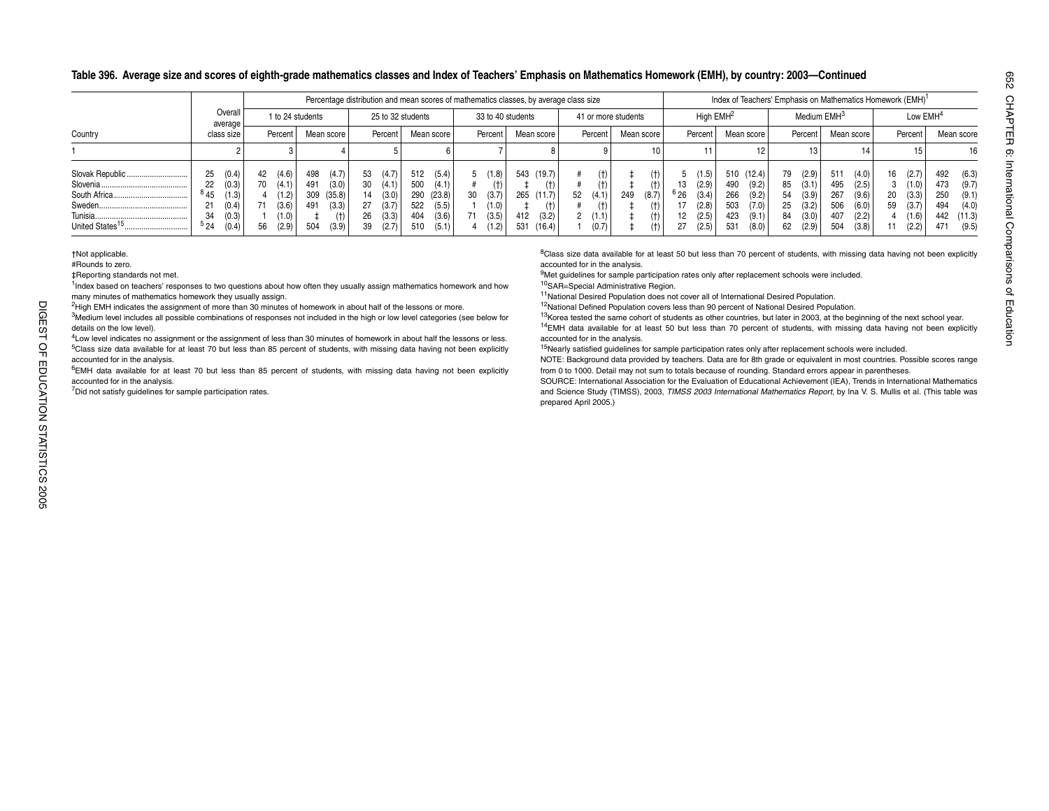#### **Table 396. Average size and scores of eighth-grade mathematics classes and Index of Teachers' Emphasis on Mathematics Homework (EMH), by country: 2003—Continued**

|                                                              |                                                                                          |    |                                                               |                                 |                                                   |                                                                                        |                                        |                                                     |         |                                               | Percentage distribution and mean scores of mathematics classes, by average class size |    |                                                      |                     |                                          |            |                                                    |                                        |                                                     |                                  |                                                    |                                        | Index of Teachers' Emphasis on Mathematics Homework (EMH) <sup>1</sup> |                |                                                    |                                 |                                                         |
|--------------------------------------------------------------|------------------------------------------------------------------------------------------|----|---------------------------------------------------------------|---------------------------------|---------------------------------------------------|----------------------------------------------------------------------------------------|----------------------------------------|-----------------------------------------------------|---------|-----------------------------------------------|---------------------------------------------------------------------------------------|----|------------------------------------------------------|---------------------|------------------------------------------|------------|----------------------------------------------------|----------------------------------------|-----------------------------------------------------|----------------------------------|----------------------------------------------------|----------------------------------------|------------------------------------------------------------------------|----------------|----------------------------------------------------|---------------------------------|---------------------------------------------------------|
|                                                              | Overall<br>average                                                                       |    |                                                               | 1 to 24 students                |                                                   |                                                                                        | 25 to 32 students                      |                                                     |         |                                               | 33 to 40 students                                                                     |    |                                                      | 41 or more students |                                          |            | High $EMH2$                                        |                                        |                                                     |                                  | Medium EMH <sup>3</sup>                            |                                        |                                                                        |                | Low EMH <sup>4</sup>                               |                                 |                                                         |
| Country                                                      | class size                                                                               |    | Percent                                                       |                                 | Mean score                                        | Percent                                                                                |                                        | Mean score                                          |         | Percent                                       | Mean score                                                                            |    | Percent                                              | Mean score          |                                          |            | Percent                                            |                                        | Mean score                                          |                                  | Percent                                            |                                        | Mean score                                                             |                | Percent                                            |                                 | Mean score                                              |
|                                                              |                                                                                          |    |                                                               |                                 |                                                   |                                                                                        |                                        |                                                     |         |                                               |                                                                                       |    |                                                      |                     | 10                                       |            |                                                    |                                        |                                                     |                                  |                                                    |                                        |                                                                        |                | 15                                                 |                                 | 16                                                      |
| Slovak Republic<br>Tunisia.<br>United States <sup>15</sup> . | 25<br>(0.4)<br>(0.3)<br>22<br>845<br>(1.3)<br>21<br>(0.4)<br>(0.3)<br>34<br>524<br>(0.4) | 42 | (4.6)<br>(4.1)<br>(1.2)<br>(3.6)<br>$^{\prime}$ 1.0)<br>(2.9) | 498<br>491<br>309<br>491<br>504 | (4.7)<br>(3.0)<br>(35.8)<br>(3.3)<br>(t)<br>(3.9) | (4.7)<br>53<br>30<br>(4.1)<br>(3.0)<br>14<br>(3.7)<br>27<br>(3.3)<br>26<br>(2.7)<br>39 | 512<br>500<br>290<br>522<br>404<br>510 | (5.4)<br>(4.1)<br>(23.8)<br>(5.5)<br>(3.6)<br>(5.1) | 5<br>30 | (0.8)<br>(3.7)<br>(1.0)<br>(3.5)<br>$(1.2)$ . | 543 (19.7)<br>(11.7)<br>265<br>(t)<br>(3.2)<br>412<br>531<br>(16.4)                   | 52 | (t)<br>$^{(+)}$<br>(4.1)<br>$(+)$<br>2(1.1)<br>(0.7) | 249                 | (t)<br>(t)<br>(8.7)<br>(t)<br>(t)<br>(t) | ° 26<br>27 | (1.5)<br>(2.9)<br>(3.4)<br>(2.8)<br>(2.5)<br>(2.5) | 510<br>490<br>266<br>503<br>423<br>531 | (12.4)<br>(9.2)<br>(9.2)<br>(7.0)<br>(9.1)<br>(8.0) | 79<br>85<br>54<br>25<br>84<br>62 | (2.9)<br>(3.1)<br>(3.9)<br>(3.2)<br>(3.0)<br>(2.9) | 511<br>495<br>267<br>506<br>407<br>504 | (4.0)<br>(2.5)<br>(9.6)<br>(6.0)<br>(2.2)<br>(3.8)                     | 16<br>20<br>59 | (2.7)<br>(1.0)<br>(3.3)<br>(3.7)<br>(1.6)<br>(2.2) | 492<br>473<br>250<br>494<br>471 | (6.3)<br>(9.7)<br>(9.1)<br>(4.0)<br>442 (11.3)<br>(9.5) |

†Not applicable.

#Rounds to zero.

‡Reporting standards not met.

<sup>1</sup>Index based on teachers' responses to two questions about how often they usually assign mathematics homework and how many minutes of mathematics homework they usually assign.

<sup>2</sup>High EMH indicates the assignment of more than 30 minutes of homework in about half of the lessons or more.

3Medium level includes all possible combinations of responses not included in the high or low level categories (see below for details on the low level).

4Low level indicates no assignment or the assignment of less than 30 minutes of homework in about half the lessons or less.

 $5$ Class size data available for at least 70 but less than 85 percent of students, with missing data having not been explicitly accounted for in the analysis.

 $6$ EMH data available for at least 70 but less than 85 percent of students, with missing data having not been explicitly accounted for in the analysis.

<sup>7</sup>Did not satisfy quidelines for sample participation rates.

<sup>8</sup>Class size data available for at least 50 but less than 70 percent of students, with missing data having not been explicitly accounted for in the analysis.

<sup>9</sup>Met guidelines for sample participation rates only after replacement schools were included.

10SAR=Special Administrative Region.

<sup>11</sup>National Desired Population does not cover all of International Desired Population.

12National Defined Population covers less than 90 percent of National Desired Population.

<sup>13</sup>Korea tested the same cohort of students as other countries, but later in 2003, at the beginning of the next school year.  $14$ EMH data available for at least 50 but less than 70 percent of students, with missing data having not been explicitly accounted for in the analysis.

<sup>15</sup>Nearly satisfied guidelines for sample participation rates only after replacement schools were included.

NOTE: Background data provided by teachers. Data are for 8th grade or equivalent in most countries. Possible scores range from 0 to 1000. Detail may not sum to totals because of rounding. Standard errors appear in parentheses.

SOURCE: International Association for the Evaluation of Educational Achievement (IEA), Trends in International Mathematics and Science Study (TIMSS), 2003, *TIMSS 2003 International Mathematics Report*, by Ina V. S. Mullis et al. (This table was prepared April 2005.)

 $\overline{\mathbf{C}}$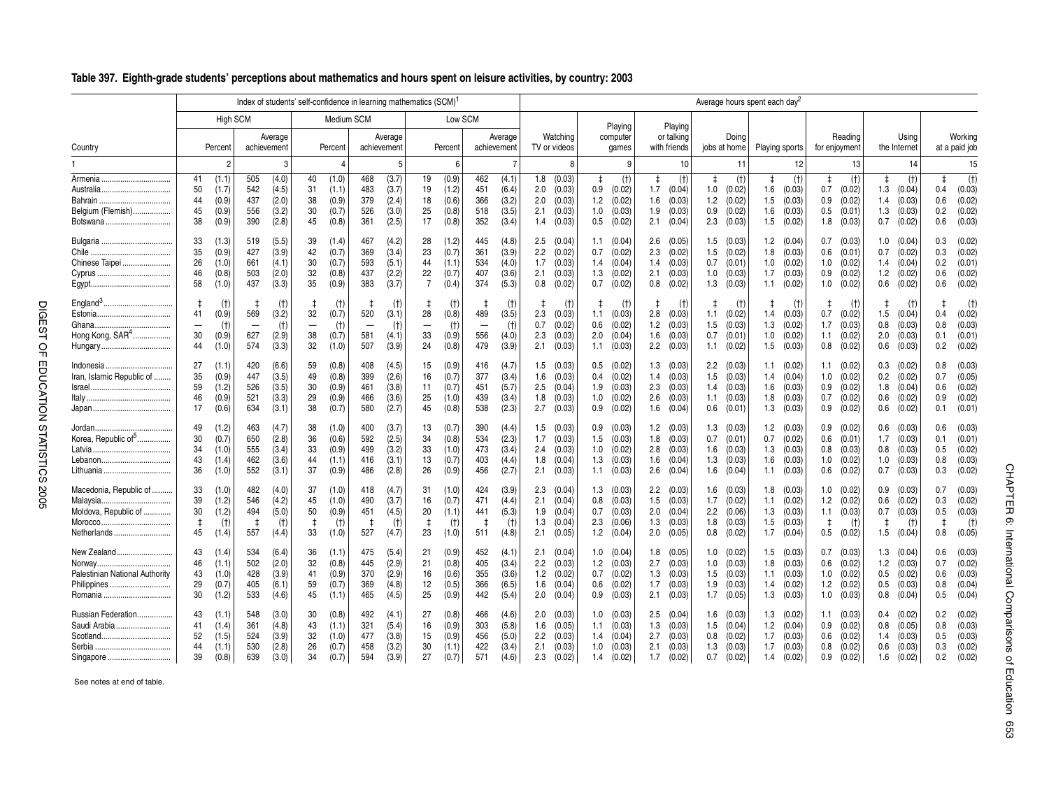|  |  | Table 397. Eighth-grade students' perceptions about mathematics and hours spent on leisure activities, by country: 2003 |  |  |
|--|--|-------------------------------------------------------------------------------------------------------------------------|--|--|
|--|--|-------------------------------------------------------------------------------------------------------------------------|--|--|

|                                                                                            |                                                                                                   |                                                                                          |                                                                                     | Index of students' self-confidence in learning mathematics (SCM)                             |                                                                                     |                                                                                        |                                                                                             |                                                                                       |                                                                                       | Average hours spent each day <sup>2</sup>                                             |                                                                                       |                                                                                        |                                                                                       |                                                                                         |
|--------------------------------------------------------------------------------------------|---------------------------------------------------------------------------------------------------|------------------------------------------------------------------------------------------|-------------------------------------------------------------------------------------|----------------------------------------------------------------------------------------------|-------------------------------------------------------------------------------------|----------------------------------------------------------------------------------------|---------------------------------------------------------------------------------------------|---------------------------------------------------------------------------------------|---------------------------------------------------------------------------------------|---------------------------------------------------------------------------------------|---------------------------------------------------------------------------------------|----------------------------------------------------------------------------------------|---------------------------------------------------------------------------------------|-----------------------------------------------------------------------------------------|
|                                                                                            | High SCM                                                                                          |                                                                                          |                                                                                     | Medium SCM                                                                                   | Low SCM                                                                             |                                                                                        |                                                                                             | Playing                                                                               | Playing                                                                               |                                                                                       |                                                                                       |                                                                                        |                                                                                       |                                                                                         |
| Country                                                                                    | Percent                                                                                           | Average<br>achievement                                                                   | Percent                                                                             | Average<br>achievement                                                                       | Percent                                                                             | Average<br>achievement                                                                 | Watching<br>TV or videos                                                                    | computer<br>games                                                                     | or talking<br>with friends                                                            | Doina<br>jobs at home                                                                 | Playing sports                                                                        | Reading<br>for enjoyment                                                               | Usina<br>the Internet                                                                 | Workina<br>at a paid job                                                                |
|                                                                                            |                                                                                                   | 3                                                                                        | 4                                                                                   | 5                                                                                            | 6                                                                                   |                                                                                        | 8                                                                                           |                                                                                       | 10                                                                                    | 11                                                                                    | 12                                                                                    | 13                                                                                     | 14                                                                                    | 15                                                                                      |
| Armenia<br>Australia<br>Bahrain<br>Belgium (Flemish)<br>Botswana                           | 41<br>(1.1)<br>50<br>(1.7)<br>(0.9)<br>44<br>45<br>(0.9)<br>38<br>(0.9)                           | 505<br>(4.0)<br>542<br>(4.5)<br>(2.0)<br>437<br>556<br>(3.2)<br>(2.8)<br>390             | 40<br>(1.0)<br>31<br>(1.1)<br>38<br>(0.9)<br>30<br>(0.7)<br>45<br>(0.8)             | (3.7)<br>468<br>483<br>(3.7)<br>379<br>(2.4)<br>526<br>(3.0)<br>361<br>(2.5)                 | 19<br>(0.9)<br>19<br>(1.2)<br>(0.6)<br>18<br>(0.8)<br>25<br>17<br>(0.8)             | 462<br>(4.1)<br>451<br>(6.4)<br>(3.2)<br>366<br>518<br>(3.5)<br>352<br>(3.4)           | 1.8<br>(0.03)<br>2.0<br>(0.03)<br>(0.03)<br>2.0<br>(0.03)<br>2.1<br>1.4<br>(0.03)           | (t)<br>$\ddagger$<br>(0.02)<br>0.9<br>(0.02)<br>1.2<br>1.0<br>(0.03)<br>(0.02)<br>0.5 | (t)<br>$\ddagger$<br>1.7<br>(0.04)<br>(0.03)<br>1.6<br>1.9<br>(0.03)<br>2.1<br>(0.04) | $\ddagger$<br>(t)<br>1.0<br>(0.02)<br>(0.02)<br>1.2<br>0.9<br>(0.02)<br>2.3<br>(0.03) | (t)<br>$\ddagger$<br>(0.03)<br>1.6<br>(0.03)<br>1.5<br>1.6<br>(0.03)<br>1.5<br>(0.02) | (t)<br>$\ddagger$<br>0.7<br>(0.02)<br>(0.02)<br>0.9<br>(0.01)<br>0.5<br>$1.8$ $(0.03)$ | (t)<br>$\ddagger$<br>1.3<br>(0.04)<br>(0.03)<br>1.4<br>1.3<br>(0.03)<br>0.7<br>(0.02) | (t)<br>$\ddagger$<br>(0.03)<br>0.4<br>(0.02)<br>0.6<br>(0.02)<br>0.2<br>(0.03)<br>0.6   |
| Chile<br>Chinese Taipei                                                                    | 33<br>(1.3)<br>35<br>(0.9)<br>26<br>(1.0)<br>(0.8)<br>46<br>58<br>(1.0)                           | 519<br>(5.5)<br>427<br>(3.9)<br>(4.1)<br>661<br>(2.0)<br>503<br>(3.3)<br>437             | 39<br>(1.4)<br>42<br>(0.7)<br>30<br>(0.7)<br>32<br>(0.8)<br>35<br>(0.9)             | 467<br>(4.2)<br>369<br>(3.4)<br>593<br>(5.1)<br>437<br>(2.2)<br>383<br>(3.7)                 | (1.2)<br>28<br>23<br>(0.7)<br>44<br>(1.1)<br>(0.7)<br>22<br>$\overline{7}$<br>(0.4) | 445<br>(4.8)<br>361<br>(3.9)<br>534<br>(4.0)<br>407<br>(3.6)<br>374<br>(5.3)           | 2.5<br>(0.04)<br>2.2<br>(0.02)<br>(0.03)<br>1.7<br>(0.03)<br>2.1<br>(0.02)<br>0.8           | (0.04)<br>1.1<br>(0.02)<br>0.7<br>(0.04)<br>1.4<br>(0.02)<br>1.3<br>(0.02)<br>0.7     | 2.6<br>(0.05)<br>2.3<br>(0.02)<br>(0.03)<br>1.4<br>2.1<br>(0.03)<br>0.8<br>(0.02)     | (0.03)<br>1.5<br>(0.02)<br>1.5<br>0.7<br>(0.01)<br>1.0<br>(0.03)<br>1.3<br>(0.03)     | (0.04)<br>1.2<br>(0.03)<br>1.8<br>(0.02)<br>1.0<br>(0.03)<br>1.7<br>(0.02)<br>1.1     | 0.7<br>(0.03)<br>(0.01)<br>0.6<br>(0.02)<br>1.0<br>(0.02)<br>0.9<br>(0.02)<br>1.0      | (0.04)<br>1.0<br>(0.02)<br>0.7<br>(0.04)<br>1.4<br>1.2<br>(0.02)<br>0.6<br>(0.02)     | 0.3<br>(0.02)<br>(0.02)<br>0.3<br>0.2<br>(0.01)<br>(0.02)<br>0.6<br>(0.02)<br>0.6       |
| England <sup>3</sup><br>Estonia<br>Hong Kong, SAR <sup>4</sup><br>Hungary<br>              | $\ddagger$<br>(t)<br>41<br>(0.9)<br>(t)<br>$\overline{\phantom{0}}$<br>30<br>(0.9)<br>44<br>(1.0) | $(+)$<br>569<br>(3.2)<br>(t)<br>$\overline{\phantom{a}}$<br>627<br>(2.9)<br>(3.3)<br>574 | (t)<br>32<br>(0.7)<br>(t)<br>$\overline{\phantom{0}}$<br>38<br>(0.7)<br>32<br>(1.0) | (t)<br>t,<br>520<br>(3.1)<br>(t)<br>$\overline{\phantom{0}}$<br>581<br>(4.1)<br>507<br>(3.9) | (t)<br>28<br>(0.8)<br>(t)<br>$\overline{\phantom{0}}$<br>33<br>(0.9)<br>24<br>(0.8) | (t)<br>489<br>(3.5)<br>(t)<br>$\overline{\phantom{0}}$<br>556<br>(4.0)<br>479<br>(3.9) | (†)<br>2.3<br>(0.03)<br>0.7<br>(0.02)<br>2.3<br>(0.03)<br>(0.03)<br>2.1                     | (t)<br>(0.03)<br>1.1<br>(0.02)<br>0.6<br>(0.04)<br>2.0<br>(0.03)<br>1.1               | ŧ<br>$(+)$<br>2.8<br>(0.03)<br>1.2<br>(0.03)<br>(0.03)<br>1.6<br>2.2<br>(0.03)        | ₫.<br>(†)<br>(0.02)<br>1.1<br>1.5<br>(0.03)<br>0.7<br>(0.01)<br>1.1<br>(0.02)         | (t)<br>ŧ<br>(0.03)<br>1.4<br>(0.02)<br>1.3<br>(0.02)<br>1.0<br>(0.03)<br>1.5          | $\ddagger$<br>(t)<br>0.7<br>(0.02)<br>1.7<br>(0.03)<br>(0.02)<br>1.1<br>(0.02)<br>0.8  | (t)<br>1<br>1.5<br>(0.04)<br>0.8<br>(0.03)<br>2.0<br>(0.03)<br>0.6<br>(0.03)          | $\mathbf{1}$<br>(t)<br>(0.02)<br>0.4<br>0.8<br>(0.03)<br>0.1<br>(0.01)<br>(0.02)<br>0.2 |
| Indonesia<br><br>Iran, Islamic Republic of                                                 | 27<br>(1.1)<br>(0.9)<br>35<br>59<br>(1.2)<br>(0.9)<br>46<br>17<br>(0.6)                           | 420<br>(6.6)<br>(3.5)<br>447<br>(3.5)<br>526<br>(3.3)<br>521<br>(3.1)<br>634             | (0.8)<br>59<br>49<br>(0.8)<br>30<br>(0.9)<br>29<br>(0.9)<br>38<br>(0.7)             | 408<br>(4.5)<br>399<br>(2.6)<br>461<br>(3.8)<br>466<br>(3.6)<br>580<br>(2.7)                 | (0.9)<br>15<br>16<br>(0.7)<br>(0.7)<br>11<br>25<br>(1.0)<br>(0.8)<br>45             | 416<br>(4.7)<br>377<br>(3.4)<br>451<br>(5.7)<br>439<br>(3.4)<br>538<br>(2.3)           | 1.5<br>(0.03)<br>1.6<br>(0.03)<br>2.5<br>(0.04)<br>1.8<br>(0.03)<br>2.7<br>(0.03)           | (0.02)<br>0.5<br>(0.02)<br>0.4<br>(0.03)<br>1.9<br>1.0<br>(0.02)<br>(0.02)<br>0.9     | 1.3<br>(0.03)<br>(0.03)<br>1.4<br>2.3<br>(0.03)<br>2.6<br>(0.03)<br>(0.04)<br>1.6     | 2.2<br>(0.03)<br>1.5<br>(0.03)<br>(0.03)<br>1.4<br>1.1<br>(0.03)<br>0.6<br>(0.01)     | (0.02)<br>1.1<br>(0.04)<br>1.4<br>(0.03)<br>1.6<br>1.8<br>(0.03)<br>1.3<br>(0.03)     | (0.02)<br>1.1<br>(0.02)<br>1.0<br>(0.02)<br>0.9<br>(0.02)<br>0.7<br>(0.02)<br>0.9      | (0.02)<br>0.3<br>0.2<br>(0.02)<br>(0.04)<br>1.8<br>0.6<br>(0.02)<br>0.6<br>(0.02)     | 0.8<br>(0.03)<br>(0.05)<br>0.7<br>(0.02)<br>0.6<br>(0.02)<br>0.9<br>(0.01)<br>0.1       |
| Korea, Republic of <sup>5</sup><br>Latvia<br>Lebanon<br>Lithuania                          | (1.2)<br>49<br>(0.7)<br>30<br>34<br>(1.0)<br>(1.4)<br>43<br>36<br>(1.0)                           | 463<br>(4.7)<br>650<br>(2.8)<br>(3.4)<br>555<br>(3.6)<br>462<br>552<br>(3.1)             | 38<br>(1.0)<br>36<br>(0.6)<br>33<br>(0.9)<br>44<br>(1.1)<br>37<br>(0.9)             | 400<br>(3.7)<br>592<br>(2.5)<br>499<br>(3.2)<br>416<br>(3.1)<br>486<br>(2.8)                 | (0.7)<br>13<br>34<br>(0.8)<br>(1.0)<br>33<br>(0.7)<br>13<br>26<br>(0.9)             | 390<br>(4.4)<br>534<br>(2.3)<br>(3.4)<br>473<br>403<br>(4.4)<br>456<br>(2.7)           | 1.5<br>(0.03)<br>1.7<br>(0.03)<br>2.4<br>(0.03)<br>(0.04)<br>1.8<br>(0.03)<br>2.1           | (0.03)<br>0.9<br>(0.03)<br>1.5<br>1.0<br>(0.02)<br>(0.03)<br>1.3<br>(0.03)<br>1.1     | 1.2<br>(0.03)<br>1.8<br>(0.03)<br>(0.03)<br>2.8<br>(0.04)<br>1.6<br>(0.04)<br>2.6     | (0.03)<br>1.3<br>0.7<br>(0.01)<br>1.6<br>(0.03)<br>(0.03)<br>1.3<br>1.6<br>(0.04)     | 1.2<br>(0.03)<br>(0.02)<br>0.7<br>1.3<br>(0.03)<br>(0.03)<br>1.6<br>(0.03)<br>1.1     | 0.9<br>(0.02)<br>0.6<br>(0.01)<br>(0.03)<br>0.8<br>(0.02)<br>1.0<br>(0.02)<br>0.6      | (0.03)<br>0.6<br>1.7<br>(0.03)<br>0.8<br>(0.03)<br>1.0<br>(0.03)<br>0.7<br>(0.03)     | (0.03)<br>0.6<br>0.1<br>(0.01)<br>(0.02)<br>0.5<br>(0.03)<br>0.8<br>(0.02)<br>0.3       |
| Macedonia, Republic of<br>Malaysia.<br>Moldova, Republic of<br>Morocco.<br><br>Netherlands | 33<br>(1.0)<br>39<br>(1.2)<br>30<br>(1.2)<br>$\ddagger$<br>(t)<br>45<br>(1.4)                     | 482<br>(4.0)<br>(4.2)<br>546<br>(5.0)<br>494<br>(t)<br>557<br>(4.4)                      | 37<br>(1.0)<br>45<br>(1.0)<br>50<br>(0.9)<br>$\ddagger$<br>(t)<br>33<br>(1.0)       | 418<br>(4.7)<br>490<br>(3.7)<br>451<br>(4.5)<br>$\ddagger$<br>(t)<br>527<br>(4.7)            | (1.0)<br>31<br>16<br>(0.7)<br>20<br>(1.1)<br>$\pm$<br>(t)<br>23<br>(1.0)            | 424<br>(3.9)<br>471<br>(4.4)<br>441<br>(5.3)<br>$\pm$<br>(t)<br>511<br>(4.8)           | (0.04)<br>2.3<br>2.1<br>(0.04)<br>1.9<br>(0.04)<br>1.3<br>(0.04)<br>2.1<br>(0.05)           | (0.03)<br>1.3<br>(0.03)<br>0.8<br>(0.03)<br>0.7<br>(0.06)<br>2.3<br>(0.04)<br>1.2     | (0.03)<br>2.2<br>1.5<br>(0.03)<br>2.0<br>(0.04)<br>1.3<br>(0.03)<br>2.0<br>(0.05)     | (0.03)<br>1.6<br>1.7<br>(0.02)<br>$2.2\,$<br>(0.06)<br>1.8<br>(0.03)<br>(0.02)<br>0.8 | (0.03)<br>1.8<br>1.1<br>(0.02)<br>(0.03)<br>1.3<br>(0.03)<br>1.5<br>(0.04)<br>1.7     | 1.0<br>(0.02)<br>$1.2$ $(0.02)$<br>(0.03)<br>1.1<br>$\ddagger$<br>(t)<br>(0.02)<br>0.5 | (0.03)<br>0.9<br>0.6<br>(0.02)<br>0.7<br>(0.03)<br>$\pm$<br>(t)<br>1.5<br>(0.04)      | (0.03)<br>0.7<br>(0.02)<br>0.3<br>0.5<br>(0.03)<br>$\pm$<br>$(+)$<br>(0.05)<br>0.8      |
| New Zealand<br>Norway.<br><br>Palestinian National Authority<br>Philippines<br>Romania     | 43<br>(1.4)<br>46<br>(1.1)<br>43<br>(1.0)<br>29<br>(0.7)<br>30<br>(1.2)                           | 534<br>(6.4)<br>(2.0)<br>502<br>428<br>(3.9)<br>(6.1)<br>405<br>533<br>(4.6)             | 36<br>(1.1)<br>32<br>(0.8)<br>41<br>(0.9)<br>59<br>(0.7)<br>45<br>(1.1)             | 475<br>(5.4)<br>445<br>(2.9)<br>370<br>(2.9)<br>369<br>(4.8)<br>465<br>(4.5)                 | 21<br>(0.9)<br>21<br>(0.8)<br>16<br>(0.6)<br>(0.5)<br>12<br>25<br>(0.9)             | 452<br>(4.1)<br>405<br>(3.4)<br>(3.6)<br>355<br>366<br>(6.5)<br>442<br>(5.4)           | (0.04)<br>2.1<br>(0.03)<br>$2.2^{\circ}$<br>1.2<br>(0.02)<br>1.6<br>(0.04)<br>2.0<br>(0.04) | (0.04)<br>1.0<br>(0.03)<br>1.2<br>(0.02)<br>0.7<br>(0.02)<br>0.6<br>(0.03)<br>0.9     | (0.05)<br>1.8<br>2.7<br>(0.03)<br>(0.03)<br>1.3<br>(0.03)<br>1.7<br>2.1<br>(0.03)     | (0.02)<br>1.0<br>1.0<br>(0.03)<br>1.5<br>(0.03)<br>1.9<br>(0.03)<br>1.7<br>(0.05)     | 1.5<br>(0.03)<br>(0.03)<br>1.8<br>1.1<br>(0.03)<br>(0.02)<br>1.4<br>(0.03)<br>1.3     | 0.7<br>(0.03)<br>(0.02)<br>0.6<br>(0.02)<br>1.0<br>(0.02)<br>1.2<br>(0.03)<br>1.0      | 1.3<br>(0.04)<br>1.2<br>(0.03)<br>0.5<br>(0.02)<br>0.5<br>(0.03)<br>0.8<br>(0.04)     | (0.03)<br>0.6<br>(0.02)<br>0.7<br>(0.03)<br>0.6<br>(0.04)<br>0.8<br>0.5<br>(0.04)       |
| Russian Federation<br>Saudi Arabia<br>Scotland<br>Singapore                                | 43<br>(1.1)<br>41<br>(1.4)<br>(1.5)<br>52<br>44<br>(1.1)<br>39<br>(0.8)                           | 548<br>(3.0)<br>361<br>(4.8)<br>(3.9)<br>524<br>(2.8)<br>530<br>639<br>(3.0)             | 30<br>(0.8)<br>43<br>(1.1)<br>32<br>(1.0)<br>26<br>(0.7)<br>34<br>(0.7)             | 492<br>(4.1)<br>321<br>(5.4)<br>477<br>(3.8)<br>458<br>(3.2)<br>594<br>(3.9)                 | 27<br>(0.8)<br>16<br>(0.9)<br>(0.9)<br>15<br>(1.1)<br>30<br>27<br>(0.7)             | 466<br>(4.6)<br>303<br>(5.8)<br>456<br>(5.0)<br>422<br>(3.4)<br>571<br>(4.6)           | 2.0<br>(0.03)<br>(0.05)<br>1.6<br>(0.03)<br>2.2<br>(0.03)<br>2.1<br>2.3<br>(0.02)           | (0.03)<br>1.0<br>(0.03)<br>1.1<br>(0.04)<br>1.4<br>(0.03)<br>1.0<br>1.4<br>(0.02)     | 2.5<br>(0.04)<br>(0.03)<br>1.3<br>2.7<br>(0.03)<br>2.1<br>(0.03)<br>1.7<br>(0.02)     | 1.6<br>(0.03)<br>1.5<br>(0.04)<br>(0.02)<br>0.8<br>1.3<br>(0.03)<br>0.7<br>(0.02)     | 1.3<br>(0.02)<br>1.2<br>(0.04)<br>(0.03)<br>1.7<br>(0.03)<br>1.7<br>1.4<br>(0.02)     | $1.1$ (0.03)<br>(0.02)<br>0.9<br>(0.02)<br>0.6<br>(0.02)<br>0.8<br>0.9<br>(0.02)       | 0.4<br>(0.02)<br>0.8<br>(0.05)<br>1.4<br>(0.03)<br>0.6<br>(0.03)<br>1.6<br>(0.02)     | (0.02)<br>0.2<br>(0.03)<br>0.8<br>(0.03)<br>0.5<br>(0.02)<br>0.3<br>(0.02)<br>0.2       |

See notes at end of table.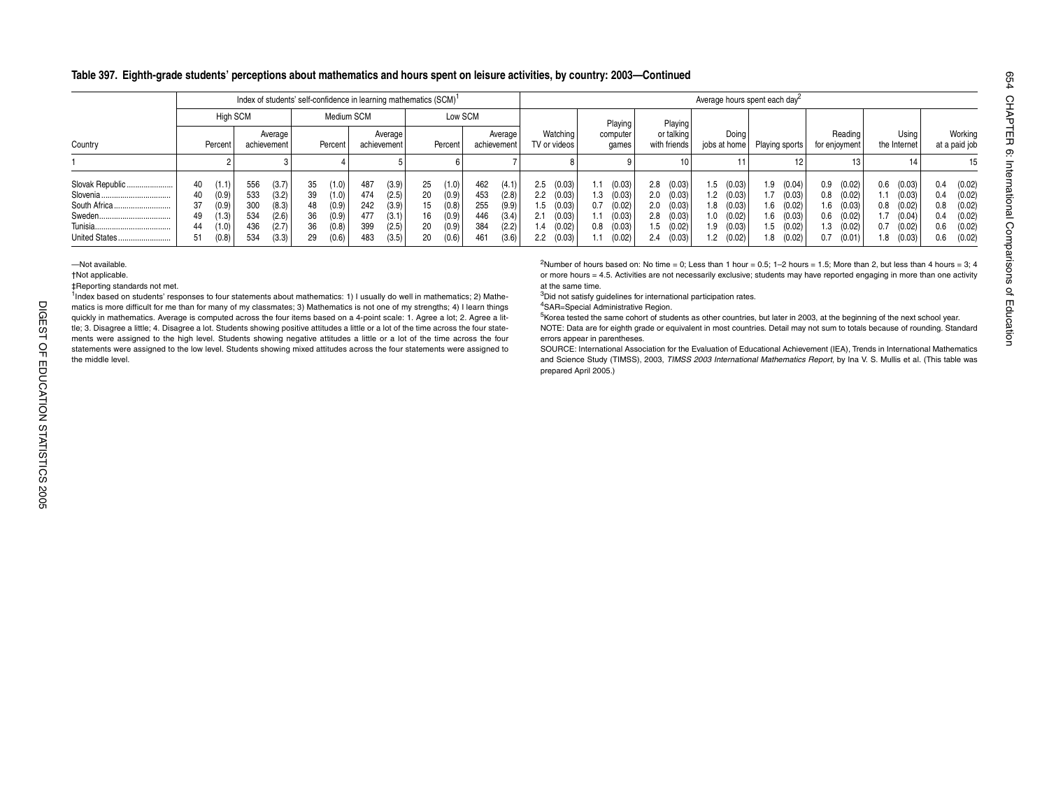#### **Table 397. Eighth-grade students' perceptions about mathematics and hours spent on leisure activities, by country: 2003—Continued**

|                                              |                                  |                                                    |                                        |                                                    |                                  |                                                    | Index of students' self-confidence in learning mathematics (SCM) <sup>1</sup> |                                                    |                                  |                                                    |                                        |                                                    |                                        |                                                          |                                        |                                                          |                                        |                                                          |                          |                                                                      | Average hours spent each day <sup>2</sup> |                                                          |                                        |                                                          |                                         |                                                          |                                        |                                                          |
|----------------------------------------------|----------------------------------|----------------------------------------------------|----------------------------------------|----------------------------------------------------|----------------------------------|----------------------------------------------------|-------------------------------------------------------------------------------|----------------------------------------------------|----------------------------------|----------------------------------------------------|----------------------------------------|----------------------------------------------------|----------------------------------------|----------------------------------------------------------|----------------------------------------|----------------------------------------------------------|----------------------------------------|----------------------------------------------------------|--------------------------|----------------------------------------------------------------------|-------------------------------------------|----------------------------------------------------------|----------------------------------------|----------------------------------------------------------|-----------------------------------------|----------------------------------------------------------|----------------------------------------|----------------------------------------------------------|
|                                              |                                  | <b>High SCM</b>                                    |                                        |                                                    |                                  | Medium SCM                                         |                                                                               |                                                    |                                  | Low SCM                                            |                                        |                                                    |                                        |                                                          |                                        | Playing                                                  |                                        | Playing                                                  |                          |                                                                      |                                           |                                                          |                                        |                                                          |                                         |                                                          |                                        |                                                          |
| Country                                      |                                  | Percent                                            |                                        | Average<br>achievement                             |                                  | Percent                                            |                                                                               | Average<br>achievement                             |                                  | Percent                                            | achievement                            | Average                                            |                                        | Watching<br>TV or videos                                 |                                        | computer<br>games                                        |                                        | or talking<br>with friends                               |                          | Doing<br>jobs at home                                                | Playing sports                            |                                                          |                                        | Reading<br>for enjoyment                                 |                                         | Using<br>the Internet                                    |                                        | Working<br>at a paid job                                 |
|                                              |                                  |                                                    |                                        |                                                    |                                  |                                                    |                                                                               |                                                    |                                  |                                                    |                                        |                                                    |                                        |                                                          |                                        |                                                          |                                        | 10                                                       |                          |                                                                      |                                           |                                                          |                                        |                                                          |                                         | 14                                                       |                                        | 15                                                       |
| Slovak Republic<br>Tunisia.<br>United States | 40<br>40<br>37<br>49<br>44<br>51 | (1.1)<br>(0.9)<br>(0.9)<br>(1.3)<br>(1.0)<br>(0.8) | 556<br>533<br>300<br>534<br>436<br>534 | (3.7)<br>(3.2)<br>(8.3)<br>(2.6)<br>(2.7)<br>(3.3) | 35<br>39<br>48<br>36<br>36<br>29 | (1.0)<br>(1.0)<br>(0.9)<br>(0.9)<br>(0.8)<br>(0.6) | 487<br>474<br>242<br>477<br>399<br>483                                        | (3.9)<br>(2.5)<br>(3.9)<br>(3.1)<br>(2.5)<br>(3.5) | 25<br>20<br>15<br>16<br>20<br>20 | (1.0)<br>(0.9)<br>(0.8)<br>(0.9)<br>(0.9)<br>(0.6) | 462<br>453<br>255<br>446<br>384<br>461 | (4.1)<br>(2.8)<br>(9.9)<br>(3.4)<br>(2.2)<br>(3.6) | 2.5<br>2.2<br>1.5<br>2.1<br>1.4<br>2.2 | (0.03)<br>(0.03)<br>(0.03)<br>(0.03)<br>(0.02)<br>(0.03) | 1.1<br>1.3<br>0.7<br>1.1<br>0.8<br>1.1 | (0.03)<br>(0.03)<br>(0.02)<br>(0.03)<br>(0.03)<br>(0.02) | 2.8<br>2.0<br>2.0<br>2.8<br>1.5<br>2.4 | (0.03)<br>(0.03)<br>(0.03)<br>(0.03)<br>(0.02)<br>(0.03) | 1.5<br>1.8<br>1.0<br>1.9 | (0.03)<br>$1.2$ (0.03)<br>(0.03)<br>(0.02)<br>(0.03)<br>$1.2$ (0.02) | 1.9<br>1.7<br>1.6<br>1.6<br>1.5<br>1.8    | (0.04)<br>(0.03)<br>(0.02)<br>(0.03)<br>(0.02)<br>(0.02) | 0.9<br>0.8<br>1.6<br>0.6<br>1.3<br>0.7 | (0.02)<br>(0.02)<br>(0.03)<br>(0.02)<br>(0.02)<br>(0.01) | 0.6<br>I.1.<br>0.8<br>1.7<br>0.7<br>l.8 | (0.03)<br>(0.03)<br>(0.02)<br>(0.04)<br>(0.02)<br>(0.03) | 0.4<br>0.4<br>0.8<br>0.4<br>0.6<br>0.6 | (0.02)<br>(0.02)<br>(0.02)<br>(0.02)<br>(0.02)<br>(0.02) |

—Not available.

†Not applicable.

‡Reporting standards not met.

 $1$ <sub>Index</sub> based on students' responses to four statements about mathematics: 1) I usually do well in mathematics; 2) Mathematics is more difficult for me than for many of my classmates; 3) Mathematics is not one of my strengths; 4) I learn things quickly in mathematics. Average is computed across the four items based on a 4-point scale: 1. Agree a lot; 2. Agree a little; 3. Disagree a little; 4. Disagree a lot. Students showing positive attitudes a little or a lot of the time across the four statements were assigned to the high level. Students showing negative attitudes a little or a lot of the time across the four statements were assigned to the low level. Students showing mixed attitudes across the four statements were assigned to the middle level.

<sup>2</sup>Number of hours based on: No time = 0; Less than 1 hour = 0.5; 1–2 hours = 1.5; More than 2, but less than 4 hours = 3; 4 or more hours = 4.5. Activities are not necessarily exclusive; students may have reported engaging in more than one activity at the same time.

<sup>3</sup>Did not satisfy quidelines for international participation rates.

4SAR=Special Administrative Region.

5Korea tested the same cohort of students as other countries, but later in 2003, at the beginning of the next school year. NOTE: Data are for eighth grade or equivalent in most countries. Detail may not sum to totals because of rounding. Standard errors appear in parentheses.

SOURCE: International Association for the Evaluation of Educational Achievement (IEA), Trends in International Mathematics and Science Study (TIMSS), 2003, *TIMSS 2003 International Mathematics Report*, by Ina V. S. Mullis et al. (This table was prepared April 2005.)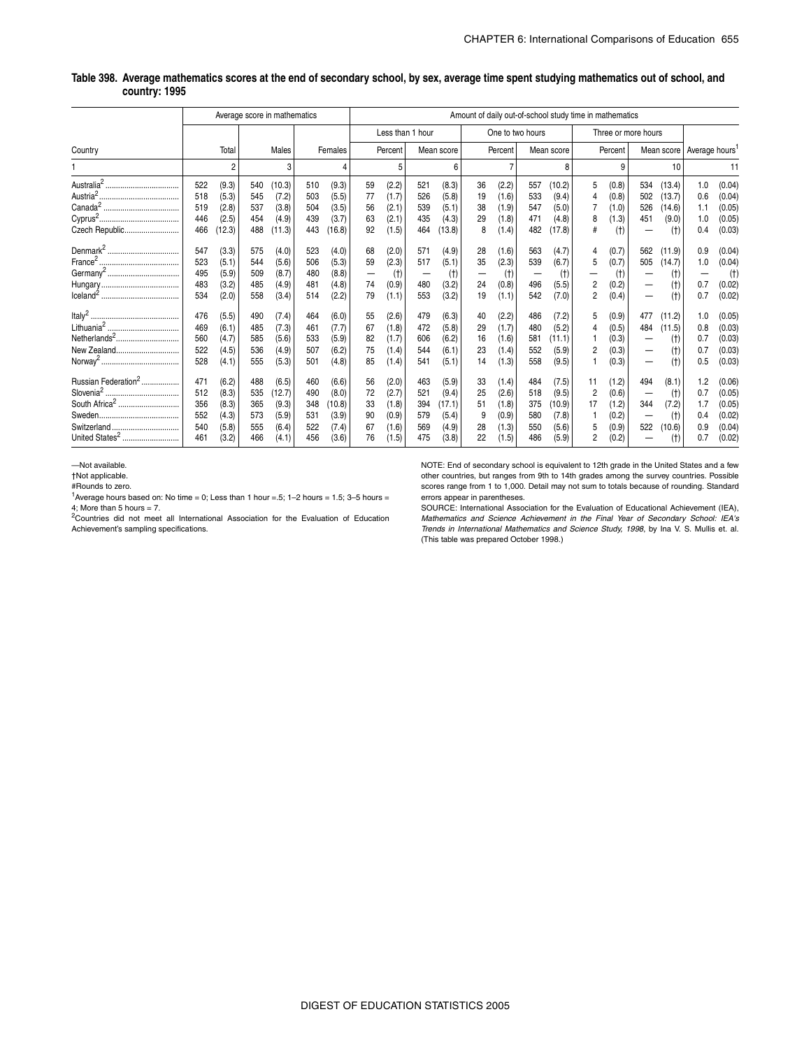#### **Table 398. Average mathematics scores at the end of secondary school, by sex, average time spent studying mathematics out of school, and country: 1995**

|                                                                                                           |                                        |                                                    |                                        | Average score in mathematics                        |                                        |                                                     |                                  |                                                    |                                        |                                                     |                                 |                                                    |                                        |                                                     | Amount of daily out-of-school study time in mathematics |                                                    |                          |                                           |                                        |                                                          |
|-----------------------------------------------------------------------------------------------------------|----------------------------------------|----------------------------------------------------|----------------------------------------|-----------------------------------------------------|----------------------------------------|-----------------------------------------------------|----------------------------------|----------------------------------------------------|----------------------------------------|-----------------------------------------------------|---------------------------------|----------------------------------------------------|----------------------------------------|-----------------------------------------------------|---------------------------------------------------------|----------------------------------------------------|--------------------------|-------------------------------------------|----------------------------------------|----------------------------------------------------------|
|                                                                                                           |                                        |                                                    |                                        |                                                     |                                        |                                                     |                                  |                                                    | Less than 1 hour                       |                                                     |                                 |                                                    | One to two hours                       |                                                     |                                                         |                                                    | Three or more hours      |                                           |                                        |                                                          |
| Country                                                                                                   |                                        | Total                                              |                                        | Males                                               |                                        | Females                                             |                                  | Percent                                            |                                        | Mean score                                          |                                 | Percent                                            |                                        | Mean score                                          |                                                         | Percent                                            |                          |                                           | Mean score Average hours'              |                                                          |
|                                                                                                           |                                        | 2                                                  |                                        | 3                                                   |                                        | 4                                                   |                                  |                                                    |                                        | 6                                                   |                                 |                                                    |                                        | 8                                                   |                                                         | 9                                                  |                          | 10                                        |                                        | 11                                                       |
| Czech Republic                                                                                            | 522<br>518<br>519<br>446<br>466        | (9.3)<br>(5.3)<br>(2.8)<br>(2.5)<br>(12.3)         | 540<br>545<br>537<br>454<br>488        | (10.3)<br>(7.2)<br>(3.8)<br>(4.9)<br>(11.3)         | 510<br>503<br>504<br>439<br>443        | (9.3)<br>(5.5)<br>(3.5)<br>(3.7)<br>(16.8)          | 59<br>77<br>56<br>63<br>92       | (2.2)<br>(1.7)<br>(2.1)<br>(2.1)<br>(1.5)          | 521<br>526<br>539<br>435<br>464        | (8.3)<br>(5.8)<br>(5.1)<br>(4.3)<br>(13.8)          | 36<br>19<br>38<br>29<br>8       | (2.2)<br>(1.6)<br>(1.9)<br>(1.8)<br>(1.4)          | 557<br>533<br>547<br>471<br>482        | (10.2)<br>(9.4)<br>(5.0)<br>(4.8)<br>(17.8)         | 5<br>8                                                  | (0.8)<br>(0.8)<br>(1.0)<br>1.3)<br>(t)             | 534<br>502<br>526<br>451 | (13.4)<br>(13.7)<br>(14.6)<br>(9.0)<br>(† | 1.0<br>0.6<br>1.1<br>1.0<br>0.4        | (0.04)<br>(0.04)<br>(0.05)<br>(0.05)<br>(0.03)           |
| Denmark <sup>2</sup>                                                                                      | 547<br>523<br>495<br>483<br>534        | (3.3)<br>(5.1)<br>(5.9)<br>(3.2)<br>(2.0)          | 575<br>544<br>509<br>485<br>558        | (4.0)<br>(5.6)<br>(8.7)<br>(4.9)<br>(3.4)           | 523<br>506<br>480<br>481<br>514        | (4.0)<br>(5.3)<br>(8.8)<br>(4.8)<br>(2.2)           | 68<br>59<br>—<br>74<br>79        | (2.0)<br>(2.3)<br>(t)<br>(0.9)<br>(1.1)            | 571<br>517<br>480<br>553               | (4.9)<br>(5.1)<br>(t)<br>(3.2)<br>(3.2)             | 28<br>35<br>24<br>19            | (1.6)<br>(2.3)<br>(t)<br>(0.8)<br>(1.1)            | 563<br>539<br>496<br>542               | (4.7)<br>(6.7)<br>(t)<br>(5.5)<br>(7.0)             | 4<br>5<br>2<br>2                                        | (0.7)<br>(0.7)<br>(t)<br>(0.2)<br>(0.4)            | 562<br>505<br>-          | (11.9)<br>(14.7)<br>(t)<br>(t)<br>(†)     | 0.9<br>1.0<br>0.7<br>0.7               | (0.04)<br>(0.04)<br>(t)<br>(0.02)<br>(0.02)              |
| Lithuania <sup>2</sup><br>$Netherlands2$<br>New Zealand                                                   | 476<br>469<br>560<br>522<br>528        | (5.5)<br>(6.1)<br>(4.7)<br>(4.5)<br>(4.1)          | 490<br>485<br>585<br>536<br>555        | (7.4)<br>(7.3)<br>(5.6)<br>(4.9)<br>(5.3)           | 464<br>461<br>533<br>507<br>501        | (6.0)<br>(7.7)<br>(5.9)<br>(6.2)<br>(4.8)           | 55<br>67<br>82<br>75<br>85       | (2.6)<br>(1.8)<br>(1.7)<br>(1.4)<br>(1.4)          | 479<br>472<br>606<br>544<br>541        | (6.3)<br>(5.8)<br>(6.2)<br>(6.1)<br>(5.1)           | 40<br>29<br>16<br>23<br>14      | (2.2)<br>(1.7)<br>(1.6)<br>(1.4)<br>(1.3)          | 486<br>480<br>581<br>552<br>558        | (7.2)<br>(5.2)<br>(11.1)<br>(5.9)<br>(9.5)          | 5<br>4<br>2                                             | (0.9)<br>(0.5)<br>(0.3)<br>(0.3)<br>(0.3)          | 477<br>484<br>–<br>-     | (11.2)<br>(11.5)<br>(t)<br>(t)<br>(†      | 1.0<br>0.8<br>0.7<br>0.7<br>0.5        | (0.05)<br>(0.03)<br>(0.03)<br>(0.03)<br>(0.03)           |
| Russian Federation <sup>2</sup><br>South Africa <sup>2</sup><br>Switzerland<br>United States <sup>2</sup> | 471<br>512<br>356<br>552<br>540<br>461 | (6.2)<br>(8.3)<br>(8.3)<br>(4.3)<br>(5.8)<br>(3.2) | 488<br>535<br>365<br>573<br>555<br>466 | (6.5)<br>(12.7)<br>(9.3)<br>(5.9)<br>(6.4)<br>(4.1) | 460<br>490<br>348<br>531<br>522<br>456 | (6.6)<br>(8.0)<br>(10.8)<br>(3.9)<br>(7.4)<br>(3.6) | 56<br>72<br>33<br>90<br>67<br>76 | (2.0)<br>(2.7)<br>(1.8)<br>(0.9)<br>(1.6)<br>(1.5) | 463<br>521<br>394<br>579<br>569<br>475 | (5.9)<br>(9.4)<br>(17.1)<br>(5.4)<br>(4.9)<br>(3.8) | 33<br>25<br>51<br>9<br>28<br>22 | (1.4)<br>(2.6)<br>(1.8)<br>(0.9)<br>(1.3)<br>(1.5) | 484<br>518<br>375<br>580<br>550<br>486 | (7.5)<br>(9.5)<br>(10.9)<br>(7.8)<br>(5.6)<br>(5.9) | 11<br>2<br>17<br>5<br>2                                 | (1.2)<br>(0.6)<br>(1.2)<br>(0.2)<br>(0.9)<br>(0.2) | 494<br>-<br>344<br>522   | (8.1)<br>(t)<br>(7.2)<br>(†)<br>(10.6)    | 1.2<br>0.7<br>1.7<br>0.4<br>0.9<br>0.7 | (0.06)<br>(0.05)<br>(0.05)<br>(0.02)<br>(0.04)<br>(0.02) |

—Not available.

†Not applicable.

#Rounds to zero.

<sup>1</sup>Average hours based on: No time = 0; Less than 1 hour =  $5$ ; 1-2 hours = 1.5; 3-5 hours = 4; More than 5 hours = 7.

<sup>2</sup>Countries did not meet all International Association for the Evaluation of Education Achievement's sampling specifications.

NOTE: End of secondary school is equivalent to 12th grade in the United States and a few other countries, but ranges from 9th to 14th grades among the survey countries. Possible scores range from 1 to 1,000. Detail may not sum to totals because of rounding. Standard errors appear in parentheses.

SOURCE: International Association for the Evaluation of Educational Achievement (IEA), *Mathematics and Science Achievement in the Final Year of Secondary School: IEA's Trends in International Mathematics and Science Study, 1998*, by Ina V. S. Mullis et. al. (This table was prepared October 1998.)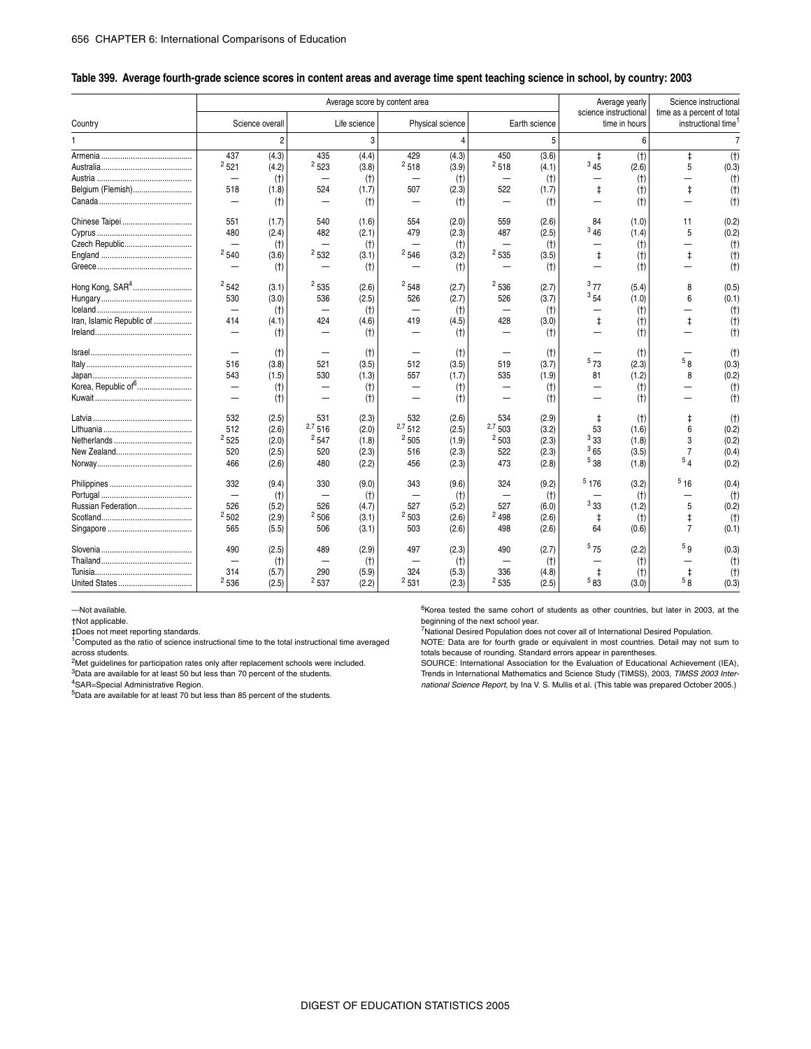#### \_ **Table 399. Average fourth-grade science scores in content areas and average time spent teaching science in school, by country: 2003**

|                                                          |                                                                            |                                           |                                        |                                           | Average score by content area       |                                           |                                     |                                           |                                       | Average yearly                          |                                     | Science instructional                   |
|----------------------------------------------------------|----------------------------------------------------------------------------|-------------------------------------------|----------------------------------------|-------------------------------------------|-------------------------------------|-------------------------------------------|-------------------------------------|-------------------------------------------|---------------------------------------|-----------------------------------------|-------------------------------------|-----------------------------------------|
| Country                                                  |                                                                            | Science overall                           |                                        | Life science                              |                                     | Physical science                          |                                     | Earth science                             |                                       | science instructional<br>time in hours  | time as a percent of total          | instructional time                      |
|                                                          |                                                                            | $\overline{2}$                            |                                        | 3                                         |                                     |                                           |                                     | 5                                         |                                       | 6                                       |                                     | $\overline{7}$                          |
| Belgium (Flemish)                                        | 437<br>2521<br>518<br>—                                                    | (4.3)<br>(4.2)<br>(t)<br>(1.8)<br>(t)     | 435<br>2523<br>524                     | (4.4)<br>(3.8)<br>(t)<br>(1.7)<br>(t)     | 429<br>2518<br>-<br>507             | (4.3)<br>(3.9)<br>(t)<br>(2.3)<br>(t)     | 450<br>2518<br>522                  | (3.6)<br>(4.1)<br>(t)<br>(1.7)<br>(t)     | $\ddagger$<br>345<br>$\ddagger$       | (t)<br>(2.6)<br>(t)<br>(t)<br>(t)       | $\ddagger$<br>5<br>$\ddagger$       | $(+)$<br>(0.3)<br>(t)<br>(t)<br>(t)     |
| Chinese Taipei<br>Czech Republic                         | 551<br>480<br>$\overline{\phantom{0}}$<br>2540                             | (1.7)<br>(2.4)<br>(t)<br>(3.6)<br>(t)     | 540<br>482<br>2532                     | (1.6)<br>(2.1)<br>(t)<br>(3.1)<br>(t)     | 554<br>479<br>2546                  | (2.0)<br>(2.3)<br>(t)<br>(3.2)<br>(t)     | 559<br>487<br>2535                  | (2.6)<br>(2.5)<br>(t)<br>(3.5)<br>(t)     | 84<br>346<br>$\ddagger$               | (1.0)<br>(1.4)<br>(t)<br>(t)<br>(t)     | 11<br>5<br>$\ddagger$               | (0.2)<br>(0.2)<br>(t)<br>(t)<br>(t)     |
| Hong Kong, SAR <sup>4</sup><br>Iran, Islamic Republic of | 2542<br>530<br>$\overline{\phantom{0}}$<br>414<br>$\overline{\phantom{0}}$ | (3.1)<br>(3.0)<br>(t)<br>(4.1)<br>(t)     | 2535<br>536<br>-<br>424                | (2.6)<br>(2.5)<br>(t)<br>(4.6)<br>(t)     | 2548<br>526<br>419                  | (2.7)<br>(2.7)<br>(t)<br>(4.5)<br>(t)     | 2536<br>526<br>428                  | (2.7)<br>(3.7)<br>(t)<br>(3.0)<br>(t)     | 377<br>354<br>$\ddagger$              | (5.4)<br>(1.0)<br>(t)<br>(t)<br>(t)     | 8<br>6<br>$\ddagger$                | (0.5)<br>(0.1)<br>(t)<br>(t)<br>(t)     |
|                                                          | 516<br>543<br>-<br>$\overline{\phantom{0}}$                                | (t)<br>(3.8)<br>(1.5)<br>(t)<br>(t)       | 521<br>530                             | (t)<br>(3.5)<br>(1.3)<br>(t)<br>(t)       | 512<br>557                          | (t)<br>(3.5)<br>(1.7)<br>(t)<br>(t)       | 519<br>535                          | (t)<br>(3.7)<br>(1.9)<br>(t)<br>(t)       | 573<br>81                             | (t)<br>(2.3)<br>(1.2)<br>(t)<br>(t)     | 5 <sub>8</sub><br>8                 | (t)<br>(0.3)<br>(0.2)<br>(t)<br>(t)     |
|                                                          | 532<br>512<br>2525<br>520<br>466                                           | (2.5)<br>(2.6)<br>(2.0)<br>(2.5)<br>(2.6) | 531<br>$2,7$ 516<br>2547<br>520<br>480 | (2.3)<br>(2.0)<br>(1.8)<br>(2.3)<br>(2.2) | 532<br>2,7512<br>2505<br>516<br>456 | (2.6)<br>(2.5)<br>(1.9)<br>(2.3)<br>(2.3) | 534<br>2,7503<br>2503<br>522<br>473 | (2.9)<br>(3.2)<br>(2.3)<br>(2.3)<br>(2.8) | $\ddagger$<br>53<br>333<br>365<br>538 | (t)<br>(1.6)<br>(1.8)<br>(3.5)<br>(1.8) | ŧ<br>6<br>3<br>$\overline{7}$<br>54 | (t)<br>(0.2)<br>(0.2)<br>(0.4)<br>(0.2) |
| Russian Federation                                       | 332<br>526<br>2502<br>565                                                  | (9.4)<br>(t)<br>(5.2)<br>(2.9)<br>(5.5)   | 330<br>526<br>2506<br>506              | (9.0)<br>(t)<br>(4.7)<br>(3.1)<br>(3.1)   | 343<br>527<br>2503<br>503           | (9.6)<br>(t)<br>(5.2)<br>(2.6)<br>(2.6)   | 324<br>527<br>2498<br>498           | (9.2)<br>(t)<br>(6.0)<br>(2.6)<br>(2.6)   | 5176<br>333<br>$\ddagger$<br>64       | (3.2)<br>(t)<br>(1.2)<br>(t)<br>(0.6)   | $^5$ 16<br>5<br>$\ddagger$<br>7     | (0.4)<br>(t)<br>(0.2)<br>(t)<br>(0.1)   |
|                                                          | 490<br>314<br>${}^{2}536$                                                  | (2.5)<br>(t)<br>(5.7)<br>(2.5)            | 489<br>290<br>2537                     | (2.9)<br>(t)<br>(5.9)<br>(2.2)            | 497<br>324<br>2531                  | (2.3)<br>(t)<br>(5.3)<br>(2.3)            | 490<br>336<br>2535                  | (2.7)<br>(t)<br>(4.8)<br>(2.5)            | 575<br>$\ddagger$<br>583              | (2.2)<br>(t)<br>(t)<br>(3.0)            | 5g<br>$\ddagger$<br>$\overline{58}$ | (0.3)<br>(t)<br>(t)<br>(0.3)            |

#### —Not available.

†Not applicable.

‡Does not meet reporting standards. 1Computed as the ratio of science instructional time to the total instructional time averaged across students.

<sup>2</sup>Met guidelines for participation rates only after replacement schools were included. 3Data are available for at least 50 but less than 70 percent of the students.

4SAR=Special Administrative Region.

5Data are available for at least 70 but less than 85 percent of the students.

 $6$ Korea tested the same cohort of students as other countries, but later in 2003, at the beginning of the next school year.

7National Desired Population does not cover all of International Desired Population. NOTE: Data are for fourth grade or equivalent in most countries. Detail may not sum to

totals because of rounding. Standard errors appear in parentheses.

SOURCE: International Association for the Evaluation of Educational Achievement (IEA), Trends in International Mathematics and Science Study (TIMSS), 2003, *TIMSS 2003 International Science Report*, by Ina V. S. Mullis et al. (This table was prepared October 2005.)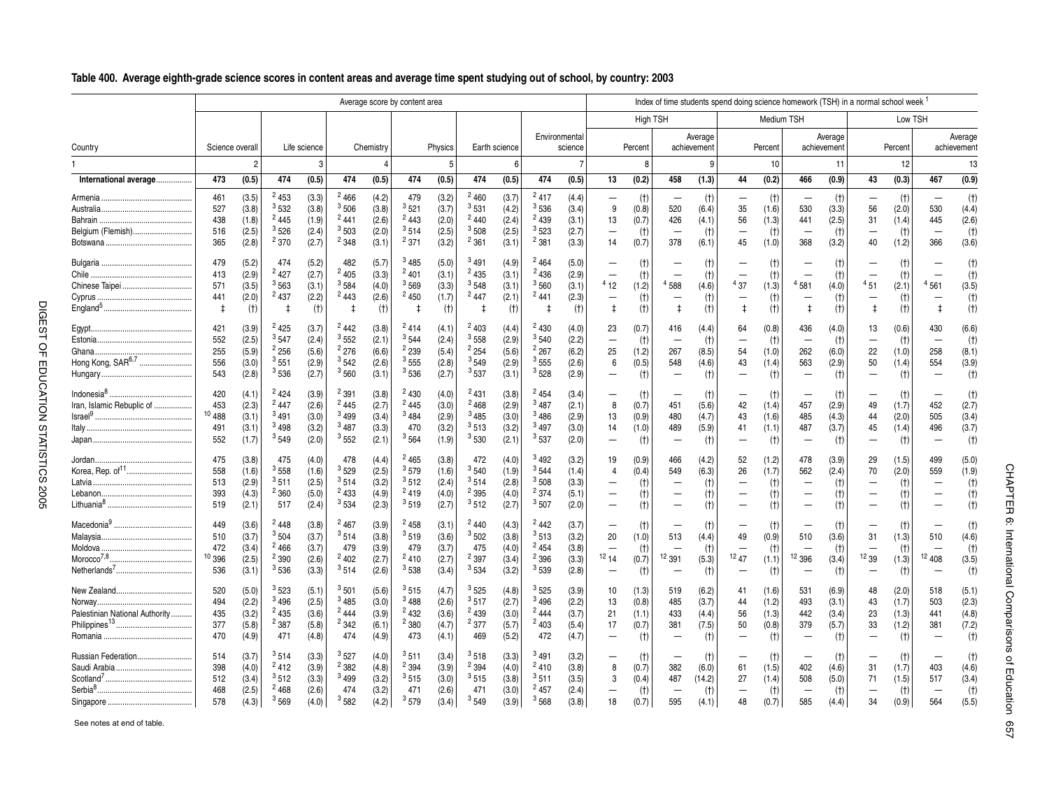#### \_**Table 400. Average eighth-grade science scores in content areas and average time spent studying out of school, by country: 2003**

|                                                |                                        |                                           |                                                           |                                           |                                           |                                           | Average score by content area                  |                                           |                                               |                                           |                                           |                                           |                                                                              |                                         |                                                            |                                         |                                            |                                         | Index of time students spend doing science homework (TSH) in a normal school week <sup>1</sup> |                                         |                                                                        |                                         |                                                |                                         |
|------------------------------------------------|----------------------------------------|-------------------------------------------|-----------------------------------------------------------|-------------------------------------------|-------------------------------------------|-------------------------------------------|------------------------------------------------|-------------------------------------------|-----------------------------------------------|-------------------------------------------|-------------------------------------------|-------------------------------------------|------------------------------------------------------------------------------|-----------------------------------------|------------------------------------------------------------|-----------------------------------------|--------------------------------------------|-----------------------------------------|------------------------------------------------------------------------------------------------|-----------------------------------------|------------------------------------------------------------------------|-----------------------------------------|------------------------------------------------|-----------------------------------------|
|                                                |                                        |                                           |                                                           |                                           |                                           |                                           |                                                |                                           |                                               |                                           |                                           |                                           |                                                                              | High TSH                                |                                                            |                                         |                                            | Medium TSH                              |                                                                                                |                                         |                                                                        | Low TSH                                 |                                                |                                         |
| Country                                        | Science overall                        |                                           |                                                           | Life science                              |                                           | Chemistry                                 |                                                | Physics                                   |                                               | Earth science                             |                                           | Environmental<br>science                  |                                                                              | Percent                                 |                                                            | Average<br>achievement                  |                                            | Percent                                 |                                                                                                | Average<br>achievement                  |                                                                        | Percent                                 |                                                | Average<br>achievement                  |
|                                                |                                        | $\overline{c}$                            |                                                           | 3                                         |                                           |                                           |                                                | 5                                         |                                               | 6                                         |                                           |                                           |                                                                              | 8                                       |                                                            | 9                                       |                                            | 10                                      |                                                                                                | 11                                      |                                                                        | 12                                      |                                                | 13                                      |
| International average.                         | 473                                    | (0.5)                                     | 474                                                       | (0.5)                                     | 474                                       | (0.5)                                     | 474                                            | (0.5)                                     | 474                                           | (0.5)                                     | 474                                       | (0.5)                                     | 13                                                                           | (0.2)                                   | 458                                                        | (1.3)                                   | 44                                         | (0.2)                                   | 466                                                                                            | (0.9)                                   | 43                                                                     | (0.3)                                   | 467                                            | (0.9)                                   |
| Belgium (Flemish)                              | 461<br>527<br>438<br>516<br>365        | (3.5)<br>(3.8)<br>(1.8)<br>(2.5)<br>(2.8) | 2453<br>3532<br>2445<br>3526<br>2370                      | (3.3)<br>(3.8)<br>(1.9)<br>(2.4)<br>(2.7) | 2466<br>3506<br>$^{2}441$<br>3503<br>2348 | (4.2)<br>(3.8)<br>(2.6)<br>(2.0)<br>(3.1) | 479<br>3521<br>$^{2}443$<br>3514<br>2371       | (3.2)<br>(3.7)<br>(2.0)<br>(2.5)<br>(3.2) | 2460<br>3531<br>$^{2}440$<br>$3\,508$<br>2361 | (3.7)<br>(4.2)<br>(2.4)<br>(2.5)<br>(3.1) | 2417<br>3536<br>$^{2}439$<br>3523<br>2381 | (4.4)<br>(3.4)<br>(3.1)<br>(2.7)<br>(3.3) | $\overline{\phantom{0}}$<br>9<br>13<br>$\overline{\phantom{0}}$<br>14        | (t)<br>(0.8)<br>(0.7)<br>(t)<br>(0.7)   | 520<br>426<br>$\overline{\phantom{0}}$<br>378              | (t)<br>(6.4)<br>(4.1)<br>(t)<br>(6.1)   | $\overline{\phantom{0}}$<br>35<br>56<br>45 | (t)<br>(1.6)<br>(1.3)<br>(t)<br>(1.0)   | $\overline{\phantom{0}}$<br>530<br>441<br>-<br>368                                             | (t)<br>(3.3)<br>(2.5)<br>(t)<br>(3.2)   | $\overline{\phantom{0}}$<br>56<br>31<br>$\overline{\phantom{0}}$<br>40 | (t)<br>(2.0)<br>(1.4)<br>(t)<br>(1.2)   | 530<br>445<br>366                              | (t)<br>(4.4)<br>(2.6)<br>(t)<br>(3.6)   |
| Chinese Taipei                                 | 479<br>413<br>571<br>441<br>$\ddagger$ | (5.2)<br>(2.9)<br>(3.5)<br>(2.0)<br>(t)   | 474<br>2427<br>$3\,563$<br>2437<br>\$                     | (5.2)<br>(2.7)<br>(3.1)<br>(2.2)<br>(t)   | 482<br>2405<br>3584<br>2443               | (5.7)<br>(3.3)<br>(4.0)<br>(2.6)<br>(t)   | 3485<br>2401<br>3569<br>2450<br>$\ddagger$     | (5.0)<br>(3.1)<br>(3.3)<br>(1.7)<br>(t)   | 3491<br>2435<br>3548<br>2447<br>$\ddagger$    | (4.9)<br>(3.1)<br>(3.1)<br>(2.1)<br>(t)   | 2464<br>2436<br>3560<br>$^{2}441$         | (5.0)<br>(2.9)<br>(3.1)<br>(2.3)<br>(t)   | $\qquad \qquad$<br>412<br>$\overline{\phantom{0}}$<br>$\ddagger$             | (t)<br>(t)<br>(1.2)<br>(t)<br>(t)       | <sup>4</sup> 588<br>$\overline{\phantom{0}}$<br>$\ddagger$ | (t)<br>(t)<br>(4.6)<br>(t)<br>(t)       | 437<br>$\ddagger$                          | (t)<br>(t)<br>(1.3)<br>(t)<br>(t)       | $\overline{\phantom{0}}$<br>581<br>$\ddagger$                                                  | (t)<br>(t)<br>(4.0)<br>(t)<br>(t)       | $\overline{\phantom{0}}$<br>$^4$ 51<br>$\ddagger$                      | (t)<br>(t)<br>(2.1)<br>(t)<br>(t)       | $\overline{\phantom{0}}$<br>4561<br>$\ddagger$ | (t)<br>(t)<br>(3.5)<br>(t)<br>(t)       |
| Hong Kong, SAR <sup>6,7</sup>                  | 421<br>552<br>255<br>556<br>543        | (3.9)<br>(2.5)<br>(5.9)<br>(3.0)<br>(2.8) | 2425<br>3547<br>$^{2}$ 256<br>$^3$ 551<br>3536            | (3.7)<br>(2.4)<br>(5.6)<br>(2.9)<br>(2.7) | $^{2}442$<br>3552<br>2276<br>3542<br>3560 | (3.8)<br>(2.1)<br>(6.6)<br>(2.6)<br>(3.1) | $^{2}414$<br>$3\,544$<br>2239<br>3555<br>3536  | (4.1)<br>(2.4)<br>(5.4)<br>(2.8)<br>(2.7) | 2403<br>3558<br>2254<br>3549<br>$3\,537$      | (4.4)<br>(2.9)<br>(5.6)<br>(2.9)<br>(3.1) | $^{2}430$<br>3540<br>2267<br>3555<br>3528 | (4.0)<br>(2.2)<br>(6.2)<br>(2.6)<br>(2.9) | 23<br>$\overline{\phantom{0}}$<br>25<br>6<br>$\overline{\phantom{0}}$        | (0.7)<br>(t)<br>(1.2)<br>(0.5)<br>(t)   | 416<br>$\overline{\phantom{0}}$<br>267<br>548              | (4.4)<br>(t)<br>(8.5)<br>(4.6)<br>(t)   | 64<br>-<br>54<br>43                        | (0.8)<br>(t)<br>(1.0)<br>(1.4)<br>(t)   | 436<br>-<br>262<br>563                                                                         | (4.0)<br>(t)<br>(6.0)<br>(2.9)<br>(t)   | 13<br>$\overline{\phantom{0}}$<br>22<br>50<br>$\overline{\phantom{0}}$ | (0.6)<br>(t)<br>(1.0)<br>(1.4)<br>(t)   | 430<br>$\overline{\phantom{0}}$<br>258<br>554  | (6.6)<br>(t)<br>(8.1)<br>(3.9)<br>(t)   |
| Indonesia $8$<br><br>Iran, Islamic Rebuplic of | 420<br>453<br>10488<br>491<br>552      | (4.1)<br>(2.3)<br>(3.1)<br>(3.1)<br>(1.7) | 2424<br>2447<br>3491<br>3498<br>3549                      | (3.9)<br>(2.6)<br>(3.0)<br>(3.2)<br>(2.0) | 2391<br>2445<br>3499<br>3487<br>3552      | (3.8)<br>(2.7)<br>(3.4)<br>(3.3)<br>(2.1) | 2430<br>2445<br>3484<br>470<br>3564            | (4.0)<br>(3.0)<br>(2.9)<br>(3.2)<br>(1.9) | $^{2}431$<br>2468<br>3485<br>3513<br>3530     | (3.8)<br>(2.9)<br>(3.0)<br>(3.2)<br>(2.1) | 2454<br>3487<br>3486<br>3497<br>3537      | (3.4)<br>(2.1)<br>(2.9)<br>(3.0)<br>(2.0) | $\overline{\phantom{0}}$<br>8<br>13<br>14<br>$\overline{\phantom{0}}$        | (t)<br>(0.7)<br>(0.9)<br>(1.0)<br>(t)   | 451<br>480<br>489                                          | (t)<br>(5.6)<br>(4.7)<br>(5.9)<br>(t)   | 42<br>43<br>41                             | (t)<br>(1.4)<br>(1.6)<br>(1.1)<br>(t)   | 457<br>485<br>487                                                                              | (t)<br>(2.9)<br>(4.3)<br>(3.7)<br>(t)   | 49<br>44<br>45                                                         | (t)<br>(1.7)<br>(2.0)<br>(1.4)<br>(t)   | 452<br>505<br>496                              | (t)<br>(2.7)<br>(3.4)<br>(3.7)<br>(t)   |
| Korea, Rep. of <sup>11</sup>                   | 475<br>558<br>513<br>393<br>519        | (3.8)<br>(1.6)<br>(2.9)<br>(4.3)<br>(2.1) | 475<br>3558<br>$3\,511$<br>2360<br>517                    | (4.0)<br>(1.6)<br>(2.5)<br>(5.0)<br>(2.4) | 478<br>3529<br>$3\,514$<br>2433<br>3534   | (4.4)<br>(2.5)<br>(3.2)<br>(4.9)<br>(2.3) | $^{2}$ 465<br>3579<br>$3\,512$<br>2419<br>3519 | (3.8)<br>(1.6)<br>(2.4)<br>(4.0)<br>(2.7) | 472<br>3540<br>3514<br>2395<br>3512           | (4.0)<br>(1.9)<br>(2.8)<br>(4.0)<br>(2.7) | 3492<br>3544<br>$3\,508$<br>2374<br>3507  | (3.2)<br>(1.4)<br>(3.3)<br>(5.1)<br>(2.0) | 19<br>4<br>$\overline{\phantom{0}}$<br>$\overline{\phantom{0}}$              | (0.9)<br>(0.4)<br>(t)<br>(t)<br>(t)     | 466<br>549                                                 | (4.2)<br>(6.3)<br>(t)<br>(t)<br>(t)     | 52<br>26                                   | (1.2)<br>(1.7)<br>(t)<br>(t)<br>(t)     | 478<br>562                                                                                     | (3.9)<br>(2.4)<br>(t)<br>(t)<br>(t)     | 29<br>70                                                               | (1.5)<br>(2.0)<br>(t)<br>(t)<br>(t)     | 499<br>559                                     | (5.0)<br>(1.9)<br>(t)<br>(t)<br>(t)     |
| Morocco <sup>7,8</sup> .<br>                   | 449<br>510<br>472<br>10396<br>536      | (3.6)<br>(3.7)<br>(3.4)<br>(2.5)<br>(3.1) | 2448<br>3504<br>2466<br>2390<br>3536                      | (3.8)<br>(3.7)<br>(3.7)<br>(2.6)<br>(3.3) | 2467<br>3514<br>479<br>2402<br>3514       | (3.9)<br>(3.8)<br>(3.9)<br>(2.7)<br>(2.6) | 2458<br>3519<br>479<br>2410<br>3538            | (3.1)<br>(3.6)<br>(3.7)<br>(2.7)<br>(3.4) | 2440<br>3502<br>475<br>2397<br>3534           | (4.3)<br>(3.8)<br>(4.0)<br>(3.4)<br>(3.2) | 2442<br>3513<br>2454<br>2396<br>3539      | (3.7)<br>(3.2)<br>(3.8)<br>(3.3)<br>(2.8) | $\qquad \qquad$<br>20<br>$\overline{\phantom{0}}$<br>1214<br>$\qquad \qquad$ | (t)<br>(1.0)<br>(t)<br>(0.7)<br>(t)     | 513<br>12391                                               | (t)<br>(4.4)<br>(t)<br>(5.3)<br>(t)     | 49<br>1247                                 | (t)<br>(0.9)<br>(t)<br>(1.1)<br>(t)     | -<br>510<br>12<br>396                                                                          | (t)<br>(3.6)<br>(t)<br>(3.4)<br>(t)     | 31<br>1239<br>$\overline{\phantom{0}}$                                 | (t)<br>(1.3)<br>(t)<br>(1.3)<br>(t)     | 510<br>12408                                   | (t)<br>(4.6)<br>(t)<br>(3.5)<br>(t)     |
| Palestinian National Authority                 | 520<br>494<br>435<br>377<br>470        | (5.0)<br>(2.2)<br>(3.2)<br>(5.8)<br>(4.9) | 3523<br><sup>3</sup> 496<br>$^{2}$ 435<br>$^2$ 387<br>471 | (5.1)<br>(2.5)<br>(3.6)<br>(5.8)<br>(4.8) | $3\,501$<br>3485<br>2444<br>2342<br>474   | (5.6)<br>(3.0)<br>(3.9)<br>(6.1)<br>(4.9) | $3\,515$<br>3488<br>2432<br>2380<br>473        | (4.7)<br>(2.6)<br>(3.6)<br>(4.7)<br>(4.1) | 3525<br>3517<br>2439<br>2377<br>469           | (4.8)<br>(2.7)<br>(3.0)<br>(5.7)<br>(5.2) | 3525<br>3496<br>2444<br>2403<br>472       | (3.9)<br>(2.2)<br>(3.7)<br>(5.4)<br>(4.7) | 10<br>13<br>21<br>17<br>$\overline{\phantom{0}}$                             | (1.3)<br>(0.8)<br>(1.1)<br>(0.7)<br>(t) | 519<br>485<br>433<br>381                                   | (6.2)<br>(3.7)<br>(4.4)<br>(7.5)<br>(t) | 41<br>44<br>56<br>50                       | (1.6)<br>(1.2)<br>(1.3)<br>(0.8)<br>(t) | 531<br>493<br>442<br>379<br>$\overline{\phantom{0}}$                                           | (6.9)<br>(3.1)<br>(3.4)<br>(5.7)<br>(t) | 48<br>43<br>23<br>33<br>$\overline{\phantom{0}}$                       | (2.0)<br>(1.7)<br>(1.3)<br>(1.2)<br>(t) | 518<br>503<br>441<br>381                       | (5.1)<br>(2.3)<br>(4.8)<br>(7.2)<br>(t) |
| Russian Federation                             | 514<br>398<br>512<br>468<br>578        | (3.7)<br>(4.0)<br>(3.4)<br>(2.5)<br>(4.3) | $3\,514$<br>2412<br>3512<br>2468<br>3569                  | (3.3)<br>(3.9)<br>(3.3)<br>(2.6)<br>(4.0) | 3527<br>2382<br>3499<br>474<br>3582       | (4.0)<br>(4.8)<br>(3.2)<br>(3.2)<br>(4.2) | 3511<br>2394<br>3515<br>471<br>3579            | (3.4)<br>(3.9)<br>(3.0)<br>(2.6)<br>(3.4) | 3518<br>2394<br>3515<br>471<br>3549           | (3.3)<br>(4.0)<br>(3.8)<br>(3.0)<br>(3.9) | 3491<br>2410<br>3511<br>$^{2}457$<br>3568 | (3.2)<br>(3.8)<br>(3.5)<br>(2.4)<br>(3.8) | -<br>8<br>3<br>18                                                            | (t)<br>(0.7)<br>(0.4)<br>(t)<br>(0.7)   | 382<br>487<br>595                                          | (t)<br>(6.0)<br>(14.2)<br>(t)<br>(4.1)  | 61<br>27<br>48                             | (t)<br>(1.5)<br>(1.4)<br>(t)<br>(0.7)   | -<br>402<br>508<br>585                                                                         | (t)<br>(4.6)<br>(5.0)<br>(t)<br>(4.4)   | 31<br>71<br>34                                                         | (t)<br>(1.7)<br>(1.5)<br>(t)<br>(0.9)   | 403<br>517<br>564                              | (t)<br>(4.6)<br>(3.4)<br>(t)<br>(5.5)   |

See notes at end of table.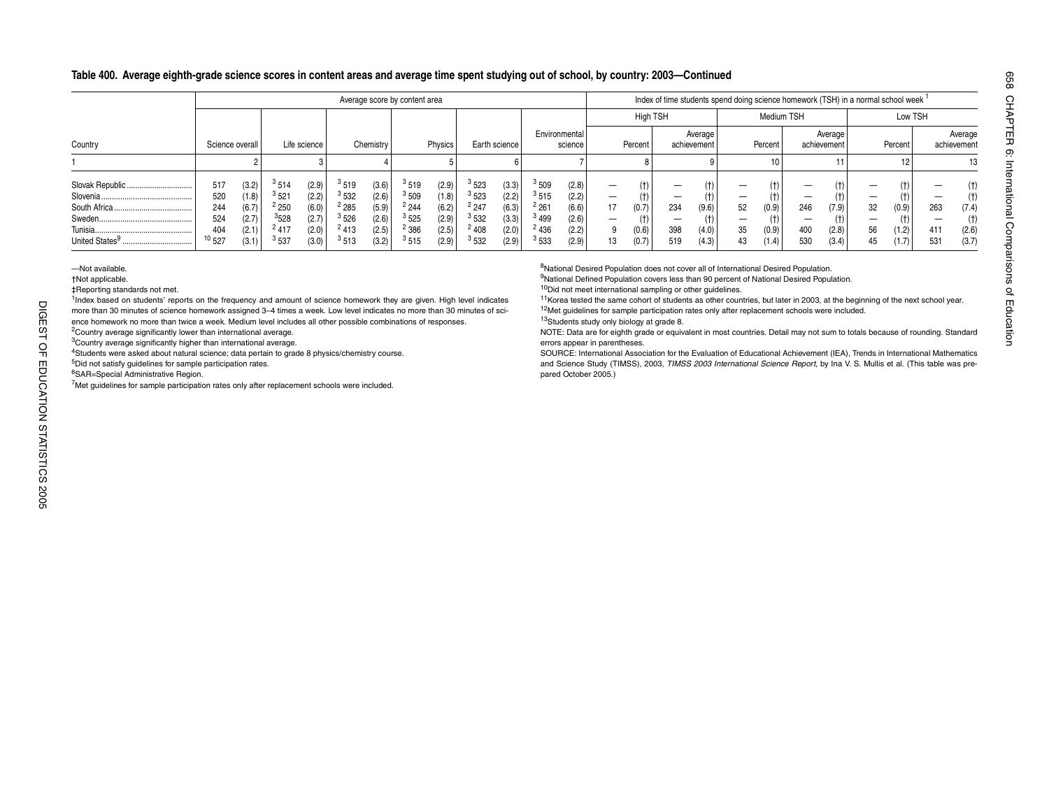## **Table 400. Average eighth-grade science scores in content areas and average time spent studying out of school, by country: 2003—Continued**

|                                                              |                                              |                                                    |                                                                  |                                                    |                                              |                                                    | Average score by content area                |                                                    |                                                              |                                                    |                                                                          |                                                    |                                                                  |                                       |                   |                                |                     |                                              |                   |                                | Index of time students spend doing science homework (TSH) in a normal school week <sup>1</sup> |                         |                                  |                                              |
|--------------------------------------------------------------|----------------------------------------------|----------------------------------------------------|------------------------------------------------------------------|----------------------------------------------------|----------------------------------------------|----------------------------------------------------|----------------------------------------------|----------------------------------------------------|--------------------------------------------------------------|----------------------------------------------------|--------------------------------------------------------------------------|----------------------------------------------------|------------------------------------------------------------------|---------------------------------------|-------------------|--------------------------------|---------------------|----------------------------------------------|-------------------|--------------------------------|------------------------------------------------------------------------------------------------|-------------------------|----------------------------------|----------------------------------------------|
|                                                              |                                              |                                                    |                                                                  |                                                    |                                              |                                                    |                                              |                                                    |                                                              |                                                    |                                                                          |                                                    |                                                                  | <b>High TSH</b>                       |                   |                                |                     | Medium TSH                                   |                   |                                |                                                                                                | Low TSH                 |                                  |                                              |
| Country                                                      | Science overall                              |                                                    |                                                                  | Life science                                       |                                              | Chemistry                                          |                                              | Physics                                            |                                                              | Earth science                                      |                                                                          | Environmental<br>science                           |                                                                  | Percent                               |                   | Average<br>achievement         |                     | Percent                                      |                   | Average<br>achievement         |                                                                                                | Percent                 |                                  | Average<br>achievement                       |
|                                                              |                                              |                                                    |                                                                  |                                                    |                                              |                                                    |                                              |                                                    |                                                              |                                                    |                                                                          |                                                    |                                                                  |                                       |                   |                                |                     | 10 <sub>1</sub>                              |                   |                                |                                                                                                |                         |                                  | 13                                           |
| Slovak Republic<br>Tunisia<br>United States <sup>9</sup><br> | 517<br>520<br>244<br>524<br>404<br>$10\,527$ | (3.2)<br>(1.8)<br>(6.7)<br>(2.7)<br>(2.1)<br>(3.1) | $3\,514$<br>3521<br><sup>2</sup> 250<br>3528<br>2417<br>$3\,537$ | (2.9)<br>(2.2)<br>(6.0)<br>(2.7)<br>(2.0)<br>(3.0) | 3519<br>3532<br>2285<br>3526<br>2413<br>3513 | (3.6)<br>(2.6)<br>(5.9)<br>(2.6)<br>(2.5)<br>(3.2) | 3519<br>3509<br>2244<br>3525<br>2386<br>3515 | (2.9)<br>(1.8)<br>(6.2)<br>(2.9)<br>(2.5)<br>(2.9) | 3523<br>3523<br>2247<br>3532<br><sup>2</sup> 408<br>$3\,532$ | (3.3)<br>(2.2)<br>(6.3)<br>(3.3)<br>(2.0)<br>(2.9) | 3509<br>3515<br><sup>2</sup> 261<br><sup>3</sup> 499<br>2436<br>$3\,533$ | (2.8)<br>(2.2)<br>(6.6)<br>(2.6)<br>(2.2)<br>(2.9) | $\overline{\phantom{0}}$<br>$\overline{\phantom{0}}$<br>17<br>13 | (†)<br>(t)<br>(0.7)<br>(0.6)<br>(0.7) | 234<br>398<br>519 | (t)<br>(9.6)<br>(4.0)<br>(4.3) | –<br>52<br>35<br>43 | (t)<br>(t)<br>(0.9)<br>(t)<br>(0.9)<br>(1.4) | 246<br>400<br>530 | (†)<br>(7.9)<br>(2.8)<br>(3.4) | 32<br>_<br>56<br>45                                                                            | (0.9)<br>(1.2)<br>(1.7) | -<br>–<br>263<br>_<br>411<br>531 | (t)<br>(†)<br>(7.4)<br>(t)<br>(2.6)<br>(3.7) |

—Not available.

†Not applicable.

‡Reporting standards not met.

<sup>1</sup>Index based on students' reports on the frequency and amount of science homework they are given. High level indicates more than 30 minutes of science homework assigned 3–4 times a week. Low level indicates no more than 30 minutes of sci-

ence homework no more than twice a week. Medium level includes all other possible combinations of responses.

2Country average significantly lower than international average.

3Country average significantly higher than international average.

4Students were asked about natural science; data pertain to grade 8 physics/chemistry course.

5Did not satisfy guidelines for sample participation rates.

6SAR=Special Administrative Region.

7Met guidelines for sample participation rates only after replacement schools were included.

8National Desired Population does not cover all of International Desired Population.

<sup>9</sup>National Defined Population covers less than 90 percent of National Desired Population.

<sup>10</sup>Did not meet international sampling or other guidelines.

<sup>11</sup> Korea tested the same cohort of students as other countries, but later in 2003, at the beginning of the next school year.

<sup>12</sup>Met guidelines for sample participation rates only after replacement schools were included. 13Students study only biology at grade 8.

NOTE: Data are for eighth grade or equivalent in most countries. Detail may not sum to totals because of rounding. Standard errors appear in parentheses.

SOURCE: International Association for the Evaluation of Educational Achievement (IEA), Trends in International Mathematics and Science Study (TIMSS), 2003, *TIMSS 2003 International Science Report*, by Ina V. S. Mullis et al. (This table was prepared October 2005.)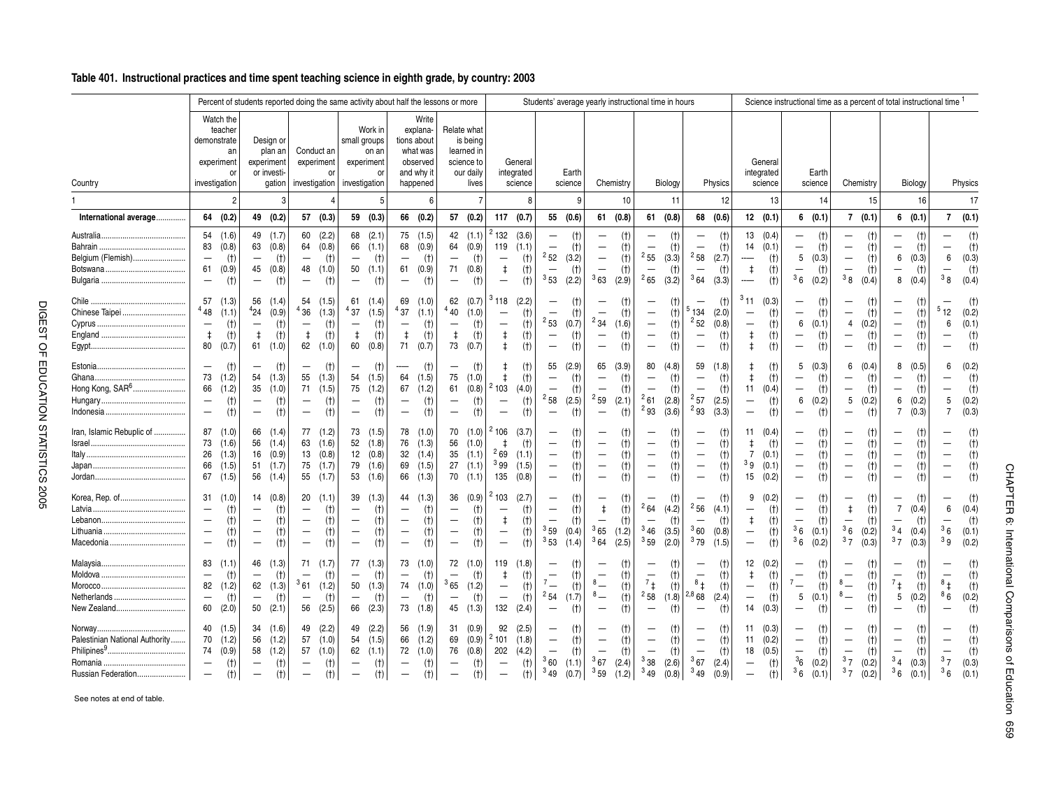|                                                                                  |                                                                                                         |                                                                                |                                                                                                                    |                                                   | Percent of students reported doing the same activity about half the lessons or more    |                                              |                                                                                        |                                              |                                                                                             |                                                                                    |                                                                                                                    |                                                                           |                                                                                                        |                                           |                                                                                                                   |                                     | Students' average yearly instructional time in hours                                                                      |                                     |                                                                                                                     |                                         |                                                                                                     |                                       |                                                                                       |                                         |                                                                                                            | Science instructional time as a percent of total instructional time 1 |                                                                                                                                   |                                      |                                                                                                                            |                                         |                                                                                  |                         |
|----------------------------------------------------------------------------------|---------------------------------------------------------------------------------------------------------|--------------------------------------------------------------------------------|--------------------------------------------------------------------------------------------------------------------|---------------------------------------------------|----------------------------------------------------------------------------------------|----------------------------------------------|----------------------------------------------------------------------------------------|----------------------------------------------|---------------------------------------------------------------------------------------------|------------------------------------------------------------------------------------|--------------------------------------------------------------------------------------------------------------------|---------------------------------------------------------------------------|--------------------------------------------------------------------------------------------------------|-------------------------------------------|-------------------------------------------------------------------------------------------------------------------|-------------------------------------|---------------------------------------------------------------------------------------------------------------------------|-------------------------------------|---------------------------------------------------------------------------------------------------------------------|-----------------------------------------|-----------------------------------------------------------------------------------------------------|---------------------------------------|---------------------------------------------------------------------------------------|-----------------------------------------|------------------------------------------------------------------------------------------------------------|-----------------------------------------------------------------------|-----------------------------------------------------------------------------------------------------------------------------------|--------------------------------------|----------------------------------------------------------------------------------------------------------------------------|-----------------------------------------|----------------------------------------------------------------------------------|-------------------------|
| Country                                                                          |                                                                                                         | Watch the<br>teacher<br>demonstrate<br>an<br>experiment<br>or<br>investigation |                                                                                                                    | Design or<br>plan an<br>experiment<br>or investi- | gation investigation                                                                   | Conduct an<br>experiment<br>$\Omega$         | small groups<br>investigation                                                          | Work in<br>on an<br>experiment<br>O          |                                                                                             | Write<br>explana-<br>tions about<br>what was<br>observed<br>and why it<br>happened |                                                                                                                    | Relate what<br>is being<br>learned in<br>science to<br>our daily<br>lives |                                                                                                        | General<br>integrated<br>science          |                                                                                                                   | Earth<br>science                    |                                                                                                                           | Chemistry                           |                                                                                                                     | Biology                                 |                                                                                                     | <b>Physics</b>                        |                                                                                       | General<br>integrated<br>science        |                                                                                                            | Earth<br>science                                                      |                                                                                                                                   | Chemistry                            |                                                                                                                            | Biology                                 |                                                                                  | Physics                 |
|                                                                                  |                                                                                                         | $\overline{2}$                                                                 |                                                                                                                    | 3                                                 |                                                                                        |                                              |                                                                                        | 5                                            |                                                                                             | 6                                                                                  |                                                                                                                    |                                                                           |                                                                                                        |                                           |                                                                                                                   | g                                   |                                                                                                                           | 10                                  |                                                                                                                     | 11                                      |                                                                                                     | 12                                    |                                                                                       | 13                                      |                                                                                                            | 14                                                                    |                                                                                                                                   | 15                                   |                                                                                                                            | 16                                      |                                                                                  |                         |
| International average                                                            |                                                                                                         | 64 (0.2)                                                                       | 49                                                                                                                 | (0.2)                                             |                                                                                        | 57 (0.3)                                     |                                                                                        | 59 (0.3)                                     |                                                                                             | 66 (0.2)                                                                           |                                                                                                                    | 57 (0.2)                                                                  | 117                                                                                                    | (0.7)                                     | 55                                                                                                                | (0.6)                               | 61                                                                                                                        | (0.8)                               | 61                                                                                                                  | (0.8)                                   | 68                                                                                                  | (0.6)                                 |                                                                                       | 12(0.1)                                 |                                                                                                            | 6(0.1)                                                                |                                                                                                                                   | 7(0.1)                               |                                                                                                                            | 6(0.1)                                  | 7                                                                                | (0.1)                   |
| Belgium (Flemish)                                                                | 83<br>$\overline{\phantom{m}}$<br>61<br>$\overline{\phantom{m}}$                                        | 54(1.6)<br>(0.8)<br>(t)<br>(0.9)<br>(t)                                        | 63<br>$\overline{\phantom{m}}$<br>45<br>$\overline{\phantom{0}}$                                                   | 49 (1.7)<br>(0.8)<br>(t)<br>(0.8)<br>(t)          | 60<br>64<br>$\qquad \qquad -$<br>48<br>-                                               | (2.2)<br>(0.8)<br>(t)<br>(1.0)<br>(t)        | 68<br>66<br>$\qquad \qquad -$<br>50<br>$\overline{\phantom{0}}$                        | (2.1)<br>(1.1)<br>(t)<br>(1.1)<br>(t)        | 68<br>$\overline{\phantom{0}}$<br>61<br>$\overline{\phantom{0}}$                            | 75 (1.5)<br>(0.9)<br>(t)<br>(0.9)<br>$(+)$                                         | 64<br>$\qquad \qquad -$<br>71<br>$\overline{\phantom{m}}$                                                          | 42(1.1)<br>(0.9)<br>(t)<br>(0.8)<br>(t)                                   | 2132<br>119<br>$\overline{\phantom{m}}$<br>$\ddagger$<br>$\overline{\phantom{m}}$                      | (3.6)<br>(1.1)<br>(t)<br>(t)<br>(t)       | $\overline{\phantom{0}}$<br>$\qquad \qquad -$<br>252<br>$\overline{\phantom{m}}$<br>$3\,53$                       | (t)<br>(t)<br>(3.2)<br>(t)<br>(2.2) | $\overline{\phantom{m}}$<br>-<br>$\overline{\phantom{0}}$<br>363                                                          | (t)<br>(t)<br>(t)<br>(t)<br>(2.9)   | $\overline{\phantom{0}}$<br>255<br>$\overline{\phantom{0}}$<br>265                                                  | (t)<br>(t)<br>(3.3)<br>(t)<br>(3.2)     | $\overline{\phantom{0}}$<br>$\qquad \qquad -$<br>$^{2}58$<br>$\overline{\phantom{0}}$<br>364        | (t)<br>$(+)$<br>(2.7)<br>(t)<br>(3.3) | 13<br>14<br>$\ddagger$<br>------                                                      | (0.4)<br>(0.1)<br>(t)<br>(t)<br>(t)     | $\qquad \qquad -$<br>—<br>5<br>$\overline{\phantom{0}}$<br>36                                              | (t)<br>(t)<br>(0.3)<br>(t)<br>(0.2)                                   | $\overline{\phantom{0}}$<br>$\overline{\phantom{m}}$<br>$\qquad \qquad -$<br>$\overline{\phantom{0}}$<br>38                       | (t)<br>(t)<br>(t)<br>(t)<br>(0.4)    | $\overline{\phantom{0}}$<br>$\overline{\phantom{m}}$<br>6<br>—<br>8                                                        | (t)<br>(t)<br>(0.3)<br>(t)<br>(0.4)     | -<br>6<br>38                                                                     | (0.3)<br>(0.4)          |
| Chinese Taipei                                                                   | 57<br>448<br>$\overline{\phantom{m}}$<br>$\ddagger$<br>80                                               | (1.3)<br>(1.1)<br>(t)<br>(t)<br>(0.7)                                          | 56<br>424<br>$\overline{\phantom{m}}$<br>$\ddagger$<br>61                                                          | (1.4)<br>(0.9)<br>(t)<br>(t)<br>(1.0)             | 54<br>436<br>$\qquad \qquad -$<br>$\ddagger$                                           | (1.5)<br>(1.3)<br>(t)<br>(t)<br>$62$ $(1.0)$ | 61<br><sup>4</sup> 37<br>$\qquad \qquad -$<br>$\ddagger$<br>60                         | (1.4)<br>(1.5)<br>(t)<br>(t)<br>(0.8)        | 69<br>437<br>$\overline{\phantom{m}}$<br>$\ddagger$<br>71                                   | (1.0)<br>(1.1)<br>(t)<br>(t)<br>(0.7)                                              | 62<br>440<br>$\qquad \qquad -$<br>$\ddagger$<br>73                                                                 | (0.7)<br>(1.0)<br>(t)<br>(t)<br>(0.7)                                     | $3\,118$<br>$\overline{\phantom{m}}$<br>$\overline{\phantom{m}}$<br>$\ddagger$<br>$\ddagger$           | (2.2)<br>(t)<br>(t)<br>(t)<br>(t)         | $\overline{\phantom{0}}$<br>$\overline{\phantom{0}}$<br>$^{2}53$<br>$\qquad \qquad -$<br>$\overline{\phantom{0}}$ | (t)<br>(t)<br>(0.7)<br>(t)<br>(t)   | $\overline{\phantom{m}}$<br>$\overline{\phantom{a}}$<br>$^{2}$ 34<br>$\overline{\phantom{0}}$<br>$\overline{\phantom{m}}$ | (t)<br>(t)<br>(1.6)<br>(t)<br>(t)   | $\overline{\phantom{0}}$<br>$\overline{\phantom{m}}$<br>$\qquad \qquad -$<br>$\qquad \qquad -$<br>$\qquad \qquad -$ | (t)<br>(t)<br>(t)<br>(t)<br>(t)         | —<br>'134<br>252<br>$\overline{\phantom{m}}$<br>$\overline{\phantom{0}}$                            | (t)<br>(2.0)<br>(0.8)<br>(t)<br>(t)   | 311<br>$\qquad \qquad -$<br>$\overline{\phantom{m}}$<br>$\ddagger$<br>$\ddagger$      | (0.3)<br>(t)<br>(t)<br>(t)<br>(t)       | $\qquad \qquad -$<br>$\qquad \qquad -$<br>6<br>$\overline{\phantom{m}}$<br>$\overline{\phantom{0}}$        | (t)<br>(t)<br>(0.1)<br>(t)<br>(t)                                     | $\overline{\phantom{0}}$<br>$\overline{\phantom{m}}$<br>$\overline{4}$<br>$\overline{\phantom{m}}$<br>$\qquad \qquad -$           | (t)<br>(t)<br>(0.2)<br>(t)<br>(t)    | $\overline{\phantom{0}}$<br>$\overline{\phantom{m}}$<br>$\overline{\phantom{m}}$<br>$\qquad \qquad -$<br>$\qquad \qquad -$ | (t)<br>(t)<br>(t)<br>(t)<br>(t)         | 512<br>6<br>$\overline{\phantom{m}}$                                             | (0.2)<br>(0.1)          |
| Hong Kong, SAR <sup>6</sup>                                                      | $\overline{\phantom{m}}$<br>73<br>66<br>$\overline{\phantom{m}}$<br>$\overline{\phantom{m}}$            | (t)<br>(1.2)<br>(1.2)<br>(t)<br>(t)                                            | $\overline{\phantom{m}}$<br>54<br>35<br>$\qquad \qquad -$<br>$\overline{\phantom{m}}$                              | (t)<br>(1.3)<br>(1.0)<br>(t)<br>(t)               | —<br>55<br>71<br>$\qquad \qquad -$<br>$\overline{\phantom{0}}$                         | (t)<br>(1.3)<br>(1.5)<br>(t)<br>(t)          | $\overline{\phantom{m}}$<br>54<br>75<br>—<br>$\overline{\phantom{m}}$                  | (t)<br>(1.5)<br>(1.2)<br>(t)<br>(t)          | $\overline{\phantom{a}}$<br>64<br>67<br>$\qquad \qquad -$<br>$\overline{\phantom{0}}$       | $(+)$<br>(1.5)<br>(1.2)<br>(t)<br>(t)                                              | $\overbrace{\phantom{123221111}}$<br>75<br>61<br>$\overline{\phantom{0}}$<br>$\overline{\phantom{0}}$              | (t)<br>(1.0)<br>(0.8)<br>(t)<br>(t)                                       | $\ddagger$<br>2103<br>$\overline{\phantom{m}}$                                                         | (t)<br>(t)<br>(4.0)<br>(t)<br>(t)         | 55<br>$\overline{\phantom{0}}$<br>$^{2}58$<br>$\overline{\phantom{0}}$                                            | (2.9)<br>(t)<br>(t)<br>(2.5)<br>(t) | 65<br>$\qquad \qquad -$<br>$\overline{\phantom{m}}$<br>$^{2}59$<br>$\overline{\phantom{m}}$                               | (3.9)<br>(t)<br>(t)<br>(2.1)<br>(t) | 80<br>$\qquad \qquad -$<br>$\overline{\phantom{0}}$<br>$^{2}61$<br>293                                              | (4.8)<br>$(+)$<br>(t)<br>(2.8)<br>(3.6) | 59<br>$\overline{\phantom{0}}$<br>$\overline{\phantom{0}}$<br>$^{2}57$<br>293                       | (1.8)<br>(t)<br>(t)<br>(2.5)<br>(3.3) | $\ddagger$<br>$\ddagger$<br>11<br>$\qquad \qquad -$<br>$\overline{\phantom{0}}$       | (t)<br>(t)<br>(0.4)<br>(t)<br>(t)       | 5<br>—<br>$\qquad \qquad -$<br>6<br>$\overline{\phantom{0}}$                                               | (0.3)<br>(t)<br>(t)<br>(0.2)<br>(t)                                   | —<br>$\overline{\phantom{m}}$<br>5 <sub>5</sub><br>$\overline{\phantom{0}}$                                                       | 6(0.4)<br>(t)<br>(t)<br>(0.2)<br>(t) | 8<br>—<br>$\qquad \qquad -$<br>6<br>7                                                                                      | (0.5)<br>(t)<br>(t)<br>(0.2)<br>(0.3)   | 6<br>$\overline{\phantom{0}}$<br>5<br>$\overline{7}$                             | (0.2)<br>(0.2)<br>(0.3) |
| Iran, Islamic Rebuplic of                                                        | 87<br>73<br>26<br>66<br>67                                                                              | (1.0)<br>(1.6)<br>(1.3)<br>(1.5)<br>(1.5)                                      | 66<br>56<br>16<br>51<br>56                                                                                         | (1.4)<br>(1.4)<br>(0.9)<br>(1.7)<br>(1.4)         | 77<br>63<br>13<br>75                                                                   | (1.2)<br>(1.6)<br>(0.8)<br>(1.7)<br>55 (1.7) | 73<br>52<br>12<br>79<br>53                                                             | (1.5)<br>(1.8)<br>(0.8)<br>(1.6)<br>(1.6)    |                                                                                             | 78 (1.0)<br>76 (1.3)<br>32(1.4)<br>69 (1.5)<br>66 (1.3)                            | 56<br>35<br>27                                                                                                     | 70 (1.0)<br>(1.0)<br>(1.1)<br>(1.1)<br>70(1.1)                            | $^{2}$ 106<br>$^{2}69$<br>399<br>135                                                                   | (3.7)<br>$(+)$<br>(1.1)<br>(1.5)<br>(0.8) | $\overline{\phantom{0}}$<br>$\overline{\phantom{0}}$<br>$\overline{\phantom{0}}$<br>$\qquad \qquad -$             | (t)<br>(t)<br>(t)<br>(t)<br>(t)     | $\qquad \qquad -$<br>$\overline{\phantom{m}}$<br>$\overline{\phantom{a}}$                                                 | (t)<br>(t)<br>(t)<br>(t)<br>(t)     | $\qquad \qquad -$<br>$\overline{\phantom{m}}$<br>$\qquad \qquad -$<br>$\overline{\phantom{0}}$                      | (t)<br>(t)<br>(t)<br>(t)<br>(t)         | -<br>$\overline{\phantom{m}}$<br>$\overline{\phantom{m}}$<br>$\qquad \qquad -$<br>$\qquad \qquad -$ | (t)<br>(t)<br>(t)<br>(t)<br>(t)       | 11<br>$\ddagger$<br>$\overline{7}$<br><sup>3</sup> 9<br>15                            | (0.4)<br>(t)<br>(0.1)<br>(0.1)<br>(0.2) | —<br>$\overline{\phantom{m}}$<br>$\qquad \qquad -$<br>$\overline{\phantom{m}}$<br>$\overline{\phantom{0}}$ | (t)<br>(t)<br>(t)<br>(t)<br>(t)                                       | $\overline{\phantom{0}}$<br>$\overline{\phantom{m}}$<br>$\overline{\phantom{m}}$<br>$\qquad \qquad -$<br>$\overline{\phantom{m}}$ | (t)<br>(t)<br>(t)<br>(t)<br>(t)      | $\overline{\phantom{m}}$<br>$\qquad \qquad -$<br>$\overline{\phantom{m}}$<br>$\overline{\phantom{m}}$                      | (t)<br>(t)<br>(t)<br>(t)<br>(t)         | $\overline{\phantom{a}}$<br>$\overline{\phantom{a}}$<br>$\overline{\phantom{0}}$ |                         |
| Korea, Rep. of                                                                   | 31<br>$\overline{\phantom{m}}$<br>$\overline{\phantom{m}}$<br>$\frac{1}{2}$<br>$\overline{\phantom{m}}$ | (1.0)<br>(t)<br>(t)<br>(t)<br>(t)                                              | 14<br>$\overline{\phantom{m}}$<br>$\overline{\phantom{m}}$<br>$\overline{\phantom{m}}$<br>$\overline{\phantom{0}}$ | (0.8)<br>(t)<br>(t)<br>(t)<br>(t)                 | 20<br>$\qquad \qquad -$<br>$\qquad \qquad -$<br>$\qquad \qquad -$<br>$\qquad \qquad -$ | (1.1)<br>(t)<br>(t)<br>(t)<br>(t)            | 39<br>$\overline{\phantom{m}}$<br>$\overline{\phantom{m}}$<br>$\overline{\phantom{m}}$ | (1.3)<br>(t)<br>(t)<br>(t)<br>(t)            | 44<br>$\overline{\phantom{m}}$<br>—<br>$\overline{\phantom{m}}$<br>$\overline{\phantom{0}}$ | (1.3)<br>$(+)$<br>(t)<br>(t)<br>(t)                                                | 36<br>$\overline{\phantom{m}}$<br>$\overline{\phantom{m}}$<br>$\overline{\phantom{0}}$<br>$\overline{\phantom{0}}$ | (0.9)<br>(t)<br>(t)<br>(t)<br>(t)                                         | 2103<br>$\overline{\phantom{m}}$<br>$\ddagger$<br>$\overline{\phantom{m}}$<br>$\overline{\phantom{m}}$ | (2.7)<br>(t)<br>(t)<br>(t)<br>(t)         | $\overline{\phantom{0}}$<br>$\overline{\phantom{m}}$<br>$\overline{\phantom{0}}$<br>359<br>$3\,53$                | (t)<br>(t)<br>(t)<br>(0.4)<br>(1.4) | $\overline{\phantom{a}}$<br>$\ddagger$<br>$\qquad \qquad -$<br>365<br>364                                                 | (t)<br>(t)<br>(t)<br>(1.2)<br>(2.5) | $\overline{\phantom{0}}$<br>264<br>$\qquad \qquad -$<br>346<br>359                                                  | (t)<br>(4.2)<br>(t)<br>(3.5)<br>(2.0)   | -<br>256<br>360<br>379                                                                              | (t)<br>(4.1)<br>(t)<br>(0.8)<br>(1.5) | 9<br>$\qquad \qquad -$<br>$\ddagger$<br>$\overline{\phantom{m}}$<br>$\qquad \qquad -$ | (0.2)<br>(t)<br>(t)<br>(t)<br>(t)       | -<br>$\overline{\phantom{m}}$<br>$\overline{\phantom{m}}$<br>36<br>36                                      | (t)<br>(t)<br>(t)<br>(0.1)<br>(0.2)                                   | -<br>$\ddagger$<br>$\overline{\phantom{m}}$<br>36<br>37                                                                           | (t)<br>(t)<br>(t)<br>(0.2)<br>(0.3)  | $\overline{\phantom{0}}$<br>$\overline{7}$<br>—<br>3 <sub>4</sub><br>37                                                    | (t)<br>(0.4)<br>$(+)$<br>(0.4)<br>(0.3) | 6<br>36<br>3g                                                                    | (0.4)<br>(0.1)<br>(0.2) |
| New Zealand                                                                      | 83<br>$\overline{\phantom{0}}$<br>$\qquad \qquad -$<br>60                                               | (1.1)<br>(t)<br>82 (1.2)<br>(t)<br>(2.0)                                       | 46<br>$\overline{\phantom{m}}$<br>62<br>$\overline{\phantom{m}}$<br>50                                             | (1.3)<br>(t)<br>(1.3)<br>(t)<br>(2.1)             | 71<br>$\overline{\phantom{m}}$<br>$\overline{\phantom{m}}$<br>56                       | (1.7)<br>(t)<br>361(1.2)<br>(t)<br>(2.5)     | 77<br>$\overline{\phantom{m}}$<br>50<br>$\overline{\phantom{m}}$<br>66                 | (1.3)<br>(t)<br>(1.3)<br>(t)<br>(2.3)        | 73<br>$\qquad \qquad -$<br>$\overline{\phantom{m}}$                                         | (1.0)<br>(t)<br>74 (1.0)<br>(t)<br>73 (1.8)                                        | 72<br>$\overline{\phantom{0}}$<br>365<br>$\overline{\phantom{m}}$                                                  | (1.0)<br>(t)<br>(1.2)<br>(t)<br>45 (1.3)                                  | 119<br>$\ddagger$<br>$\overline{\phantom{m}}$<br>$\overline{\phantom{m}}$<br>132                       | (1.8)<br>(t)<br>(t)<br>(t)<br>(2.4)       | $\overline{\phantom{a}}$<br>$7 -$<br>$^{2}54$<br>$\overline{\phantom{0}}$                                         | (t)<br>(t)<br>(t)<br>(1.7)<br>(t)   | $\overline{\phantom{a}}$<br>$8-$<br>$8\equiv$<br>$\overline{\phantom{a}}$                                                 | (t)<br>(t)<br>(t)<br>(t)<br>(t)     | $\overline{\phantom{m}}$<br>$7_{+}$<br>$^{2}58$<br>$\overline{\phantom{0}}$                                         | (t)<br>(t)<br>(t)<br>(1.8)<br>(t)       | $\overline{\phantom{0}}$<br>$8+$<br>2,8,68<br>$\overline{\phantom{0}}$                              | (t)<br>(t)<br>(t)<br>(2.4)<br>(t)     | 12<br>ŧ<br>$\qquad \qquad -$<br>$\overline{\phantom{m}}$<br>14                        | (0.2)<br>(t)<br>(t)<br>(t)<br>(0.3)     | $\overline{\phantom{m}}$<br>$\mathbf{v}$ —<br>$5\phantom{.0}$<br>$\overline{\phantom{0}}$                  | (t)<br>(t)<br>(t)<br>(0.1)<br>(t)                                     | $\overline{\phantom{a}}$<br>$8-$<br>$8\phantom{0}-$<br>$\overline{\phantom{0}}$                                                   | (t)<br>(t)<br>(t)<br>(t)<br>(t)      | $\overline{\phantom{m}}$<br>$7_{\ddagger}$<br>5<br>$\qquad \qquad -$                                                       | (t)<br>(t)<br>(t)<br>(0.2)<br>(t)       | $\overline{\phantom{a}}$<br>$^{8}$ ±<br>86                                       | (0.2)                   |
| Palestinian National Authority<br>$Philipines9$<br>Romania<br>Russian Federation | 40<br>70<br>74<br>$\overline{\phantom{m}}$<br>$\overline{\phantom{m}}$                                  | (1.5)<br>(1.2)<br>(0.9)<br>(t)<br>(t)                                          | 34<br>56<br>58<br>$\qquad \qquad -$<br>$\qquad \qquad -$                                                           | (1.6)<br>(1.2)<br>(1.2)<br>(t)<br>$(+)$           | 49<br>57<br>57<br>$\qquad \qquad -$<br>$\qquad \qquad -$                               | (2.2)<br>(1.0)<br>(1.0)<br>(t)<br>(t)        | 49<br>54<br>$\overline{\phantom{m}}$<br>$\overline{\phantom{m}}$                       | (2.2)<br>(1.5)<br>$62$ $(1.1)$<br>(t)<br>(t) | $\overline{\phantom{m}}$<br>$\overline{\phantom{0}}$                                        | 56 (1.9)<br>66 (1.2)<br>72 (1.0)<br>(t)<br>$(+)$                                   | 69<br>76<br>$\overline{\phantom{m}}$<br>—                                                                          | 31(0.9)<br>(0.9)<br>(0.8)<br>(t)<br>$(+)$                                 | 92<br>2101<br>202<br>$\overline{\phantom{m}}$<br>$\overline{\phantom{m}}$                              | (2.5)<br>(1.8)<br>(4.2)<br>(t)<br>(t)     | $\overline{\phantom{m}}$<br>$\overline{\phantom{0}}$<br>360<br>349                                                | (t)<br>(t)<br>(t)<br>(1.1)<br>(0.7) | $\overline{\phantom{m}}$<br>$\overline{\phantom{m}}$<br>367<br>$3_{59}$                                                   | (t)<br>(t)<br>(t)<br>(2.4)<br>(1.2) | $\overline{\phantom{m}}$<br>$\qquad \qquad -$<br>338<br>349                                                         | (t)<br>(t)<br>(t)<br>(2.6)<br>(0.8)     | -<br>$\overline{\phantom{m}}$<br>$\qquad \qquad -$<br>367<br>349                                    | (t)<br>(t)<br>$(+)$<br>(2.4)<br>(0.9) | 11<br>11<br>18<br>$\qquad \qquad -$<br>$\overline{\phantom{m}}$                       | (0.3)<br>(0.2)<br>(0.5)<br>(t)<br>(t)   | -<br>$\overline{\phantom{m}}$<br>$\overline{\phantom{m}}$<br>36<br>36                                      | (t)<br>(t)<br>(t)<br>(0.2)<br>(0.1)                                   | $\overline{\phantom{m}}$<br>$\overline{\phantom{m}}$<br>37<br>37                                                                  | (t)<br>(t)<br>(t)<br>(0.2)<br>(0.2)  | $\overline{\phantom{m}}$<br>$\overline{\phantom{0}}$<br>3 <sub>4</sub><br>36                                               | (t)<br>(t)<br>(t)<br>(0.3)<br>(0.1)     | $\overline{\phantom{0}}$<br>37<br>36                                             | (0.3)<br>(0.1)          |

See notes at end of table.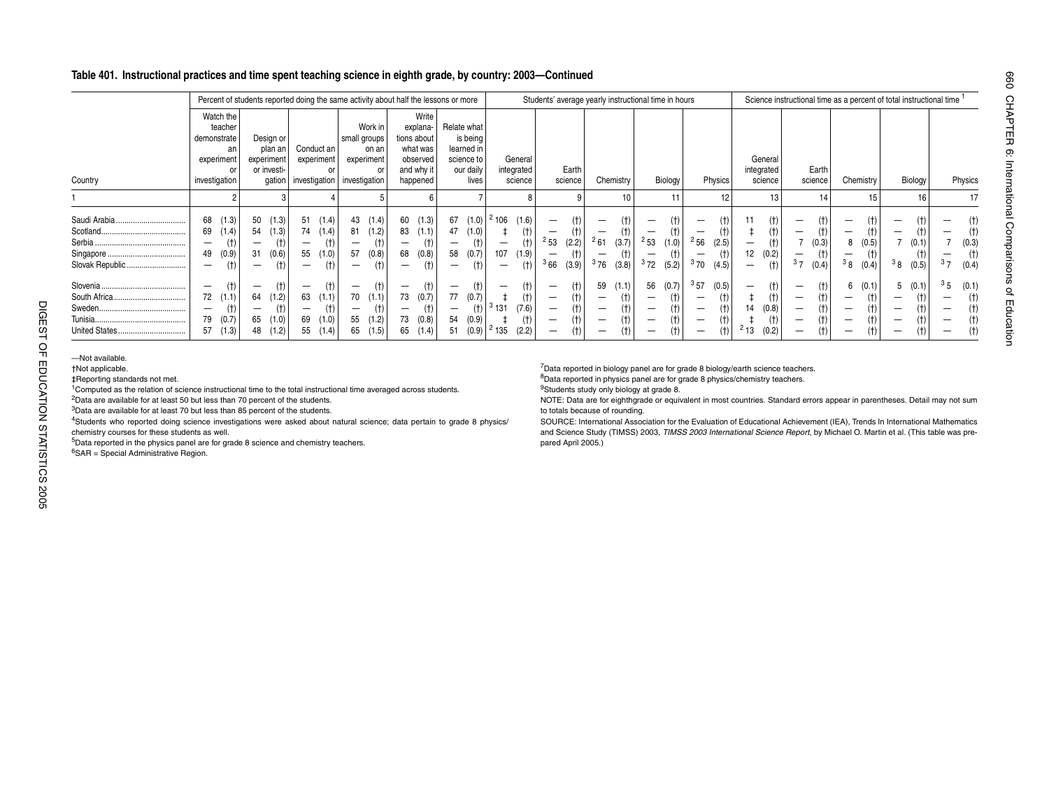### **Table 401. Instructional practices and time spent teaching science in eighth grade, by country: 2003—Continued**

|                                                         |                                                                                                                                                                                                                                                                                                                                                                                                                                                                                                                                                                                                                                                                                                                                       |                                                                                                            |                                                                                                                 |                                                                                                          | Percent of students reported doing the same activity about half the lessons or more           |                                                                                                                 |                                                                                                                 |                                                                                                                          |                                                                                                                     |                                                                                                                                                             | Students' average yearly instructional time in hours                                                                                                                                   |                                                                                                                                                                |                                                                                                             | Science instructional time as a percent of total instructional time 1                                                                                                                                                                                                                                                                                                                |                                                                                                                                                 |                                                                                                |                                                                                                           |
|---------------------------------------------------------|---------------------------------------------------------------------------------------------------------------------------------------------------------------------------------------------------------------------------------------------------------------------------------------------------------------------------------------------------------------------------------------------------------------------------------------------------------------------------------------------------------------------------------------------------------------------------------------------------------------------------------------------------------------------------------------------------------------------------------------|------------------------------------------------------------------------------------------------------------|-----------------------------------------------------------------------------------------------------------------|----------------------------------------------------------------------------------------------------------|-----------------------------------------------------------------------------------------------|-----------------------------------------------------------------------------------------------------------------|-----------------------------------------------------------------------------------------------------------------|--------------------------------------------------------------------------------------------------------------------------|---------------------------------------------------------------------------------------------------------------------|-------------------------------------------------------------------------------------------------------------------------------------------------------------|----------------------------------------------------------------------------------------------------------------------------------------------------------------------------------------|----------------------------------------------------------------------------------------------------------------------------------------------------------------|-------------------------------------------------------------------------------------------------------------|--------------------------------------------------------------------------------------------------------------------------------------------------------------------------------------------------------------------------------------------------------------------------------------------------------------------------------------------------------------------------------------|-------------------------------------------------------------------------------------------------------------------------------------------------|------------------------------------------------------------------------------------------------|-----------------------------------------------------------------------------------------------------------|
|                                                         | Country                                                                                                                                                                                                                                                                                                                                                                                                                                                                                                                                                                                                                                                                                                                               | Watch the<br>teacher<br>demonstrate<br>an<br>experiment<br>or<br>investigation                             | Design or<br>plan an l<br>experiment<br>or investi-<br>aation                                                   | Conduct an<br>experiment<br>or                                                                           | Work in<br>small groups<br>on an<br>experiment<br>or<br>investigation investigation           | Write<br>explana-<br>tions about<br>what was<br>observed<br>and why it<br>happened                              | Relate what<br>is being<br>learned in<br>science to<br>our daily<br>lives                                       | General<br>integrated<br>science                                                                                         | Earth<br>science                                                                                                    | Chemistry                                                                                                                                                   | Biology                                                                                                                                                                                | Physics                                                                                                                                                        | General<br>integrated<br>science                                                                            | Earth<br>science                                                                                                                                                                                                                                                                                                                                                                     | Chemistry                                                                                                                                       | Biology                                                                                        | Physics                                                                                                   |
|                                                         |                                                                                                                                                                                                                                                                                                                                                                                                                                                                                                                                                                                                                                                                                                                                       | 2                                                                                                          |                                                                                                                 |                                                                                                          |                                                                                               | 6                                                                                                               |                                                                                                                 |                                                                                                                          |                                                                                                                     | 10                                                                                                                                                          | 11                                                                                                                                                                                     | 12                                                                                                                                                             | 13                                                                                                          | 14                                                                                                                                                                                                                                                                                                                                                                                   | 15                                                                                                                                              | 16                                                                                             | 17                                                                                                        |
|                                                         | Slovak Republic                                                                                                                                                                                                                                                                                                                                                                                                                                                                                                                                                                                                                                                                                                                       | (1.3)<br>68<br>(1.4)<br>69<br>(t)<br>$\qquad \qquad -$<br>49<br>(0.9)<br>$(+)$<br>$\overline{\phantom{m}}$ | (1.3)<br>50<br>(1.3)<br>54<br>(t)<br>$\qquad \qquad -$<br>31<br>(0.6)<br>(t)<br>$\qquad \qquad -$               | 51(1.4)<br>74 (1.4)<br>$(+)$<br>$\qquad \qquad -$<br>55<br>(1.0)<br>(t)<br>$\qquad \qquad -$             | 43 (1.4)<br>81<br>(1.2)<br>(t)<br>$\qquad \qquad -$<br>57<br>(0.8)<br>(t)                     | (1.3)<br>60<br>83<br>(1.1)<br>(t)<br>$\overline{\phantom{m}}$<br>(0.8)<br>68<br>(t)<br>$\overline{\phantom{0}}$ | 67<br>(1.0)<br>47<br>(1.0)<br>(t)<br>$\overline{\phantom{m}}$<br>58<br>(0.7)<br>(t)<br>$\overline{\phantom{0}}$ | 2106<br>(1.6)<br>(t)<br>$\ddagger$<br>(t)<br>$\overline{\phantom{a}}$<br>107<br>(1.9)<br>(t)<br>$\overline{\phantom{a}}$ | (t)<br>$\overline{\phantom{m}}$<br>(t)<br>253<br>(2.2)<br>(t)<br>$\overline{\phantom{m}}$<br>366<br>(3.9)           | $\overline{\phantom{0}}$<br>(†)<br>261<br>(3.7)<br>(t)<br>$3^{3}76$<br>(3.8)                                                                                | (†)<br>$\overline{\phantom{0}}$<br>$(+)$<br>$^{2}53$<br>(1.0)<br>(t)<br>$\overline{\phantom{m}}$<br>$3^{3}$ 72<br>(5.2)                                                                | (t)<br>$\overline{\phantom{0}}$<br>(t)<br>256<br>(2.5)<br>(t)<br>370<br>(4.5)                                                                                  | (t)<br>11<br>(t)<br>$\ddagger$<br>(t)<br>$\overline{\phantom{0}}$<br>12<br>(0.2)<br>(†<br>$\qquad \qquad -$ | (t)<br>$\overline{\phantom{0}}$<br>(t)<br>$\qquad \qquad -$<br>(0.3)<br>$\overline{7}$<br>(t)<br>$\hspace{0.1mm}-\hspace{0.1mm}$<br>37<br>(0.4)                                                                                                                                                                                                                                      | (†)<br>$\overline{\phantom{0}}$<br>(t)<br>$\overline{\phantom{0}}$<br>(0.5)<br>8<br>(t)<br>$\overline{\phantom{m}}$<br>38<br>(0.4)              | (t)<br>-<br>(t)<br>$\overline{\phantom{0}}$<br>$\overline{7}$<br>(0.1)<br>(t)<br>38<br>(0.5)   | (t)<br>(t)<br>$\qquad \qquad -$<br>(0.3)<br>(t)<br>3 <sub>7</sub><br>(0.4)                                |
| DIGE<br>3                                               |                                                                                                                                                                                                                                                                                                                                                                                                                                                                                                                                                                                                                                                                                                                                       | (t)<br>$\overline{\phantom{m}}$<br>72<br>(1.1)<br>(t)<br>$\qquad \qquad -$<br>79<br>(0.7)<br>57<br>(1.3)   | (t)<br>$\overline{\phantom{m}}$<br>64<br>(1.2)<br>(t)<br>$\overline{\phantom{m}}$<br>65<br>(1.0)<br>48<br>(1.2) | (t)<br>$\qquad \qquad -$<br>63<br>(1.1)<br>(t)<br>$\overline{\phantom{m}}$<br>69<br>(1.0)<br>55<br>(1.4) | (t)<br>$\qquad \qquad -$<br>70(1.1)<br>(t)<br>$\qquad \qquad -$<br>55<br>(1.2)<br>65<br>(1.5) | (t)<br>$\qquad \qquad -$<br>73<br>(0.7)<br>(t)<br>$\overline{\phantom{m}}$<br>73<br>(0.8)<br>65<br>(1.4)        | (t)<br>$\qquad \qquad -$<br>77<br>(0.7)<br>(t)<br>$\overline{\phantom{m}}$<br>54<br>(0.9)<br>51<br>(0.9)        | (t)<br>(t)<br>$\ddagger$<br>3131<br>(7.6)<br>(t)<br>$1^2$ 135<br>(2.2)                                                   | (t)<br>$\overline{\phantom{m}}$<br>(t)<br>$\overline{\phantom{m}}$<br>(t)<br>$\overline{\phantom{a}}$<br>(t)<br>(t) | (1.1)<br>59<br>(t)<br>$\overbrace{\phantom{123221111}}$<br>(t)<br>$\qquad \qquad -$<br>(t)<br>$\overline{\phantom{m}}$<br>$(+)$<br>$\overline{\phantom{0}}$ | 56<br>(0.7)<br>(t)<br>$\overline{\phantom{0}}$<br>(t)<br>$\overline{\phantom{m}}$<br>(t)<br>$\overline{\phantom{m}}$<br>(t)<br>$\overline{\phantom{0}}$                                | 357<br>(0.5)<br>(t)<br>$\overline{\phantom{0}}$<br>(t)<br>$\overline{\phantom{m}}$<br>(t)<br>$\qquad \qquad \longleftarrow$<br>(t)<br>$\overline{\phantom{m}}$ | (t)<br>$\qquad \qquad -$<br>(t)<br>$\ddagger$<br>14<br>(0.8)<br>(t)<br>$\ddagger$<br>213<br>(0.2)           | (t)<br>$\overline{\phantom{m}}$<br>(t)<br>$\qquad \qquad -$<br>$(+)$<br>$\overline{\phantom{m}}$<br>(t)<br>$\qquad \qquad -$<br>$(+)$<br>$\qquad \qquad -$                                                                                                                                                                                                                           | (0.1)<br>6<br>(t)<br>$\overline{\phantom{m}}$<br>(t)<br>$\overline{\phantom{m}}$<br>(f)<br>$\qquad \qquad -$<br>(t)<br>$\overline{\phantom{0}}$ | 5<br>(0.1)<br>(t)<br>—<br>(t)<br>$\qquad \qquad -$<br>(t)<br>$(+)$<br>$\overline{\phantom{0}}$ | 35<br>(0.1)<br>(t)<br>—<br>(t)<br>—<br>(t)<br>$\overline{\phantom{0}}$<br>(t)<br>$\overline{\phantom{0}}$ |
| 읶<br>EDUC<br><b>ATION</b><br>လ<br>TATIS<br>TICS<br>2005 | -Not available.<br>+Not applicable.<br>‡Reporting standards not met.<br><sup>1</sup> Computed as the relation of science instructional time to the total instructional time averaged across students.<br><sup>2</sup> Data are available for at least 50 but less than 70 percent of the students.<br><sup>3</sup> Data are available for at least 70 but less than 85 percent of the students.<br><sup>4</sup> Students who reported doing science investigations were asked about natural science; data pertain to grade 8 physics/<br>chemistry courses for these students as well.<br><sup>5</sup> Data reported in the physics panel are for grade 8 science and chemistry teachers.<br>$6$ SAR = Special Administrative Region. |                                                                                                            |                                                                                                                 |                                                                                                          |                                                                                               |                                                                                                                 |                                                                                                                 |                                                                                                                          | pared April 2005.)                                                                                                  | <sup>9</sup> Students study only biology at grade 8.<br>to totals because of rounding.                                                                      | <sup>7</sup> Data reported in biology panel are for grade 8 biology/earth science teachers.<br><sup>8</sup> Data reported in physics panel are for grade 8 physics/chemistry teachers. |                                                                                                                                                                |                                                                                                             | NOTE: Data are for eighthgrade or equivalent in most countries. Standard errors appear in parentheses. Detail may not sum<br>SOURCE: International Association for the Evaluation of Educational Achievement (IEA), Trends In International Mathematics<br>and Science Study (TIMSS) 2003, TIMSS 2003 International Science Report, by Michael O. Martin et al. (This table was pre- |                                                                                                                                                 |                                                                                                |                                                                                                           |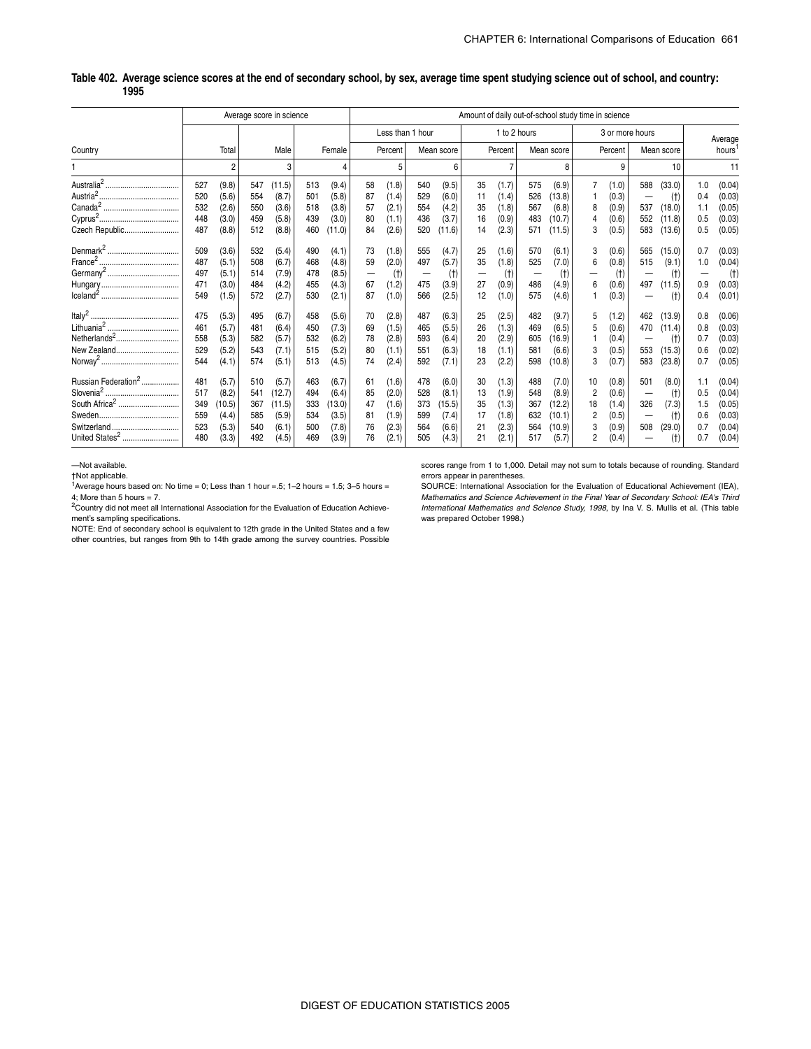#### **Country** Average score in science **Amount of daily out-of-school study time in science** Amount of daily out-of-school study time in science Total Male Female Less than 1 hour 1 to 2 hours 3 or more hours Average Percent | Mean score | Percent | Mean score | Percent | Mean score | hours<sup>1</sup> 1 2 3 4 5 6 7 8 9 10 11 Australia2 ................................... 527 (9.8) 547 (11.5) 513 (9.4) 58 (1.8) 540 (9.5) 35 (1.7) 575 (6.9) 7 (1.0) 588 (33.0) 1.0 (0.04) Austria2...................................... 520 (5.6) 554 (8.7) 501 (5.8) 87 (1.4) 529 (6.0) 11 (1.4) 526 (13.8) 1 (0.3) — (†) 0.4 (0.03) Canada<sup>2</sup> .................................... 532 (2.6) 550 (3.6) 518 (3.8) 57 (2.1) 554 (4.2) 35 (1.8) 567 (6.8) 8 (0.9) 537 (18.0) 1.1 (0.05) Cyprus<sup>2</sup> ...................................... 448 (3.0) 459 (5.8) 439 (3.0) 80 (1.1) 436 (3.7) 16 (0.9) 483 (10.7) 4 (0.6) 552 (11.8) 0.5 (0.03) Czech Republic.......................... 487 (8.8) 512 (8.8) 460 (11.0) 84 (2.6) 520 (11.6) 14 (2.3) 571 (11.5) 3 (0.5) 583 (13.6) 0.5 (0.05) Denmark<sup>2</sup> .................................. 509 (3.6) 532 (5.4) 490 (4.1) 73 (1.8) 555 (4.7) 25 (1.6) 570 (6.1) 3 (0.6) 565 (15.0) 0.7 (0.03) France2 ...................................... 487 (5.1) 508 (6.7) 468 (4.8) 59 (2.0) 497 (5.7) 35 (1.8) 525 (7.0) 6 (0.8) 515 (9.1) 1.0 (0.04) Germany<sup>2</sup> .................................. 497 (5.1) 514 (7.9) 478 (8.5) — (†) — (†) — (†) — (†) — (†) — (†) — (†) Hungary..................................... 471 (3.0) 484 (4.2) 455 (4.3) 67 (1.2) 475 (3.9) 27 (0.9) 486 (4.9) 6 (0.6) 497 (11.5) 0.9 (0.03) Iceland<sup>2</sup> ..................................... 549 (1.5) 572 (2.7) 530 (2.1) 87 (1.0) 566 (2.5) 12 (1.0) 575 (4.6) 1 (0.3) — (†) 0.4 (0.01) Italy<sup>2</sup> .......................................... 475 (5.3) 495 (6.7) 458 (5.6) 70 (2.8) 487 (6.3) 25 (2.5) 482 (9.7) 5 (1.2) 462 (13.9) 0.8 (0.06) Lithuania<sup>2</sup> .................................. 461 (5.7) 481 (6.4) 450 (7.3) 69 (1.5) 465 (5.5) 26 (1.3) 469 (6.5) 5 (0.6) 470 (11.4) 0.8 (0.03) Netherlands<sup>2</sup> .................................. | 558 (5.3)| 582 (5.7)| 532 (6.2)| 78 (2.8)| 593 (6.4)| 20 (2.9)| 605 (16.9)| 1 (0.4)| — (†)| 0.7 (0.03) New Zealand.............................. 529 (5.2) 543 (7.1) 515 (5.2) 80 (1.1) 551 (6.3) 18 (1.1) 581 (6.6) 3 (0.5) 553 (15.3) 0.6 (0.02) Norway<sup>2</sup> ..................................... 544 (4.1) 574 (5.1) 513 (4.5) 74 (2.4) 592 (7.1) 23 (2.2) 598 (10.8) 3 (0.7) 583 (23.8) 0.7 (0.05) Russian Federation<sup>2</sup> .................. 481 (5.7) 510 (5.7) 463 (6.7) 61 (1.6) 478 (6.0) 30 (1.3) 488 (7.0) 10 (0.8) 501 (8.0) 1.1 (0.04) Slovenia<sup>2</sup> ................................... 517 (8.2) 541 (12.7) 494 (6.4) 85 (2.0) 528 (8.1) 13 (1.9) 548 (8.9) 2 (0.6) — (†) 0.5 (0.04) South Africa<sup>2</sup> ............................. 349 (10.5) 367 (11.5) 333 (13.0) 47 (1.6) 373 (15.5) 35 (1.3) 367 (12.2) 18 (1.4) 326 (7.3) 1.5 (0.05) Sweden...................................... 559 (4.4) 585 (5.9) 534 (3.5) 81 (1.9) 599 (7.4) 17 (1.8) 632 (10.1) 2 (0.5) — (†) 0.6 (0.03) Switzerland ................................ 523 (5.3) 540 (6.1) 500 (7.8) 76 (2.3) 564 (6.6) 21 (2.3) 564 (10.9) 3 (0.9) 508 (29.0) 0.7 (0.04) United States<sup>2</sup> ........................... 480 (3.3) 492 (4.5) 469 (3.9) 76 (2.1) 505 (4.3) 21 (2.1) 517 (5.7) 2 (0.4) — (†) 0.7 (0.04)

#### **Table 402. Average science scores at the end of secondary school, by sex, average time spent studying science out of school, and country: 1995**

—Not available.

†Not applicable.

Average hours based on: No time = 0; Less than 1 hour =  $5$ ; 1–2 hours = 1.5; 3–5 hours = 4; More than 5 hours  $= 7$ .

<sup>2</sup>Country did not meet all International Association for the Evaluation of Education Achievement's sampling specifications.

NOTE: End of secondary school is equivalent to 12th grade in the United States and a few other countries, but ranges from 9th to 14th grade among the survey countries. Possible

scores range from 1 to 1,000. Detail may not sum to totals because of rounding. Standard errors appear in parentheses.

SOURCE: International Association for the Evaluation of Educational Achievement (IEA), *Mathematics and Science Achievement in the Final Year of Secondary School: IEA's Third International Mathematics and Science Study, 1998*, by Ina V. S. Mullis et al. (This table was prepared October 1998.)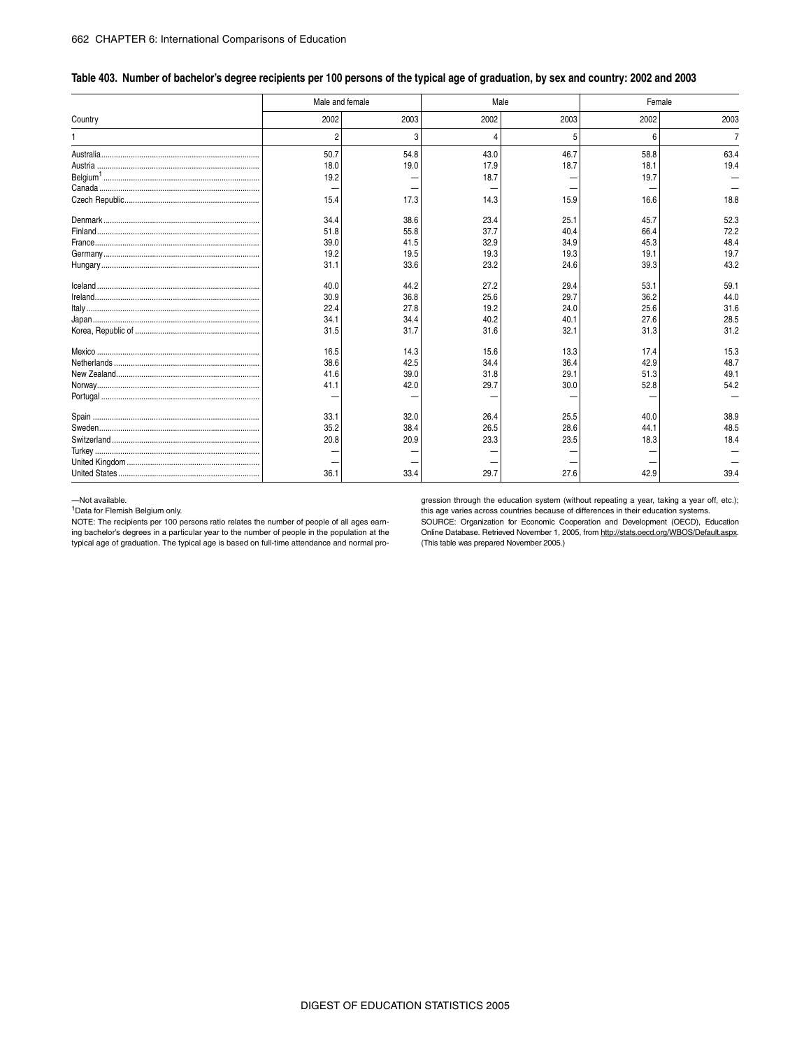| Table 403. Number of bachelor's degree recipients per 100 persons of the typical age of graduation, by sex and country: 2002 and 2003 |  |  |
|---------------------------------------------------------------------------------------------------------------------------------------|--|--|
|                                                                                                                                       |  |  |

|         | Male and female |      | Male |      | Female |                |  |  |
|---------|-----------------|------|------|------|--------|----------------|--|--|
| Country | 2002            | 2003 | 2002 | 2003 | 2002   | 2003           |  |  |
|         | 2               | 3    |      | 5    | 6      | $\overline{7}$ |  |  |
|         | 50.7            | 54.8 | 43.0 | 46.7 | 58.8   | 63.4           |  |  |
|         | 18.0            | 19.0 | 17.9 | 18.7 | 18.1   | 19.4           |  |  |
|         | 19.2            |      | 18.7 |      | 19.7   |                |  |  |
|         |                 |      |      |      |        |                |  |  |
|         | 15.4            | 17.3 | 14.3 | 15.9 | 16.6   | 18.8           |  |  |
|         | 34.4            | 38.6 | 23.4 | 25.1 | 45.7   | 52.3           |  |  |
|         | 51.8            | 55.8 | 37.7 | 40.4 | 66.4   | 72.2           |  |  |
|         | 39.0            | 41.5 | 32.9 | 34.9 | 45.3   | 48.4           |  |  |
|         | 19.2            | 19.5 | 19.3 | 19.3 | 19.1   | 19.7           |  |  |
|         | 31.1            | 33.6 | 23.2 | 24.6 | 39.3   | 43.2           |  |  |
|         | 40.0            | 44.2 | 27.2 | 29.4 | 53.1   | 59.1           |  |  |
|         | 30.9            | 36.8 | 25.6 | 29.7 | 36.2   | 44.0           |  |  |
|         | 22.4            | 27.8 | 19.2 | 24.0 | 25.6   | 31.6           |  |  |
|         | 34.1            | 34.4 | 40.2 | 40.1 | 27.6   | 28.5           |  |  |
|         | 31.5            | 31.7 | 31.6 | 32.1 | 31.3   | 31.2           |  |  |
|         | 16.5            | 14.3 | 15.6 | 13.3 | 17.4   | 15.3           |  |  |
|         | 38.6            | 42.5 | 34.4 | 36.4 | 42.9   | 48.7           |  |  |
|         | 41.6            | 39.0 | 31.8 | 29.1 | 51.3   | 49.1           |  |  |
|         | 41.1            | 42.0 | 29.7 | 30.0 | 52.8   | 54.2           |  |  |
|         |                 |      |      |      |        |                |  |  |
|         | 33.1            | 32.0 | 26.4 | 25.5 | 40.0   | 38.9           |  |  |
|         | 35.2            | 38.4 | 26.5 | 28.6 | 44.1   | 48.5           |  |  |
|         | 20.8            | 20.9 | 23.3 | 23.5 | 18.3   | 18.4           |  |  |
|         |                 |      |      |      |        |                |  |  |
|         |                 |      |      |      |        |                |  |  |
|         | 36.1            | 33.4 | 29.7 | 27.6 | 42.9   | 39.4           |  |  |

—Not available.

1Data for Flemish Belgium only.

NOTE: The recipients per 100 persons ratio relates the number of people of all ages earning bachelor's degrees in a particular year to the number of people in the population at the typical age of graduation. The typical age is based on full-time attendance and normal progression through the education system (without repeating a year, taking a year off, etc.); this age varies across countries because of differences in their education systems.

SOURCE: Organization for Economic Cooperation and Development (OECD), Education Online Database. Retrieved November 1, 2005, from http://stats.oecd.org/WBOS/Default.aspx. (This table was prepared November 2005.)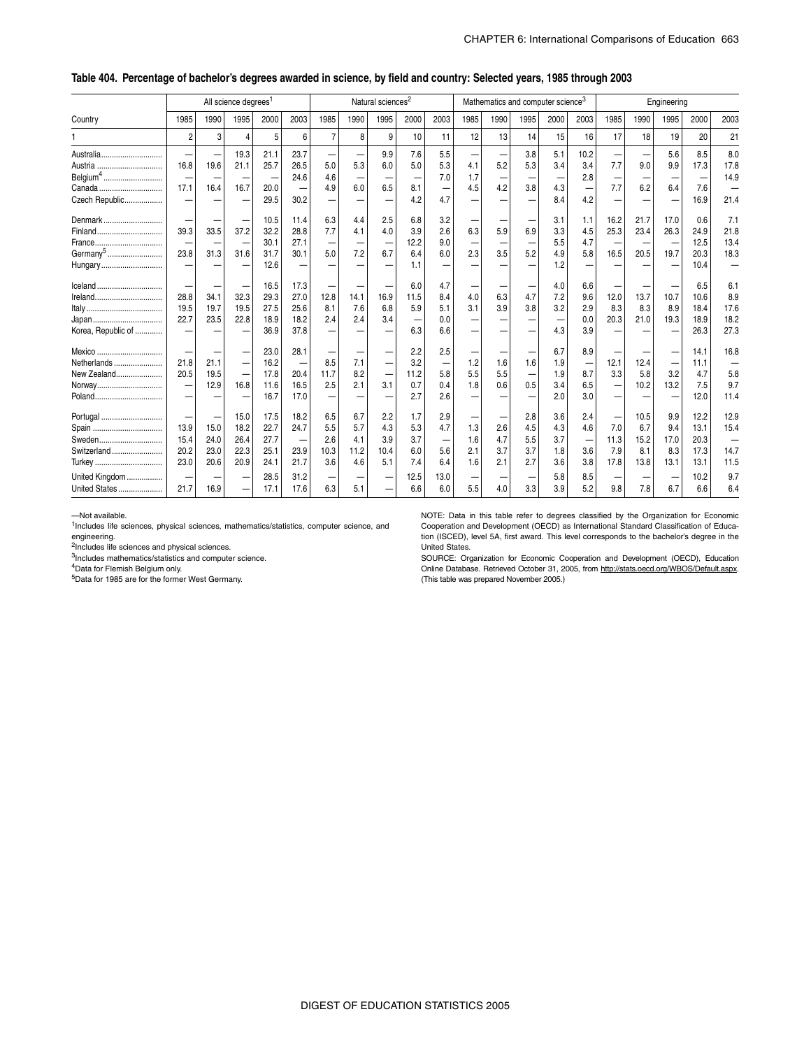#### \_ **Table 404. Percentage of bachelor's degrees awarded in science, by field and country: Selected years, 1985 through 2003**

|                                 | All science degrees <sup>1</sup> |      |          |      |              |                |                          | Natural sciences <sup>2</sup> |      |            |            | Mathematics and computer science <sup>3</sup> |      |      |            | Engineering |      |      |          |                          |
|---------------------------------|----------------------------------|------|----------|------|--------------|----------------|--------------------------|-------------------------------|------|------------|------------|-----------------------------------------------|------|------|------------|-------------|------|------|----------|--------------------------|
| Country                         | 1985                             | 1990 | 1995     | 2000 | 2003         | 1985           | 1990                     | 1995                          | 2000 | 2003       | 1985       | 1990                                          | 1995 | 2000 | 2003       | 1985        | 1990 | 1995 | 2000     | 2003                     |
|                                 | $\overline{2}$                   | 3    | $\Delta$ | 5    | 6            | $\overline{7}$ | 8                        | 9                             | 10   | 11         | 12         | 13                                            | 14   | 15   | 16         | 17          | 18   | 19   | 20       | 21                       |
| Australia                       |                                  |      | 19.3     | 21.1 | 23.7         |                |                          | 9.9                           | 7.6  | 5.5        |            |                                               | 3.8  | 5.1  | 10.2       |             |      | 5.6  | 8.5      | 8.0                      |
| Austria<br>Belgium <sup>4</sup> | 16.8                             | 19.6 | 21.1     | 25.7 | 26.5<br>24.6 | 5.0<br>4.6     | 5.3                      | 6.0                           | 5.0  | 5.3<br>7.0 | 4.1<br>1.7 | 5.2                                           | 5.3  | 3.4  | 3.4<br>2.8 | 7.7         | 9.0  | 9.9  | 17.3     | 17.8<br>14.9             |
| Canada                          | 17.1                             | 16.4 | 16.7     | 20.0 |              | 4.9            | -<br>6.0                 | 6.5                           | 8.1  |            | 4.5        | 4.2                                           | 3.8  | 4.3  |            | 7.7         | 6.2  | 6.4  | -<br>7.6 |                          |
| Czech Republic                  |                                  |      |          | 29.5 | 30.2         |                |                          |                               | 4.2  | 4.7        |            |                                               |      | 8.4  | 4.2        |             |      |      | 16.9     | 21.4                     |
| Denmark                         |                                  |      |          | 10.5 | 11.4         | 6.3            | 4.4                      | 2.5                           | 6.8  | 3.2        |            |                                               |      | 3.1  | 1.1        | 16.2        | 21.7 | 17.0 | 0.6      | 7.1                      |
| Finland                         | 39.3                             | 33.5 | 37.2     | 32.2 | 28.8         | 7.7            | 4.1                      | 4.0                           | 3.9  | 2.6        | 6.3        | 5.9                                           | 6.9  | 3.3  | 4.5        | 25.3        | 23.4 | 26.3 | 24.9     | 21.8                     |
| France                          |                                  |      |          | 30.1 | 27.1         |                | -                        |                               | 12.2 | 9.0        |            |                                               |      | 5.5  | 4.7        |             |      |      | 12.5     | 13.4                     |
| Germany <sup>5</sup>            | 23.8                             | 31.3 | 31.6     | 31.7 | 30.1         | 5.0            | 7.2                      | 6.7                           | 6.4  | 6.0        | 2.3        | 3.5                                           | 5.2  | 4.9  | 5.8        | 16.5        | 20.5 | 19.7 | 20.3     | 18.3                     |
| Hungary                         |                                  |      |          | 12.6 |              |                |                          |                               | 1.1  |            |            |                                               |      | 1.2  |            |             |      |      | 10.4     |                          |
| lceland                         |                                  |      |          | 16.5 | 17.3         |                |                          |                               | 6.0  | 4.7        |            |                                               |      | 4.0  | 6.6        |             |      |      | 6.5      | 6.1                      |
| Ireland                         | 28.8                             | 34.1 | 32.3     | 29.3 | 27.0         | 12.8           | 14.1                     | 16.9                          | 11.5 | 8.4        | 4.0        | 6.3                                           | 4.7  | 7.2  | 9.6        | 12.0        | 13.7 | 10.7 | 10.6     | 8.9                      |
|                                 | 19.5                             | 19.7 | 19.5     | 27.5 | 25.6         | 8.1            | 7.6                      | 6.8                           | 5.9  | 5.1        | 3.1        | 3.9                                           | 3.8  | 3.2  | 2.9        | 8.3         | 8.3  | 8.9  | 18.4     | 17.6                     |
|                                 | 22.7                             | 23.5 | 22.8     | 18.9 | 18.2         | 2.4            | 2.4                      | 3.4                           |      | 0.0        |            |                                               |      |      | 0.0        | 20.3        | 21.0 | 19.3 | 18.9     | 18.2                     |
| Korea, Republic of              |                                  |      |          | 36.9 | 37.8         |                |                          |                               | 6.3  | 6.6        |            |                                               |      | 4.3  | 3.9        |             |      |      | 26.3     | 27.3                     |
| Mexico                          |                                  |      |          | 23.0 | 28.1         |                |                          |                               | 2.2  | 2.5        |            |                                               |      | 6.7  | 8.9        |             |      |      | 14.1     | 16.8                     |
| Netherlands                     | 21.8                             | 21.1 | -        | 16.2 | -            | 8.5            | 7.1                      | -                             | 3.2  |            | 1.2        | 1.6                                           | 1.6  | 1.9  |            | 12.1        | 12.4 |      | 11.1     | $\overline{\phantom{0}}$ |
| New Zealand                     | 20.5                             | 19.5 | -        | 17.8 | 20.4         | 11.7           | 8.2                      | -                             | 11.2 | 5.8        | 5.5        | 5.5                                           |      | 1.9  | 8.7        | 3.3         | 5.8  | 3.2  | 4.7      | 5.8                      |
| Norway                          |                                  | 12.9 | 16.8     | 11.6 | 16.5         | 2.5            | 2.1                      | 3.1                           | 0.7  | 0.4        | 1.8        | 0.6                                           | 0.5  | 3.4  | 6.5        |             | 10.2 | 13.2 | 7.5      | 9.7                      |
| Poland                          |                                  |      |          | 16.7 | 17.0         |                | $\overline{\phantom{0}}$ |                               | 2.7  | 2.6        |            |                                               |      | 2.0  | 3.0        |             |      |      | 12.0     | 11.4                     |
| Portugal                        |                                  |      | 15.0     | 17.5 | 18.2         | 6.5            | 6.7                      | 2.2                           | 1.7  | 2.9        |            |                                               | 2.8  | 3.6  | 2.4        |             | 10.5 | 9.9  | 12.2     | 12.9                     |
|                                 | 13.9                             | 15.0 | 18.2     | 22.7 | 24.7         | 5.5            | 5.7                      | 4.3                           | 5.3  | 4.7        | 1.3        | 2.6                                           | 4.5  | 4.3  | 4.6        | 7.0         | 6.7  | 9.4  | 13.1     | 15.4                     |
| Sweden                          | 15.4                             | 24.0 | 26.4     | 27.7 |              | 2.6            | 4.1                      | 3.9                           | 3.7  |            | 1.6        | 4.7                                           | 5.5  | 3.7  |            | 11.3        | 15.2 | 17.0 | 20.3     | $\overline{\phantom{0}}$ |
| Switzerland                     | 20.2                             | 23.0 | 22.3     | 25.1 | 23.9         | 10.3           | 11.2                     | 10.4                          | 6.0  | 5.6        | 2.1        | 3.7                                           | 3.7  | 1.8  | 3.6        | 7.9         | 8.1  | 8.3  | 17.3     | 14.7                     |
| Turkey                          | 23.0                             | 20.6 | 20.9     | 24.1 | 21.7         | 3.6            | 4.6                      | 5.1                           | 7.4  | 6.4        | 1.6        | 2.1                                           | 2.7  | 3.6  | 3.8        | 17.8        | 13.8 | 13.1 | 13.1     | 11.5                     |
| United Kingdom                  |                                  |      |          | 28.5 | 31.2         |                |                          |                               | 12.5 | 13.0       |            |                                               |      | 5.8  | 8.5        |             |      |      | 10.2     | 9.7                      |
| United States                   | 21.7                             | 16.9 |          | 17.1 | 17.6         | 6.3            | 5.1                      |                               | 6.6  | 6.0        | 5.5        | 4.0                                           | 3.3  | 3.9  | 5.2        | 9.8         | 7.8  | 6.7  | 6.6      | 6.4                      |

—Not available.

 $1$ Includes life sciences, physical sciences, mathematics/statistics, computer science, and engineering.

2Includes life sciences and physical sciences.

3Includes mathematics/statistics and computer science.

4Data for Flemish Belgium only.

5Data for 1985 are for the former West Germany.

NOTE: Data in this table refer to degrees classified by the Organization for Economic Cooperation and Development (OECD) as International Standard Classification of Education (ISCED), level 5A, first award. This level corresponds to the bachelor's degree in the United States.

SOURCE: Organization for Economic Cooperation and Development (OECD), Education Online Database. Retrieved October 31, 2005, from http://stats.oecd.org/WBOS/Default.aspx. (This table was prepared November 2005.)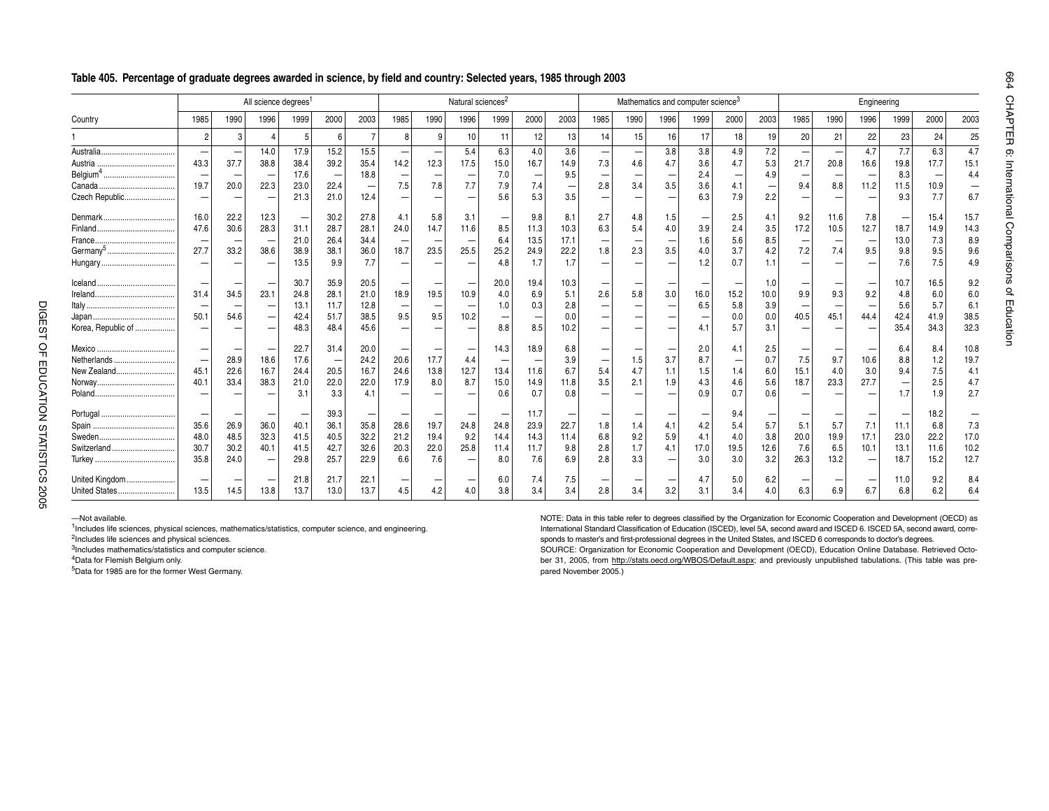### **Table 405. Percentage of graduate degrees awarded in science, by field and country: Selected years, 1985 through 2003**

|                      |      |      | All science degrees <sup>1</sup> |      |      |                   |      |      | Natural sciences <sup>2</sup> |      |      |      | Mathematics and computer science <sup>3</sup> |                          |      |      |      |      |      | Engineering              |      |                   |      |      |  |
|----------------------|------|------|----------------------------------|------|------|-------------------|------|------|-------------------------------|------|------|------|-----------------------------------------------|--------------------------|------|------|------|------|------|--------------------------|------|-------------------|------|------|--|
| Country              | 1985 | 1990 | 1996                             | 1999 | 2000 | 2003              | 1985 | 1990 | 1996                          | 1999 | 2000 | 2003 | 1985                                          | 1990                     | 1996 | 1999 | 2000 | 2003 | 1985 | 1990                     | 1996 | 1999              | 2000 | 2003 |  |
|                      | 2    | 3    | 4                                | -5   |      | $\overline{7}$    | 8    | 9    | 10                            | 11   | 12   | 13   | 14                                            | 15                       | 16   | 17   | 18   | 19   | 20   | 21                       | 22   | 23                | 24   | 25   |  |
|                      |      |      | 14.0                             | 17.9 | 15.2 | 15.5              |      |      | 5.4                           | 6.3  | 4.0  | 3.6  |                                               | $\overline{\phantom{a}}$ | 3.8  | 3.8  | 4.9  | 7.2  |      | $\overline{\phantom{0}}$ | 4.7  | 7.7               | 6.3  | 4.7  |  |
|                      | 43.3 | 37.7 | 38.8                             | 38.4 | 39.2 | 35.4              | 14.2 | 12.3 | 17.5                          | 15.0 | 16.7 | 14.9 | 7.3                                           | 4.6                      | 4.7  | 3.6  | 4.7  | 5.3  | 21.7 | 20.8                     | 16.6 | 19.8              | 17.7 | 15.1 |  |
|                      |      |      |                                  | 17.6 |      | 18.8              |      |      |                               | 7.0  | -    | 9.5  |                                               |                          |      | 2.4  |      | 4.9  |      |                          |      | 8.3               |      | 4.4  |  |
|                      | 19.7 | 20.0 | 22.3                             | 23.0 | 22.4 | $\qquad \qquad -$ | 7.5  | 7.8  | 7.7                           | 7.9  | 7.4  |      | 2.8                                           | 3.4                      | 3.5  | 3.6  | 4.1  |      | 9.4  | 8.8                      | 11.2 | 11.5              | 10.9 |      |  |
| Czech Republic       |      |      |                                  | 21.3 | 21.0 | 12.4              |      |      |                               | 5.6  | 5.3  | 3.5  |                                               |                          |      | 6.3  | 7.9  | 2.2  |      |                          |      | 9.3               | 7.7  | 6.7  |  |
| Denmark              | 16.0 | 22.2 | 12.3                             |      | 30.2 | 27.8              | 4.1  | 5.8  | 3.1                           |      | 9.8  | 8.1  | 2.7                                           | 4.8                      | 1.5  |      | 2.5  | 4.1  | 9.2  | 11.6                     | 7.8  |                   | 15.4 | 15.7 |  |
|                      | 47.6 | 30.6 | 28.3                             | 31.1 | 28.7 | 28.1              | 24.0 | 14.7 | 11.6                          | 8.5  | 11.3 | 10.3 | 6.3                                           | 5.4                      | 4.0  | 3.9  | 2.4  | 3.5  | 17.2 | 10.5                     | 12.7 | 18.7              | 14.9 | 14.3 |  |
|                      |      |      |                                  | 21.0 | 26.4 | 34.4              |      |      | $\overline{\phantom{0}}$      | 6.4  | 13.5 | 17.1 |                                               |                          |      | 1.6  | 5.6  | 8.5  |      |                          |      | 13.0              | 7.3  | 8.9  |  |
| Germany <sup>5</sup> | 27.7 | 33.2 | 38.6                             | 38.9 | 38.1 | 36.0              | 18.7 | 23.5 | 25.5                          | 25.2 | 24.9 | 22.2 | 1.8                                           | 2.3                      | 3.5  | 4.0  | 3.7  | 4.2  | 7.2  | 7.4                      | 9.5  | 9.8               | 9.5  | 9.6  |  |
|                      |      |      |                                  | 13.5 | 9.9  | 7.7               |      |      |                               | 4.8  | 1.7  | 1.7  |                                               |                          |      | 1.2  | 0.7  | 1.1  |      |                          |      | 7.6               | 7.5  | 4.9  |  |
|                      |      |      |                                  | 30.7 | 35.9 | 20.5              |      |      |                               | 20.0 | 19.4 | 10.3 |                                               |                          |      |      |      |      |      |                          |      | 10.7              | 16.5 | 9.2  |  |
|                      | 31.4 | 34.5 | 23.1                             | 24.8 | 28.1 | 21.0              | 18.9 | 19.5 | 10.9                          | 4.0  | 6.9  | 5.1  | 2.6                                           | 5.8                      | 3.0  | 16.0 | 15.2 | 10.0 | 9.9  | 9.3                      | 9.2  | 4.8               | 6.0  | 6.0  |  |
|                      |      |      |                                  | 13.1 | 11.7 | 12.8              |      |      |                               | 1.0  | 0.3  | 2.8  |                                               |                          |      | 6.5  | 5.8  | 3.9  |      |                          |      | 5.6               | 5.7  | 6.1  |  |
|                      | 50.1 | 54.6 | $\overline{\phantom{0}}$         | 42.4 | 51.7 | 38.5              | 9.5  | 9.5  | 10.2                          |      |      | 0.0  |                                               |                          |      |      | 0.0  | 0.0  | 40.5 | 45.1                     | 44.4 | 42.4              | 41.9 | 38.5 |  |
| Korea, Republic of   |      |      |                                  | 48.3 | 48.4 | 45.6              |      |      |                               | 8.8  | 8.5  | 10.2 |                                               |                          |      |      | 5.7  | 3.1  |      |                          |      | 35.4              | 34.3 | 32.3 |  |
|                      |      |      |                                  | 22.7 | 31.4 | 20.0              |      |      |                               | 14.3 | 18.9 | 6.8  |                                               |                          |      | 2.0  | 4.1  | 2.5  |      |                          |      | 6.4               | 8.4  | 10.8 |  |
| Netherlands          |      | 28.9 | 18.6                             | 17.6 |      | 24.2              | 20.6 | 17.7 | 4.4                           |      |      | 3.9  |                                               | 1.5                      | 3.7  | 8.7  |      | 0.7  | 7.5  | 9.7                      | 10.6 | 8.8               | 1.2  | 19.7 |  |
| New Zealand          | 45.1 | 22.6 | 16.7                             | 24.4 | 20.5 | 16.7              | 24.6 | 13.8 | 12.7                          | 13.4 | 11.6 | 6.7  | 5.4                                           | 4.7                      | 1.1  | 1.5  | 1.4  | 6.0  | 15.1 | 4.0                      | 3.0  | 9.4               | 7.5  | 4.1  |  |
|                      | 40.1 | 33.4 | 38.3                             | 21.0 | 22.0 | 22.0              | 17.9 | 8.0  | 8.7                           | 15.0 | 14.9 | 11.8 | 3.5                                           | 2.1                      | 1.9  | 4.3  | 4.6  | 5.6  | 18.7 | 23.3                     | 27.7 | $\qquad \qquad -$ | 2.5  | 4.7  |  |
|                      |      |      |                                  | 3.1  | 3.3  | 4.1               |      |      |                               | 0.6  | 0.7  | 0.8  |                                               |                          |      | 0.9  | 0.7  | 0.6  |      |                          |      | 1.7               | 19   | 2.7  |  |
|                      |      |      |                                  |      | 39.3 |                   |      |      |                               |      | 11.7 |      |                                               |                          |      |      | 9.4  |      |      |                          |      |                   | 18.2 |      |  |
|                      | 35.6 | 26.9 | 36.0                             | 40.1 | 36.1 | 35.8              | 28.6 | 19.7 | 24.8                          | 24.8 | 23.9 | 22.7 | 1.8                                           | 1.4                      | 4.1  | 4.2  | 5.4  | 5.7  | 5.1  | 5.7                      | 7.1  | 11.1              | 6.8  | 7.3  |  |
|                      | 48.0 | 48.5 | 32.3                             | 41.5 | 40.5 | 32.2              | 21.2 | 19.4 | 9.2                           | 14.4 | 14.3 | 11.4 | 6.8                                           | 9.2                      | 5.9  | 4.1  | 4.0  | 3.8  | 20.0 | 19.9                     | 17.1 | 23.0              | 22.2 | 17.0 |  |
| Switzerland          | 30.7 | 30.2 | 40.1                             | 41.5 | 42.7 | 32.6              | 20.3 | 22.0 | 25.8                          | 11.4 | 11.7 | 9.8  | 2.8                                           | 1.7                      | 4.1  | 17.0 | 19.5 | 12.6 | 7.6  | 6.5                      | 10.1 | 13.1              | 11.6 | 10.2 |  |
|                      | 35.8 | 24.0 |                                  | 29.8 | 25.7 | 22.9              | 6.6  | 7.6  |                               | 8.0  | 7.6  | 6.9  | 2.8                                           | 3.3                      |      | 3.0  | 3.0  | 3.2  | 26.3 | 13.2                     |      | 18.7              | 15.2 | 12.7 |  |
| United Kingdom       |      |      |                                  | 21.8 | 21.7 | 22.1              |      |      | -                             | 6.0  | 7.4  | 7.5  |                                               |                          |      | 4.7  | 5.0  | 6.2  |      |                          |      | 11.0              | 9.2  | 8.4  |  |
| United States        | 13.5 | 14.5 | 13.8                             | 13.7 | 13.0 | 13.7              | 4.5  | 4.2  | 4.0                           | 3.8  | 3.4  | 3.4  | 2.8                                           | 3.4                      | 3.2  | 3.1  | 3.4  | 4.0  | 6.3  | 6.9                      | 6.7  | 6.8               | 6.2  | 6.4  |  |

—Not available.

<sup>1</sup>Includes life sciences, physical sciences, mathematics/statistics, computer science, and engineering.

2Includes life sciences and physical sciences.

3Includes mathematics/statistics and computer science.

4Data for Flemish Belgium only.

5Data for 1985 are for the former West Germany.

NOTE: Data in this table refer to degrees classified by the Organization for Economic Cooperation and Development (OECD) as International Standard Classification of Education (ISCED), level 5A, second award and ISCED 6. ISCED 5A, second award, corresponds to master's and first-professional degrees in the United States, and ISCED 6 corresponds to doctor's degrees.

SOURCE: Organization for Economic Cooperation and Development (OECD), Education Online Database. Retrieved October 31, 2005, from http://stats.oecd.org/WBOS/Default.aspx; and previously unpublished tabulations. (This table was prepared November 2005.)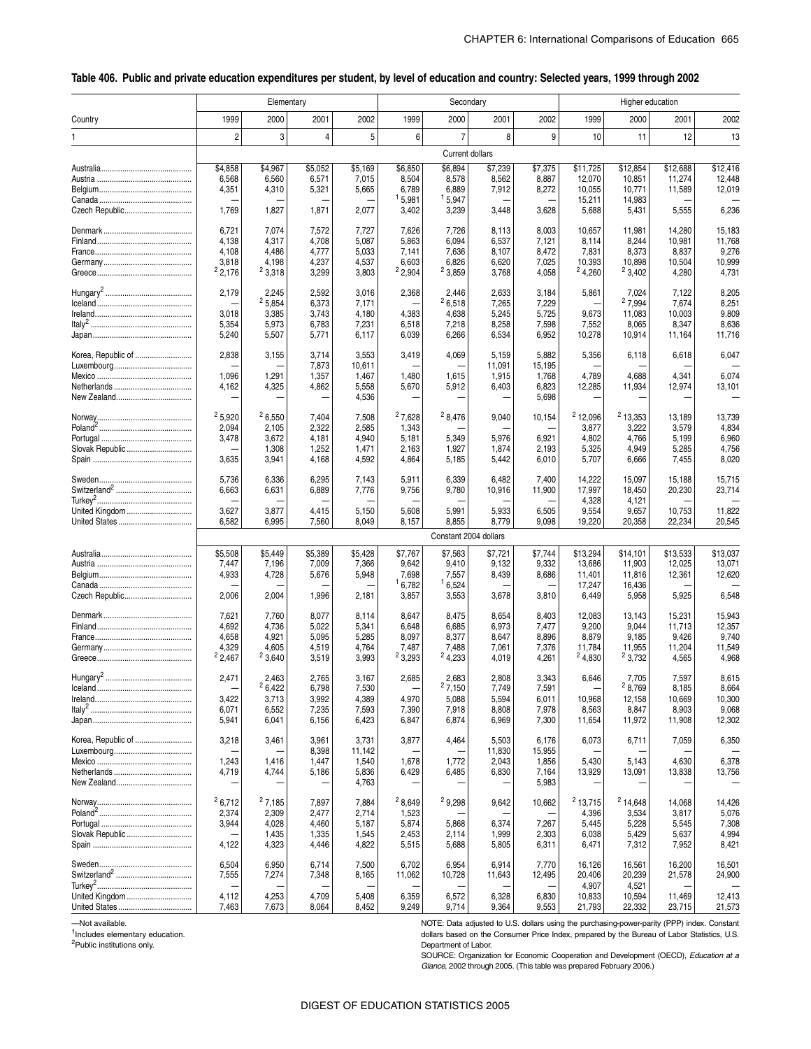#### \_ **Table 406. Public and private education expenditures per student, by level of education and country: Selected years, 1999 through 2002**

|                    |                       | Elementary     |                |                |               |                          | Secondary       |                 | Higher education |                  |                  |                  |  |  |  |
|--------------------|-----------------------|----------------|----------------|----------------|---------------|--------------------------|-----------------|-----------------|------------------|------------------|------------------|------------------|--|--|--|
| Country            | 1999                  | 2000           | 2001           | 2002           | 1999          | 2000                     | 2001            | 2002            | 1999             | 2000             | 2001             | 2002             |  |  |  |
| 1                  | $\overline{c}$        | 3              | $\overline{4}$ | 5              | 6             | $\overline{7}$           | 8               | 9               | 10               | 11               | 12               | 13               |  |  |  |
|                    |                       |                |                |                |               |                          | Current dollars |                 |                  |                  |                  |                  |  |  |  |
|                    | \$4,858               | \$4,967        | \$5.052        | \$5,169        | \$6,850       | \$6,894                  | \$7.239         | \$7,375         | \$11,725         | \$12,854         | \$12.688         | \$12,416         |  |  |  |
|                    | 6,568                 | 6,560          | 6,571          | 7,015          | 8,504         | 8,578                    | 8,562           | 8,887           | 12,070           | 10,851           | 11,274           | 12,448           |  |  |  |
|                    | 4,351                 | 4,310          | 5,321          | 5,665          | 6,789         | 6,889                    | 7,912           | 8,272           | 10,055           | 10,771           | 11,589           | 12,019           |  |  |  |
|                    |                       |                |                |                | 15,981        | 15,947                   |                 |                 | 15,211           | 14,983           |                  |                  |  |  |  |
| Czech Republic     | 1,769                 | 1,827          | 1,871          | 2,077          | 3,402         | 3,239                    | 3,448           | 3,628           | 5,688            | 5,431            | 5,555            | 6,236            |  |  |  |
|                    |                       |                |                |                |               |                          |                 |                 |                  |                  |                  |                  |  |  |  |
|                    | 6,721                 | 7,074          | 7,572          | 7,727          | 7,626         | 7,726                    | 8,113           | 8,003           | 10,657           | 11,981           | 14,280           | 15,183           |  |  |  |
|                    | 4,138                 | 4,317          | 4,708          | 5,087          | 5,863         | 6,094                    | 6,537           | 7,121           | 8,114            | 8,244            | 10,981           | 11,768           |  |  |  |
|                    | 4,108                 | 4,486          | 4,777          | 5,033          | 7,141         | 7,636                    | 8,107           | 8,472           | 7,831            | 8,373            | 8,837            | 9,276            |  |  |  |
|                    | 3,818                 | 4,198          | 4,237          | 4,537          | 6,603         | 6,826                    | 6,620           | 7,025           | 10,393           | 10,898           | 10,504           | 10,999           |  |  |  |
|                    | 2,176                 | 23,318         | 3,299          | 3,803          | 2,904         | 23,859                   | 3,768           | 4,058           | 24,260           | $2^{2}3,402$     | 4,280            | 4,731            |  |  |  |
|                    |                       |                |                |                |               |                          |                 |                 |                  |                  |                  |                  |  |  |  |
|                    | 2,179                 | 2,245          | 2,592          | 3,016          | 2,368         | 2,446                    | 2,633           | 3,184           | 5,861            | 7,024            | 7,122            | 8,205            |  |  |  |
|                    |                       | 25,854         | 6,373          | 7,171          |               | 26,518                   | 7,265           | 7,229           |                  | 27,994           | 7,674            | 8,251            |  |  |  |
|                    | 3,018                 | 3,385          | 3,743          | 4,180          | 4,383         | 4,638                    | 5,245           | 5,725           | 9,673            | 11,083           | 10,003           | 9,809            |  |  |  |
|                    | 5,354                 | 5,973          | 6,783          | 7,231          | 6,518         | 7,218                    | 8,258           | 7,598           | 7,552            | 8,065            | 8,347            | 8,636            |  |  |  |
|                    | 5,240                 | 5,507          | 5,771          | 6,117          | 6,039         | 6,266                    | 6,534           | 6,952           | 10,278           | 10,914           | 11,164           | 11,716           |  |  |  |
|                    |                       |                |                |                |               |                          |                 |                 |                  |                  |                  |                  |  |  |  |
| Korea, Republic of | 2,838                 | 3,155          | 3,714          | 3,553          | 3,419         | 4,069                    | 5,159           | 5,882           | 5,356            | 6,118            | 6,618            | 6,047            |  |  |  |
|                    |                       |                | 7,873          | 10,611         |               |                          | 11,091          | 15,195          |                  |                  |                  |                  |  |  |  |
|                    | 1,096                 | 1,291          | 1,357          | 1,467          | 1,480         | 1,615                    | 1,915           | 1,768           | 4,789            | 4,688            | 4,341            | 6,074            |  |  |  |
|                    | 4,162                 | 4,325          | 4,862          | 5,558          | 5,670         | 5,912                    | 6,403           | 6,823           | 12,285           | 11,934           | 12,974           | 13,101           |  |  |  |
|                    |                       |                |                | 4,536          |               | $\overline{\phantom{0}}$ |                 | 5,698           | -                |                  |                  |                  |  |  |  |
|                    |                       |                |                |                |               |                          |                 |                 |                  |                  |                  |                  |  |  |  |
|                    | 25,920                | 26,550         | 7,404          | 7,508          | 27,628        | 28,476                   | 9,040           | 10,154          | $2$ 12,096       | $2$ 13,353       | 13,189           | 13,739           |  |  |  |
|                    | 2,094                 | 2,105          | 2,322          | 2,585          | 1,343         |                          |                 |                 | 3,877            | 3,222            | 3,579            | 4,834            |  |  |  |
|                    | 3,478                 | 3,672          | 4,181          | 4,940          | 5,181         | 5,349                    | 5,976           | 6,921           | 4,802            | 4,766            | 5,199            | 6,960            |  |  |  |
| Slovak Republic    |                       | 1,308          | 1,252          | 1,471          | 2,163         | 1,927                    | 1,874           | 2,193           | 5,325            | 4,949            | 5,285            | 4,756            |  |  |  |
|                    | 3,635                 | 3,941          | 4,168          | 4,592          | 4,864         | 5,185                    | 5,442           | 6,010           | 5,707            | 6,666            | 7,455            | 8,020            |  |  |  |
|                    |                       |                |                |                |               |                          |                 |                 |                  |                  |                  |                  |  |  |  |
|                    | 5,736                 | 6,336          | 6,295          | 7,143          | 5,911         | 6,339                    | 6,482           | 7,400           | 14,222           | 15,097           | 15,188           | 15,715           |  |  |  |
|                    | 6,663                 | 6,631          | 6,889          | 7,776          | 9,756         | 9,780                    | 10,916          | 11,900          | 17,997           | 18,450           | 20,230           | 23,714           |  |  |  |
|                    |                       |                |                |                |               |                          |                 |                 | 4,328            | 4,121            |                  |                  |  |  |  |
| United Kingdom     | 3,627                 | 3,877          | 4,415          | 5,150          | 5,608         | 5,991                    | 5,933           | 6,505           | 9,554            | 9,657            | 10,753           | 11,822           |  |  |  |
|                    | 6,582                 | 6,995          | 7,560          | 8,049          | 8,157         | 8,855                    | 8,779           | 9,098           | 19,220           | 20,358           | 22,234           | 20,545           |  |  |  |
|                    | Constant 2004 dollars |                |                |                |               |                          |                 |                 |                  |                  |                  |                  |  |  |  |
|                    | \$5,508               | \$5,449        | \$5,389        | \$5,428        | \$7,767       | \$7,563                  | \$7,721         | \$7,744         | \$13,294         | \$14,101         | \$13,533         | \$13,037         |  |  |  |
|                    | 7,447                 | 7,196          | 7,009          | 7,366          | 9,642         | 9,410                    | 9,132           | 9,332           | 13,686           | 11,903           | 12,025           | 13,071           |  |  |  |
|                    | 4,933                 | 4,728          | 5,676          | 5,948          | 7,698         | 7,557                    | 8,439           | 8,686           | 11,401           | 11,816           | 12,361           | 12,620           |  |  |  |
|                    |                       |                |                |                | 16,782        | 16,524                   |                 |                 | 17,247           | 16,436           |                  |                  |  |  |  |
| Czech Republic     | 2,006                 | 2,004          | 1,996          | 2,181          | 3,857         | 3,553                    | 3,678           | 3,810           | 6,449            | 5,958            | 5,925            | 6,548            |  |  |  |
|                    |                       |                |                |                |               |                          |                 |                 |                  |                  |                  |                  |  |  |  |
|                    | 7,621                 | 7,760          | 8,077          | 8,114          | 8,647         | 8,475                    | 8,654           | 8,403           | 12,083           | 13,143           | 15,231           | 15,943           |  |  |  |
|                    | 4,692                 | 4,736          | 5,022          | 5,341          | 6,648         | 6,685                    | 6,973           | 7,477           | 9,200            | 9,044            | 11,713           | 12,357           |  |  |  |
|                    | 4,658                 | 4,921          | 5,095          | 5,285          | 8,097         | 8,377                    | 8,647           | 8,896           | 8,879            | 9,185            | 9,426            | 9,740            |  |  |  |
|                    | 4,329                 | 4,605          | 4,519          | 4,764          | 7,487         | 7,488                    | 7,061           | 7,376           | 11,784           | 11,955           | 11,204           | 11,549           |  |  |  |
|                    | 2,467                 | 23,640         | 3,519          | 3,993          | 23,293        | 24,233                   | 4,019           | 4,261           | 24,830           | 23,732           | 4,565            | 4,968            |  |  |  |
|                    |                       |                |                |                |               |                          |                 |                 |                  |                  |                  |                  |  |  |  |
|                    | 2,471                 | 2,463          | 2,765          | 3,167          | 2,685         | 2,683                    | 2,808           | 3,343           | 6,646            | 7,705            | 7,597            | 8,615            |  |  |  |
|                    |                       | 6,422          | 6,798          | 7,530          |               | 27,150                   | 7,749           | 7,591           |                  | 8,769            | 8,185            | 8,664            |  |  |  |
|                    | 3,422                 | 3,713          | 3,992          | 4,389          | 4,970         | 5,088                    | 5,594           | 6,011           | 10,968           | 12,158           | 10,669           | 10,300           |  |  |  |
|                    | 6,071                 | 6,552          | 7,235          | 7,593          | 7,390         | 7,918                    | 8,808           | 7,978           | 8,563            | 8,847            | 8,903            | 9,068            |  |  |  |
|                    | 5,941                 | 6,041          | 6,156          | 6,423          | 6,847         | 6,874                    | 6,969           | 7,300           | 11,654           | 11,972           | 11,908           | 12,302           |  |  |  |
|                    |                       |                |                |                |               |                          |                 |                 |                  |                  |                  |                  |  |  |  |
| Korea, Republic of | 3,218                 | 3,461          | 3,961          | 3,731          | 3,877         | 4,464                    | 5,503           | 6,176           | 6,073            | 6,711            | 7,059            | 6,350            |  |  |  |
|                    |                       |                | 8,398          | 11,142         |               |                          | 11,830          | 15,955          |                  |                  |                  |                  |  |  |  |
|                    | 1,243                 | 1,416          | 1,447          | 1,540          | 1,678         | 1,772                    | 2,043           | 1,856           | 5,430            | 5,143            | 4,630            | 6,378            |  |  |  |
|                    | 4,719                 | 4,744          | 5,186          | 5,836          | 6,429         | 6,485                    | 6,830           | 7,164           | 13,929           | 13,091           | 13,838           | 13,756           |  |  |  |
|                    |                       |                |                | 4,763          |               |                          |                 | 5,983           |                  |                  |                  |                  |  |  |  |
|                    | 26,712                |                |                |                | ${}^{2}8,649$ |                          |                 |                 |                  |                  |                  |                  |  |  |  |
|                    |                       | 27,185         | 7,897          | 7,884          |               | 29,298                   | 9,642           | 10,662          | $2$ 13,715       | $2$ 14,648       | 14,068           | 14,426           |  |  |  |
|                    | 2,374                 | 2,309          | 2,477          | 2,714          | 1,523         |                          |                 |                 | 4,396            | 3,534            | 3,817            | 5,076            |  |  |  |
|                    | 3,944                 | 4,028          | 4,460          | 5,187          | 5,874         | 5,868                    | 6,374           | 7,267           | 5,445            | 5,228            | 5,545            | 7,308            |  |  |  |
| Slovak Republic    |                       | 1,435          | 1,335          | 1,545          | 2,453         | 2,114                    | 1,999           | 2,303           | 6,038            | 5,429            | 5,637            | 4,994            |  |  |  |
|                    | 4,122                 | 4,323          | 4,446          | 4,822          | 5,515         | 5,688                    | 5,805           | 6,311           | 6,471            | 7,312            | 7,952            | 8,421            |  |  |  |
|                    | 6,504                 |                | 6,714          |                | 6,702         | 6,954                    | 6,914           |                 |                  |                  |                  |                  |  |  |  |
|                    | 7,555                 | 6,950<br>7,274 | 7,348          | 7,500<br>8,165 | 11,062        | 10,728                   | 11,643          | 7,770<br>12,495 | 16,126<br>20,406 | 16,561<br>20,239 | 16,200<br>21,578 | 16,501<br>24,900 |  |  |  |
|                    |                       |                |                |                |               |                          |                 |                 | 4,907            | 4,521            |                  |                  |  |  |  |
| United Kingdom     | 4,112                 | 4,253          | 4,709          | 5,408          | 6,359         | 6,572                    | 6,328           | 6,830           | 10,833           | 10,594           | 11,469           | 12,413           |  |  |  |
|                    | 7,463                 | 7,673          | 8,064          | 8,452          | 9,249         | 9,714                    | 9,364           | 9,553           | 21,793           | 22,332           | 23,715           | 21,573           |  |  |  |
|                    |                       |                |                |                |               |                          |                 |                 |                  |                  |                  |                  |  |  |  |

—Not available.

<sup>1</sup>Includes elementary education.

2Public institutions only.

NOTE: Data adjusted to U.S. dollars using the purchasing-power-parity (PPP) index. Constant dollars based on the Consumer Price Index, prepared by the Bureau of Labor Statistics, U.S. Department of Labor.

SOURCE: Organization for Economic Cooperation and Development (OECD), *Education at a Glance*, 2002 through 2005. (This table was prepared February 2006.)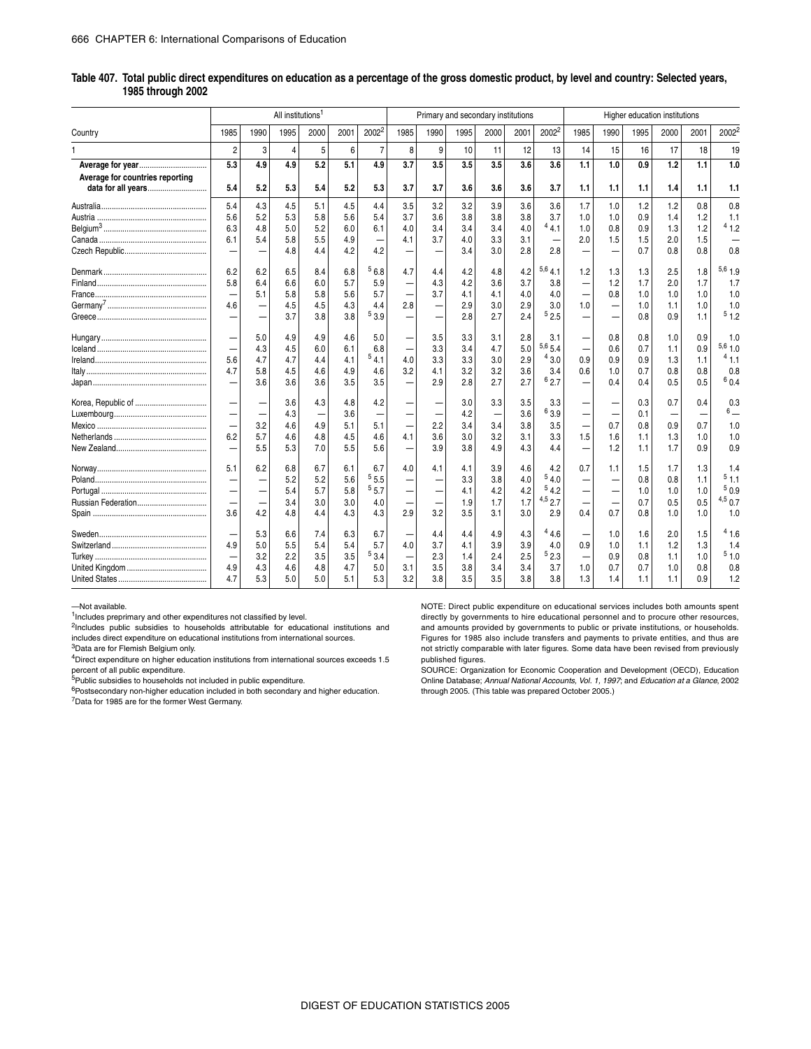|                                 |                          |      | All institutions <sup>1</sup> |      |      |                          |                          | Primary and secondary institutions |      |      |      | Higher education institutions |                          |      |      |      |      |           |
|---------------------------------|--------------------------|------|-------------------------------|------|------|--------------------------|--------------------------|------------------------------------|------|------|------|-------------------------------|--------------------------|------|------|------|------|-----------|
| Country                         | 1985                     | 1990 | 1995                          | 2000 | 2001 | $2002^2$                 | 1985                     | 1990                               | 1995 | 2000 | 2001 | $2002^2$                      | 1985                     | 1990 | 1995 | 2000 | 2001 | 20022     |
|                                 | $\overline{2}$           | 3    | 4                             | 5    | 6    | $\overline{7}$           | 8                        | 9                                  | 10   | 11   | 12   | 13                            | 14                       | 15   | 16   | 17   | 18   | 19        |
| Average for year                | 5.3                      | 4.9  | 4.9                           | 5.2  | 5.1  | 4.9                      | 3.7                      | 3.5                                | 3.5  | 3.5  | 3.6  | 3.6                           | 1.1                      | 1.0  | 0.9  | 1.2  | 1.1  | 1.0       |
| Average for countries reporting |                          |      |                               |      |      |                          |                          |                                    |      |      |      |                               |                          |      |      |      |      |           |
| data for all years              | 5.4                      | 5.2  | 5.3                           | 5.4  | 5.2  | 5.3                      | 3.7                      | 3.7                                | 3.6  | 3.6  | 3.6  | 3.7                           | 1.1                      | 1.1  | 1.1  | 1.4  | 1.1  | 1.1       |
|                                 | 5.4                      | 4.3  | 4.5                           | 5.1  | 4.5  | 4.4                      | 3.5                      | 3.2                                | 3.2  | 3.9  | 3.6  | 3.6                           | 1.7                      | 1.0  | 1.2  | 1.2  | 0.8  | 0.8       |
|                                 | 5.6                      | 5.2  | 5.3                           | 5.8  | 5.6  | 5.4                      | 3.7                      | 3.6                                | 3.8  | 3.8  | 3.8  | 3.7                           | 1.0                      | 1.0  | 0.9  | 1.4  | 1.2  | 1.1       |
|                                 | 6.3                      | 4.8  | 5.0                           | 5.2  | 6.0  | 6.1                      | 4.0                      | 3.4                                | 3.4  | 3.4  | 4.0  | 44.1                          | 1.0                      | 0.8  | 0.9  | 1.3  | 1.2  | 41.2      |
|                                 | 6.1                      | 5.4  | 5.8                           | 5.5  | 4.9  | -                        | 4.1                      | 3.7                                | 4.0  | 3.3  | 3.1  |                               | 2.0                      | 1.5  | 1.5  | 2.0  | 1.5  |           |
|                                 | -                        |      | 4.8                           | 4.4  | 4.2  | 4.2                      |                          |                                    | 3.4  | 3.0  | 2.8  | 2.8                           |                          |      | 0.7  | 0.8  | 0.8  | 0.8       |
|                                 | 6.2                      | 6.2  | 6.5                           | 8.4  | 6.8  | ${}^{5} 6.8$             | 4.7                      | 4.4                                | 4.2  | 4.8  | 4.2  | 5,64.1                        | 1.2                      | 1.3  | 1.3  | 2.5  | 1.8  | $5,6$ 1.9 |
|                                 | 5.8                      | 6.4  | 6.6                           | 6.0  | 5.7  | 5.9                      |                          | 4.3                                | 4.2  | 3.6  | 3.7  | 3.8                           |                          | 1.2  | 1.7  | 2.0  | 1.7  | 1.7       |
|                                 |                          | 5.1  | 5.8                           | 5.8  | 5.6  | 5.7                      |                          | 3.7                                | 4.1  | 4.1  | 4.0  | 4.0                           |                          | 0.8  | 1.0  | 1.0  | 1.0  | 1.0       |
|                                 | 4.6                      |      | 4.5                           | 4.5  | 4.3  | 4.4                      | 2.8                      |                                    | 2.9  | 3.0  | 2.9  | 3.0                           | 1.0                      |      | 1.0  | 1.1  | 1.0  | 1.0       |
|                                 | -                        |      | 3.7                           | 3.8  | 3.8  | $^5$ 3.9 $\,$            |                          |                                    | 2.8  | 2.7  | 2.4  | 52.5                          |                          |      | 0.8  | 0.9  | 1.1  | 51.2      |
|                                 |                          | 5.0  | 4.9                           | 4.9  | 4.6  | 5.0                      |                          | 3.5                                | 3.3  | 3.1  | 2.8  | 3.1                           |                          | 0.8  | 0.8  | 1.0  | 0.9  | 1.0       |
|                                 |                          | 4.3  | 4.5                           | 6.0  | 6.1  | 6.8                      |                          | 3.3                                | 3.4  | 4.7  | 5.0  | $^{5,6}$ 5.4                  |                          | 0.6  | 0.7  | 1.1  | 0.9  | $5,6$ 1.0 |
|                                 | 5.6                      | 4.7  | 4.7                           | 4.4  | 4.1  | 54.1                     | 4.0                      | 3.3                                | 3.3  | 3.0  | 2.9  | 43.0                          | 0.9                      | 0.9  | 0.9  | 1.3  | 1.1  | 41.1      |
|                                 | 4.7                      | 5.8  | 4.5                           | 4.6  | 4.9  | 4.6                      | 3.2                      | 4.1                                | 3.2  | 3.2  | 3.6  | 3.4                           | 0.6                      | 1.0  | 0.7  | 0.8  | 0.8  | 0.8       |
|                                 |                          | 3.6  | 3.6                           | 3.6  | 3.5  | 3.5                      |                          | 2.9                                | 2.8  | 2.7  | 2.7  | 62.7                          |                          | 0.4  | 0.4  | 0.5  | 0.5  | 60.4      |
|                                 |                          |      | 3.6                           | 4.3  | 4.8  | 4.2                      |                          |                                    | 3.0  | 3.3  | 3.5  | 3.3                           |                          |      | 0.3  | 0.7  | 0.4  | 0.3       |
|                                 | $\overline{\phantom{0}}$ |      | 4.3                           |      | 3.6  | $\overline{\phantom{0}}$ |                          |                                    | 4.2  |      | 3.6  | 63.9                          |                          |      | 0.1  |      |      | $6\,$     |
|                                 | $\overline{\phantom{0}}$ | 3.2  | 4.6                           | 4.9  | 5.1  | 5.1                      |                          | 2.2                                | 3.4  | 3.4  | 3.8  | 3.5                           |                          | 0.7  | 0.8  | 0.9  | 0.7  | 1.0       |
|                                 | 6.2                      | 5.7  | 4.6                           | 4.8  | 4.5  | 4.6                      | 4.1                      | 3.6                                | 3.0  | 3.2  | 3.1  | 3.3                           | 1.5                      | 1.6  | 1.1  | 1.3  | 1.0  | 1.0       |
|                                 | $\overline{\phantom{0}}$ | 5.5  | 5.3                           | 7.0  | 5.5  | 5.6                      |                          | 3.9                                | 3.8  | 4.9  | 4.3  | 4.4                           | -                        | 1.2  | 1.1  | 1.7  | 0.9  | 0.9       |
|                                 | 5.1                      | 6.2  | 6.8                           | 6.7  | 6.1  | 6.7                      | 4.0                      | 4.1                                | 4.1  | 3.9  | 4.6  | 4.2                           | 0.7                      | 1.1  | 1.5  | 1.7  | 1.3  | 1.4       |
|                                 |                          |      | 5.2                           | 5.2  | 5.6  | $^{5}5.5$                |                          |                                    | 3.3  | 3.8  | 4.0  | 54.0                          |                          |      | 0.8  | 0.8  | 1.1  | 51.1      |
|                                 | $\overline{\phantom{0}}$ |      | 5.4                           | 5.7  | 5.8  | 55.7                     | $\overline{\phantom{0}}$ |                                    | 4.1  | 4.2  | 4.2  | 54.2                          | $\overline{\phantom{0}}$ |      | 1.0  | 1.0  | 1.0  | 50.9      |
|                                 |                          |      | 3.4                           | 3.0  | 3.0  | 4.0                      |                          |                                    | 1.9  | 1.7  | 1.7  | $4,5$ 2.7                     |                          |      | 0.7  | 0.5  | 0.5  | $4,5$ 0.7 |
|                                 | 3.6                      | 4.2  | 4.8                           | 4.4  | 4.3  | 4.3                      | 2.9                      | 3.2                                | 3.5  | 3.1  | 3.0  | 2.9                           | 0.4                      | 0.7  | 0.8  | 1.0  | 1.0  | 1.0       |
|                                 |                          | 5.3  | 6.6                           | 7.4  | 6.3  | 6.7                      |                          | 4.4                                | 4.4  | 4.9  | 4.3  | 44.6                          |                          | 1.0  | 1.6  | 2.0  | 1.5  | 41.6      |
|                                 | 4.9                      | 5.0  | 5.5                           | 5.4  | 5.4  | 5.7                      | 4.0                      | 3.7                                | 4.1  | 3.9  | 3.9  | 4.0                           | 0.9                      | 1.0  | 1.1  | 1.2  | 1.3  | 1.4       |
|                                 | $\overline{\phantom{0}}$ | 3.2  | 2.2                           | 3.5  | 3.5  | 53.4                     |                          | 2.3                                | 1.4  | 2.4  | 2.5  | 52.3                          |                          | 0.9  | 0.8  | 1.1  | 1.0  | 51.0      |
|                                 | 4.9                      | 4.3  | 4.6                           | 4.8  | 4.7  | 5.0                      | 3.1                      | 3.5                                | 3.8  | 3.4  | 3.4  | 3.7                           | 1.0                      | 0.7  | 0.7  | 1.0  | 0.8  | 0.8       |
|                                 | 4.7                      | 5.3  | 5.0                           | 5.0  | 5.1  | 5.3                      | 3.2                      | 3.8                                | 3.5  | 3.5  | 3.8  | 3.8                           | 1.3                      | 1.4  | 1.1  | 1.1  | 0.9  | 1.2       |

#### **Table 407. Total public direct expenditures on education as a percentage of the gross domestic product, by level and country: Selected years, 1985 through 2002**

—Not available.

 $1$ Includes preprimary and other expenditures not classified by level.

 $2$ Includes public subsidies to households attributable for educational institutions and includes direct expenditure on educational institutions from international sources.

3Data are for Flemish Belgium only.

4Direct expenditure on higher education institutions from international sources exceeds 1.5 percent of all public expenditure.

5Public subsidies to households not included in public expenditure.

 $6P$ ostsecondary non-higher education included in both secondary and higher education. 7Data for 1985 are for the former West Germany.

NOTE: Direct public expenditure on educational services includes both amounts spent directly by governments to hire educational personnel and to procure other resources, and amounts provided by governments to public or private institutions, or households. Figures for 1985 also include transfers and payments to private entities, and thus are not strictly comparable with later figures. Some data have been revised from previously

published figures. SOURCE: Organization for Economic Cooperation and Development (OECD), Education Online Database; *Annual National Accounts, Vol. 1, 1997*; and *Education at a Glance*, 2002 through 2005. (This table was prepared October 2005.)